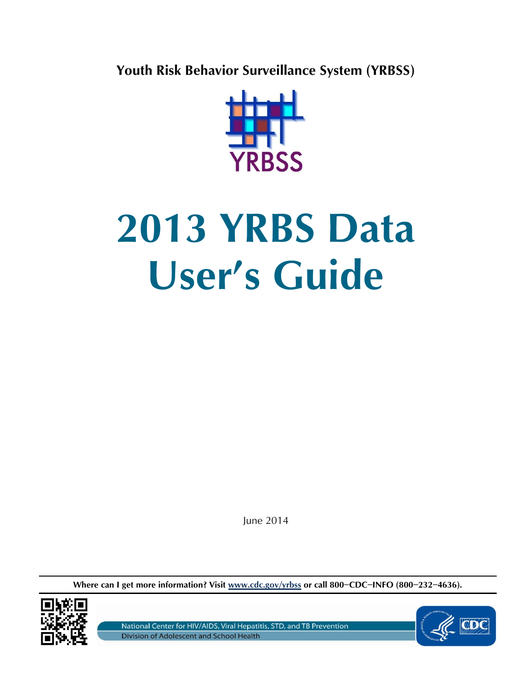**Youth Risk Behavior Surveillance System (YRBSS)**



# **2013 YRBS Data User's Guide**

June 2014

**Where can I get more information? Visit www.cdc.gov/yrbss or call 800−CDC−INFO (800−232−4636).** 



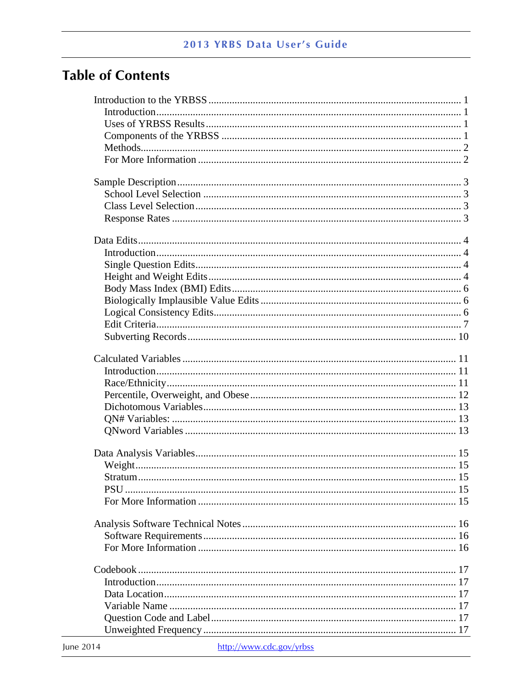# **Table of Contents**

| http://www.cdc.gov/urbec<br>11 <sub>1</sub> |  |
|---------------------------------------------|--|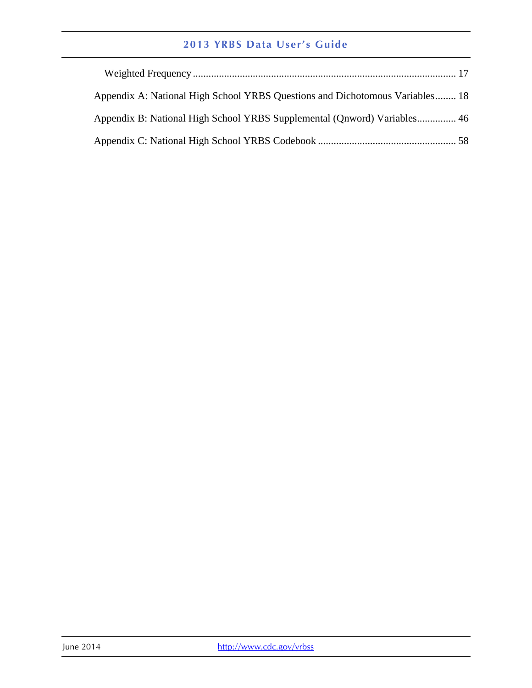| Appendix A: National High School YRBS Questions and Dichotomous Variables 18 |
|------------------------------------------------------------------------------|
| Appendix B: National High School YRBS Supplemental (Qnword) Variables 46     |
|                                                                              |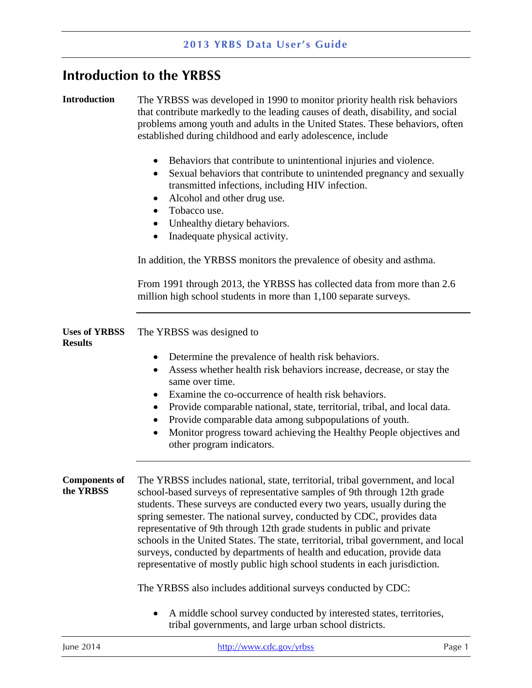### <span id="page-3-0"></span>**Introduction to the YRBSS**

<span id="page-3-1"></span>**Introduction** The YRBSS was developed in 1990 to monitor priority health risk behaviors that contribute markedly to the leading causes of death, disability, and social problems among youth and adults in the United States. These behaviors, often established during childhood and early adolescence, include

- Behaviors that contribute to unintentional injuries and violence.
- Sexual behaviors that contribute to unintended pregnancy and sexually transmitted infections, including HIV infection.
- Alcohol and other drug use.
- Tobacco use.
- Unhealthy dietary behaviors.
- Inadequate physical activity.

In addition, the YRBSS monitors the prevalence of obesity and asthma.

From 1991 through 2013, the YRBSS has collected data from more than 2.6 million high school students in more than 1,100 separate surveys.

<span id="page-3-2"></span>

|                | Uses of YRBSS The YRBSS was designed to |
|----------------|-----------------------------------------|
| <b>Results</b> |                                         |

- Determine the prevalence of health risk behaviors.
- Assess whether health risk behaviors increase, decrease, or stay the same over time.
- Examine the co-occurrence of health risk behaviors.
- Provide comparable national, state, territorial, tribal, and local data.
- $\bullet$ Provide comparable data among subpopulations of youth.
- other program indicators. Monitor progress toward achieving the Healthy People objectives and

<span id="page-3-3"></span>**Components of the YRBSS**  The YRBSS includes national, state, territorial, tribal government, and local school-based surveys of representative samples of 9th through 12th grade students. These surveys are conducted every two years, usually during the spring semester. The national survey, conducted by CDC, provides data representative of 9th through 12th grade students in public and private schools in the United States. The state, territorial, tribal government, and local surveys, conducted by departments of health and education, provide data representative of mostly public high school students in each jurisdiction.

The YRBSS also includes additional surveys conducted by CDC:

 $\bullet$ A middle school survey conducted by interested states, territories, tribal governments, and large urban school districts.

| lune 2014 | http://www.cdc.gov/yrbss | Page 1 |
|-----------|--------------------------|--------|
|           |                          |        |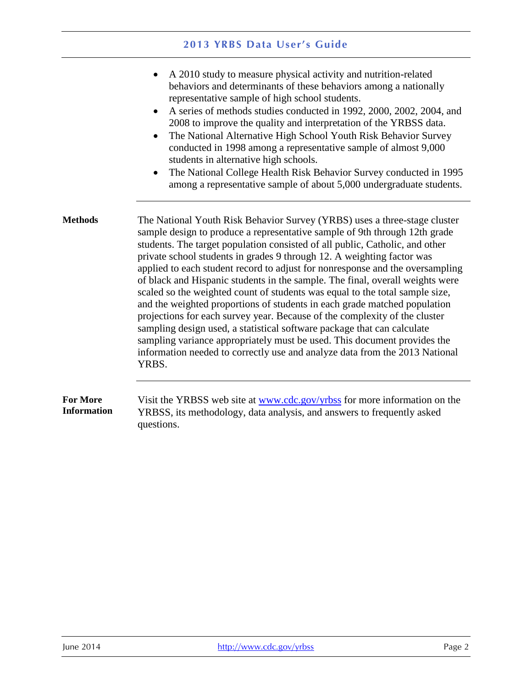<span id="page-4-1"></span><span id="page-4-0"></span>

|                                       | A 2010 study to measure physical activity and nutrition-related<br>behaviors and determinants of these behaviors among a nationally<br>representative sample of high school students.<br>A series of methods studies conducted in 1992, 2000, 2002, 2004, and<br>2008 to improve the quality and interpretation of the YRBSS data.<br>The National Alternative High School Youth Risk Behavior Survey<br>$\bullet$<br>conducted in 1998 among a representative sample of almost 9,000<br>students in alternative high schools.<br>The National College Health Risk Behavior Survey conducted in 1995<br>$\bullet$<br>among a representative sample of about 5,000 undergraduate students.                                                                                                                                                                                                                                                                                     |
|---------------------------------------|-------------------------------------------------------------------------------------------------------------------------------------------------------------------------------------------------------------------------------------------------------------------------------------------------------------------------------------------------------------------------------------------------------------------------------------------------------------------------------------------------------------------------------------------------------------------------------------------------------------------------------------------------------------------------------------------------------------------------------------------------------------------------------------------------------------------------------------------------------------------------------------------------------------------------------------------------------------------------------|
| <b>Methods</b>                        | The National Youth Risk Behavior Survey (YRBS) uses a three-stage cluster<br>sample design to produce a representative sample of 9th through 12th grade<br>students. The target population consisted of all public, Catholic, and other<br>private school students in grades 9 through 12. A weighting factor was<br>applied to each student record to adjust for nonresponse and the oversampling<br>of black and Hispanic students in the sample. The final, overall weights were<br>scaled so the weighted count of students was equal to the total sample size,<br>and the weighted proportions of students in each grade matched population<br>projections for each survey year. Because of the complexity of the cluster<br>sampling design used, a statistical software package that can calculate<br>sampling variance appropriately must be used. This document provides the<br>information needed to correctly use and analyze data from the 2013 National<br>YRBS. |
| <b>For More</b><br><b>Information</b> | Visit the YRBSS web site at www.cdc.gov/yrbss for more information on the<br>YRBSS, its methodology, data analysis, and answers to frequently asked<br>questions.                                                                                                                                                                                                                                                                                                                                                                                                                                                                                                                                                                                                                                                                                                                                                                                                             |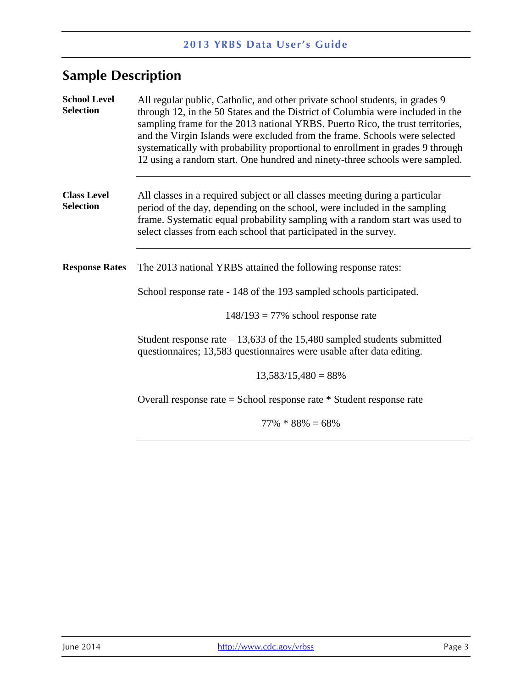# <span id="page-5-0"></span>**Sample Description**

<span id="page-5-3"></span><span id="page-5-2"></span><span id="page-5-1"></span>

| <b>School Level</b><br><b>Selection</b> | All regular public, Catholic, and other private school students, in grades 9<br>through 12, in the 50 States and the District of Columbia were included in the<br>sampling frame for the 2013 national YRBS. Puerto Rico, the trust territories,<br>and the Virgin Islands were excluded from the frame. Schools were selected<br>systematically with probability proportional to enrollment in grades 9 through<br>12 using a random start. One hundred and ninety-three schools were sampled. |  |  |
|-----------------------------------------|-------------------------------------------------------------------------------------------------------------------------------------------------------------------------------------------------------------------------------------------------------------------------------------------------------------------------------------------------------------------------------------------------------------------------------------------------------------------------------------------------|--|--|
| <b>Class Level</b><br><b>Selection</b>  | All classes in a required subject or all classes meeting during a particular<br>period of the day, depending on the school, were included in the sampling<br>frame. Systematic equal probability sampling with a random start was used to<br>select classes from each school that participated in the survey.                                                                                                                                                                                   |  |  |
| <b>Response Rates</b>                   | The 2013 national YRBS attained the following response rates:                                                                                                                                                                                                                                                                                                                                                                                                                                   |  |  |
|                                         | School response rate - 148 of the 193 sampled schools participated.                                                                                                                                                                                                                                                                                                                                                                                                                             |  |  |
|                                         | $148/193 = 77\%$ school response rate                                                                                                                                                                                                                                                                                                                                                                                                                                                           |  |  |
|                                         | Student response rate $-13,633$ of the 15,480 sampled students submitted<br>questionnaires; 13,583 questionnaires were usable after data editing.                                                                                                                                                                                                                                                                                                                                               |  |  |
|                                         | $13,583/15,480 = 88\%$                                                                                                                                                                                                                                                                                                                                                                                                                                                                          |  |  |
|                                         | Overall response rate = School response rate $*$ Student response rate                                                                                                                                                                                                                                                                                                                                                                                                                          |  |  |
|                                         | $77\% * 88\% = 68\%$                                                                                                                                                                                                                                                                                                                                                                                                                                                                            |  |  |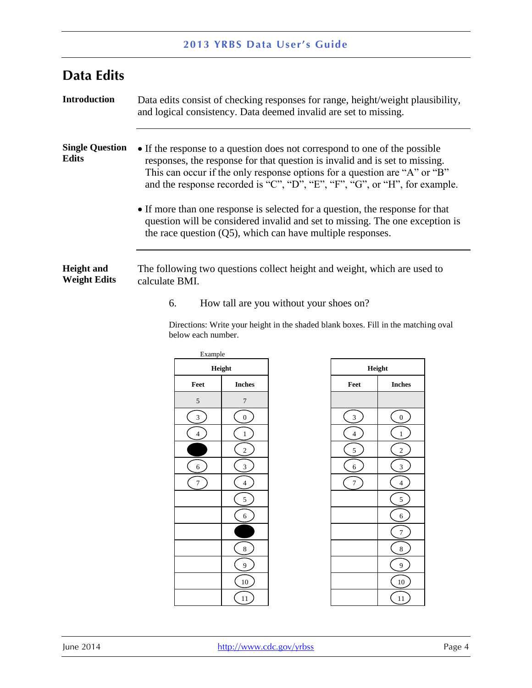<span id="page-6-2"></span><span id="page-6-1"></span><span id="page-6-0"></span>

| <b>Data Edits</b>                        |                                                                                                                                                                                                                                                                                                                                                                                                                                                                                                                                                        |
|------------------------------------------|--------------------------------------------------------------------------------------------------------------------------------------------------------------------------------------------------------------------------------------------------------------------------------------------------------------------------------------------------------------------------------------------------------------------------------------------------------------------------------------------------------------------------------------------------------|
| <b>Introduction</b>                      | Data edits consist of checking responses for range, height/weight plausibility,<br>and logical consistency. Data deemed invalid are set to missing.                                                                                                                                                                                                                                                                                                                                                                                                    |
| <b>Single Question</b><br><b>Edits</b>   | • If the response to a question does not correspond to one of the possible<br>responses, the response for that question is invalid and is set to missing.<br>This can occur if the only response options for a question are "A" or "B"<br>and the response recorded is "C", "D", "E", "F", "G", or "H", for example.<br>• If more than one response is selected for a question, the response for that<br>question will be considered invalid and set to missing. The one exception is<br>the race question $(Q5)$ , which can have multiple responses. |
| <b>Height and</b><br><b>Weight Edits</b> | The following two questions collect height and weight, which are used to<br>calculate BMI.                                                                                                                                                                                                                                                                                                                                                                                                                                                             |

<span id="page-6-3"></span>6. How tall are you without your shoes on?

 Directions: Write your height in the shaded blank boxes. Fill in the matching oval below each number.

|                          | Example        |  |  |
|--------------------------|----------------|--|--|
|                          | Height         |  |  |
| Feet                     | <b>Inches</b>  |  |  |
| 5                        | 7              |  |  |
| 3                        | $\overline{0}$ |  |  |
| $\overline{\mathcal{L}}$ | $\mathbf 1$    |  |  |
|                          | $\overline{c}$ |  |  |
| 6                        | 3              |  |  |
| 7                        | $\overline{4}$ |  |  |
|                          | 5              |  |  |
|                          | 6              |  |  |
|                          |                |  |  |
|                          | 8              |  |  |
|                          | 9              |  |  |
|                          | 10             |  |  |
|                          | 11             |  |  |

| Height         |                          |  |  |  |
|----------------|--------------------------|--|--|--|
| Feet           | <b>Inches</b>            |  |  |  |
|                |                          |  |  |  |
| 3              | $\boldsymbol{0}$         |  |  |  |
| $\overline{4}$ | $\mathbf{1}$             |  |  |  |
| 5              | $\overline{\mathbf{c}}$  |  |  |  |
| 6              | 3                        |  |  |  |
| 7              | $\overline{\mathcal{L}}$ |  |  |  |
|                | 5                        |  |  |  |
|                | $\overline{6}$           |  |  |  |
|                | 7                        |  |  |  |
|                | 8                        |  |  |  |
|                | 9                        |  |  |  |
|                | 10                       |  |  |  |
|                | 11                       |  |  |  |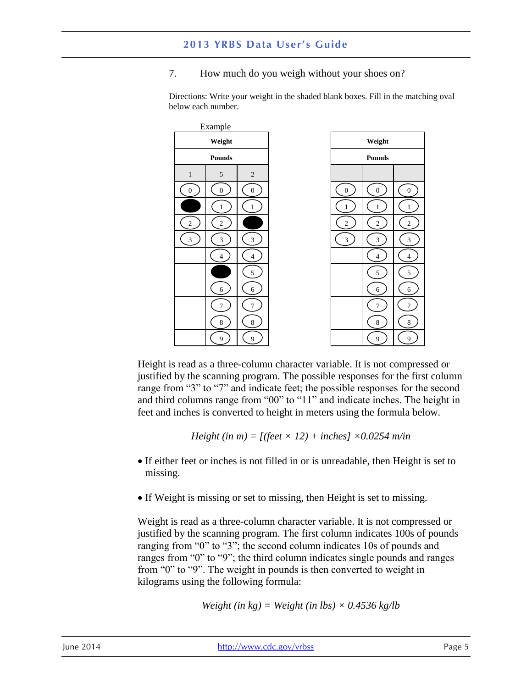$E$ <sub>rample</sub>

#### 7. How much do you weigh without your shoes on?

|                  | LAGHIPIC<br>Weight |                  |                  | Weight           |                  |
|------------------|--------------------|------------------|------------------|------------------|------------------|
|                  | <b>Pounds</b>      |                  |                  | $\bold{Pounds}$  |                  |
| $\mathbf{1}$     | 5                  | $\overline{c}$   |                  |                  |                  |
| $\boldsymbol{0}$ | $\boldsymbol{0}$   | $\boldsymbol{0}$ | $\boldsymbol{0}$ | $\boldsymbol{0}$ | $\boldsymbol{0}$ |
|                  | $\mathbf{1}$       | $\mathbf{1}$     | $\mathbf{1}$     | $\mathbf{1}$     | $\mathbf{1}$     |
| $\boldsymbol{2}$ | $\sqrt{2}$         |                  | $\overline{c}$   | $\sqrt{2}$       | $\sqrt{2}$       |
| $\overline{3}$   | $\mathfrak{Z}$     | 3                | 3                | $\mathfrak{Z}$   | $\mathfrak{Z}$   |
|                  | $\overline{4}$     | $\overline{4}$   |                  | $\overline{4}$   | $\overline{4}$   |
|                  |                    | $\sqrt{5}$       |                  | $\sqrt{5}$       | $\sqrt{5}$       |
|                  | 6                  | 6                |                  | 6                | 6                |
|                  | $\overline{7}$     | $\overline{7}$   |                  | $\overline{7}$   | $\tau$           |
|                  | $\,8\,$            | $\bf 8$          |                  | $\,8\,$          | $\,8\,$          |
|                  | 9                  | 9                |                  | 9                | $\overline{9}$   |

Directions: Write your weight in the shaded blank boxes. Fill in the matching oval below each number.

Height is read as a three-column character variable. It is not compressed or justified by the scanning program. The possible responses for the first column range from "3" to "7" and indicate feet; the possible responses for the second and third columns range from "00" to "11" and indicate inches. The height in feet and inches is converted to height in meters using the formula below.

 $Height (in m) = [(feet \times 12) + inches] \times 0.0254 m/in$ 

- If either feet or inches is not filled in or is unreadable, then Height is set to missing.
- If Weight is missing or set to missing, then Height is set to missing.

Weight is read as a three-column character variable. It is not compressed or justified by the scanning program. The first column indicates 100s of pounds ranging from "0" to "3"; the second column indicates 10s of pounds and ranges from "0" to "9"; the third column indicates single pounds and ranges from "0" to "9". The weight in pounds is then converted to weight in kilograms using the following formula:

$$
Weight (in kg) = Weight (in lbs) \times 0.4536 kg/lb
$$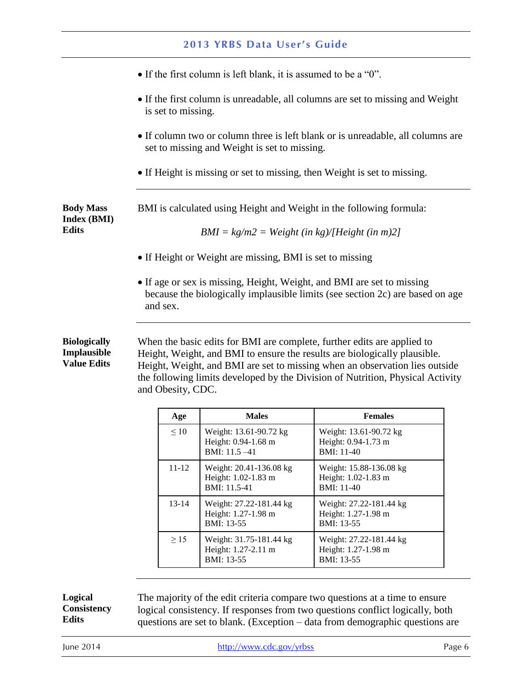<span id="page-8-0"></span>

|                                                                                                                                                                     |                                                                                                                                 |                   | <b>2013 YRBS Data User's Guide</b>                                                                                     |                                                                                                                                                                                                                                                                                                                       |  |
|---------------------------------------------------------------------------------------------------------------------------------------------------------------------|---------------------------------------------------------------------------------------------------------------------------------|-------------------|------------------------------------------------------------------------------------------------------------------------|-----------------------------------------------------------------------------------------------------------------------------------------------------------------------------------------------------------------------------------------------------------------------------------------------------------------------|--|
|                                                                                                                                                                     |                                                                                                                                 |                   | • If the first column is left blank, it is assumed to be a "0".                                                        |                                                                                                                                                                                                                                                                                                                       |  |
| • If the first column is unreadable, all columns are set to missing and Weight<br>is set to missing.                                                                |                                                                                                                                 |                   |                                                                                                                        |                                                                                                                                                                                                                                                                                                                       |  |
|                                                                                                                                                                     | • If column two or column three is left blank or is unreadable, all columns are<br>set to missing and Weight is set to missing. |                   |                                                                                                                        |                                                                                                                                                                                                                                                                                                                       |  |
|                                                                                                                                                                     |                                                                                                                                 |                   | • If Height is missing or set to missing, then Weight is set to missing.                                               |                                                                                                                                                                                                                                                                                                                       |  |
| <b>Body Mass</b><br><b>Index (BMI)</b><br><b>Edits</b>                                                                                                              |                                                                                                                                 |                   | BMI is calculated using Height and Weight in the following formula:<br>$BMI = kg/m2 = Weight (in kg)/[Height (in m)2]$ |                                                                                                                                                                                                                                                                                                                       |  |
|                                                                                                                                                                     |                                                                                                                                 |                   | • If Height or Weight are missing, BMI is set to missing                                                               |                                                                                                                                                                                                                                                                                                                       |  |
| • If age or sex is missing, Height, Weight, and BMI are set to missing<br>because the biologically implausible limits (see section 2c) are based on age<br>and sex. |                                                                                                                                 |                   |                                                                                                                        |                                                                                                                                                                                                                                                                                                                       |  |
| <b>Biologically</b><br>Implausible<br><b>Value Edits</b>                                                                                                            |                                                                                                                                 | and Obesity, CDC. |                                                                                                                        | When the basic edits for BMI are complete, further edits are applied to<br>Height, Weight, and BMI to ensure the results are biologically plausible.<br>Height, Weight, and BMI are set to missing when an observation lies outside<br>the following limits developed by the Division of Nutrition, Physical Activity |  |
|                                                                                                                                                                     |                                                                                                                                 | Age               | <b>Males</b>                                                                                                           | <b>Females</b>                                                                                                                                                                                                                                                                                                        |  |
|                                                                                                                                                                     |                                                                                                                                 | $\leq 10$         | Weight: 13.61-90.72 kg<br>Height: 0.94-1.68 m<br>BMI: 11.5 -41                                                         | Weight: 13.61-90.72 kg<br>Height: 0.94-1.73 m<br>BMI: 11-40                                                                                                                                                                                                                                                           |  |
|                                                                                                                                                                     |                                                                                                                                 | $11 - 12$         | Weight: 20.41-136.08 kg<br>Height: 1.02-1.83 m<br>BMI: 11.5-41                                                         | Weight: 15.88-136.08 kg<br>Height: 1.02-1.83 m<br>BMI: 11-40                                                                                                                                                                                                                                                          |  |
|                                                                                                                                                                     |                                                                                                                                 | $13 - 14$         | Weight: 27.22-181.44 kg<br>Height: 1.27-1.98 m<br>BMI: 13-55                                                           | Weight: 27.22-181.44 kg<br>Height: 1.27-1.98 m<br>BMI: 13-55                                                                                                                                                                                                                                                          |  |
|                                                                                                                                                                     |                                                                                                                                 | $\geq$ 15         | Weight: 31.75-181.44 kg                                                                                                | Weight: 27.22-181.44 kg                                                                                                                                                                                                                                                                                               |  |

<span id="page-8-1"></span>

| Age       | <b>Males</b>                                                   | <b>Females</b>                                               |
|-----------|----------------------------------------------------------------|--------------------------------------------------------------|
| $\leq 10$ | Weight: 13.61-90.72 kg<br>Height: 0.94-1.68 m<br>BMI: 11.5-41  | Weight: 13.61-90.72 kg<br>Height: 0.94-1.73 m<br>BMI: 11-40  |
| $11 - 12$ | Weight: 20.41-136.08 kg<br>Height: 1.02-1.83 m<br>BMI: 11.5-41 | Weight: 15.88-136.08 kg<br>Height: 1.02-1.83 m<br>BMI: 11-40 |
| $13 - 14$ | Weight: 27.22-181.44 kg<br>Height: 1.27-1.98 m<br>BMI: 13-55   | Weight: 27.22-181.44 kg<br>Height: 1.27-1.98 m<br>BMI: 13-55 |
| >15       | Weight: 31.75-181.44 kg<br>Height: 1.27-2.11 m<br>BMI: 13-55   | Weight: 27.22-181.44 kg<br>Height: 1.27-1.98 m<br>BMI: 13-55 |

<span id="page-8-2"></span>**Logical** The majority of the edit criteria compare two questions at a time to ensure<br> **Consistency** logical consistency. If responses from two questions conflict logically, both **Consistency** logical consistency. If responses from two questions conflict logically, both **Edits** currentially discussed to blank (Exception – data from demographic questions are questions are set to blank. (Exception – data from demographic questions are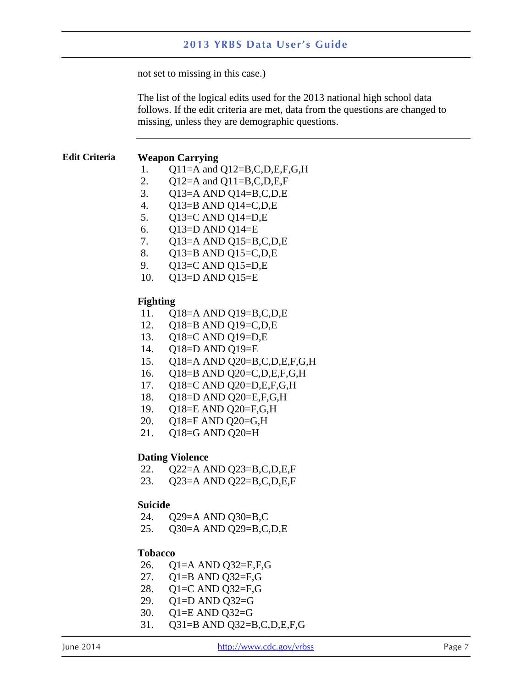not set to missing in this case.)

 missing, unless they are demographic questions. The list of the logical edits used for the 2013 national high school data follows. If the edit criteria are met, data from the questions are changed to

#### <span id="page-9-0"></span>**Edit Criteria Weapon Carrying**

- 1. Q11=A and Q12=B,C,D,E,F,G,H
- 2.  $Q12=A$  and  $Q11=B,C,D,E,F$
- 3. Q13=A AND Q14=B,C,D,E
- 4. Q13=B AND Q14=C,D,E
- 5. Q13=C AND Q14=D,E
- 6. Q13=D AND Q14=E
- 7. Q13=A AND Q15=B,C,D,E
- 8. Q13=B AND Q15=C,D,E
- 9. Q13=C AND Q15=D,E
- 10. Q13=D AND Q15=E

#### **Fighting**

- 11. Q18=A AND Q19=B,C,D,E
- 12. Q18=B AND Q19=C,D,E
- 13. Q18=C AND Q19=D,E
- 14. Q18=D AND Q19=E
- 15. Q18=A AND Q20=B,C,D,E,F,G,H
- 16. Q18=B AND Q20=C,D,E,F,G,H
- 17. Q18=C AND Q20=D,E,F,G,H
- 18. Q18=D AND Q20=E,F,G,H
- 19. Q18=E AND Q20=F,G,H
- 20. Q18=F AND Q20=G,H
- 21. Q18=G AND Q20=H

#### **Dating Violence**

- 22. Q22=A AND Q23=B,C,D,E,F
- 23. Q23=A AND Q22=B,C,D,E,F

#### **Suicide**

- 24. Q29=A AND Q30=B,C
- 25. Q30=A AND Q29=B,C,D,E

#### **Tobacco**

- 26. Q1=A AND Q32=E,F,G
- 27. Q1=B AND Q32=F,G
- 28. Q1=C AND Q32=F,G
- 29. Q1=D AND Q32=G
- 30. Q1=E AND Q32=G
- 31. Q31=B AND Q32=B,C,D,E,F,G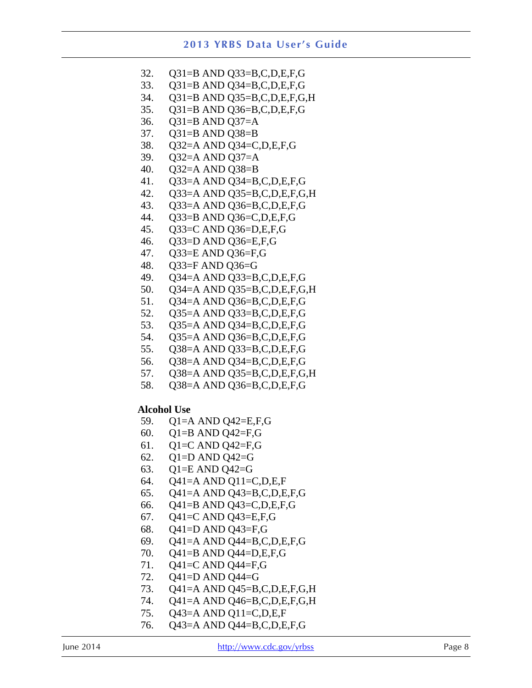| 32.                | Q31=B AND Q33=B,C,D,E,F,G                          |
|--------------------|----------------------------------------------------|
|                    |                                                    |
| 33.                | Q31=B AND Q34=B,C,D,E,F,G                          |
| 34.                | Q31=B AND Q35=B,C,D,E,F,G,H                        |
| 35.                | Q31=B AND Q36=B,C,D,E,F,G                          |
| 36.                | Q31=B AND Q37=A                                    |
|                    |                                                    |
| 37.                | $Q31=B$ AND $Q38=B$                                |
| 38.                | Q32=A AND Q34=C,D,E,F,G                            |
| 39.                | $Q32=A$ AND $Q37=A$                                |
| 40.                | $Q32=A$ AND $Q38=B$                                |
| 41.                |                                                    |
|                    | Q33=A AND Q34=B,C,D,E,F,G                          |
| 42.                | Q33=A AND Q35=B,C,D,E,F,G,H                        |
| 43.                | Q33=A AND Q36=B,C,D,E,F,G                          |
| 44.                | Q33=B AND Q36=C,D,E,F,G                            |
| 45.                | Q33=C AND Q36=D,E,F,G                              |
| 46.                | Q33=D AND Q36=E,F,G                                |
|                    |                                                    |
| 47.                | Q33=E AND Q36=F,G                                  |
| 48.                | Q33=F AND Q36=G                                    |
| 49.                | Q34=A AND Q33=B,C,D,E,F,G                          |
| 50.                | Q34=A AND Q35=B,C,D,E,F,G,H                        |
| 51.                | Q34=A AND Q36=B,C,D,E,F,G                          |
|                    |                                                    |
| 52.                | Q35=A AND Q33=B,C,D,E,F,G                          |
| 53.                | Q35=A AND Q34=B,C,D,E,F,G                          |
| 54.                | Q35=A AND Q36=B,C,D,E,F,G                          |
| 55.                | Q38=A AND Q33=B,C,D,E,F,G                          |
| 56.                | Q38=A AND Q34=B,C,D,E,F,G                          |
|                    |                                                    |
| 57.                | Q38=A AND Q35=B,C,D,E,F,G,H                        |
| 58.                | Q38=A AND Q36=B,C,D,E,F,G                          |
| <b>Alcohol Use</b> |                                                    |
| 59.                | Q1=A AND Q42=E,F,G                                 |
| 60.                | $Q1 = B$ AND $Q42 = F, G$                          |
|                    |                                                    |
| 61.                | Q1=C AND Q42=F,G                                   |
| 62.                | $Q1=D$ AND $Q42=$ G                                |
| 63.                | $Q1=E$ AND $Q42=G$                                 |
| 64.                | $Q41=A$ AND $Q11=C,D,E,F$                          |
| 65.                | Q41=A AND Q43=B,C,D,E,F,G                          |
| 66.                | Q41=B AND Q43=C,D,E,F,G                            |
| 67.                | Q41=C AND Q43=E,F,G                                |
|                    |                                                    |
| 68.                |                                                    |
|                    | Q41=D AND Q43=F,G                                  |
| 69.                | Q41=A AND Q44=B,C,D,E,F,G                          |
| 70.                | Q41=B AND Q44=D,E,F,G                              |
| 71.                |                                                    |
|                    | Q41=C AND Q44=F,G                                  |
| 72.                | Q41=D AND Q44=G                                    |
| 73.                | $Q41=A$ AND $Q45=B,C,D,E,F,G,H$                    |
| 74.                | Q41=A AND Q46=B,C,D,E,F,G,H                        |
| 75.<br>76.         | Q43=A AND Q11=C,D,E,F<br>Q43=A AND Q44=B,C,D,E,F,G |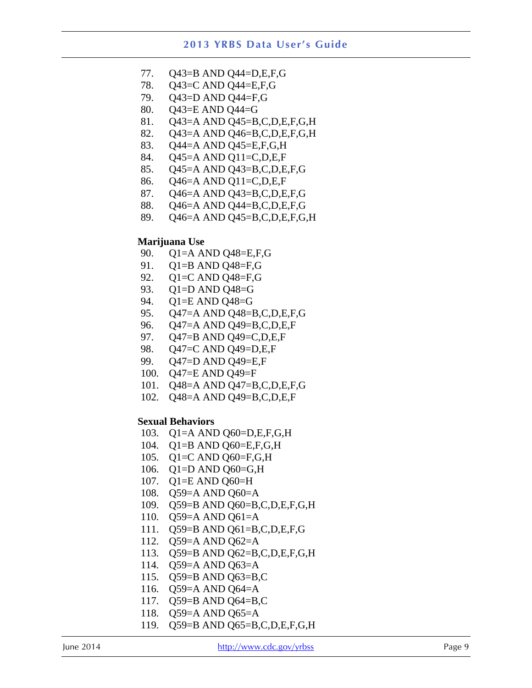- 77. Q43=B AND Q44=D,E,F,G
- 78. Q43=C AND Q44=E,F,G
- 79. Q43=D AND Q44=F,G
- 80. Q43=E AND Q44=G
- 81. Q43=A AND Q45=B,C,D,E,F,G,H
- 82. Q43=A AND Q46=B,C,D,E,F,G,H
- 83. Q44=A AND Q45=E,F,G,H
- 84. Q45=A AND Q11=C,D,E,F
- 85. Q45=A AND Q43=B,C,D,E,F,G
- 86. Q46=A AND Q11=C,D,E,F
- 87. Q46=A AND Q43=B,C,D,E,F,G
- 88. Q46=A AND Q44=B,C,D,E,F,G
- 89. Q46=A AND Q45=B,C,D,E,F,G,H

#### **Marijuana Use**

- 90. Q1=A AND Q48=E,F,G
- 91. Q1=B AND Q48=F,G
- 92. Q1=C AND Q48=F,G
- 93. Q1=D AND Q48=G
- 94. Q1=E AND Q48=G
- 95. Q47=A AND Q48=B,C,D,E,F,G
- 96. Q47=A AND Q49=B,C,D,E,F
- 97. Q47=B AND Q49=C,D,E,F
- 98. Q47=C AND Q49=D,E,F
- 99. Q47=D AND Q49=E,F
- 100. Q47=E AND Q49=F
- 101. Q48=A AND Q47=B,C,D,E,F,G
- 102. Q48=A AND Q49=B,C,D,E,F

#### **Sexual Behaviors**

- 103. Q1=A AND Q60=D,E,F,G,H
- 104. Q1=B AND Q60=E,F,G,H
- 105. Q1=C AND Q60=F,G,H
- 106. Q1=D AND Q60=G,H
- 107. Q1=E AND Q60=H
- 108. Q59=A AND Q60=A
- 109. Q59=B AND Q60=B,C,D,E,F,G,H
- 110. Q59=A AND Q61=A
- 111. Q59=B AND Q61=B,C,D,E,F,G
- 112. Q59=A AND Q62=A
- 113. Q59=B AND Q62=B,C,D,E,F,G,H
- 114. Q59=A AND Q63=A
- 115. Q59=B AND Q63=B,C
- 116. Q59=A AND Q64=A
- 117. Q59=B AND Q64=B,C
- 118. Q59=A AND Q65=A
- 119. Q59=B AND Q65=B,C,D,E,F,G,H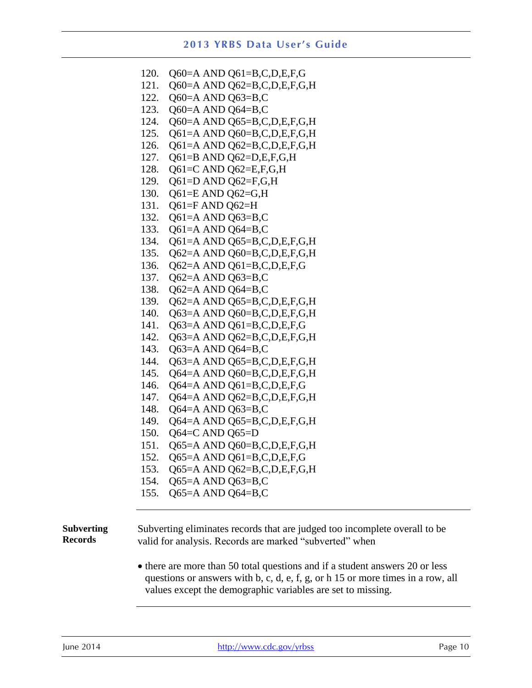| Q60=A AND Q61=B,C,D,E,F,G   |
|-----------------------------|
| Q60=A AND Q62=B,C,D,E,F,G,H |
| Q60=A AND Q63=B,C           |
| Q60=A AND Q64=B,C           |
| Q60=A AND Q65=B,C,D,E,F,G,H |
| Q61=A AND Q60=B,C,D,E,F,G,H |
| Q61=A AND Q62=B,C,D,E,F,G,H |
| Q61=B AND Q62=D,E,F,G,H     |
| Q61=C AND Q62=E,F,G,H       |
| Q61=D AND Q62=F,G,H         |
| Q61=E AND Q62=G,H           |
| $Q61=F$ AND $Q62=H$         |
| Q61=A AND Q63=B,C           |
| Q61=A AND Q64=B,C           |
| Q61=A AND Q65=B,C,D,E,F,G,H |
| Q62=A AND Q60=B,C,D,E,F,G,H |
| Q62=A AND Q61=B,C,D,E,F,G   |
| Q62=A AND Q63=B,C           |
| Q62=A AND Q64=B,C           |
| Q62=A AND Q65=B,C,D,E,F,G,H |
| Q63=A AND Q60=B,C,D,E,F,G,H |
| Q63=A AND Q61=B,C,D,E,F,G   |
| Q63=A AND Q62=B,C,D,E,F,G,H |
| Q63=A AND Q64=B,C           |
| Q63=A AND Q65=B,C,D,E,F,G,H |
| Q64=A AND Q60=B,C,D,E,F,G,H |
| Q64=A AND Q61=B,C,D,E,F,G   |
| Q64=A AND Q62=B,C,D,E,F,G,H |
| Q64=A AND Q63=B,C           |
| Q64=A AND Q65=B,C,D,E,F,G,H |
| $Q64=C$ AND $Q65=D$         |
| Q65=A AND Q60=B,C,D,E,F,G,H |
| Q65=A AND Q61=B,C,D,E,F,G   |
| Q65=A AND Q62=B,C,D,E,F,G,H |
| Q65=A AND Q63=B,C           |
| Q65=A AND Q64=B,C           |
|                             |

<span id="page-12-0"></span>**Subverting Records**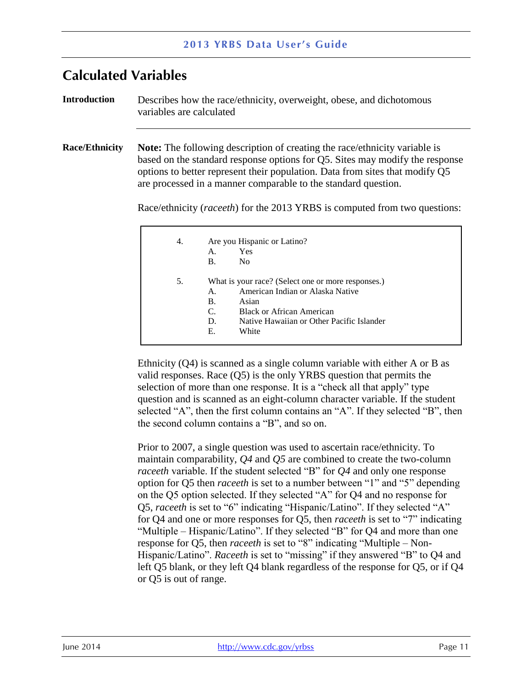## <span id="page-13-0"></span>**Calculated Variables**

<span id="page-13-2"></span><span id="page-13-1"></span>**Introduction Race/Ethnicity** Describes how the race/ethnicity, overweight, obese, and dichotomous variables are calculated **Note:** The following description of creating the race/ethnicity variable is based on the standard response options for Q5. Sites may modify the response options to better represent their population. Data from sites that modify Q5 are processed in a manner comparable to the standard question. Race/ethnicity (*raceeth*) for the 2013 YRBS is computed from two questions: 4. Are you Hispanic or Latino? A. Yes B. No 5. What is your race? (Select one or more responses.) A. American Indian or Alaska Native

| 4. | Are you Hispanic or Latino? |                                                    |
|----|-----------------------------|----------------------------------------------------|
|    | А.                          | Yes                                                |
|    | <b>B.</b>                   | No.                                                |
| 5. |                             | What is your race? (Select one or more responses.) |
|    | $\mathsf{A}$ .              | American Indian or Alaska Native                   |
|    | B.                          | Asian                                              |
|    | C.                          | <b>Black or African American</b>                   |
|    | D.                          | Native Hawaiian or Other Pacific Islander          |
|    | Е.                          | White                                              |

Ethnicity (Q4) is scanned as a single column variable with either A or B as valid responses. Race (Q5) is the only YRBS question that permits the selection of more than one response. It is a "check all that apply" type question and is scanned as an eight-column character variable. If the student selected "A", then the first column contains an "A". If they selected "B", then the second column contains a "B", and so on.

 maintain comparability, *Q4* and *Q5* are combined to create the two-column Prior to 2007, a single question was used to ascertain race/ethnicity. To *raceeth* variable. If the student selected "B" for *Q4* and only one response option for Q5 then *raceeth* is set to a number between "1" and "5" depending on the Q5 option selected. If they selected "A" for Q4 and no response for Q5, *raceeth* is set to "6" indicating "Hispanic/Latino". If they selected "A" for Q4 and one or more responses for Q5, then *raceeth* is set to "7" indicating "Multiple – Hispanic/Latino". If they selected "B" for Q4 and more than one response for Q5, then *raceeth* is set to "8" indicating "Multiple – Non-Hispanic/Latino". *Raceeth* is set to "missing" if they answered "B" to Q4 and left Q5 blank, or they left Q4 blank regardless of the response for Q5, or if Q4 or Q5 is out of range.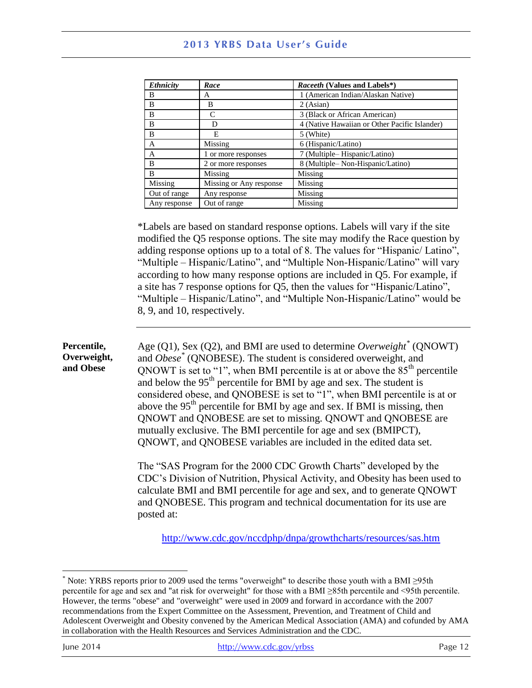| <b>Ethnicity</b> | Race                    | <i>Raceeth</i> (Values and Labels*)           |
|------------------|-------------------------|-----------------------------------------------|
| В                | A                       | 1 (American Indian/Alaskan Native)            |
| B                | B                       | 2 (Asian)                                     |
| B                | C                       | 3 (Black or African American)                 |
| B                | Ð                       | 4 (Native Hawaiian or Other Pacific Islander) |
| B                | F.                      | 5 (White)                                     |
| A                | Missing                 | 6 (Hispanic/Latino)                           |
| A                | 1 or more responses     | 7 (Multiple-Hispanic/Latino)                  |
| R                | 2 or more responses     | 8 (Multiple-Non-Hispanic/Latino)              |
| B                | Missing                 | Missing                                       |
| Missing          | Missing or Any response | Missing                                       |
| Out of range     | Any response            | Missing                                       |
| Any response     | Out of range            | Missing                                       |

\*Labels are based on standard response options. Labels will vary if the site modified the Q5 response options. The site may modify the Race question by adding response options up to a total of 8. The values for "Hispanic/ Latino", "Multiple – Hispanic/Latino", and "Multiple Non-Hispanic/Latino" will vary according to how many response options are included in Q5. For example, if a site has 7 response options for Q5, then the values for "Hispanic/Latino", "Multiple – Hispanic/Latino", and "Multiple Non-Hispanic/Latino" would be 8, 9, and 10, respectively.

<span id="page-14-0"></span>**Percentile,** Age  $(Q1)$ , Sex  $(Q2)$ , and BMI are used to determine *Overweight*<sup>\*</sup> (QNOWT) mutually exclusive. The BMI percentile for age and sex (BMIPCT), **Overweight,** and *Obese* \* (QNOBESE). The student is considered overweight, and **and Obese**  $\qquad$  ONOWT is set to "1" when BMI percentile is at or above the 85<sup>th</sup> percentile. QNOWT is set to "1", when BMI percentile is at or above the 85<sup>th</sup> percentile and below the 95<sup>th</sup> percentile for BMI by age and sex. The student is considered obese, and QNOBESE is set to "1", when BMI percentile is at or above the  $95<sup>th</sup>$  percentile for BMI by age and sex. If BMI is missing, then QNOWT and QNOBESE are set to missing. QNOWT and QNOBESE are QNOWT, and QNOBESE variables are included in the edited data set.

> calculate BMI and BMI percentile for age and sex, and to generate QNOWT The "SAS Program for the 2000 CDC Growth Charts" developed by the CDC's Division of Nutrition, Physical Activity, and Obesity has been used to and QNOBESE. This program and technical documentation for its use are posted at:

<http://www.cdc.gov/nccdphp/dnpa/growthcharts/resources/sas.htm>

 $\overline{a}$ 

 \* Note: YRBS reports prior to 2009 used the terms "overweight" to describe those youth with a BMI ≥95th percentile for age and sex and "at risk for overweight" for those with a BMI ≥85th percentile and <95th percentile. However, the terms "obese" and "overweight" were used in 2009 and forward in accordance with the 2007 recommendations from the Expert Committee on the Assessment, Prevention, and Treatment of Child and Adolescent Overweight and Obesity convened by the American Medical Association (AMA) and cofunded by AMA in collaboration with the Health Resources and Services Administration and the CDC.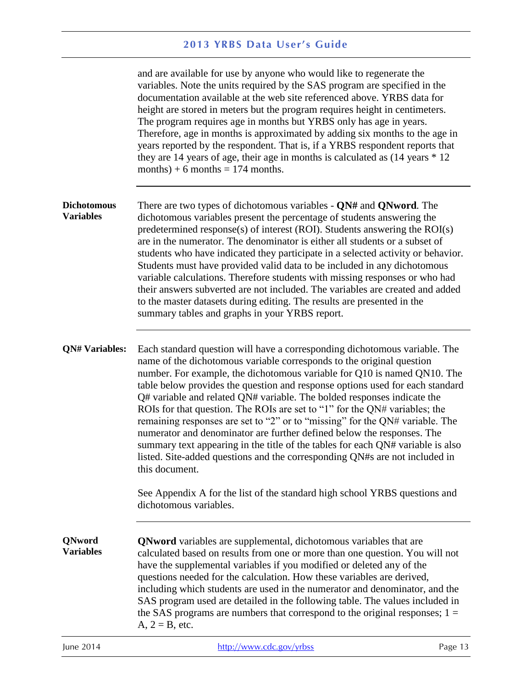<span id="page-15-2"></span><span id="page-15-1"></span><span id="page-15-0"></span>

|                                        | and are available for use by anyone who would like to regenerate the<br>variables. Note the units required by the SAS program are specified in the<br>documentation available at the web site referenced above. YRBS data for<br>height are stored in meters but the program requires height in centimeters.<br>The program requires age in months but YRBS only has age in years.<br>Therefore, age in months is approximated by adding six months to the age in<br>years reported by the respondent. That is, if a YRBS respondent reports that<br>they are 14 years of age, their age in months is calculated as $(14 \text{ years} * 12)$<br>months) + 6 months = $174$ months.                                                                                                                                     |
|----------------------------------------|-------------------------------------------------------------------------------------------------------------------------------------------------------------------------------------------------------------------------------------------------------------------------------------------------------------------------------------------------------------------------------------------------------------------------------------------------------------------------------------------------------------------------------------------------------------------------------------------------------------------------------------------------------------------------------------------------------------------------------------------------------------------------------------------------------------------------|
| <b>Dichotomous</b><br><b>Variables</b> | There are two types of dichotomous variables - $QN#$ and $QNword$ . The<br>dichotomous variables present the percentage of students answering the<br>predetermined response(s) of interest (ROI). Students answering the ROI(s)<br>are in the numerator. The denominator is either all students or a subset of<br>students who have indicated they participate in a selected activity or behavior.<br>Students must have provided valid data to be included in any dichotomous<br>variable calculations. Therefore students with missing responses or who had<br>their answers subverted are not included. The variables are created and added<br>to the master datasets during editing. The results are presented in the<br>summary tables and graphs in your YRBS report.                                             |
| <b>QN# Variables:</b>                  | Each standard question will have a corresponding dichotomous variable. The<br>name of the dichotomous variable corresponds to the original question<br>number. For example, the dichotomous variable for Q10 is named QN10. The<br>table below provides the question and response options used for each standard<br>Q# variable and related QN# variable. The bolded responses indicate the<br>ROIs for that question. The ROIs are set to "1" for the QN# variables; the<br>remaining responses are set to "2" or to "missing" for the QN# variable. The<br>numerator and denominator are further defined below the responses. The<br>summary text appearing in the title of the tables for each QN# variable is also<br>listed. Site-added questions and the corresponding QN#s are not included in<br>this document. |
|                                        | See Appendix A for the list of the standard high school YRBS questions and<br>dichotomous variables.                                                                                                                                                                                                                                                                                                                                                                                                                                                                                                                                                                                                                                                                                                                    |
| <b>QNword</b><br><b>Variables</b>      | <b>QNword</b> variables are supplemental, dichotomous variables that are<br>calculated based on results from one or more than one question. You will not<br>have the supplemental variables if you modified or deleted any of the<br>questions needed for the calculation. How these variables are derived,<br>including which students are used in the numerator and denominator, and the<br>SAS program used are detailed in the following table. The values included in<br>the SAS programs are numbers that correspond to the original responses; $1 =$<br>$A, 2 = B,$ etc.                                                                                                                                                                                                                                         |
| June 2014                              | http://www.cdc.gov/yrbss<br>Page 13                                                                                                                                                                                                                                                                                                                                                                                                                                                                                                                                                                                                                                                                                                                                                                                     |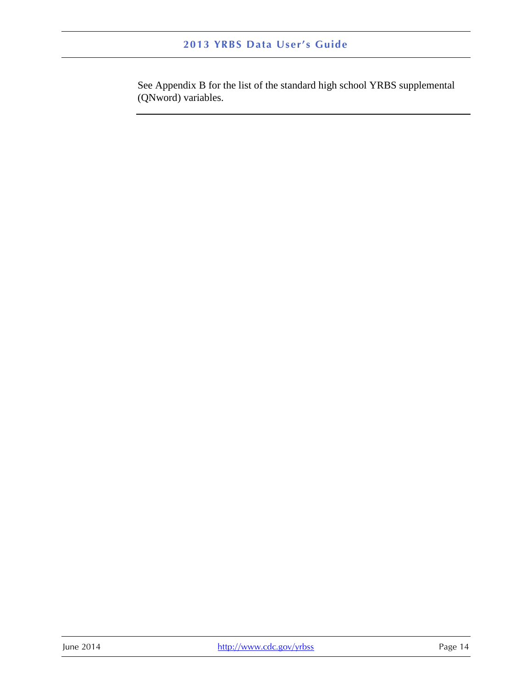See Appendix B for the list of the standard high school YRBS supplemental (QNword) variables.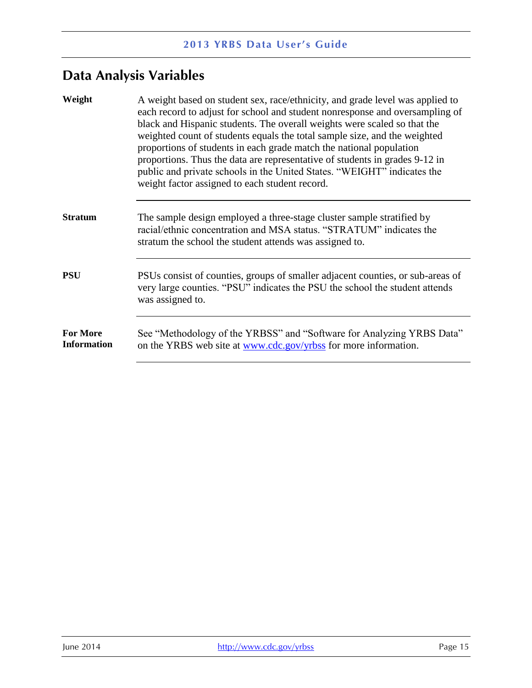# <span id="page-17-0"></span>**Data Analysis Variables**

<span id="page-17-4"></span><span id="page-17-3"></span><span id="page-17-2"></span><span id="page-17-1"></span>

| Weight                                | A weight based on student sex, race/ethnicity, and grade level was applied to<br>each record to adjust for school and student nonresponse and oversampling of<br>black and Hispanic students. The overall weights were scaled so that the<br>weighted count of students equals the total sample size, and the weighted<br>proportions of students in each grade match the national population<br>proportions. Thus the data are representative of students in grades 9-12 in<br>public and private schools in the United States. "WEIGHT" indicates the<br>weight factor assigned to each student record. |
|---------------------------------------|-----------------------------------------------------------------------------------------------------------------------------------------------------------------------------------------------------------------------------------------------------------------------------------------------------------------------------------------------------------------------------------------------------------------------------------------------------------------------------------------------------------------------------------------------------------------------------------------------------------|
| <b>Stratum</b>                        | The sample design employed a three-stage cluster sample stratified by<br>racial/ethnic concentration and MSA status. "STRATUM" indicates the<br>stratum the school the student attends was assigned to.                                                                                                                                                                                                                                                                                                                                                                                                   |
| <b>PSU</b>                            | PSUs consist of counties, groups of smaller adjacent counties, or sub-areas of<br>very large counties. "PSU" indicates the PSU the school the student attends<br>was assigned to.                                                                                                                                                                                                                                                                                                                                                                                                                         |
| <b>For More</b><br><b>Information</b> | See "Methodology of the YRBSS" and "Software for Analyzing YRBS Data"<br>on the YRBS web site at <u>www.cdc.gov/yrbss</u> for more information.                                                                                                                                                                                                                                                                                                                                                                                                                                                           |
|                                       |                                                                                                                                                                                                                                                                                                                                                                                                                                                                                                                                                                                                           |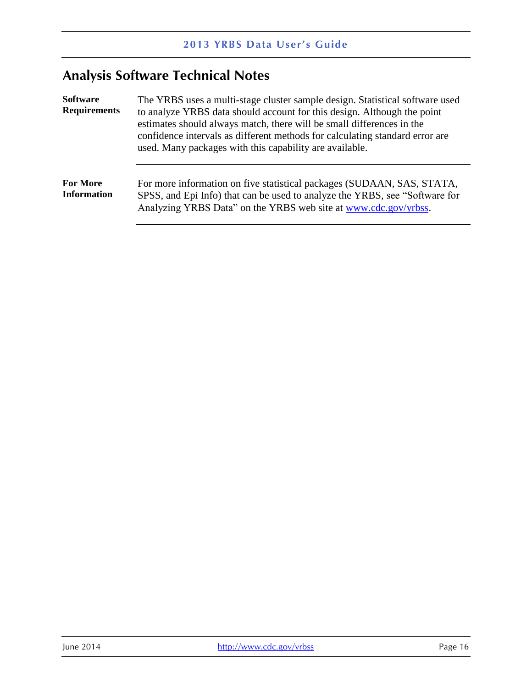# <span id="page-18-0"></span>**Analysis Software Technical Notes**

<span id="page-18-2"></span><span id="page-18-1"></span>

| <b>Software</b><br><b>Requirements</b> | The YRBS uses a multi-stage cluster sample design. Statistical software used<br>to analyze YRBS data should account for this design. Although the point<br>estimates should always match, there will be small differences in the<br>confidence intervals as different methods for calculating standard error are<br>used. Many packages with this capability are available. |  |
|----------------------------------------|-----------------------------------------------------------------------------------------------------------------------------------------------------------------------------------------------------------------------------------------------------------------------------------------------------------------------------------------------------------------------------|--|
| <b>For More</b><br><b>Information</b>  | For more information on five statistical packages (SUDAAN, SAS, STATA,<br>SPSS, and Epi Info) that can be used to analyze the YRBS, see "Software for<br>Analyzing YRBS Data" on the YRBS web site at www.cdc.gov/yrbss.                                                                                                                                                    |  |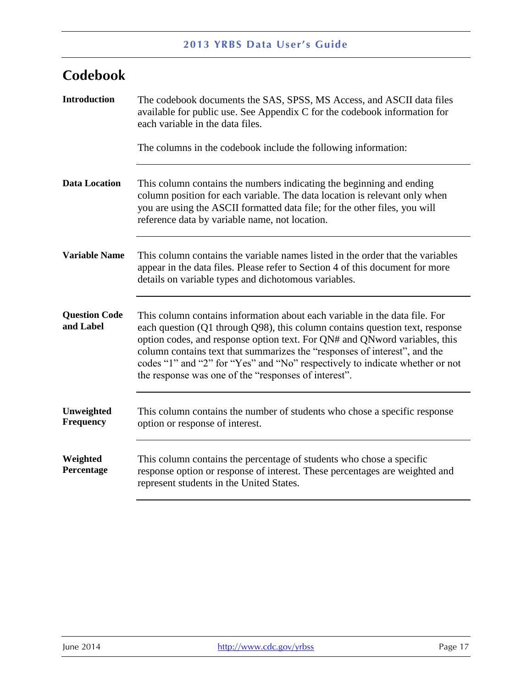# <span id="page-19-0"></span>**Codebook**

<span id="page-19-6"></span><span id="page-19-5"></span><span id="page-19-4"></span><span id="page-19-3"></span><span id="page-19-2"></span><span id="page-19-1"></span>

| <b>Introduction</b>               | The codebook documents the SAS, SPSS, MS Access, and ASCII data files<br>available for public use. See Appendix C for the codebook information for<br>each variable in the data files.<br>The columns in the codebook include the following information:                                                                                                                                                                                                      |
|-----------------------------------|---------------------------------------------------------------------------------------------------------------------------------------------------------------------------------------------------------------------------------------------------------------------------------------------------------------------------------------------------------------------------------------------------------------------------------------------------------------|
| <b>Data Location</b>              | This column contains the numbers indicating the beginning and ending<br>column position for each variable. The data location is relevant only when<br>you are using the ASCII formatted data file; for the other files, you will<br>reference data by variable name, not location.                                                                                                                                                                            |
| <b>Variable Name</b>              | This column contains the variable names listed in the order that the variables<br>appear in the data files. Please refer to Section 4 of this document for more<br>details on variable types and dichotomous variables.                                                                                                                                                                                                                                       |
| <b>Question Code</b><br>and Label | This column contains information about each variable in the data file. For<br>each question (Q1 through Q98), this column contains question text, response<br>option codes, and response option text. For QN# and QNword variables, this<br>column contains text that summarizes the "responses of interest", and the<br>codes "1" and "2" for "Yes" and "No" respectively to indicate whether or not<br>the response was one of the "responses of interest". |
| Unweighted<br>Frequency           | This column contains the number of students who chose a specific response<br>option or response of interest.                                                                                                                                                                                                                                                                                                                                                  |
| Weighted<br>Percentage            | This column contains the percentage of students who chose a specific<br>response option or response of interest. These percentages are weighted and<br>represent students in the United States.                                                                                                                                                                                                                                                               |
|                                   |                                                                                                                                                                                                                                                                                                                                                                                                                                                               |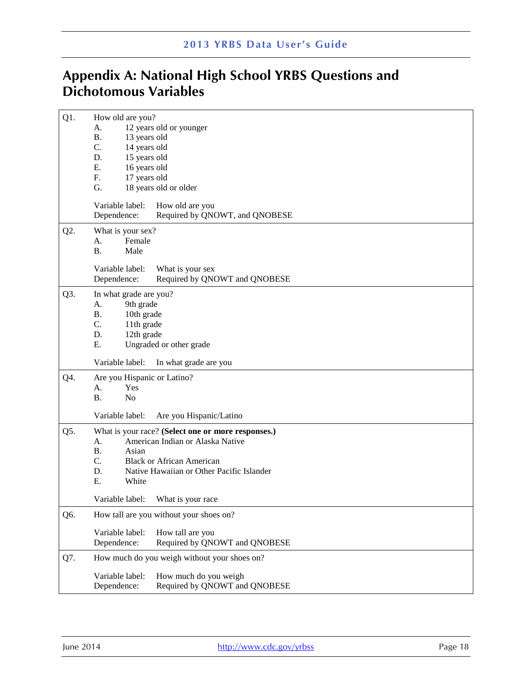# <span id="page-20-0"></span>**Appendix A: National High School YRBS Questions and Dichotomous Variables**

| Q1. | How old are you?<br>12 years old or younger<br>A.<br><b>B.</b><br>13 years old<br>C.<br>14 years old<br>D.<br>15 years old<br>E.<br>16 years old<br>F.<br>17 years old<br>G.<br>18 years old or older<br>Variable label:<br>How old are you<br>Dependence:<br>Required by QNOWT, and QNOBESE |
|-----|----------------------------------------------------------------------------------------------------------------------------------------------------------------------------------------------------------------------------------------------------------------------------------------------|
| Q2. | What is your sex?<br>Female<br>A.<br><b>B.</b><br>Male<br>Variable label:<br>What is your sex                                                                                                                                                                                                |
| Q3. | Required by QNOWT and QNOBESE<br>Dependence:<br>In what grade are you?<br>A.<br>9th grade<br><b>B.</b><br>10th grade<br>C.<br>11th grade<br>D.<br>12th grade<br>Ε.<br>Ungraded or other grade                                                                                                |
|     | Variable label:<br>In what grade are you                                                                                                                                                                                                                                                     |
| Q4. | Are you Hispanic or Latino?<br>Yes<br>А.<br><b>B.</b><br>N <sub>o</sub>                                                                                                                                                                                                                      |
|     | Variable label:<br>Are you Hispanic/Latino                                                                                                                                                                                                                                                   |
| Q5. | What is your race? (Select one or more responses.)<br>American Indian or Alaska Native<br>А.<br><b>B.</b><br>Asian<br>C.<br><b>Black or African American</b><br>D.<br>Native Hawaiian or Other Pacific Islander<br>E.<br>White<br>Variable label: What is your race                          |
|     |                                                                                                                                                                                                                                                                                              |
| Q6. | How tall are you without your shoes on?<br>Variable label:<br>How tall are you<br>Required by QNOWT and QNOBESE<br>Dependence:                                                                                                                                                               |
| Q7. | How much do you weigh without your shoes on?                                                                                                                                                                                                                                                 |
|     | Variable label:<br>How much do you weigh<br>Required by QNOWT and QNOBESE<br>Dependence:                                                                                                                                                                                                     |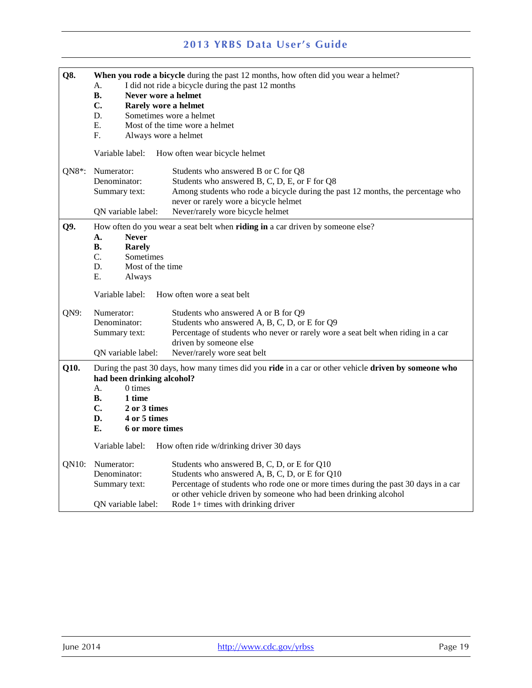| Q8.       | When you rode a bicycle during the past 12 months, how often did you wear a helmet?<br>I did not ride a bicycle during the past 12 months<br>A. |                                                                                    |  |
|-----------|-------------------------------------------------------------------------------------------------------------------------------------------------|------------------------------------------------------------------------------------|--|
|           | Never wore a helmet<br>В.                                                                                                                       |                                                                                    |  |
|           | C.<br>Rarely wore a helmet                                                                                                                      |                                                                                    |  |
|           | D.<br>Sometimes wore a helmet                                                                                                                   |                                                                                    |  |
|           | Е.                                                                                                                                              | Most of the time wore a helmet                                                     |  |
|           | $F_{\cdot}$<br>Always wore a helmet                                                                                                             |                                                                                    |  |
|           | Variable label:                                                                                                                                 | How often wear bicycle helmet                                                      |  |
| QN8 $*$ : | Numerator:                                                                                                                                      | Students who answered B or C for Q8                                                |  |
|           | Denominator:                                                                                                                                    | Students who answered B, C, D, E, or F for Q8                                      |  |
|           | Summary text:                                                                                                                                   | Among students who rode a bicycle during the past 12 months, the percentage who    |  |
|           |                                                                                                                                                 | never or rarely wore a bicycle helmet                                              |  |
|           | QN variable label:                                                                                                                              | Never/rarely wore bicycle helmet                                                   |  |
| Q9.       |                                                                                                                                                 | How often do you wear a seat belt when riding in a car driven by someone else?     |  |
|           | А.<br><b>Never</b>                                                                                                                              |                                                                                    |  |
|           | В.<br>Rarely                                                                                                                                    |                                                                                    |  |
|           | C.<br>Sometimes                                                                                                                                 |                                                                                    |  |
|           | D.<br>Most of the time                                                                                                                          |                                                                                    |  |
|           | Е.<br>Always                                                                                                                                    |                                                                                    |  |
|           | Variable label:<br>How often wore a seat belt                                                                                                   |                                                                                    |  |
| QN9:      | Numerator:                                                                                                                                      | Students who answered A or B for Q9                                                |  |
|           | Denominator:                                                                                                                                    | Students who answered A, B, C, D, or E for Q9                                      |  |
|           | Summary text:                                                                                                                                   | Percentage of students who never or rarely wore a seat belt when riding in a car   |  |
|           |                                                                                                                                                 | driven by someone else                                                             |  |
|           | QN variable label:                                                                                                                              | Never/rarely wore seat belt                                                        |  |
| Q10.      | During the past 30 days, how many times did you ride in a car or other vehicle driven by someone who<br>had been drinking alcohol?              |                                                                                    |  |
|           | А.<br>0 times                                                                                                                                   |                                                                                    |  |
|           | <b>B.</b><br>1 time<br>$\mathbf{C}$ .                                                                                                           |                                                                                    |  |
|           | 2 or 3 times<br>D.<br>4 or 5 times                                                                                                              |                                                                                    |  |
|           | Е.<br>6 or more times                                                                                                                           |                                                                                    |  |
|           |                                                                                                                                                 |                                                                                    |  |
|           | Variable label:                                                                                                                                 | How often ride w/drinking driver 30 days                                           |  |
| QN10:     | Numerator:                                                                                                                                      | Students who answered B, C, D, or E for Q10                                        |  |
|           | Denominator:                                                                                                                                    | Students who answered A, B, C, D, or E for Q10                                     |  |
|           | Summary text:                                                                                                                                   | Percentage of students who rode one or more times during the past 30 days in a car |  |
|           |                                                                                                                                                 | or other vehicle driven by someone who had been drinking alcohol                   |  |
|           | QN variable label:                                                                                                                              | Rode $1+$ times with drinking driver                                               |  |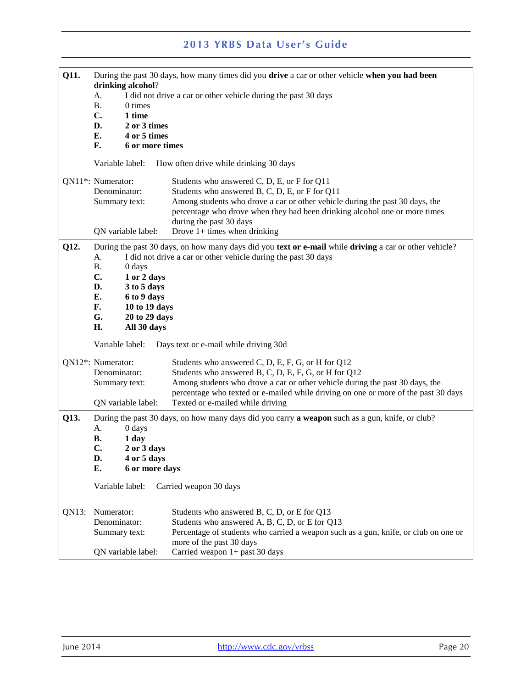| Q11.                | During the past 30 days, how many times did you drive a car or other vehicle when you had been<br>drinking alcohol? |                              |                                                                                                                        |
|---------------------|---------------------------------------------------------------------------------------------------------------------|------------------------------|------------------------------------------------------------------------------------------------------------------------|
|                     | I did not drive a car or other vehicle during the past 30 days<br>A.                                                |                              |                                                                                                                        |
|                     | Β.                                                                                                                  | 0 times                      |                                                                                                                        |
|                     | $\mathbf{C}$ .                                                                                                      | 1 time                       |                                                                                                                        |
|                     | D.<br>Е.                                                                                                            | 2 or 3 times<br>4 or 5 times |                                                                                                                        |
|                     | F.                                                                                                                  | 6 or more times              |                                                                                                                        |
|                     | Variable label:                                                                                                     |                              | How often drive while drinking 30 days                                                                                 |
|                     | QN11*: Numerator:                                                                                                   |                              | Students who answered C, D, E, or F for Q11                                                                            |
|                     | Denominator:                                                                                                        |                              | Students who answered B, C, D, E, or F for Q11                                                                         |
|                     | Summary text:                                                                                                       |                              | Among students who drove a car or other vehicle during the past 30 days, the                                           |
|                     |                                                                                                                     |                              | percentage who drove when they had been drinking alcohol one or more times<br>during the past 30 days                  |
|                     |                                                                                                                     | QN variable label:           | Drove $1+$ times when drinking                                                                                         |
| Q12.                |                                                                                                                     |                              | During the past 30 days, on how many days did you text or e-mail while driving a car or other vehicle?                 |
|                     | A.                                                                                                                  |                              | I did not drive a car or other vehicle during the past 30 days                                                         |
|                     | <b>B.</b>                                                                                                           | 0 days                       |                                                                                                                        |
|                     | C.                                                                                                                  | 1 or 2 days                  |                                                                                                                        |
|                     | D.<br>E.                                                                                                            | 3 to 5 days                  |                                                                                                                        |
|                     | F.                                                                                                                  | 6 to 9 days<br>10 to 19 days |                                                                                                                        |
| G.<br>20 to 29 days |                                                                                                                     |                              |                                                                                                                        |
|                     | H.                                                                                                                  | All 30 days                  |                                                                                                                        |
|                     | Variable label:<br>Days text or e-mail while driving 30d                                                            |                              |                                                                                                                        |
|                     | QN12*: Numerator:                                                                                                   |                              | Students who answered C, D, E, F, G, or H for Q12                                                                      |
|                     | Denominator:                                                                                                        |                              | Students who answered B, C, D, E, F, G, or H for Q12                                                                   |
|                     | Summary text:                                                                                                       |                              | Among students who drove a car or other vehicle during the past 30 days, the                                           |
|                     |                                                                                                                     |                              | percentage who texted or e-mailed while driving on one or more of the past 30 days<br>Texted or e-mailed while driving |
| Q13.                | QN variable label:                                                                                                  |                              | During the past 30 days, on how many days did you carry <b>a weapon</b> such as a gun, knife, or club?                 |
|                     | А.                                                                                                                  | 0 days                       |                                                                                                                        |
|                     | В.                                                                                                                  | 1 day                        |                                                                                                                        |
|                     | C.                                                                                                                  | 2 or 3 days                  |                                                                                                                        |
|                     | D.                                                                                                                  | 4 or 5 days                  |                                                                                                                        |
| Е.                  |                                                                                                                     | 6 or more days               |                                                                                                                        |
|                     | Variable label:                                                                                                     |                              | Carried weapon 30 days                                                                                                 |
| QN13:               | Numerator:                                                                                                          |                              | Students who answered B, C, D, or E for Q13                                                                            |
|                     | Denominator:                                                                                                        |                              | Students who answered A, B, C, D, or E for Q13                                                                         |
|                     | Summary text:                                                                                                       |                              | Percentage of students who carried a weapon such as a gun, knife, or club on one or                                    |
|                     |                                                                                                                     | QN variable label:           | more of the past 30 days<br>Carried weapon $1+$ past 30 days                                                           |
|                     |                                                                                                                     |                              |                                                                                                                        |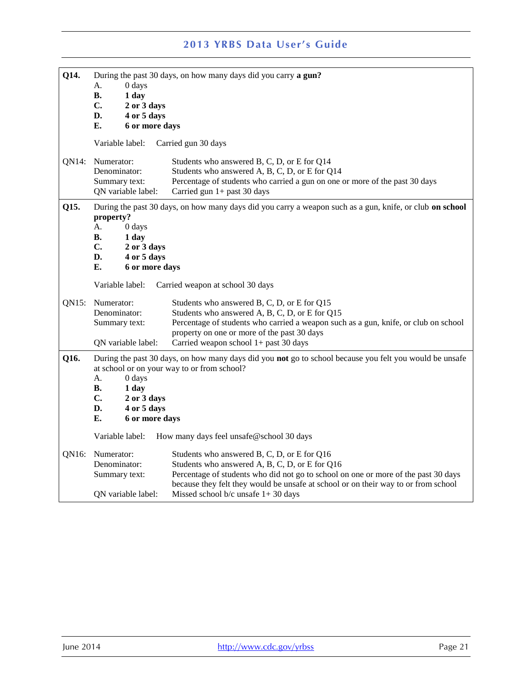| Q14.  | А.<br>0 days<br>В.<br>1 day<br>$C_{\bullet}$<br>2 or 3 days<br>4 or 5 days<br>D.<br>Е.<br>6 or more days                                                                                                                                                                                                               | During the past 30 days, on how many days did you carry a gun?                                                                                                                                                                                                                                                      |  |
|-------|------------------------------------------------------------------------------------------------------------------------------------------------------------------------------------------------------------------------------------------------------------------------------------------------------------------------|---------------------------------------------------------------------------------------------------------------------------------------------------------------------------------------------------------------------------------------------------------------------------------------------------------------------|--|
|       | Variable label:                                                                                                                                                                                                                                                                                                        | Carried gun 30 days                                                                                                                                                                                                                                                                                                 |  |
| QN14: | Numerator:<br>Denominator:<br>Summary text:<br>QN variable label:                                                                                                                                                                                                                                                      | Students who answered B, C, D, or E for Q14<br>Students who answered A, B, C, D, or E for Q14<br>Percentage of students who carried a gun on one or more of the past 30 days<br>Carried gun 1+ past 30 days                                                                                                         |  |
| Q15.  | property?<br>0 days<br>А.<br>В.<br>1 day<br>C.<br>2 or 3 days<br>D.<br>4 or 5 days<br>Е.<br>6 or more days                                                                                                                                                                                                             | During the past 30 days, on how many days did you carry a weapon such as a gun, knife, or club on school                                                                                                                                                                                                            |  |
|       | Variable label:<br>Carried weapon at school 30 days                                                                                                                                                                                                                                                                    |                                                                                                                                                                                                                                                                                                                     |  |
| QN15: | Numerator:<br>Denominator:<br>Summary text:<br>QN variable label:                                                                                                                                                                                                                                                      | Students who answered B, C, D, or E for Q15<br>Students who answered A, B, C, D, or E for Q15<br>Percentage of students who carried a weapon such as a gun, knife, or club on school<br>property on one or more of the past 30 days<br>Carried weapon school $1+$ past 30 days                                      |  |
| Q16.  | During the past 30 days, on how many days did you not go to school because you felt you would be unsafe<br>at school or on your way to or from school?<br>А.<br>0 days<br>В.<br>1 day<br>C.<br>2 or 3 days<br>4 or 5 days<br>D.<br>Е.<br>6 or more days<br>Variable label:<br>How many days feel unsafe@school 30 days |                                                                                                                                                                                                                                                                                                                     |  |
| QN16: | Numerator:<br>Denominator:<br>Summary text:<br>QN variable label:                                                                                                                                                                                                                                                      | Students who answered B, C, D, or E for Q16<br>Students who answered A, B, C, D, or E for Q16<br>Percentage of students who did not go to school on one or more of the past 30 days<br>because they felt they would be unsafe at school or on their way to or from school<br>Missed school $b/c$ unsafe $1+30$ days |  |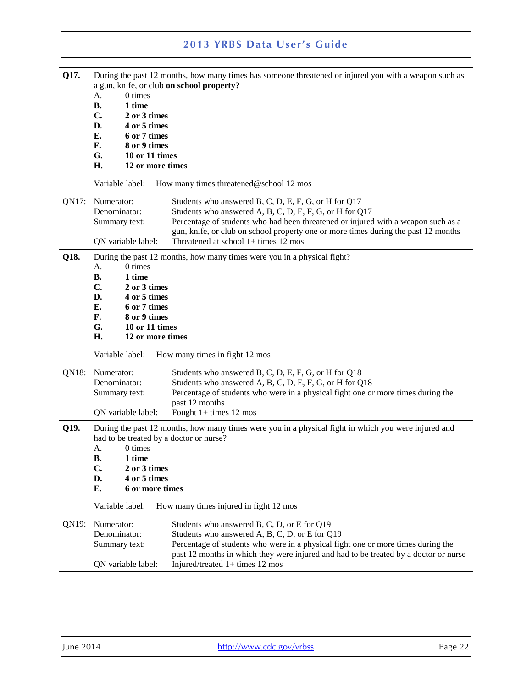| Q17.  | 0 times<br>А.<br><b>B.</b><br>1 time<br>$\mathbf{C}$ .<br>2 or 3 times<br>4 or 5 times<br>D.<br>Е.<br>6 or 7 times<br>F.<br>8 or 9 times<br>G.<br>10 or 11 times<br>H.<br>12 or more times                                                                                                                                | During the past 12 months, how many times has someone threatened or injured you with a weapon such as<br>a gun, knife, or club on school property?                                                                                                                                                                                   |
|-------|---------------------------------------------------------------------------------------------------------------------------------------------------------------------------------------------------------------------------------------------------------------------------------------------------------------------------|--------------------------------------------------------------------------------------------------------------------------------------------------------------------------------------------------------------------------------------------------------------------------------------------------------------------------------------|
|       | Variable label:                                                                                                                                                                                                                                                                                                           | How many times threatened@school 12 mos                                                                                                                                                                                                                                                                                              |
| QN17: | Numerator:<br>Denominator:<br>Summary text:<br>QN variable label:                                                                                                                                                                                                                                                         | Students who answered B, C, D, E, F, G, or H for Q17<br>Students who answered A, B, C, D, E, F, G, or H for Q17<br>Percentage of students who had been threatened or injured with a weapon such as a<br>gun, knife, or club on school property one or more times during the past 12 months<br>Threatened at school $1+$ times 12 mos |
| Q18.  | 0 times<br>А.<br><b>B.</b><br>1 time<br>C.<br>2 or 3 times<br>D.<br>4 or 5 times<br>Е.<br>6 or 7 times<br>F.<br>8 or 9 times<br>G.<br>10 or 11 times<br>H.<br>12 or more times<br>Variable label:                                                                                                                         | During the past 12 months, how many times were you in a physical fight?<br>How many times in fight 12 mos                                                                                                                                                                                                                            |
| QN18: | Numerator:<br>Denominator:<br>Summary text:<br>QN variable label:                                                                                                                                                                                                                                                         | Students who answered B, C, D, E, F, G, or H for Q18<br>Students who answered A, B, C, D, E, F, G, or H for Q18<br>Percentage of students who were in a physical fight one or more times during the<br>past 12 months<br>Fought $1+$ times 12 mos                                                                                    |
| Q19.  | During the past 12 months, how many times were you in a physical fight in which you were injured and<br>had to be treated by a doctor or nurse?<br>0 times<br>А.<br>1 time<br><b>B.</b><br>C.<br>2 or 3 times<br>4 or 5 times<br>D.<br>Е.<br>6 or more times<br>Variable label:<br>How many times injured in fight 12 mos |                                                                                                                                                                                                                                                                                                                                      |
| QN19: | Numerator:<br>Denominator:<br>Summary text:<br>QN variable label:                                                                                                                                                                                                                                                         | Students who answered B, C, D, or E for Q19<br>Students who answered A, B, C, D, or E for Q19<br>Percentage of students who were in a physical fight one or more times during the<br>past 12 months in which they were injured and had to be treated by a doctor or nurse<br>Injured/treated $1+$ times 12 mos                       |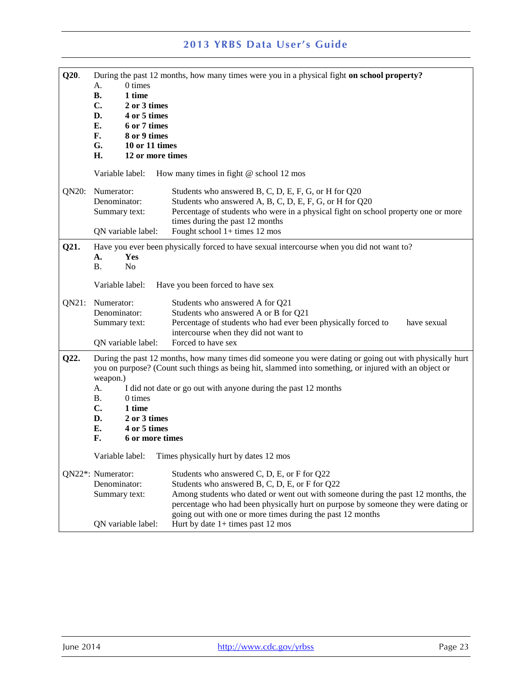| Q20.  | 0 times<br>А.<br><b>B.</b><br>1 time<br>C.<br>2 or 3 times<br>D.<br>4 or 5 times<br>E.<br>6 or 7 times<br>F.<br>8 or 9 times<br>G.<br>10 or 11 times<br>H.<br>12 or more times       | During the past 12 months, how many times were you in a physical fight on school property?                                                                                                                                                                                                                                                                                  |
|-------|--------------------------------------------------------------------------------------------------------------------------------------------------------------------------------------|-----------------------------------------------------------------------------------------------------------------------------------------------------------------------------------------------------------------------------------------------------------------------------------------------------------------------------------------------------------------------------|
| QN20: | Variable label:<br>Numerator:<br>Denominator:<br>Summary text:<br>QN variable label:                                                                                                 | How many times in fight @ school 12 mos<br>Students who answered B, C, D, E, F, G, or H for Q20<br>Students who answered A, B, C, D, E, F, G, or H for Q20<br>Percentage of students who were in a physical fight on school property one or more<br>times during the past 12 months<br>Fought school 1+ times 12 mos                                                        |
| Q21.  | Yes<br>А.<br><b>B.</b><br>No<br>Variable label:                                                                                                                                      | Have you ever been physically forced to have sexual intercourse when you did not want to?<br>Have you been forced to have sex                                                                                                                                                                                                                                               |
| QN21: | Numerator:<br>Denominator:<br>Summary text:<br>QN variable label:                                                                                                                    | Students who answered A for Q21<br>Students who answered A or B for Q21<br>Percentage of students who had ever been physically forced to<br>have sexual<br>intercourse when they did not want to<br>Forced to have sex                                                                                                                                                      |
| Q22.  | weapon.)<br>А.<br><b>B.</b><br>0 times<br>C.<br>1 time<br>D.<br>2 or 3 times<br>E.<br>4 or 5 times<br>F.<br>6 or more times<br>Variable label: Times physically hurt by dates 12 mos | During the past 12 months, how many times did someone you were dating or going out with physically hurt<br>you on purpose? (Count such things as being hit, slammed into something, or injured with an object or<br>I did not date or go out with anyone during the past 12 months                                                                                          |
|       | QN22*: Numerator:<br>Denominator:<br>Summary text:<br>QN variable label:                                                                                                             | Students who answered C, D, E, or F for Q22<br>Students who answered B, C, D, E, or F for Q22<br>Among students who dated or went out with someone during the past 12 months, the<br>percentage who had been physically hurt on purpose by someone they were dating or<br>going out with one or more times during the past 12 months<br>Hurt by date $1+$ times past 12 mos |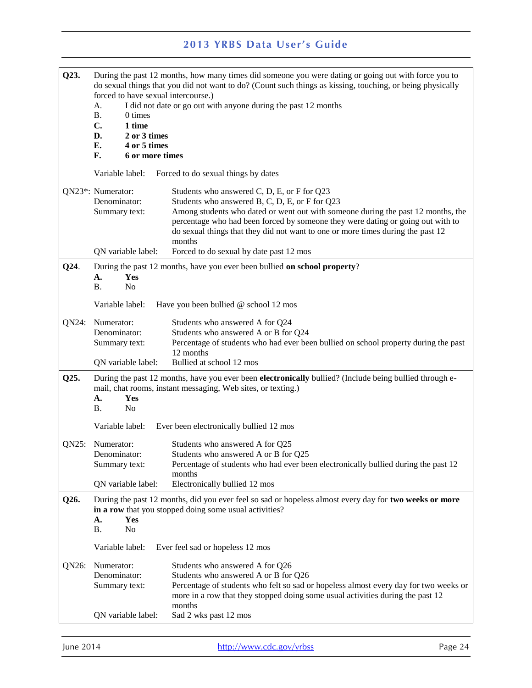| Q23.  | forced to have sexual intercourse.)<br>A.<br><b>B.</b><br>0 times<br>$C_{\bullet}$<br>1 time<br>D.<br>2 or 3 times<br>Е.<br>4 or 5 times<br>F.<br>6 or more times | During the past 12 months, how many times did someone you were dating or going out with force you to<br>do sexual things that you did not want to do? (Count such things as kissing, touching, or being physically<br>I did not date or go out with anyone during the past 12 months                                                                              |
|-------|-------------------------------------------------------------------------------------------------------------------------------------------------------------------|-------------------------------------------------------------------------------------------------------------------------------------------------------------------------------------------------------------------------------------------------------------------------------------------------------------------------------------------------------------------|
|       | Variable label:                                                                                                                                                   | Forced to do sexual things by dates                                                                                                                                                                                                                                                                                                                               |
|       | QN23*: Numerator:<br>Denominator:<br>Summary text:                                                                                                                | Students who answered C, D, E, or F for Q23<br>Students who answered B, C, D, E, or F for Q23<br>Among students who dated or went out with someone during the past 12 months, the<br>percentage who had been forced by someone they were dating or going out with to<br>do sexual things that they did not want to one or more times during the past 12<br>months |
|       | QN variable label:                                                                                                                                                | Forced to do sexual by date past 12 mos                                                                                                                                                                                                                                                                                                                           |
| Q24.  | Yes<br>A.<br><b>B.</b><br>N <sub>o</sub>                                                                                                                          | During the past 12 months, have you ever been bullied on school property?                                                                                                                                                                                                                                                                                         |
|       | Variable label:                                                                                                                                                   | Have you been bullied @ school 12 mos                                                                                                                                                                                                                                                                                                                             |
| QN24: | Numerator:<br>Denominator:<br>Summary text:                                                                                                                       | Students who answered A for Q24<br>Students who answered A or B for Q24<br>Percentage of students who had ever been bullied on school property during the past<br>12 months                                                                                                                                                                                       |
|       | QN variable label:                                                                                                                                                | Bullied at school 12 mos                                                                                                                                                                                                                                                                                                                                          |
| Q25.  | Yes<br>A.<br>N <sub>o</sub><br><b>B.</b>                                                                                                                          | During the past 12 months, have you ever been electronically bullied? (Include being bullied through e-<br>mail, chat rooms, instant messaging, Web sites, or texting.)                                                                                                                                                                                           |
|       | Variable label:                                                                                                                                                   | Ever been electronically bullied 12 mos                                                                                                                                                                                                                                                                                                                           |
| QN25: | Numerator:<br>Denominator:<br>Summary text:                                                                                                                       | Students who answered A for Q25<br>Students who answered A or B for Q25<br>Percentage of students who had ever been electronically bullied during the past 12<br>months                                                                                                                                                                                           |
|       | QN variable label:                                                                                                                                                | Electronically bullied 12 mos                                                                                                                                                                                                                                                                                                                                     |
| Q26.  | A.<br>Yes<br>В.<br>No                                                                                                                                             | During the past 12 months, did you ever feel so sad or hopeless almost every day for two weeks or more<br>in a row that you stopped doing some usual activities?                                                                                                                                                                                                  |
|       | Variable label:                                                                                                                                                   | Ever feel sad or hopeless 12 mos                                                                                                                                                                                                                                                                                                                                  |
| QN26: | Numerator:<br>Denominator:<br>Summary text:                                                                                                                       | Students who answered A for Q26<br>Students who answered A or B for Q26<br>Percentage of students who felt so sad or hopeless almost every day for two weeks or<br>more in a row that they stopped doing some usual activities during the past 12<br>months                                                                                                       |
|       | QN variable label:                                                                                                                                                | Sad 2 wks past 12 mos                                                                                                                                                                                                                                                                                                                                             |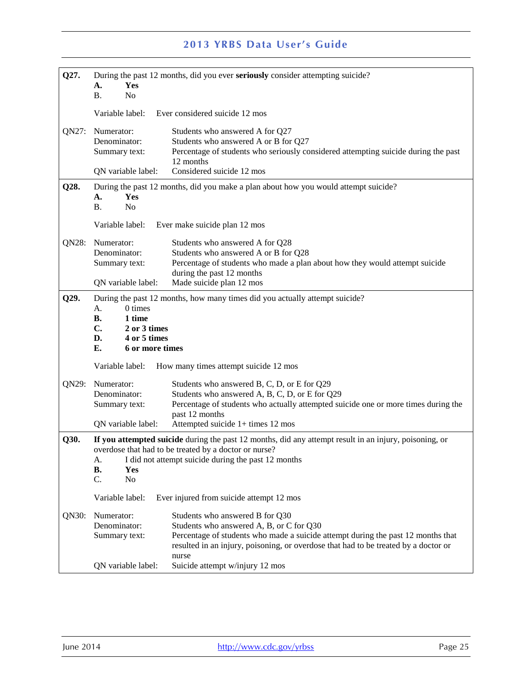| Q27.  |                                                                                                    | During the past 12 months, did you ever seriously consider attempting suicide?                                                                                                                                                                                  |  |
|-------|----------------------------------------------------------------------------------------------------|-----------------------------------------------------------------------------------------------------------------------------------------------------------------------------------------------------------------------------------------------------------------|--|
|       | Yes<br>А.<br><b>B.</b><br>N <sub>o</sub>                                                           |                                                                                                                                                                                                                                                                 |  |
|       | Variable label:                                                                                    | Ever considered suicide 12 mos                                                                                                                                                                                                                                  |  |
| QN27: | Numerator:<br>Denominator:<br>Summary text:<br>QN variable label:                                  | Students who answered A for Q27<br>Students who answered A or B for Q27<br>Percentage of students who seriously considered attempting suicide during the past<br>12 months<br>Considered suicide 12 mos                                                         |  |
| Q28.  | Yes<br>A.<br>N <sub>o</sub><br><b>B.</b>                                                           | During the past 12 months, did you make a plan about how you would attempt suicide?                                                                                                                                                                             |  |
|       | Variable label:                                                                                    | Ever make suicide plan 12 mos                                                                                                                                                                                                                                   |  |
| QN28: | Numerator:<br>Denominator:<br>Summary text:                                                        | Students who answered A for Q28<br>Students who answered A or B for Q28<br>Percentage of students who made a plan about how they would attempt suicide<br>during the past 12 months                                                                             |  |
|       | ON variable label:                                                                                 | Made suicide plan 12 mos                                                                                                                                                                                                                                        |  |
| Q29.  | 0 times<br>A.<br>1 time<br>В.<br>C.<br>2 or 3 times<br>4 or 5 times<br>D.<br>6 or more times<br>Е. | During the past 12 months, how many times did you actually attempt suicide?                                                                                                                                                                                     |  |
|       | Variable label:                                                                                    | How many times attempt suicide 12 mos                                                                                                                                                                                                                           |  |
| QN29: | Numerator:<br>Denominator:                                                                         | Students who answered B, C, D, or E for Q29                                                                                                                                                                                                                     |  |
|       | Summary text:<br>QN variable label:                                                                | Students who answered A, B, C, D, or E for Q29<br>Percentage of students who actually attempted suicide one or more times during the<br>past 12 months<br>Attempted suicide 1+ times 12 mos                                                                     |  |
| Q30.  | A.<br><b>B.</b><br>Yes<br>C.<br>No                                                                 | If you attempted suicide during the past 12 months, did any attempt result in an injury, poisoning, or<br>overdose that had to be treated by a doctor or nurse?<br>I did not attempt suicide during the past 12 months                                          |  |
|       | Variable label:                                                                                    | Ever injured from suicide attempt 12 mos                                                                                                                                                                                                                        |  |
| QN30: | Numerator:<br>Denominator:<br>Summary text:                                                        | Students who answered B for Q30<br>Students who answered A, B, or C for Q30<br>Percentage of students who made a suicide attempt during the past 12 months that<br>resulted in an injury, poisoning, or overdose that had to be treated by a doctor or<br>nurse |  |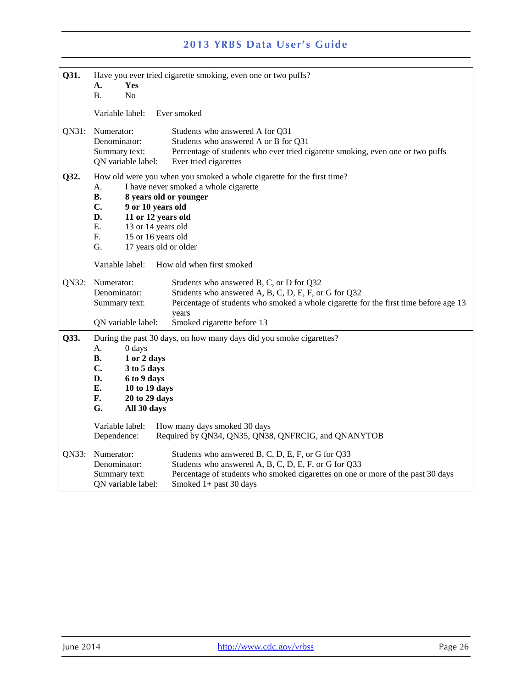| Q31.  | Yes<br>A.<br><b>B.</b><br>No                                                                                                                                                                       | Have you ever tried cigarette smoking, even one or two puffs?                                                                                                                                                                   |
|-------|----------------------------------------------------------------------------------------------------------------------------------------------------------------------------------------------------|---------------------------------------------------------------------------------------------------------------------------------------------------------------------------------------------------------------------------------|
|       | Variable label:                                                                                                                                                                                    | Ever smoked                                                                                                                                                                                                                     |
| QN31: | Numerator:<br>Denominator:<br>Summary text:<br>QN variable label:                                                                                                                                  | Students who answered A for Q31<br>Students who answered A or B for Q31<br>Percentage of students who ever tried cigarette smoking, even one or two puffs<br>Ever tried cigarettes                                              |
| Q32.  | A.<br><b>B.</b><br>8 years old or younger<br>$C_{\bullet}$<br>9 or 10 years old<br>D.<br>11 or 12 years old<br>E.<br>13 or 14 years old<br>F.<br>15 or 16 years old<br>G.<br>17 years old or older | How old were you when you smoked a whole cigarette for the first time?<br>I have never smoked a whole cigarette                                                                                                                 |
|       | Variable label:                                                                                                                                                                                    | How old when first smoked                                                                                                                                                                                                       |
| QN32: | Numerator:<br>Denominator:<br>Summary text:<br>QN variable label:                                                                                                                                  | Students who answered B, C, or D for Q32<br>Students who answered A, B, C, D, E, F, or G for Q32<br>Percentage of students who smoked a whole cigarette for the first time before age 13<br>years<br>Smoked cigarette before 13 |
| Q33.  | А.<br>0 days<br>В.<br>1 or 2 days<br>C.<br>3 to 5 days<br>D.<br>6 to 9 days<br>10 to 19 days<br>Е.<br>F.<br>20 to 29 days<br>G.<br>All 30 days<br>Variable label:<br>Dependence:                   | During the past 30 days, on how many days did you smoke cigarettes?<br>How many days smoked 30 days<br>Required by QN34, QN35, QN38, QNFRCIG, and QNANYTOB                                                                      |
| QN33: | Numerator:<br>Denominator:<br>Summary text:<br>QN variable label:                                                                                                                                  | Students who answered B, C, D, E, F, or G for Q33<br>Students who answered A, B, C, D, E, F, or G for Q33<br>Percentage of students who smoked cigarettes on one or more of the past 30 days<br>Smoked $1+$ past 30 days        |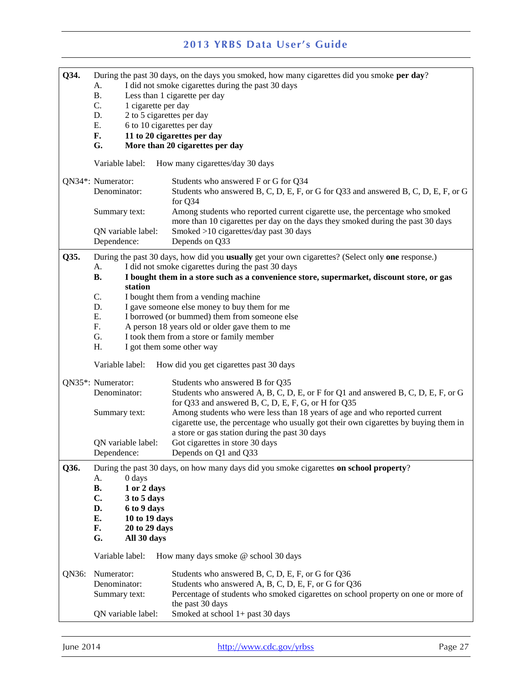| Q34.  | A.<br><b>B.</b><br>1 cigarette per day<br>C.<br>D.<br>Ε.<br>F.<br>G.                                                                                  | During the past 30 days, on the days you smoked, how many cigarettes did you smoke per day?<br>I did not smoke cigarettes during the past 30 days<br>Less than 1 cigarette per day<br>2 to 5 cigarettes per day<br>6 to 10 cigarettes per day<br>11 to 20 cigarettes per day<br>More than 20 cigarettes per day                                                                                                                                                 |
|-------|-------------------------------------------------------------------------------------------------------------------------------------------------------|-----------------------------------------------------------------------------------------------------------------------------------------------------------------------------------------------------------------------------------------------------------------------------------------------------------------------------------------------------------------------------------------------------------------------------------------------------------------|
|       | Variable label:                                                                                                                                       | How many cigarettes/day 30 days                                                                                                                                                                                                                                                                                                                                                                                                                                 |
|       | QN34*: Numerator:<br>Denominator:                                                                                                                     | Students who answered F or G for Q34<br>Students who answered B, C, D, E, F, or G for Q33 and answered B, C, D, E, F, or G<br>for Q34                                                                                                                                                                                                                                                                                                                           |
|       | Summary text:<br>QN variable label:<br>Dependence:                                                                                                    | Among students who reported current cigarette use, the percentage who smoked<br>more than 10 cigarettes per day on the days they smoked during the past 30 days<br>Smoked >10 cigarettes/day past 30 days<br>Depends on Q33                                                                                                                                                                                                                                     |
| Q35.  | A.<br><b>B.</b><br>station<br>C.                                                                                                                      | During the past 30 days, how did you usually get your own cigarettes? (Select only one response.)<br>I did not smoke cigarettes during the past 30 days<br>I bought them in a store such as a convenience store, supermarket, discount store, or gas<br>I bought them from a vending machine                                                                                                                                                                    |
|       | D.<br>Ε.<br>F.<br>G.<br>H.<br>Variable label:                                                                                                         | I gave someone else money to buy them for me<br>I borrowed (or bummed) them from someone else<br>A person 18 years old or older gave them to me<br>I took them from a store or family member<br>I got them some other way<br>How did you get cigarettes past 30 days                                                                                                                                                                                            |
|       | QN35*: Numerator:<br>Denominator:<br>Summary text:<br>QN variable label:<br>Dependence:                                                               | Students who answered B for Q35<br>Students who answered A, B, C, D, E, or F for Q1 and answered B, C, D, E, F, or G<br>for Q33 and answered B, C, D, E, F, G, or H for Q35<br>Among students who were less than 18 years of age and who reported current<br>cigarette use, the percentage who usually got their own cigarettes by buying them in<br>a store or gas station during the past 30 days<br>Got cigarettes in store 30 days<br>Depends on Q1 and Q33 |
| Q36.  | 0 days<br>A.<br><b>B.</b><br>1 or 2 days<br>C.<br>3 to 5 days<br>D.<br>6 to 9 days<br>E.<br>10 to 19 days<br>F.<br>20 to 29 days<br>G.<br>All 30 days | During the past 30 days, on how many days did you smoke cigarettes on school property?                                                                                                                                                                                                                                                                                                                                                                          |
|       | Variable label:                                                                                                                                       | How many days smoke @ school 30 days                                                                                                                                                                                                                                                                                                                                                                                                                            |
| QN36: | Numerator:<br>Denominator:<br>Summary text:<br>QN variable label:                                                                                     | Students who answered B, C, D, E, F, or G for Q36<br>Students who answered A, B, C, D, E, F, or G for Q36<br>Percentage of students who smoked cigarettes on school property on one or more of<br>the past 30 days<br>Smoked at school 1+ past 30 days                                                                                                                                                                                                          |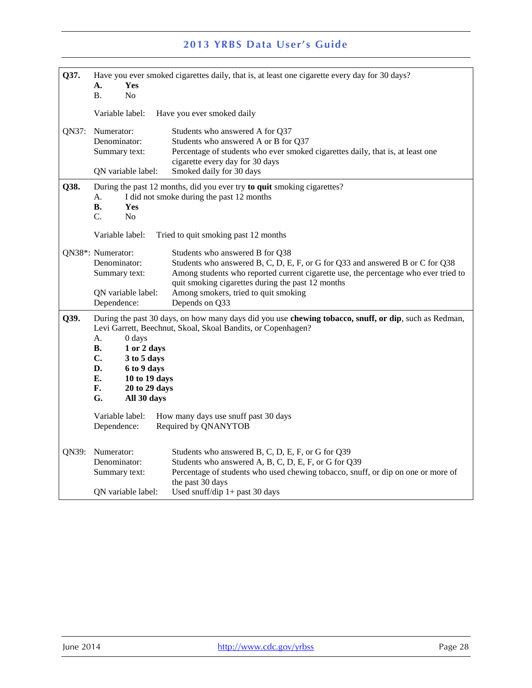| Q37.  | Yes<br>А.<br><b>B.</b><br>N <sub>0</sub>                                                                                                                                                                                                                                                                                | Have you ever smoked cigarettes daily, that is, at least one cigarette every day for 30 days?                                                                                                                                                                |
|-------|-------------------------------------------------------------------------------------------------------------------------------------------------------------------------------------------------------------------------------------------------------------------------------------------------------------------------|--------------------------------------------------------------------------------------------------------------------------------------------------------------------------------------------------------------------------------------------------------------|
|       | Variable label:                                                                                                                                                                                                                                                                                                         | Have you ever smoked daily                                                                                                                                                                                                                                   |
| QN37: | Numerator:<br>Denominator:<br>Summary text:<br>QN variable label:                                                                                                                                                                                                                                                       | Students who answered A for Q37<br>Students who answered A or B for Q37<br>Percentage of students who ever smoked cigarettes daily, that is, at least one<br>cigarette every day for 30 days<br>Smoked daily for 30 days                                     |
| Q38.  | А.<br>В.<br>Yes<br>C.<br>N <sub>0</sub>                                                                                                                                                                                                                                                                                 | During the past 12 months, did you ever try to quit smoking cigarettes?<br>I did not smoke during the past 12 months                                                                                                                                         |
|       | Variable label:                                                                                                                                                                                                                                                                                                         | Tried to quit smoking past 12 months                                                                                                                                                                                                                         |
|       | QN38*: Numerator:<br>Denominator:<br>Summary text:                                                                                                                                                                                                                                                                      | Students who answered B for Q38<br>Students who answered B, C, D, E, F, or G for Q33 and answered B or C for Q38<br>Among students who reported current cigarette use, the percentage who ever tried to<br>quit smoking cigarettes during the past 12 months |
|       | QN variable label:<br>Dependence:                                                                                                                                                                                                                                                                                       | Among smokers, tried to quit smoking<br>Depends on Q33                                                                                                                                                                                                       |
| Q39.  | During the past 30 days, on how many days did you use chewing tobacco, snuff, or dip, such as Redman,<br>Levi Garrett, Beechnut, Skoal, Skoal Bandits, or Copenhagen?<br>A.<br>0 days<br>В.<br>1 or 2 days<br>C.<br>3 to 5 days<br>D.<br>6 to 9 days<br>E.<br>10 to 19 days<br>F.<br>20 to 29 days<br>G.<br>All 30 days |                                                                                                                                                                                                                                                              |
|       | Variable label:<br>Dependence:                                                                                                                                                                                                                                                                                          | How many days use snuff past 30 days<br>Required by QNANYTOB                                                                                                                                                                                                 |
| QN39: | Numerator:<br>Denominator:<br>Summary text:<br>QN variable label:                                                                                                                                                                                                                                                       | Students who answered B, C, D, E, F, or G for Q39<br>Students who answered A, B, C, D, E, F, or G for Q39<br>Percentage of students who used chewing tobacco, snuff, or dip on one or more of<br>the past 30 days<br>Used snuff/dip $1+$ past 30 days        |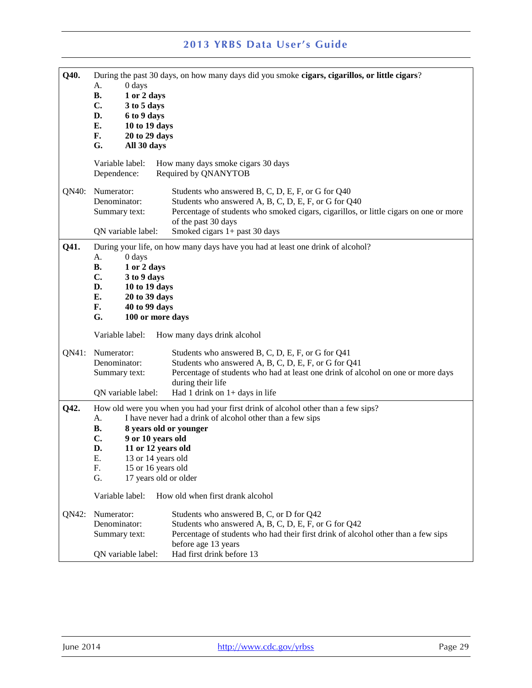| Q40.  | During the past 30 days, on how many days did you smoke cigars, cigarillos, or little cigars? |                                                                                       |
|-------|-----------------------------------------------------------------------------------------------|---------------------------------------------------------------------------------------|
|       | 0 days<br>А.                                                                                  |                                                                                       |
|       | <b>B.</b><br>1 or 2 days                                                                      |                                                                                       |
|       | $C_{\bullet}$<br>3 to 5 days<br>D.                                                            |                                                                                       |
|       | 6 to 9 days<br>E.<br>10 to 19 days                                                            |                                                                                       |
|       | F.<br>20 to 29 days                                                                           |                                                                                       |
|       | G.<br>All 30 days                                                                             |                                                                                       |
|       |                                                                                               |                                                                                       |
|       | Variable label:                                                                               | How many days smoke cigars 30 days                                                    |
|       | Dependence:                                                                                   | Required by QNANYTOB                                                                  |
| QN40: | Numerator:                                                                                    | Students who answered B, C, D, E, F, or G for Q40                                     |
|       | Denominator:                                                                                  | Students who answered A, B, C, D, E, F, or G for Q40                                  |
|       | Summary text:                                                                                 | Percentage of students who smoked cigars, cigarillos, or little cigars on one or more |
|       |                                                                                               | of the past 30 days                                                                   |
|       | QN variable label:                                                                            | Smoked cigars 1+ past 30 days                                                         |
| Q41.  |                                                                                               | During your life, on how many days have you had at least one drink of alcohol?        |
|       | $0$ days<br>А.                                                                                |                                                                                       |
|       | В.<br>1 or 2 days                                                                             |                                                                                       |
|       | $\mathbf{C}$ .<br>3 to 9 days                                                                 |                                                                                       |
|       | D.<br>10 to 19 days                                                                           |                                                                                       |
|       | Е.<br>20 to 39 days                                                                           |                                                                                       |
|       | F.<br>40 to 99 days                                                                           |                                                                                       |
|       | G.<br>100 or more days                                                                        |                                                                                       |
|       | Variable label:                                                                               | How many days drink alcohol                                                           |
| QN41: | Numerator:                                                                                    | Students who answered B, C, D, E, F, or G for Q41                                     |
|       | Denominator:                                                                                  | Students who answered A, B, C, D, E, F, or G for Q41                                  |
|       | Summary text:                                                                                 | Percentage of students who had at least one drink of alcohol on one or more days      |
|       |                                                                                               | during their life                                                                     |
|       | QN variable label:                                                                            | Had 1 drink on $1+$ days in life                                                      |
| Q42.  |                                                                                               | How old were you when you had your first drink of alcohol other than a few sips?      |
|       | А.                                                                                            | I have never had a drink of alcohol other than a few sips                             |
|       | В.                                                                                            | 8 years old or younger                                                                |
|       | C.<br>9 or 10 years old                                                                       |                                                                                       |
|       | D.<br>11 or 12 years old                                                                      |                                                                                       |
|       | Ε.<br>13 or 14 years old                                                                      |                                                                                       |
|       | F.<br>15 or 16 years old                                                                      |                                                                                       |
|       | G.<br>17 years old or older                                                                   |                                                                                       |
|       | Variable label:                                                                               | How old when first drank alcohol                                                      |
| QN42: | Numerator:                                                                                    | Students who answered B, C, or D for Q42                                              |
|       | Denominator:                                                                                  | Students who answered A, B, C, D, E, F, or G for Q42                                  |
|       | Summary text:                                                                                 | Percentage of students who had their first drink of alcohol other than a few sips     |
|       |                                                                                               | before age 13 years                                                                   |
|       | QN variable label:                                                                            | Had first drink before 13                                                             |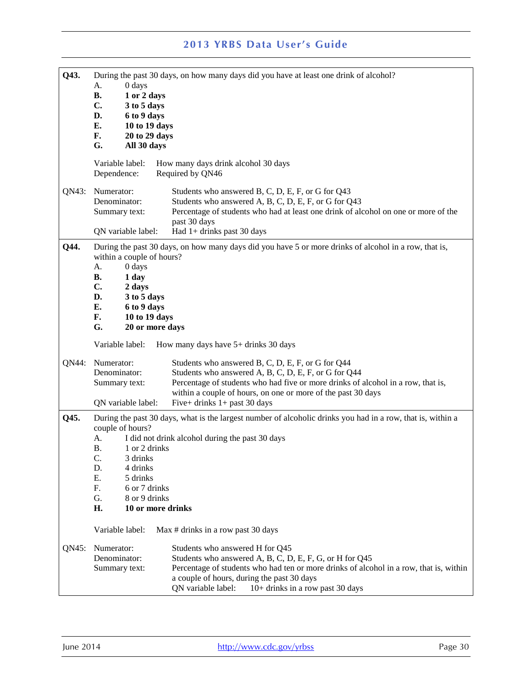| Q43.  |                            | During the past 30 days, on how many days did you have at least one drink of alcohol?                       |
|-------|----------------------------|-------------------------------------------------------------------------------------------------------------|
|       | A.<br>0 days               |                                                                                                             |
|       | <b>B.</b><br>1 or 2 days   |                                                                                                             |
|       | C.<br>3 to 5 days          |                                                                                                             |
|       | D.<br>6 to 9 days          |                                                                                                             |
|       | Е.<br>10 to 19 days        |                                                                                                             |
|       | F.<br>20 to 29 days        |                                                                                                             |
|       | All 30 days<br>G.          |                                                                                                             |
|       | Variable label:            | How many days drink alcohol 30 days                                                                         |
|       | Dependence:                | Required by QN46                                                                                            |
|       |                            |                                                                                                             |
| QN43: | Numerator:                 | Students who answered B, C, D, E, F, or G for Q43                                                           |
|       | Denominator:               | Students who answered A, B, C, D, E, F, or G for Q43                                                        |
|       | Summary text:              | Percentage of students who had at least one drink of alcohol on one or more of the                          |
|       |                            | past 30 days                                                                                                |
|       | QN variable label:         | Had 1+ drinks past 30 days                                                                                  |
|       |                            |                                                                                                             |
| Q44.  | within a couple of hours?  | During the past 30 days, on how many days did you have 5 or more drinks of alcohol in a row, that is,       |
|       | А.<br>0 days               |                                                                                                             |
|       | <b>B.</b><br>1 day         |                                                                                                             |
|       | C.<br>2 days               |                                                                                                             |
|       | D.<br>3 to 5 days          |                                                                                                             |
|       | Е.<br>6 to 9 days          |                                                                                                             |
|       | F.<br>10 to 19 days        |                                                                                                             |
|       | G.<br>20 or more days      |                                                                                                             |
|       |                            |                                                                                                             |
|       | Variable label:            | How many days have $5+$ drinks 30 days                                                                      |
| QN44: | Numerator:                 | Students who answered B, C, D, E, F, or G for Q44                                                           |
|       | Denominator:               | Students who answered A, B, C, D, E, F, or G for Q44                                                        |
|       | Summary text:              | Percentage of students who had five or more drinks of alcohol in a row, that is,                            |
|       |                            | within a couple of hours, on one or more of the past 30 days                                                |
|       | QN variable label:         | Five+ drinks $1+$ past 30 days                                                                              |
| Q45.  |                            | During the past 30 days, what is the largest number of alcoholic drinks you had in a row, that is, within a |
|       | couple of hours?           |                                                                                                             |
|       | А.                         | I did not drink alcohol during the past 30 days                                                             |
|       | <b>B.</b><br>1 or 2 drinks |                                                                                                             |
|       | C.<br>3 drinks             |                                                                                                             |
|       | D.<br>4 drinks             |                                                                                                             |
|       | Ε.<br>5 drinks             |                                                                                                             |
|       | F.<br>6 or 7 drinks        |                                                                                                             |
|       | G.<br>8 or 9 drinks        |                                                                                                             |
|       | H.<br>10 or more drinks    |                                                                                                             |
|       |                            |                                                                                                             |
|       | Variable label:            | Max # drinks in a row past 30 days                                                                          |
| QN45: | Numerator:                 | Students who answered H for Q45                                                                             |
|       | Denominator:               | Students who answered A, B, C, D, E, F, G, or H for Q45                                                     |
|       | Summary text:              | Percentage of students who had ten or more drinks of alcohol in a row, that is, within                      |
|       |                            | a couple of hours, during the past 30 days                                                                  |
|       |                            | QN variable label:<br>10+ drinks in a row past 30 days                                                      |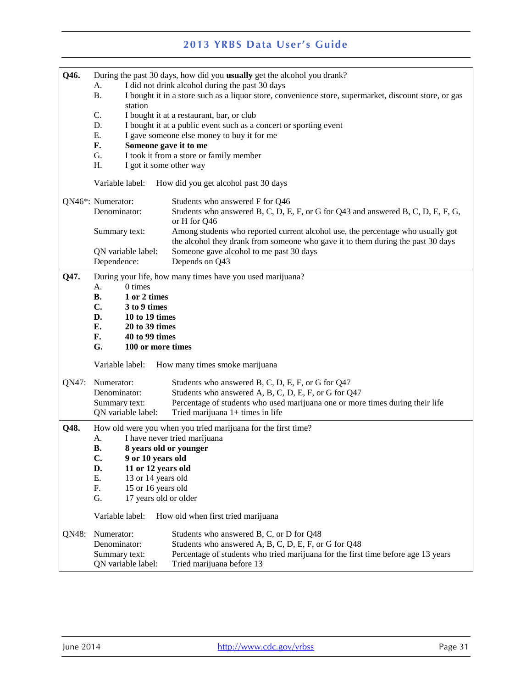| Q46.  |                                     | During the past 30 days, how did you usually get the alcohol you drank?                                                                                            |  |  |  |
|-------|-------------------------------------|--------------------------------------------------------------------------------------------------------------------------------------------------------------------|--|--|--|
|       | A.                                  | I did not drink alcohol during the past 30 days                                                                                                                    |  |  |  |
|       | <b>B.</b><br>station                | I bought it in a store such as a liquor store, convenience store, supermarket, discount store, or gas                                                              |  |  |  |
|       | C.                                  | I bought it at a restaurant, bar, or club                                                                                                                          |  |  |  |
|       | D.                                  | I bought it at a public event such as a concert or sporting event                                                                                                  |  |  |  |
|       | Ε.                                  | I gave someone else money to buy it for me                                                                                                                         |  |  |  |
|       | F.                                  | Someone gave it to me                                                                                                                                              |  |  |  |
|       | G.                                  | I took it from a store or family member                                                                                                                            |  |  |  |
|       | H.                                  | I got it some other way                                                                                                                                            |  |  |  |
|       | Variable label:                     | How did you get alcohol past 30 days                                                                                                                               |  |  |  |
|       | QN46*: Numerator:                   | Students who answered F for Q46                                                                                                                                    |  |  |  |
|       | Denominator:                        | Students who answered B, C, D, E, F, or G for Q43 and answered B, C, D, E, F, G,<br>or H for Q46                                                                   |  |  |  |
|       | Summary text:                       | Among students who reported current alcohol use, the percentage who usually got<br>the alcohol they drank from someone who gave it to them during the past 30 days |  |  |  |
|       | QN variable label:                  | Someone gave alcohol to me past 30 days                                                                                                                            |  |  |  |
|       | Dependence:                         | Depends on Q43                                                                                                                                                     |  |  |  |
| Q47.  |                                     | During your life, how many times have you used marijuana?                                                                                                          |  |  |  |
|       | 0 times<br>А.                       |                                                                                                                                                                    |  |  |  |
|       | 1 or 2 times<br><b>B.</b>           |                                                                                                                                                                    |  |  |  |
|       | C.<br>3 to 9 times                  |                                                                                                                                                                    |  |  |  |
|       | D.<br>10 to 19 times                |                                                                                                                                                                    |  |  |  |
|       | Е.<br>20 to 39 times                |                                                                                                                                                                    |  |  |  |
|       | F.<br>40 to 99 times                |                                                                                                                                                                    |  |  |  |
|       | G.<br>100 or more times             |                                                                                                                                                                    |  |  |  |
|       | Variable label:                     | How many times smoke marijuana                                                                                                                                     |  |  |  |
| QN47: | Numerator:                          | Students who answered B, C, D, E, F, or G for Q47                                                                                                                  |  |  |  |
|       | Denominator:                        | Students who answered A, B, C, D, E, F, or G for Q47                                                                                                               |  |  |  |
|       | Summary text:<br>QN variable label: | Percentage of students who used marijuana one or more times during their life<br>Tried marijuana 1+ times in life                                                  |  |  |  |
| Q48.  |                                     | How old were you when you tried marijuana for the first time?                                                                                                      |  |  |  |
|       | I have never tried marijuana<br>А.  |                                                                                                                                                                    |  |  |  |
|       | 8 years old or younger<br><b>B.</b> |                                                                                                                                                                    |  |  |  |
|       | C.<br>9 or 10 years old             |                                                                                                                                                                    |  |  |  |
|       | D.<br>11 or 12 years old            |                                                                                                                                                                    |  |  |  |
|       | Ε.<br>13 or 14 years old            |                                                                                                                                                                    |  |  |  |
|       | F.<br>15 or 16 years old            |                                                                                                                                                                    |  |  |  |
|       | G.<br>17 years old or older         |                                                                                                                                                                    |  |  |  |
|       | Variable label:                     | How old when first tried marijuana                                                                                                                                 |  |  |  |
| QN48: | Numerator:                          | Students who answered B, C, or D for Q48                                                                                                                           |  |  |  |
|       | Denominator:                        | Students who answered A, B, C, D, E, F, or G for Q48                                                                                                               |  |  |  |
|       | Summary text:                       | Percentage of students who tried marijuana for the first time before age 13 years                                                                                  |  |  |  |
|       | QN variable label:                  | Tried marijuana before 13                                                                                                                                          |  |  |  |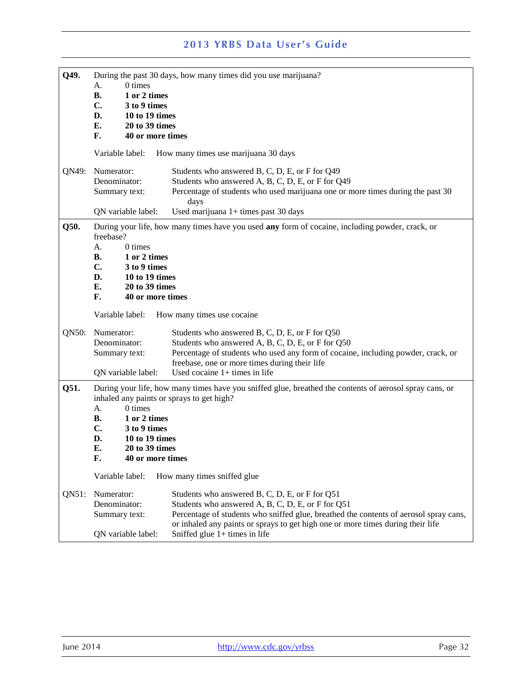| Q49.  | 0 times<br>А.<br><b>B.</b><br>1 or 2 times<br>$C_{\bullet}$<br>3 to 9 times<br>D.<br>10 to 19 times<br>Е.<br>20 to 39 times<br>F.<br>40 or more times                                                                  | During the past 30 days, how many times did you use marijuana?                                                                                                                                                                                                                                                     |
|-------|------------------------------------------------------------------------------------------------------------------------------------------------------------------------------------------------------------------------|--------------------------------------------------------------------------------------------------------------------------------------------------------------------------------------------------------------------------------------------------------------------------------------------------------------------|
|       | Variable label:                                                                                                                                                                                                        | How many times use marijuana 30 days                                                                                                                                                                                                                                                                               |
| QN49: | Numerator:<br>Denominator:<br>Summary text:<br>QN variable label:                                                                                                                                                      | Students who answered B, C, D, E, or F for Q49<br>Students who answered A, B, C, D, E, or F for Q49<br>Percentage of students who used marijuana one or more times during the past 30<br>days<br>Used marijuana 1+ times past 30 days                                                                              |
| Q50.  | freebase?<br>0 times<br>A.<br><b>B.</b><br>1 or 2 times<br>$C_{\bullet}$<br>3 to 9 times<br>D.<br>10 to 19 times<br>E.<br>20 to 39 times<br>F.<br>40 or more times                                                     | During your life, how many times have you used any form of cocaine, including powder, crack, or                                                                                                                                                                                                                    |
|       | Variable label:                                                                                                                                                                                                        | How many times use cocaine                                                                                                                                                                                                                                                                                         |
| QN50: | Numerator:<br>Denominator:<br>Summary text:<br>QN variable label:                                                                                                                                                      | Students who answered B, C, D, E, or F for Q50<br>Students who answered A, B, C, D, E, or F for Q50<br>Percentage of students who used any form of cocaine, including powder, crack, or<br>freebase, one or more times during their life<br>Used cocaine $1+$ times in life                                        |
| Q51.  | inhaled any paints or sprays to get high?<br>0 times<br>A.<br><b>B.</b><br>1 or 2 times<br>$\mathbf{C}$ .<br>3 to 9 times<br>D.<br>10 to 19 times<br>E.<br>20 to 39 times<br>F.<br>40 or more times<br>Variable label: | During your life, how many times have you sniffed glue, breathed the contents of aerosol spray cans, or<br>How many times sniffed glue                                                                                                                                                                             |
| QN51: | Numerator:<br>Denominator:<br>Summary text:<br>QN variable label:                                                                                                                                                      | Students who answered B, C, D, E, or F for Q51<br>Students who answered A, B, C, D, E, or F for Q51<br>Percentage of students who sniffed glue, breathed the contents of aerosol spray cans,<br>or inhaled any paints or sprays to get high one or more times during their life<br>Sniffed glue $1+$ times in life |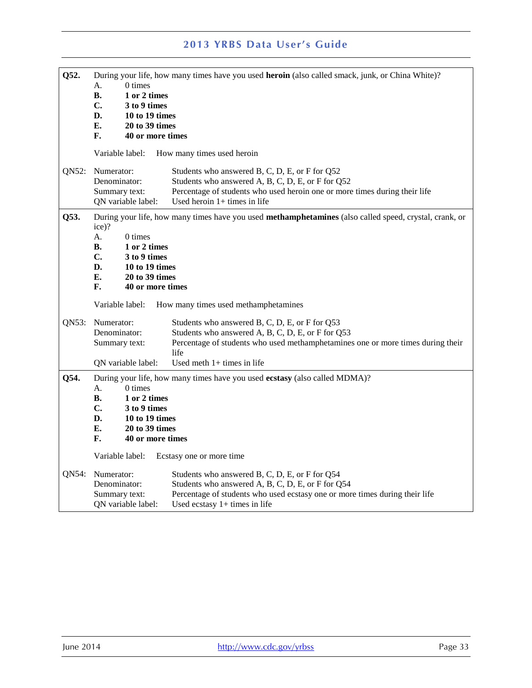| Q52.  | 0 times<br>А.<br><b>B.</b><br>1 or 2 times<br>C.<br>3 to 9 times<br>D.<br>10 to 19 times<br>Е.<br>20 to 39 times<br>F.<br>40 or more times                  | During your life, how many times have you used heroin (also called smack, junk, or China White)?                                                                                                                               |
|-------|-------------------------------------------------------------------------------------------------------------------------------------------------------------|--------------------------------------------------------------------------------------------------------------------------------------------------------------------------------------------------------------------------------|
|       | Variable label:                                                                                                                                             | How many times used heroin                                                                                                                                                                                                     |
| QN52: | Numerator:<br>Denominator:<br>Summary text:<br>QN variable label:                                                                                           | Students who answered B, C, D, E, or F for Q52<br>Students who answered A, B, C, D, E, or F for Q52<br>Percentage of students who used heroin one or more times during their life<br>Used heroin $1+$ times in life            |
| Q53.  | ice)?<br>$0 \times$<br>А.<br>В.<br>1 or 2 times<br>$\mathbf{C}$ .<br>3 to 9 times<br>D.<br>10 to 19 times<br>Е.<br>20 to 39 times<br>F.<br>40 or more times | During your life, how many times have you used methamphetamines (also called speed, crystal, crank, or                                                                                                                         |
|       | Variable label:                                                                                                                                             | How many times used methamphetamines                                                                                                                                                                                           |
| QN53: | Numerator:<br>Denominator:<br>Summary text:<br>QN variable label:                                                                                           | Students who answered B, C, D, E, or F for Q53<br>Students who answered A, B, C, D, E, or F for Q53<br>Percentage of students who used methamphetamines one or more times during their<br>life<br>Used meth $1+$ times in life |
| Q54.  | А.<br>0 times<br>1 or 2 times<br>В.<br>C.<br>3 to 9 times<br>D.<br>10 to 19 times<br>E.<br>20 to 39 times<br>F.<br>40 or more times<br>Variable label:      | During your life, how many times have you used ecstasy (also called MDMA)?<br>Ecstasy one or more time                                                                                                                         |
| QN54: | Numerator:<br>Denominator:<br>Summary text:<br>QN variable label:                                                                                           | Students who answered B, C, D, E, or F for Q54<br>Students who answered A, B, C, D, E, or F for Q54<br>Percentage of students who used ecstasy one or more times during their life<br>Used ecstasy $1+$ times in life          |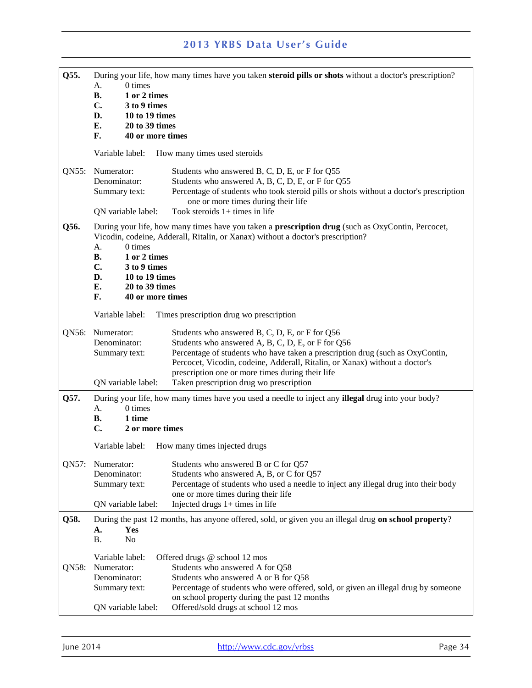| Q55.  | During your life, how many times have you taken steroid pills or shots without a doctor's prescription?                                                                                     |                                                                                                                                                                                                                                      |  |
|-------|---------------------------------------------------------------------------------------------------------------------------------------------------------------------------------------------|--------------------------------------------------------------------------------------------------------------------------------------------------------------------------------------------------------------------------------------|--|
|       | 0 times<br>А.                                                                                                                                                                               |                                                                                                                                                                                                                                      |  |
|       | 1 or 2 times<br>В.<br>$\mathbf{C}$ .<br>3 to 9 times                                                                                                                                        |                                                                                                                                                                                                                                      |  |
|       | D.<br>10 to 19 times                                                                                                                                                                        |                                                                                                                                                                                                                                      |  |
|       | Е.<br>20 to 39 times                                                                                                                                                                        |                                                                                                                                                                                                                                      |  |
|       | F.<br>40 or more times                                                                                                                                                                      |                                                                                                                                                                                                                                      |  |
|       | Variable label:                                                                                                                                                                             | How many times used steroids                                                                                                                                                                                                         |  |
| QN55: | Numerator:<br>Denominator:<br>Summary text:                                                                                                                                                 | Students who answered B, C, D, E, or F for Q55<br>Students who answered A, B, C, D, E, or F for Q55<br>Percentage of students who took steroid pills or shots without a doctor's prescription<br>one or more times during their life |  |
|       | QN variable label:                                                                                                                                                                          | Took steroids $1+$ times in life                                                                                                                                                                                                     |  |
| Q56.  | During your life, how many times have you taken a <b>prescription drug</b> (such as OxyContin, Percocet,<br>Vicodin, codeine, Adderall, Ritalin, or Xanax) without a doctor's prescription? |                                                                                                                                                                                                                                      |  |
|       | 0 times<br>А.<br>1 or 2 times<br>В.                                                                                                                                                         |                                                                                                                                                                                                                                      |  |
|       | C.<br>3 to 9 times                                                                                                                                                                          |                                                                                                                                                                                                                                      |  |
|       | D.<br>10 to 19 times                                                                                                                                                                        |                                                                                                                                                                                                                                      |  |
|       | Е.<br>20 to 39 times<br>F.<br>40 or more times                                                                                                                                              |                                                                                                                                                                                                                                      |  |
|       |                                                                                                                                                                                             |                                                                                                                                                                                                                                      |  |
|       | Variable label:                                                                                                                                                                             | Times prescription drug wo prescription                                                                                                                                                                                              |  |
|       | QN56: Numerator:                                                                                                                                                                            | Students who answered B, C, D, E, or F for Q56                                                                                                                                                                                       |  |
|       | Denominator:<br>Summary text:                                                                                                                                                               | Students who answered A, B, C, D, E, or F for Q56<br>Percentage of students who have taken a prescription drug (such as OxyContin,<br>Percocet, Vicodin, codeine, Adderall, Ritalin, or Xanax) without a doctor's                    |  |
|       | QN variable label:                                                                                                                                                                          | prescription one or more times during their life<br>Taken prescription drug wo prescription                                                                                                                                          |  |
| Q57.  | During your life, how many times have you used a needle to inject any <b>illegal</b> drug into your body?                                                                                   |                                                                                                                                                                                                                                      |  |
|       | $0 \times$<br>А.                                                                                                                                                                            |                                                                                                                                                                                                                                      |  |
|       | 1 time<br>В.<br>C.<br>2 or more times                                                                                                                                                       |                                                                                                                                                                                                                                      |  |
|       |                                                                                                                                                                                             |                                                                                                                                                                                                                                      |  |
|       | Variable label:                                                                                                                                                                             | How many times injected drugs                                                                                                                                                                                                        |  |
| QN57: | Numerator:                                                                                                                                                                                  | Students who answered B or C for Q57                                                                                                                                                                                                 |  |
|       | Denominator:                                                                                                                                                                                | Students who answered A, B, or C for Q57                                                                                                                                                                                             |  |
|       | Summary text:                                                                                                                                                                               | Percentage of students who used a needle to inject any illegal drug into their body<br>one or more times during their life                                                                                                           |  |
|       | QN variable label:                                                                                                                                                                          | Injected drugs $1+$ times in life                                                                                                                                                                                                    |  |
| Q58.  |                                                                                                                                                                                             | During the past 12 months, has anyone offered, sold, or given you an illegal drug on school property?                                                                                                                                |  |
|       | Yes<br>А.<br>No<br>Β.                                                                                                                                                                       |                                                                                                                                                                                                                                      |  |
|       | Variable label:                                                                                                                                                                             | Offered drugs @ school 12 mos                                                                                                                                                                                                        |  |
| QN58: | Numerator:                                                                                                                                                                                  | Students who answered A for Q58                                                                                                                                                                                                      |  |
|       | Denominator:<br>Summary text:                                                                                                                                                               | Students who answered A or B for Q58<br>Percentage of students who were offered, sold, or given an illegal drug by someone                                                                                                           |  |
|       |                                                                                                                                                                                             | on school property during the past 12 months                                                                                                                                                                                         |  |
|       | QN variable label:                                                                                                                                                                          | Offered/sold drugs at school 12 mos                                                                                                                                                                                                  |  |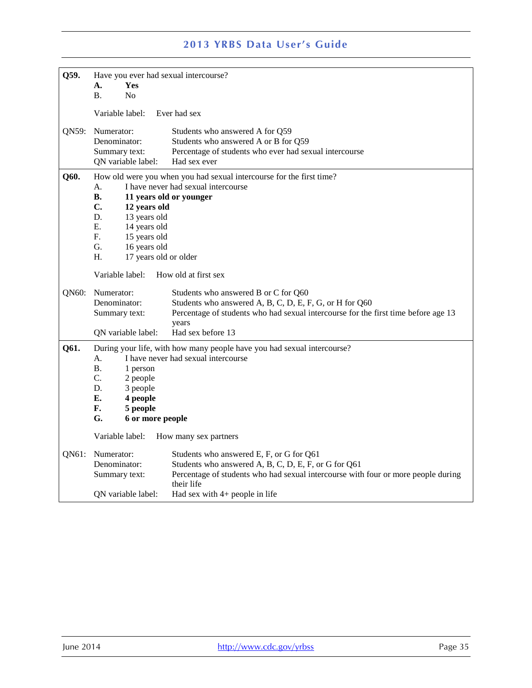| Q59.          | Have you ever had sexual intercourse?             |                                                                                    |
|---------------|---------------------------------------------------|------------------------------------------------------------------------------------|
|               | А.<br>Yes                                         |                                                                                    |
|               | <b>B.</b><br>N <sub>o</sub>                       |                                                                                    |
|               | Variable label:                                   | Ever had sex                                                                       |
| QN59:         | Numerator:                                        | Students who answered A for Q59                                                    |
|               | Denominator:                                      | Students who answered A or B for Q59                                               |
|               | Summary text:                                     | Percentage of students who ever had sexual intercourse                             |
|               | QN variable label:                                | Had sex ever                                                                       |
| Q60.          |                                                   | How old were you when you had sexual intercourse for the first time?               |
|               | А.                                                | I have never had sexual intercourse                                                |
|               | <b>B.</b>                                         | 11 years old or younger                                                            |
|               | C.<br>12 years old                                |                                                                                    |
|               | D.<br>13 years old                                |                                                                                    |
|               | Е.<br>14 years old                                |                                                                                    |
|               | F.<br>15 years old                                |                                                                                    |
|               | G.<br>16 years old<br>H.<br>17 years old or older |                                                                                    |
|               |                                                   |                                                                                    |
|               | Variable label:                                   | How old at first sex                                                               |
| QN60:         | Numerator:                                        | Students who answered B or C for Q60                                               |
|               | Denominator:                                      | Students who answered A, B, C, D, E, F, G, or H for Q60                            |
| Summary text: |                                                   | Percentage of students who had sexual intercourse for the first time before age 13 |
| years         |                                                   |                                                                                    |
|               | QN variable label:                                | Had sex before 13                                                                  |
| Q61.          |                                                   | During your life, with how many people have you had sexual intercourse?            |
|               | А.                                                | I have never had sexual intercourse                                                |
|               | <b>B.</b><br>1 person                             |                                                                                    |
|               | C.<br>2 people                                    |                                                                                    |
|               | D.<br>3 people                                    |                                                                                    |
|               | Е.<br>4 people<br>F.<br>5 people                  |                                                                                    |
|               | G.<br>6 or more people                            |                                                                                    |
|               |                                                   |                                                                                    |
|               | Variable label:                                   | How many sex partners                                                              |
| QN61:         | Numerator:                                        | Students who answered E, F, or G for Q61                                           |
|               | Denominator:                                      | Students who answered A, B, C, D, E, F, or G for Q61                               |
|               | Summary text:                                     | Percentage of students who had sexual intercourse with four or more people during  |
|               |                                                   | their life                                                                         |
|               | QN variable label:                                | Had sex with $4+$ people in life                                                   |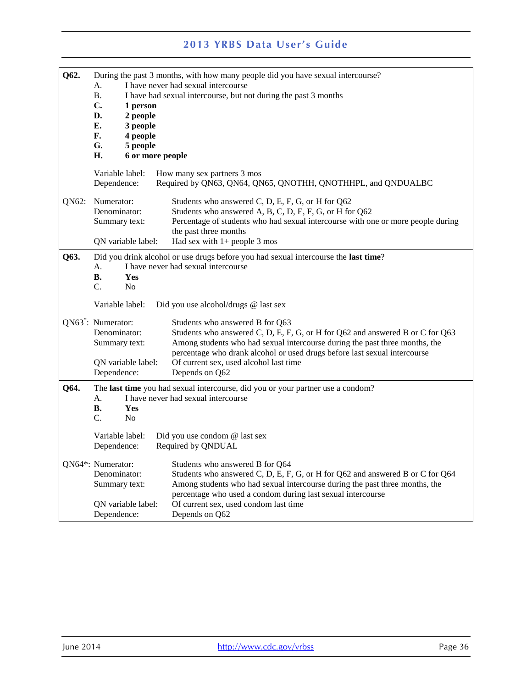| Q62.  | During the past 3 months, with how many people did you have sexual intercourse?<br>I have never had sexual intercourse<br>A.<br><b>B.</b><br>I have had sexual intercourse, but not during the past 3 months<br>C.<br>1 person<br>2 people<br>D.<br>Е.<br>3 people<br>F.<br>4 people<br>G.<br>5 people<br>6 or more people<br>H. |                                                                                                                                                                                                                                                                                                                                          |  |
|-------|----------------------------------------------------------------------------------------------------------------------------------------------------------------------------------------------------------------------------------------------------------------------------------------------------------------------------------|------------------------------------------------------------------------------------------------------------------------------------------------------------------------------------------------------------------------------------------------------------------------------------------------------------------------------------------|--|
|       | Variable label:<br>Dependence:                                                                                                                                                                                                                                                                                                   | How many sex partners 3 mos<br>Required by QN63, QN64, QN65, QNOTHH, QNOTHHPL, and QNDUALBC                                                                                                                                                                                                                                              |  |
| QN62: | Numerator:<br>Denominator:<br>Summary text:<br>QN variable label:                                                                                                                                                                                                                                                                | Students who answered C, D, E, F, G, or H for Q62<br>Students who answered A, B, C, D, E, F, G, or H for Q62<br>Percentage of students who had sexual intercourse with one or more people during<br>the past three months<br>Had sex with $1+$ people 3 mos                                                                              |  |
| Q63.  | Did you drink alcohol or use drugs before you had sexual intercourse the last time?<br>I have never had sexual intercourse<br>А.<br><b>B.</b><br>Yes<br>C.<br>No                                                                                                                                                                 |                                                                                                                                                                                                                                                                                                                                          |  |
|       | Variable label:                                                                                                                                                                                                                                                                                                                  | Did you use alcohol/drugs @ last sex                                                                                                                                                                                                                                                                                                     |  |
|       | QN63 <sup>*</sup> : Numerator:<br>Denominator:<br>Summary text:<br>QN variable label:<br>Dependence:                                                                                                                                                                                                                             | Students who answered B for Q63<br>Students who answered C, D, E, F, G, or H for Q62 and answered B or C for Q63<br>Among students who had sexual intercourse during the past three months, the<br>percentage who drank alcohol or used drugs before last sexual intercourse<br>Of current sex, used alcohol last time<br>Depends on Q62 |  |
| Q64.  | The last time you had sexual intercourse, did you or your partner use a condom?<br>I have never had sexual intercourse<br>A.<br><b>B.</b><br>Yes<br>C.<br>N <sub>o</sub>                                                                                                                                                         |                                                                                                                                                                                                                                                                                                                                          |  |
|       | Variable label:<br>Dependence:                                                                                                                                                                                                                                                                                                   | Did you use condom @ last sex<br>Required by QNDUAL                                                                                                                                                                                                                                                                                      |  |
|       | QN64*: Numerator:<br>Denominator:<br>Summary text:                                                                                                                                                                                                                                                                               | Students who answered B for Q64<br>Students who answered C, D, E, F, G, or H for Q62 and answered B or C for Q64<br>Among students who had sexual intercourse during the past three months, the<br>percentage who used a condom during last sexual intercourse                                                                           |  |
|       | QN variable label:<br>Dependence:                                                                                                                                                                                                                                                                                                | Of current sex, used condom last time<br>Depends on Q62                                                                                                                                                                                                                                                                                  |  |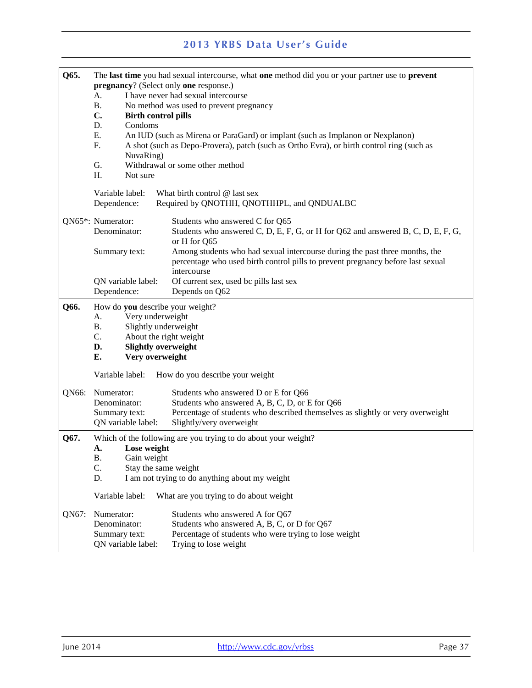| Q65.  | The last time you had sexual intercourse, what one method did you or your partner use to prevent                                     |                                                                                                  |  |  |
|-------|--------------------------------------------------------------------------------------------------------------------------------------|--------------------------------------------------------------------------------------------------|--|--|
|       | pregnancy? (Select only one response.)<br>I have never had sexual intercourse<br>А.<br>Β.<br>No method was used to prevent pregnancy |                                                                                                  |  |  |
|       |                                                                                                                                      |                                                                                                  |  |  |
|       | C.<br><b>Birth control pills</b>                                                                                                     |                                                                                                  |  |  |
|       | Condoms<br>D.                                                                                                                        |                                                                                                  |  |  |
|       | Ε.                                                                                                                                   | An IUD (such as Mirena or ParaGard) or implant (such as Implanon or Nexplanon)                   |  |  |
|       | F.                                                                                                                                   | A shot (such as Depo-Provera), patch (such as Ortho Evra), or birth control ring (such as        |  |  |
|       | NuvaRing)                                                                                                                            |                                                                                                  |  |  |
|       | G.<br>Not sure                                                                                                                       | Withdrawal or some other method                                                                  |  |  |
|       | H.                                                                                                                                   |                                                                                                  |  |  |
|       | Variable label:                                                                                                                      | What birth control @ last sex                                                                    |  |  |
|       | Dependence:                                                                                                                          | Required by QNOTHH, QNOTHHPL, and QNDUALBC                                                       |  |  |
|       | QN65*: Numerator:                                                                                                                    | Students who answered C for Q65                                                                  |  |  |
|       | Denominator:                                                                                                                         | Students who answered C, D, E, F, G, or H for Q62 and answered B, C, D, E, F, G,<br>or H for Q65 |  |  |
|       | Summary text:                                                                                                                        | Among students who had sexual intercourse during the past three months, the                      |  |  |
|       |                                                                                                                                      | percentage who used birth control pills to prevent pregnancy before last sexual                  |  |  |
|       | intercourse                                                                                                                          |                                                                                                  |  |  |
|       | Of current sex, used bc pills last sex<br>QN variable label:                                                                         |                                                                                                  |  |  |
|       | Dependence:                                                                                                                          | Depends on Q62                                                                                   |  |  |
| Q66.  |                                                                                                                                      | How do you describe your weight?                                                                 |  |  |
|       | Very underweight<br>A.                                                                                                               |                                                                                                  |  |  |
|       | Slightly underweight<br>В.                                                                                                           |                                                                                                  |  |  |
|       | C.<br>About the right weight                                                                                                         |                                                                                                  |  |  |
|       | <b>Slightly overweight</b><br>D.<br>Very overweight<br>Е.                                                                            |                                                                                                  |  |  |
|       |                                                                                                                                      |                                                                                                  |  |  |
|       | Variable label:                                                                                                                      | How do you describe your weight                                                                  |  |  |
| QN66: | Numerator:                                                                                                                           | Students who answered D or E for Q66                                                             |  |  |
|       | Denominator:                                                                                                                         | Students who answered A, B, C, D, or E for Q66                                                   |  |  |
|       | Summary text:                                                                                                                        | Percentage of students who described themselves as slightly or very overweight                   |  |  |
|       | QN variable label:                                                                                                                   | Slightly/very overweight                                                                         |  |  |
| Q67.  |                                                                                                                                      | Which of the following are you trying to do about your weight?                                   |  |  |
|       | Lose weight<br>A.                                                                                                                    |                                                                                                  |  |  |
|       | <b>B.</b><br>Gain weight                                                                                                             |                                                                                                  |  |  |
|       | C.<br>Stay the same weight                                                                                                           |                                                                                                  |  |  |
|       | D.                                                                                                                                   | I am not trying to do anything about my weight                                                   |  |  |
|       | Variable label:                                                                                                                      | What are you trying to do about weight                                                           |  |  |
| QN67: | Numerator:                                                                                                                           | Students who answered A for Q67                                                                  |  |  |
|       | Denominator:                                                                                                                         | Students who answered A, B, C, or D for Q67                                                      |  |  |
|       | Summary text:                                                                                                                        | Percentage of students who were trying to lose weight                                            |  |  |
|       | QN variable label:                                                                                                                   | Trying to lose weight                                                                            |  |  |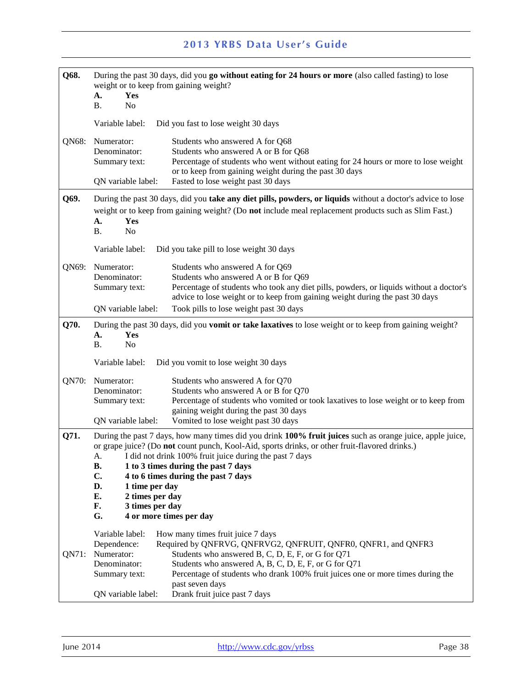| Q68.  | During the past 30 days, did you go without eating for 24 hours or more (also called fasting) to lose<br>weight or to keep from gaining weight?<br>Yes<br>А.<br>N <sub>o</sub><br>Β.                                                                                                                                                                                                                                                                                                  |  |
|-------|---------------------------------------------------------------------------------------------------------------------------------------------------------------------------------------------------------------------------------------------------------------------------------------------------------------------------------------------------------------------------------------------------------------------------------------------------------------------------------------|--|
|       | Variable label:<br>Did you fast to lose weight 30 days                                                                                                                                                                                                                                                                                                                                                                                                                                |  |
| QN68: | Numerator:<br>Students who answered A for Q68<br>Denominator:<br>Students who answered A or B for Q68<br>Percentage of students who went without eating for 24 hours or more to lose weight<br>Summary text:<br>or to keep from gaining weight during the past 30 days<br>QN variable label:<br>Fasted to lose weight past 30 days                                                                                                                                                    |  |
| Q69.  | During the past 30 days, did you take any diet pills, powders, or liquids without a doctor's advice to lose                                                                                                                                                                                                                                                                                                                                                                           |  |
|       | weight or to keep from gaining weight? (Do not include meal replacement products such as Slim Fast.)<br>А.<br>Yes<br><b>B.</b><br>N <sub>o</sub>                                                                                                                                                                                                                                                                                                                                      |  |
|       | Variable label:<br>Did you take pill to lose weight 30 days                                                                                                                                                                                                                                                                                                                                                                                                                           |  |
| QN69: | Numerator:<br>Students who answered A for Q69<br>Students who answered A or B for Q69<br>Denominator:<br>Percentage of students who took any diet pills, powders, or liquids without a doctor's<br>Summary text:<br>advice to lose weight or to keep from gaining weight during the past 30 days                                                                                                                                                                                      |  |
|       | QN variable label:<br>Took pills to lose weight past 30 days                                                                                                                                                                                                                                                                                                                                                                                                                          |  |
| Q70.  | During the past 30 days, did you <b>vomit or take laxatives</b> to lose weight or to keep from gaining weight?<br>А.<br>Yes<br><b>B.</b><br>No                                                                                                                                                                                                                                                                                                                                        |  |
|       | Variable label:<br>Did you vomit to lose weight 30 days                                                                                                                                                                                                                                                                                                                                                                                                                               |  |
| QN70: | Numerator:<br>Students who answered A for Q70<br>Denominator:<br>Students who answered A or B for Q70<br>Summary text:<br>Percentage of students who vomited or took laxatives to lose weight or to keep from<br>gaining weight during the past 30 days<br>Vomited to lose weight past 30 days<br>QN variable label:                                                                                                                                                                  |  |
| Q71.  | During the past 7 days, how many times did you drink 100% fruit juices such as orange juice, apple juice,<br>or grape juice? (Do not count punch, Kool-Aid, sports drinks, or other fruit-flavored drinks.)<br>A. I did not drink 100% fruit juice during the past 7 days<br><b>B.</b><br>1 to 3 times during the past 7 days<br>C.<br>4 to 6 times during the past 7 days<br>D.<br>1 time per day<br>Е.<br>2 times per day<br>F.<br>3 times per day<br>4 or more times per day<br>G. |  |
|       | Variable label:<br>How many times fruit juice 7 days                                                                                                                                                                                                                                                                                                                                                                                                                                  |  |
| QN71: | Required by QNFRVG, QNFRVG2, QNFRUIT, QNFR0, QNFR1, and QNFR3<br>Dependence:<br>Students who answered B, C, D, E, F, or G for Q71<br>Numerator:<br>Students who answered A, B, C, D, E, F, or G for Q71<br>Denominator:<br>Percentage of students who drank 100% fruit juices one or more times during the<br>Summary text:                                                                                                                                                           |  |
|       | past seven days<br>Drank fruit juice past 7 days<br>QN variable label:                                                                                                                                                                                                                                                                                                                                                                                                                |  |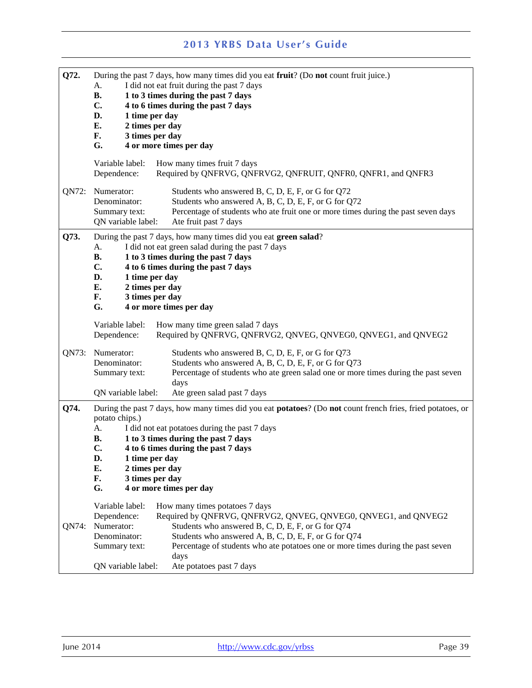| Q72.  | During the past 7 days, how many times did you eat fruit? (Do not count fruit juice.)<br>I did not eat fruit during the past 7 days<br>A.<br><b>B.</b><br>1 to 3 times during the past 7 days |                                                                                                                            |  |
|-------|-----------------------------------------------------------------------------------------------------------------------------------------------------------------------------------------------|----------------------------------------------------------------------------------------------------------------------------|--|
|       | $\mathbf{C}$ .                                                                                                                                                                                | 4 to 6 times during the past 7 days                                                                                        |  |
|       | D.<br>1 time per day                                                                                                                                                                          |                                                                                                                            |  |
|       | E.<br>2 times per day                                                                                                                                                                         |                                                                                                                            |  |
|       | 3 times per day<br>F.                                                                                                                                                                         |                                                                                                                            |  |
|       | G.                                                                                                                                                                                            | 4 or more times per day                                                                                                    |  |
|       | Variable label:<br>Dependence:                                                                                                                                                                | How many times fruit 7 days<br>Required by QNFRVG, QNFRVG2, QNFRUIT, QNFR0, QNFR1, and QNFR3                               |  |
| QN72: | Numerator:                                                                                                                                                                                    | Students who answered B, C, D, E, F, or G for Q72                                                                          |  |
|       | Denominator:                                                                                                                                                                                  | Students who answered A, B, C, D, E, F, or G for Q72                                                                       |  |
|       | Summary text:<br>QN variable label:                                                                                                                                                           | Percentage of students who ate fruit one or more times during the past seven days<br>Ate fruit past 7 days                 |  |
| Q73.  |                                                                                                                                                                                               | During the past 7 days, how many times did you eat green salad?                                                            |  |
|       | A.                                                                                                                                                                                            | I did not eat green salad during the past 7 days                                                                           |  |
|       | <b>B.</b>                                                                                                                                                                                     | 1 to 3 times during the past 7 days                                                                                        |  |
|       | $\mathbf{C}$ .                                                                                                                                                                                | 4 to 6 times during the past 7 days                                                                                        |  |
|       | D.<br>1 time per day                                                                                                                                                                          |                                                                                                                            |  |
|       | 2 times per day<br>E.                                                                                                                                                                         |                                                                                                                            |  |
|       | F.<br>3 times per day                                                                                                                                                                         |                                                                                                                            |  |
|       | G.                                                                                                                                                                                            | 4 or more times per day                                                                                                    |  |
|       | Variable label:<br>Dependence:                                                                                                                                                                | How many time green salad 7 days<br>Required by QNFRVG, QNFRVG2, QNVEG, QNVEG0, QNVEG1, and QNVEG2                         |  |
| QN73: | Numerator:                                                                                                                                                                                    | Students who answered B, C, D, E, F, or G for Q73                                                                          |  |
|       | Denominator:                                                                                                                                                                                  | Students who answered A, B, C, D, E, F, or G for Q73                                                                       |  |
|       | Summary text:                                                                                                                                                                                 | Percentage of students who ate green salad one or more times during the past seven                                         |  |
|       | QN variable label:                                                                                                                                                                            | days<br>Ate green salad past 7 days                                                                                        |  |
| Q74.  |                                                                                                                                                                                               | During the past 7 days, how many times did you eat <b>potatoes</b> ? (Do <b>not</b> count french fries, fried potatoes, or |  |
|       | potato chips.)                                                                                                                                                                                |                                                                                                                            |  |
|       | A.                                                                                                                                                                                            | I did not eat potatoes during the past 7 days                                                                              |  |
|       | 1 to 3 times during the past 7 days<br>В.                                                                                                                                                     |                                                                                                                            |  |
|       | C.                                                                                                                                                                                            | 4 to 6 times during the past 7 days                                                                                        |  |
|       | D.<br>1 time per day                                                                                                                                                                          |                                                                                                                            |  |
|       | 2 times per day<br>Е.                                                                                                                                                                         |                                                                                                                            |  |
|       | 3 times per day<br>F.<br>G.                                                                                                                                                                   | 4 or more times per day                                                                                                    |  |
|       | Variable label:                                                                                                                                                                               | How many times potatoes 7 days                                                                                             |  |
|       | Dependence:                                                                                                                                                                                   | Required by QNFRVG, QNFRVG2, QNVEG, QNVEG0, QNVEG1, and QNVEG2                                                             |  |
| QN74: | Numerator:                                                                                                                                                                                    | Students who answered B, C, D, E, F, or G for Q74                                                                          |  |
|       | Denominator:                                                                                                                                                                                  | Students who answered A, B, C, D, E, F, or G for Q74                                                                       |  |
|       | Summary text:                                                                                                                                                                                 | Percentage of students who ate potatoes one or more times during the past seven                                            |  |
|       |                                                                                                                                                                                               | days                                                                                                                       |  |
|       | QN variable label:                                                                                                                                                                            | Ate potatoes past 7 days                                                                                                   |  |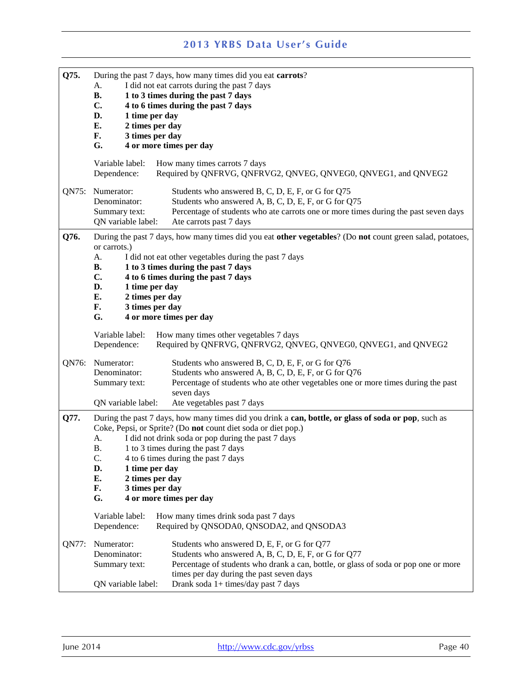| Q75.  | During the past 7 days, how many times did you eat carrots? |                                                                                                           |  |
|-------|-------------------------------------------------------------|-----------------------------------------------------------------------------------------------------------|--|
|       | I did not eat carrots during the past 7 days<br>A.          |                                                                                                           |  |
|       | <b>B.</b>                                                   | 1 to 3 times during the past 7 days                                                                       |  |
|       | C.                                                          | 4 to 6 times during the past 7 days                                                                       |  |
|       | D.<br>1 time per day                                        |                                                                                                           |  |
|       | E.<br>2 times per day                                       |                                                                                                           |  |
|       | F.<br>3 times per day                                       |                                                                                                           |  |
|       | G.                                                          | 4 or more times per day                                                                                   |  |
|       |                                                             |                                                                                                           |  |
|       | Variable label:<br>Dependence:                              | How many times carrots 7 days<br>Required by QNFRVG, QNFRVG2, QNVEG, QNVEG0, QNVEG1, and QNVEG2           |  |
|       | QN75: Numerator:                                            | Students who answered B, C, D, E, F, or G for Q75                                                         |  |
|       | Denominator:                                                | Students who answered A, B, C, D, E, F, or G for Q75                                                      |  |
|       | Summary text:                                               | Percentage of students who ate carrots one or more times during the past seven days                       |  |
|       | QN variable label:                                          | Ate carrots past 7 days                                                                                   |  |
| Q76.  | or carrots.)                                                | During the past 7 days, how many times did you eat other vegetables? (Do not count green salad, potatoes, |  |
|       | A.                                                          | I did not eat other vegetables during the past 7 days                                                     |  |
|       | В.                                                          | 1 to 3 times during the past 7 days                                                                       |  |
|       | C.                                                          | 4 to 6 times during the past 7 days                                                                       |  |
|       | D.<br>1 time per day                                        |                                                                                                           |  |
|       | E.<br>2 times per day                                       |                                                                                                           |  |
|       | 3 times per day<br>F.                                       |                                                                                                           |  |
|       | G.                                                          | 4 or more times per day                                                                                   |  |
|       | Variable label:<br>Dependence:                              | How many times other vegetables 7 days<br>Required by QNFRVG, QNFRVG2, QNVEG, QNVEG0, QNVEG1, and QNVEG2  |  |
|       |                                                             |                                                                                                           |  |
| QN76: | Numerator:                                                  | Students who answered B, C, D, E, F, or G for Q76                                                         |  |
|       | Denominator:                                                | Students who answered A, B, C, D, E, F, or G for Q76                                                      |  |
|       | Summary text:                                               | Percentage of students who ate other vegetables one or more times during the past                         |  |
|       | seven days<br>QN variable label:                            |                                                                                                           |  |
|       |                                                             | Ate vegetables past 7 days                                                                                |  |
| Q77.  |                                                             | During the past 7 days, how many times did you drink a can, bottle, or glass of soda or pop, such as      |  |
|       |                                                             | Coke, Pepsi, or Sprite? (Do not count diet soda or diet pop.)                                             |  |
|       | А.                                                          | I did not drink soda or pop during the past 7 days                                                        |  |
|       | Β.                                                          | 1 to 3 times during the past 7 days                                                                       |  |
|       | C.                                                          | 4 to 6 times during the past 7 days                                                                       |  |
|       | D.<br>1 time per day                                        |                                                                                                           |  |
|       | E.<br>2 times per day                                       |                                                                                                           |  |
|       | F.<br>3 times per day                                       |                                                                                                           |  |
|       | G.                                                          | 4 or more times per day                                                                                   |  |
|       | Variable label:<br>Dependence:                              | How many times drink soda past 7 days<br>Required by QNSODA0, QNSODA2, and QNSODA3                        |  |
| QN77: | Numerator:                                                  | Students who answered D, E, F, or G for Q77                                                               |  |
|       | Denominator:                                                | Students who answered A, B, C, D, E, F, or G for Q77                                                      |  |
|       | Summary text:                                               | Percentage of students who drank a can, bottle, or glass of soda or pop one or more                       |  |
|       |                                                             | times per day during the past seven days                                                                  |  |
|       | QN variable label:                                          | Drank soda 1+ times/day past 7 days                                                                       |  |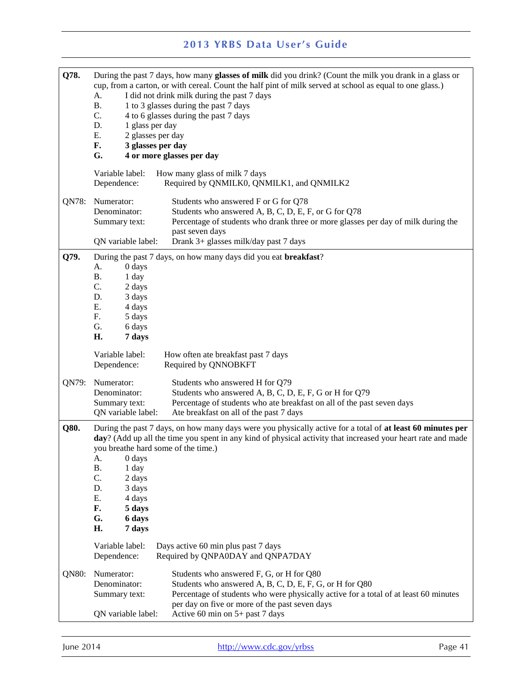| Q78.  | А.<br><b>B.</b><br>C.<br>D.<br>1 glass per day<br>E.<br>2 glasses per day<br>3 glasses per day<br>F.<br>G.<br>Variable label:                                                                                                                                                                                                                                                                                                                                                                                         | During the past 7 days, how many glasses of milk did you drink? (Count the milk you drank in a glass or<br>cup, from a carton, or with cereal. Count the half pint of milk served at school as equal to one glass.)<br>I did not drink milk during the past 7 days<br>1 to 3 glasses during the past 7 days<br>4 to 6 glasses during the past 7 days<br>4 or more glasses per day<br>How many glass of milk 7 days |
|-------|-----------------------------------------------------------------------------------------------------------------------------------------------------------------------------------------------------------------------------------------------------------------------------------------------------------------------------------------------------------------------------------------------------------------------------------------------------------------------------------------------------------------------|--------------------------------------------------------------------------------------------------------------------------------------------------------------------------------------------------------------------------------------------------------------------------------------------------------------------------------------------------------------------------------------------------------------------|
| QN78: | Dependence:<br>Numerator:                                                                                                                                                                                                                                                                                                                                                                                                                                                                                             | Required by QNMILK0, QNMILK1, and QNMILK2<br>Students who answered F or G for Q78                                                                                                                                                                                                                                                                                                                                  |
|       | Denominator:<br>Summary text:                                                                                                                                                                                                                                                                                                                                                                                                                                                                                         | Students who answered A, B, C, D, E, F, or G for Q78<br>Percentage of students who drank three or more glasses per day of milk during the<br>past seven days                                                                                                                                                                                                                                                       |
|       | QN variable label:                                                                                                                                                                                                                                                                                                                                                                                                                                                                                                    | Drank 3+ glasses milk/day past 7 days                                                                                                                                                                                                                                                                                                                                                                              |
| Q79.  |                                                                                                                                                                                                                                                                                                                                                                                                                                                                                                                       | During the past 7 days, on how many days did you eat <b>breakfast</b> ?                                                                                                                                                                                                                                                                                                                                            |
|       | 0 days<br>A.<br><b>B.</b><br>1 day<br>C.<br>2 days                                                                                                                                                                                                                                                                                                                                                                                                                                                                    |                                                                                                                                                                                                                                                                                                                                                                                                                    |
|       | D.<br>3 days                                                                                                                                                                                                                                                                                                                                                                                                                                                                                                          |                                                                                                                                                                                                                                                                                                                                                                                                                    |
|       | Ε.<br>4 days                                                                                                                                                                                                                                                                                                                                                                                                                                                                                                          |                                                                                                                                                                                                                                                                                                                                                                                                                    |
|       | F.<br>5 days                                                                                                                                                                                                                                                                                                                                                                                                                                                                                                          |                                                                                                                                                                                                                                                                                                                                                                                                                    |
|       | G.<br>6 days                                                                                                                                                                                                                                                                                                                                                                                                                                                                                                          |                                                                                                                                                                                                                                                                                                                                                                                                                    |
|       | H.<br>7 days                                                                                                                                                                                                                                                                                                                                                                                                                                                                                                          |                                                                                                                                                                                                                                                                                                                                                                                                                    |
|       | Variable label:<br>Dependence:                                                                                                                                                                                                                                                                                                                                                                                                                                                                                        | How often ate breakfast past 7 days<br>Required by QNNOBKFT                                                                                                                                                                                                                                                                                                                                                        |
| QN79: | Numerator:<br>Denominator:<br>Summary text:<br>QN variable label:                                                                                                                                                                                                                                                                                                                                                                                                                                                     | Students who answered H for Q79<br>Students who answered A, B, C, D, E, F, G or H for Q79<br>Percentage of students who ate breakfast on all of the past seven days<br>Ate breakfast on all of the past 7 days                                                                                                                                                                                                     |
| Q80.  | During the past 7 days, on how many days were you physically active for a total of at least 60 minutes per<br>day? (Add up all the time you spent in any kind of physical activity that increased your heart rate and made<br>you breathe hard some of the time.)<br>0 days<br>A.<br><b>B.</b><br>1 day<br>C.<br>2 days<br>D.<br>3 days<br>Ε.<br>4 days<br>F.<br>5 days<br>G.<br>6 days<br>H.<br>7 days<br>Variable label:<br>Days active 60 min plus past 7 days<br>Required by QNPA0DAY and QNPA7DAY<br>Dependence: |                                                                                                                                                                                                                                                                                                                                                                                                                    |
|       |                                                                                                                                                                                                                                                                                                                                                                                                                                                                                                                       |                                                                                                                                                                                                                                                                                                                                                                                                                    |
| QN80: | Numerator:<br>Students who answered F, G, or H for Q80<br>Denominator:<br>Students who answered A, B, C, D, E, F, G, or H for Q80<br>Percentage of students who were physically active for a total of at least 60 minutes<br>Summary text:<br>per day on five or more of the past seven days                                                                                                                                                                                                                          |                                                                                                                                                                                                                                                                                                                                                                                                                    |
|       | QN variable label:                                                                                                                                                                                                                                                                                                                                                                                                                                                                                                    | Active 60 min on 5+ past 7 days                                                                                                                                                                                                                                                                                                                                                                                    |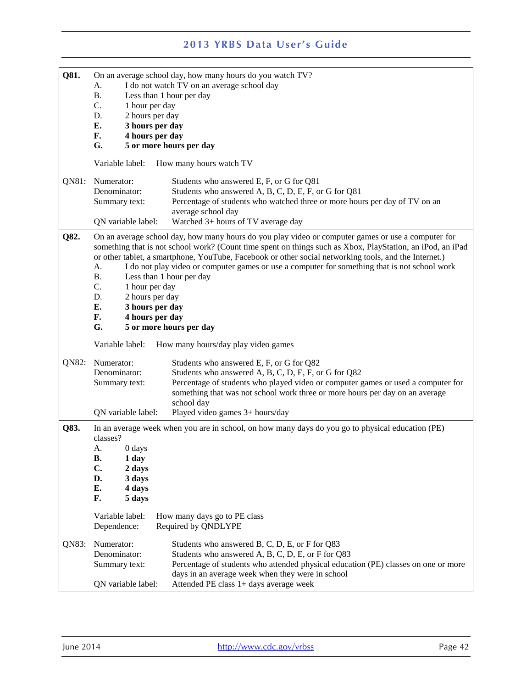| Q81.                                                                 | On an average school day, how many hours do you watch TV? |                                                                                                            |
|----------------------------------------------------------------------|-----------------------------------------------------------|------------------------------------------------------------------------------------------------------------|
|                                                                      | I do not watch TV on an average school day<br>A.          |                                                                                                            |
|                                                                      | <b>B.</b>                                                 | Less than 1 hour per day                                                                                   |
|                                                                      | C.<br>1 hour per day                                      |                                                                                                            |
|                                                                      | 2 hours per day<br>D.                                     |                                                                                                            |
|                                                                      | 3 hours per day<br>E.                                     |                                                                                                            |
|                                                                      | F.<br>4 hours per day                                     |                                                                                                            |
|                                                                      | G.                                                        | 5 or more hours per day                                                                                    |
|                                                                      | Variable label:                                           | How many hours watch TV                                                                                    |
| QN81:                                                                | Numerator:                                                | Students who answered E, F, or G for Q81                                                                   |
|                                                                      | Denominator:                                              | Students who answered A, B, C, D, E, F, or G for Q81                                                       |
|                                                                      | Summary text:                                             | Percentage of students who watched three or more hours per day of TV on an                                 |
|                                                                      |                                                           | average school day                                                                                         |
|                                                                      | QN variable label:                                        | Watched 3+ hours of TV average day                                                                         |
|                                                                      |                                                           |                                                                                                            |
| Q82.                                                                 |                                                           | On an average school day, how many hours do you play video or computer games or use a computer for         |
|                                                                      |                                                           | something that is not school work? (Count time spent on things such as Xbox, PlayStation, an iPod, an iPad |
|                                                                      |                                                           | or other tablet, a smartphone, YouTube, Facebook or other social networking tools, and the Internet.)      |
|                                                                      | A.<br><b>B.</b>                                           | I do not play video or computer games or use a computer for something that is not school work              |
|                                                                      | C.                                                        | Less than 1 hour per day                                                                                   |
|                                                                      | 1 hour per day<br>D.<br>2 hours per day                   |                                                                                                            |
|                                                                      | E.<br>3 hours per day                                     |                                                                                                            |
|                                                                      |                                                           |                                                                                                            |
|                                                                      | 4 hours per day<br>F.<br>G.<br>5 or more hours per day    |                                                                                                            |
|                                                                      | Variable label:<br>How many hours/day play video games    |                                                                                                            |
|                                                                      |                                                           |                                                                                                            |
| QN82:                                                                | Numerator:                                                | Students who answered E, F, or G for Q82                                                                   |
| Denominator:<br>Students who answered A, B, C, D, E, F, or G for Q82 |                                                           |                                                                                                            |
|                                                                      | Summary text:                                             | Percentage of students who played video or computer games or used a computer for                           |
|                                                                      |                                                           | something that was not school work three or more hours per day on an average                               |
|                                                                      |                                                           | school day                                                                                                 |
|                                                                      | QN variable label:                                        | Played video games 3+ hours/day                                                                            |
| Q83.                                                                 | classes?                                                  | In an average week when you are in school, on how many days do you go to physical education (PE)           |
|                                                                      | 0 days<br>A.                                              |                                                                                                            |
|                                                                      | <b>B.</b><br>1 day                                        |                                                                                                            |
|                                                                      | C.<br>2 days                                              |                                                                                                            |
|                                                                      | D.<br>3 days                                              |                                                                                                            |
|                                                                      | E.<br>4 days                                              |                                                                                                            |
|                                                                      | F.<br>5 days                                              |                                                                                                            |
|                                                                      | Variable label:                                           | How many days go to PE class                                                                               |
|                                                                      | Dependence:                                               | Required by QNDLYPE                                                                                        |
| QN83:                                                                | Numerator:                                                | Students who answered B, C, D, E, or F for Q83                                                             |
|                                                                      | Denominator:                                              | Students who answered A, B, C, D, E, or F for Q83                                                          |
|                                                                      | Summary text:                                             | Percentage of students who attended physical education (PE) classes on one or more                         |
|                                                                      |                                                           | days in an average week when they were in school                                                           |
|                                                                      | QN variable label:                                        | Attended PE class 1+ days average week                                                                     |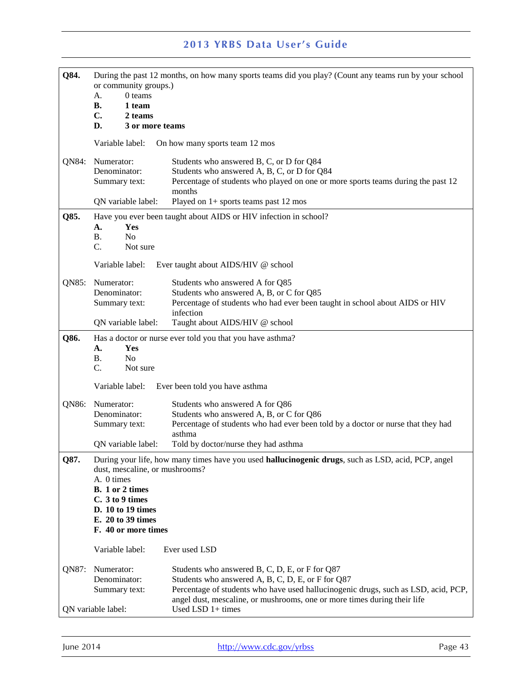| Q84.  | or community groups.)<br>0 teams<br>A.<br><b>B.</b><br>1 team<br>$C_{\bullet}$<br>2 teams<br>D.                                                                                                                                                                                                                                                                                                     | During the past 12 months, on how many sports teams did you play? (Count any teams run by your school<br>3 or more teams                                                                                                       |
|-------|-----------------------------------------------------------------------------------------------------------------------------------------------------------------------------------------------------------------------------------------------------------------------------------------------------------------------------------------------------------------------------------------------------|--------------------------------------------------------------------------------------------------------------------------------------------------------------------------------------------------------------------------------|
|       | Variable label:                                                                                                                                                                                                                                                                                                                                                                                     | On how many sports team 12 mos                                                                                                                                                                                                 |
| QN84: | Numerator:<br>Denominator:<br>Summary text:<br>QN variable label:                                                                                                                                                                                                                                                                                                                                   | Students who answered B, C, or D for Q84<br>Students who answered A, B, C, or D for Q84<br>Percentage of students who played on one or more sports teams during the past 12<br>months<br>Played on 1+ sports teams past 12 mos |
| Q85.  | Yes<br>А.<br>N <sub>o</sub><br><b>B.</b><br>C.<br>Not sure<br>Variable label:                                                                                                                                                                                                                                                                                                                       | Have you ever been taught about AIDS or HIV infection in school?<br>Ever taught about AIDS/HIV @ school                                                                                                                        |
| QN85: | Numerator:<br>Denominator:<br>Summary text:<br>QN variable label:                                                                                                                                                                                                                                                                                                                                   | Students who answered A for Q85<br>Students who answered A, B, or C for Q85<br>Percentage of students who had ever been taught in school about AIDS or HIV<br>infection<br>Taught about AIDS/HIV @ school                      |
| Q86.  | Has a doctor or nurse ever told you that you have asthma?<br>A.<br><b>Yes</b><br>No<br>Β.<br>C.<br>Not sure<br>Variable label:<br>Ever been told you have asthma                                                                                                                                                                                                                                    |                                                                                                                                                                                                                                |
| QN86: | Numerator:<br>Denominator:<br>Summary text:<br>QN variable label:                                                                                                                                                                                                                                                                                                                                   | Students who answered A for Q86<br>Students who answered A, B, or C for Q86<br>Percentage of students who had ever been told by a doctor or nurse that they had<br>asthma<br>Told by doctor/nurse they had asthma              |
| Q87.  | During your life, how many times have you used hallucinogenic drugs, such as LSD, acid, PCP, angel<br>dust, mescaline, or mushrooms?<br>A. 0 times<br>B. 1 or 2 times<br>C. 3 to 9 times<br>D. 10 to 19 times<br>E. 20 to 39 times<br>F. 40 or more times                                                                                                                                           |                                                                                                                                                                                                                                |
| QN87: | Variable label:<br>Ever used LSD<br>Numerator:<br>Students who answered B, C, D, E, or F for Q87<br>Denominator:<br>Students who answered A, B, C, D, E, or F for Q87<br>Percentage of students who have used hallucinogenic drugs, such as LSD, acid, PCP,<br>Summary text:<br>angel dust, mescaline, or mushrooms, one or more times during their life<br>Used LSD 1+ times<br>QN variable label: |                                                                                                                                                                                                                                |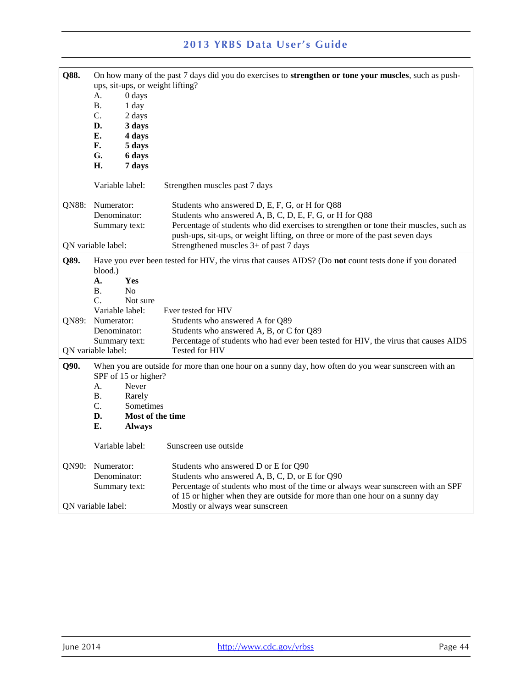| Q88.  | А.<br>В.<br>C.<br>D.<br>E.<br>F.<br>G.<br>Н.                      | ups, sit-ups, or weight lifting?<br>0 days<br>1 day<br>2 days<br>3 days<br>4 days<br>5 days<br>6 days<br>7 days | On how many of the past 7 days did you do exercises to <b>strengthen or tone your muscles</b> , such as push-                                                                                                                                                                                |
|-------|-------------------------------------------------------------------|-----------------------------------------------------------------------------------------------------------------|----------------------------------------------------------------------------------------------------------------------------------------------------------------------------------------------------------------------------------------------------------------------------------------------|
| QN88: | Variable label:<br>Numerator:                                     |                                                                                                                 | Strengthen muscles past 7 days<br>Students who answered D, E, F, G, or H for Q88                                                                                                                                                                                                             |
|       | Denominator:<br>Summary text:<br>QN variable label:               |                                                                                                                 | Students who answered A, B, C, D, E, F, G, or H for Q88<br>Percentage of students who did exercises to strengthen or tone their muscles, such as<br>push-ups, sit-ups, or weight lifting, on three or more of the past seven days<br>Strengthened muscles 3+ of past 7 days                  |
| Q89.  | blood.)<br>А.<br>B.<br>$C_{\cdot}$<br>Variable label:             | <b>Yes</b><br>N <sub>0</sub><br>Not sure                                                                        | Have you ever been tested for HIV, the virus that causes AIDS? (Do not count tests done if you donated<br>Ever tested for HIV                                                                                                                                                                |
| QN89: | Numerator:<br>Denominator:<br>Summary text:<br>QN variable label: |                                                                                                                 | Students who answered A for Q89<br>Students who answered A, B, or C for Q89<br>Percentage of students who had ever been tested for HIV, the virus that causes AIDS<br><b>Tested for HIV</b>                                                                                                  |
| Q90.  | SPF of 15 or higher?<br>А.<br>В.<br>C.<br>D.<br>Е.                | Never<br>Rarely<br>Sometimes<br>Most of the time<br><b>Always</b>                                               | When you are outside for more than one hour on a sunny day, how often do you wear sunscreen with an                                                                                                                                                                                          |
|       | Variable label:                                                   |                                                                                                                 | Sunscreen use outside                                                                                                                                                                                                                                                                        |
| QN90: | Numerator:<br>Denominator:<br>Summary text:<br>QN variable label: |                                                                                                                 | Students who answered D or E for Q90<br>Students who answered A, B, C, D, or E for Q90<br>Percentage of students who most of the time or always wear sunscreen with an SPF<br>of 15 or higher when they are outside for more than one hour on a sunny day<br>Mostly or always wear sunscreen |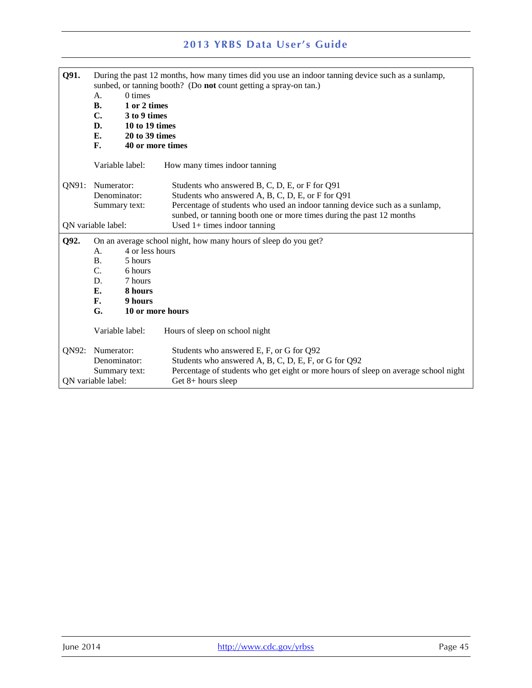| Q91.               | During the past 12 months, how many times did you use an indoor tanning device such as a sunlamp,<br>sunbed, or tanning booth? (Do not count getting a spray-on tan.)<br>$0 \times$<br>A.<br><b>B.</b><br>1 or 2 times<br>$\mathbf{C}$ .<br>3 to 9 times<br>D.<br>10 to 19 times<br>E.<br>20 to 39 times<br>$\mathbf{F}$ .<br>40 or more times |                 |                                                                                                                                                                                                                                                                                              |
|--------------------|------------------------------------------------------------------------------------------------------------------------------------------------------------------------------------------------------------------------------------------------------------------------------------------------------------------------------------------------|-----------------|----------------------------------------------------------------------------------------------------------------------------------------------------------------------------------------------------------------------------------------------------------------------------------------------|
|                    |                                                                                                                                                                                                                                                                                                                                                | Variable label: | How many times indoor tanning                                                                                                                                                                                                                                                                |
| ON91:              | Numerator:<br>Denominator:<br>Summary text:<br>QN variable label:                                                                                                                                                                                                                                                                              |                 | Students who answered B, C, D, E, or F for Q91<br>Students who answered A, B, C, D, E, or F for Q91<br>Percentage of students who used an indoor tanning device such as a sunlamp,<br>sunbed, or tanning booth one or more times during the past 12 months<br>Used $1+$ times indoor tanning |
| Q92.               | On an average school night, how many hours of sleep do you get?                                                                                                                                                                                                                                                                                |                 |                                                                                                                                                                                                                                                                                              |
|                    | 4 or less hours<br>A.                                                                                                                                                                                                                                                                                                                          |                 |                                                                                                                                                                                                                                                                                              |
|                    | <b>B.</b>                                                                                                                                                                                                                                                                                                                                      | 5 hours         |                                                                                                                                                                                                                                                                                              |
|                    | $C_{\cdot}$                                                                                                                                                                                                                                                                                                                                    | 6 hours         |                                                                                                                                                                                                                                                                                              |
|                    | D.                                                                                                                                                                                                                                                                                                                                             | 7 hours         |                                                                                                                                                                                                                                                                                              |
|                    | E.                                                                                                                                                                                                                                                                                                                                             | 8 hours         |                                                                                                                                                                                                                                                                                              |
|                    | F.                                                                                                                                                                                                                                                                                                                                             | 9 hours         |                                                                                                                                                                                                                                                                                              |
|                    | G.                                                                                                                                                                                                                                                                                                                                             |                 | 10 or more hours                                                                                                                                                                                                                                                                             |
|                    |                                                                                                                                                                                                                                                                                                                                                | Variable label: | Hours of sleep on school night                                                                                                                                                                                                                                                               |
| QN92:              | Numerator:                                                                                                                                                                                                                                                                                                                                     |                 | Students who answered E, F, or G for Q92                                                                                                                                                                                                                                                     |
|                    | Denominator:                                                                                                                                                                                                                                                                                                                                   |                 | Students who answered A, B, C, D, E, F, or G for Q92                                                                                                                                                                                                                                         |
|                    |                                                                                                                                                                                                                                                                                                                                                | Summary text:   | Percentage of students who get eight or more hours of sleep on average school night                                                                                                                                                                                                          |
| QN variable label: |                                                                                                                                                                                                                                                                                                                                                |                 | Get $8+$ hours sleep                                                                                                                                                                                                                                                                         |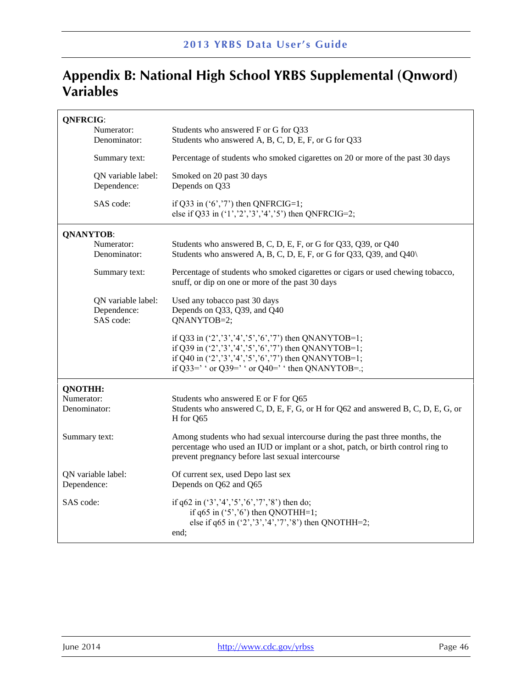# **Appendix B: National High School YRBS Supplemental (Qnword) Variables**

| <b>QNFRCIG:</b>            | Numerator:                                     | Students who answered F or G for Q33                                                                                                                                                                                                        |
|----------------------------|------------------------------------------------|---------------------------------------------------------------------------------------------------------------------------------------------------------------------------------------------------------------------------------------------|
|                            | Denominator:                                   | Students who answered A, B, C, D, E, F, or G for Q33                                                                                                                                                                                        |
|                            | Summary text:                                  | Percentage of students who smoked cigarettes on 20 or more of the past 30 days                                                                                                                                                              |
|                            | QN variable label:<br>Dependence:              | Smoked on 20 past 30 days<br>Depends on Q33                                                                                                                                                                                                 |
|                            | SAS code:                                      | if Q33 in $(6', 7')$ then QNFRCIG=1;<br>else if Q33 in $(1', 2', 3', 4', 5')$ then QNFRCIG=2;                                                                                                                                               |
| <b>QNANYTOB:</b>           |                                                |                                                                                                                                                                                                                                             |
|                            | Numerator:<br>Denominator:                     | Students who answered B, C, D, E, F, or G for Q33, Q39, or Q40<br>Students who answered A, B, C, D, E, F, or G for Q33, Q39, and Q40\                                                                                                       |
|                            | Summary text:                                  | Percentage of students who smoked cigarettes or cigars or used chewing tobacco,<br>snuff, or dip on one or more of the past 30 days                                                                                                         |
|                            | QN variable label:<br>Dependence:<br>SAS code: | Used any tobacco past 30 days<br>Depends on Q33, Q39, and Q40<br>QNANYTOB=2;                                                                                                                                                                |
|                            |                                                | if Q33 in $(2', 3', 4', 5', 6', 7)$ then QNANYTOB=1;<br>if Q39 in $(2', 3', 4', 5', 6', 7)$ then QNANYTOB=1;<br>if Q40 in ('2','3','4','5','6','7') then QNANYTOB=1;<br>if Q33=' $\cdot$ or Q39=' $\cdot$ or Q40=' $\cdot$ then QNANYTOB=.; |
| <b>QNOTHH:</b>             |                                                |                                                                                                                                                                                                                                             |
| Numerator:<br>Denominator: |                                                | Students who answered E or F for Q65<br>Students who answered C, D, E, F, G, or H for Q62 and answered B, C, D, E, G, or<br>H for Q65                                                                                                       |
| Summary text:              |                                                | Among students who had sexual intercourse during the past three months, the<br>percentage who used an IUD or implant or a shot, patch, or birth control ring to<br>prevent pregnancy before last sexual intercourse                         |
| Dependence:                | QN variable label:                             | Of current sex, used Depo last sex<br>Depends on Q62 and Q65                                                                                                                                                                                |
| SAS code:                  |                                                | if q62 in $(*3, '4', '5', '6', '7', '8')$ then do;<br>if $q65$ in $('5', '6')$ then QNOTHH=1;<br>else if $q65$ in $('2', '3', '4', '7', '8')$ then QNOTHH=2;<br>end:                                                                        |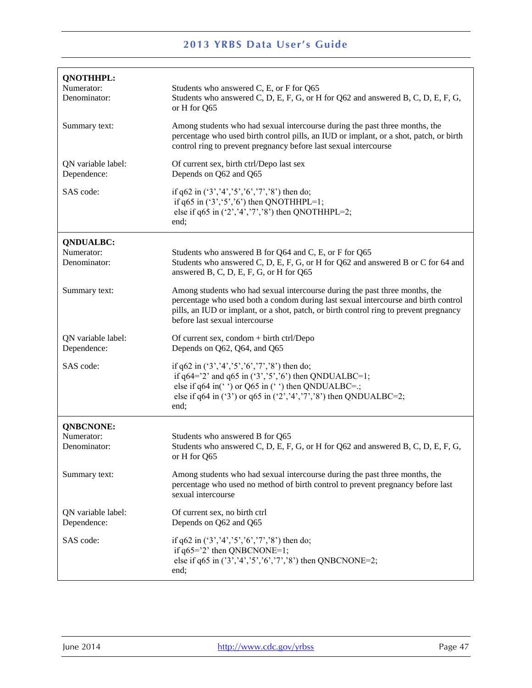| <b>QNOTHHPL:</b><br>Numerator:<br>Denominator: | Students who answered C, E, or F for Q65<br>Students who answered C, D, E, F, G, or H for Q62 and answered B, C, D, E, F, G,<br>or H for Q65                                                                                                                                                  |
|------------------------------------------------|-----------------------------------------------------------------------------------------------------------------------------------------------------------------------------------------------------------------------------------------------------------------------------------------------|
| Summary text:                                  | Among students who had sexual intercourse during the past three months, the<br>percentage who used birth control pills, an IUD or implant, or a shot, patch, or birth<br>control ring to prevent pregnancy before last sexual intercourse                                                     |
| QN variable label:<br>Dependence:              | Of current sex, birth ctrl/Depo last sex<br>Depends on Q62 and Q65                                                                                                                                                                                                                            |
| SAS code:                                      | if q62 in $(3', 4', 5', 6', 7', 8')$ then do;<br>if q65 in $(3, 5, 6)$ then QNOTHHPL=1;<br>else if q65 in $(2', 4', 7', 8')$ then QNOTHHPL=2;<br>end;                                                                                                                                         |
| <b>QNDUALBC:</b><br>Numerator:<br>Denominator: | Students who answered B for Q64 and C, E, or F for Q65<br>Students who answered C, D, E, F, G, or H for Q62 and answered B or C for 64 and<br>answered B, C, D, E, F, G, or H for Q65                                                                                                         |
| Summary text:                                  | Among students who had sexual intercourse during the past three months, the<br>percentage who used both a condom during last sexual intercourse and birth control<br>pills, an IUD or implant, or a shot, patch, or birth control ring to prevent pregnancy<br>before last sexual intercourse |
| QN variable label:<br>Dependence:              | Of current sex, condom + birth ctrl/Depo<br>Depends on Q62, Q64, and Q65                                                                                                                                                                                                                      |
| SAS code:                                      | if q62 in $(*3', 4', 5', 6', 7', 8')$ then do;<br>if $q64 = ?$ and $q65$ in $(3', 5', 6')$ then QNDUALBC=1;<br>else if q64 in( $\degree$ ) or Q65 in ( $\degree$ ) then QNDUALBC=.;<br>else if q64 in ('3') or q65 in ('2','4','7','8') then QNDUALBC=2;<br>end;                              |
| <b>QNBCNONE:</b>                               |                                                                                                                                                                                                                                                                                               |
| Numerator:<br>Denominator:                     | Students who answered B for Q65<br>Students who answered C, D, E, F, G, or H for Q62 and answered B, C, D, E, F, G,<br>or H for Q65                                                                                                                                                           |
| Summary text:                                  | Among students who had sexual intercourse during the past three months, the<br>percentage who used no method of birth control to prevent pregnancy before last<br>sexual intercourse                                                                                                          |
| QN variable label:<br>Dependence:              | Of current sex, no birth ctrl<br>Depends on Q62 and Q65                                                                                                                                                                                                                                       |
| SAS code:                                      | if q62 in $(*3', 4', 5', 6', 7', 8')$ then do;<br>if $q65 = ?$ then QNBCNONE=1;<br>else if $q65$ in $('3', '4', '5', '6', '7', '8')$ then QNBCNONE=2;<br>end;                                                                                                                                 |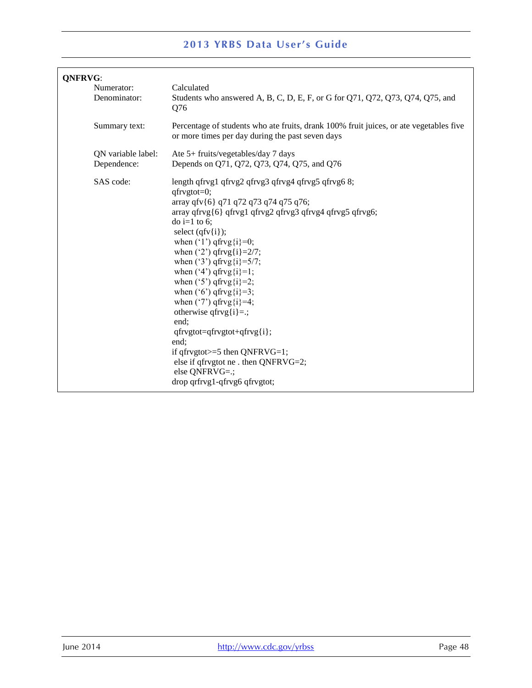| <b>ONFRVG:</b>                    |                                                                                                                                                                                                                                                                                                                                                                                                                                                                                                                                                                                                                                                                                    |  |
|-----------------------------------|------------------------------------------------------------------------------------------------------------------------------------------------------------------------------------------------------------------------------------------------------------------------------------------------------------------------------------------------------------------------------------------------------------------------------------------------------------------------------------------------------------------------------------------------------------------------------------------------------------------------------------------------------------------------------------|--|
| Numerator:<br>Denominator:        | Calculated<br>Students who answered A, B, C, D, E, F, or G for Q71, Q72, Q73, Q74, Q75, and<br>Q76                                                                                                                                                                                                                                                                                                                                                                                                                                                                                                                                                                                 |  |
| Summary text:                     | Percentage of students who ate fruits, drank 100% fruit juices, or ate vegetables five<br>or more times per day during the past seven days                                                                                                                                                                                                                                                                                                                                                                                                                                                                                                                                         |  |
| QN variable label:<br>Dependence: | Ate 5+ fruits/vegetables/day 7 days<br>Depends on Q71, Q72, Q73, Q74, Q75, and Q76                                                                                                                                                                                                                                                                                                                                                                                                                                                                                                                                                                                                 |  |
| SAS code:                         | length qfrvg1 qfrvg2 qfrvg3 qfrvg4 qfrvg5 qfrvg6 8;<br>$qfrygtot=0;$<br>array qfv{6} q71 q72 q73 q74 q75 q76;<br>array qfrvg{6} qfrvg1 qfrvg2 qfrvg3 qfrvg4 qfrvg5 qfrvg6;<br>$\frac{1}{2}$ to 6;<br>select $(qfv{i})$ ;<br>when $('1')$ qfrvg $(i)=0$ ;<br>when $('2')$ qfrvg $\{i\} = 2/7$ ;<br>when ('3') qfrvg{i}= $5/7$ ;<br>when $('4')$ qfrvg $\{i\} = 1$ ;<br>when $('5')$ qfrvg $(i)=2$ ;<br>when $('6')$ qfrvg $(i)=3$ ;<br>when $('7')$ qfrvg $\{i\}$ =4;<br>otherwise qfrvg{i}=.;<br>end:<br>$qfrygtot = qfrygtot + qfryg{i};$<br>end:<br>if qfrvgtot $>=$ 5 then QNFRVG=1;<br>else if qfrvgtot ne . then QNFRVG=2;<br>else QNFRVG=.;<br>drop qrfrvg1-qfrvg6 qfrvgtot; |  |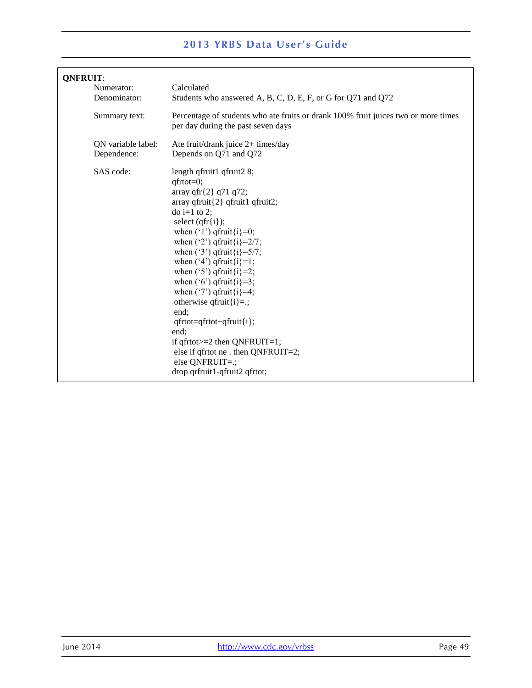| <b>QNFRUIT:</b>                   |                                                                                                                                                                                                                                                                                                                                                                                                                                                                                                                                                                                                                                                       |  |
|-----------------------------------|-------------------------------------------------------------------------------------------------------------------------------------------------------------------------------------------------------------------------------------------------------------------------------------------------------------------------------------------------------------------------------------------------------------------------------------------------------------------------------------------------------------------------------------------------------------------------------------------------------------------------------------------------------|--|
| Numerator:                        | Calculated                                                                                                                                                                                                                                                                                                                                                                                                                                                                                                                                                                                                                                            |  |
| Denominator:                      | Students who answered A, B, C, D, E, F, or G for Q71 and Q72                                                                                                                                                                                                                                                                                                                                                                                                                                                                                                                                                                                          |  |
| Summary text:                     | Percentage of students who ate fruits or drank 100% fruit juices two or more times<br>per day during the past seven days                                                                                                                                                                                                                                                                                                                                                                                                                                                                                                                              |  |
| QN variable label:<br>Dependence: | Ate fruit/drank juice 2+ times/day<br>Depends on Q71 and Q72                                                                                                                                                                                                                                                                                                                                                                                                                                                                                                                                                                                          |  |
| SAS code:                         | length qfruit1 qfruit2 8;<br>$qfrtot=0;$<br>array qfr ${2}$ q71 q72;<br>$array$ qfruit $\{2\}$ qfruit1 qfruit2;<br>$\phi$ i=1 to 2;<br>select $(qfr{i})$ ;<br>when $('1')$ qfruit $\{i\} = 0$ ;<br>when $('2')$ qfruit $\{i\} = 2/7$ ;<br>when $('3')$ qfruit $\{i\} = 5/7$ ;<br>when $(4')$ qfruit $\{i\} = 1$ ;<br>when $('5')$ qfruit $\{i\} = 2$ ;<br>when $(6')$ qfruit $\{i\} = 3$ ;<br>when $('7')$ qfruit $\{i\} = 4$ ;<br>otherwise qfruit $\{i\} =$ ;<br>end:<br>$qfrtot = qfrtot + qfruit\{i}\;$<br>end;<br>if $qfrtot = 2$ then $QNFRUIT = 1$ ;<br>else if qfrtot ne. then QNFRUIT=2;<br>else QNFRUIT=.;<br>drop qrfruit1-qfruit2 qfrtot; |  |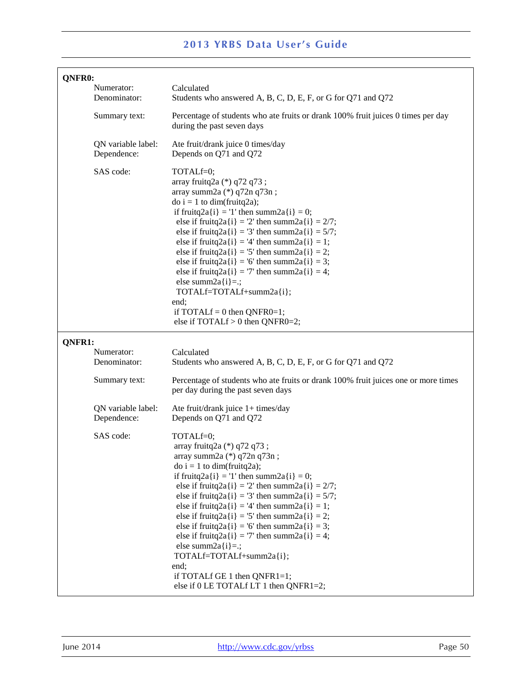| QNFR0:                            |                                                                                                                                                                                                                                                                                                                                                                                                                                                                                                                                                                                                              |
|-----------------------------------|--------------------------------------------------------------------------------------------------------------------------------------------------------------------------------------------------------------------------------------------------------------------------------------------------------------------------------------------------------------------------------------------------------------------------------------------------------------------------------------------------------------------------------------------------------------------------------------------------------------|
| Numerator:<br>Denominator:        | Calculated<br>Students who answered A, B, C, D, E, F, or G for Q71 and Q72                                                                                                                                                                                                                                                                                                                                                                                                                                                                                                                                   |
| Summary text:                     | Percentage of students who ate fruits or drank 100% fruit juices 0 times per day<br>during the past seven days                                                                                                                                                                                                                                                                                                                                                                                                                                                                                               |
| QN variable label:<br>Dependence: | Ate fruit/drank juice 0 times/day<br>Depends on Q71 and Q72                                                                                                                                                                                                                                                                                                                                                                                                                                                                                                                                                  |
| SAS code:                         | TOTALf=0;<br>array fruitq2a (*) q72 q73;<br>array summ2a (*) q72n q73n;<br>$\phi$ i = 1 to dim(fruitq2a);<br>if fruitq2a{i} = '1' then summ2a{i} = 0;<br>else if fruitq2a{i} = '2' then summ2a{i} = $2/7$ ;<br>else if fruitq2a{i} = '3' then summ2a{i} = $5/7$ ;<br>else if fruitq2a{i} = '4' then summ2a{i} = 1;<br>else if fruitq2a{i} = '5' then summ2a{i} = 2;<br>else if fruitq2a{i} = '6' then summ2a{i} = 3;<br>else if fruitq2a{i} = '7' then summ2a{i} = 4;<br>else summ $2a[i]=$ .;<br>TOTALf=TOTALf+summ2a{i};<br>end;<br>if TOTAL $f = 0$ then QNFR0=1;<br>else if TOTALf > 0 then QNFR0=2;     |
| QNFR1:                            |                                                                                                                                                                                                                                                                                                                                                                                                                                                                                                                                                                                                              |
| Numerator:<br>Denominator:        | Calculated<br>Students who answered A, B, C, D, E, F, or G for Q71 and Q72                                                                                                                                                                                                                                                                                                                                                                                                                                                                                                                                   |
| Summary text:                     | Percentage of students who ate fruits or drank 100% fruit juices one or more times<br>per day during the past seven days                                                                                                                                                                                                                                                                                                                                                                                                                                                                                     |
| QN variable label:<br>Dependence: | Ate fruit/drank juice $1+$ times/day<br>Depends on Q71 and Q72                                                                                                                                                                                                                                                                                                                                                                                                                                                                                                                                               |
| SAS code:                         | TOTALf=0;<br>array fruitq2a (*) q72 q73;<br>array summ2a (*) q72n q73n;<br>$\phi$ i = 1 to dim(fruitq2a);<br>if fruitq2a{i} = '1' then summ2a{i} = 0;<br>else if fruitq2a{i} = '2' then summ2a{i} = $2/7$ ;<br>else if fruitq2a{i} = '3' then summ2a{i} = $5/7$ ;<br>else if fruitq2a{i} = '4' then summ2a{i} = 1;<br>else if fruitq2a{i} = '5' then summ2a{i} = 2;<br>else if fruitq2a{i} = '6' then summ2a{i} = 3;<br>else if fruitq2a{i} = '7' then summ2a{i} = 4;<br>else summ $2a[i]=$ .;<br>TOTALf=TOTALf+summ2a{i};<br>end;<br>if TOTALf GE 1 then QNFR1=1;<br>else if 0 LE TOTALf LT 1 then QNFR1=2; |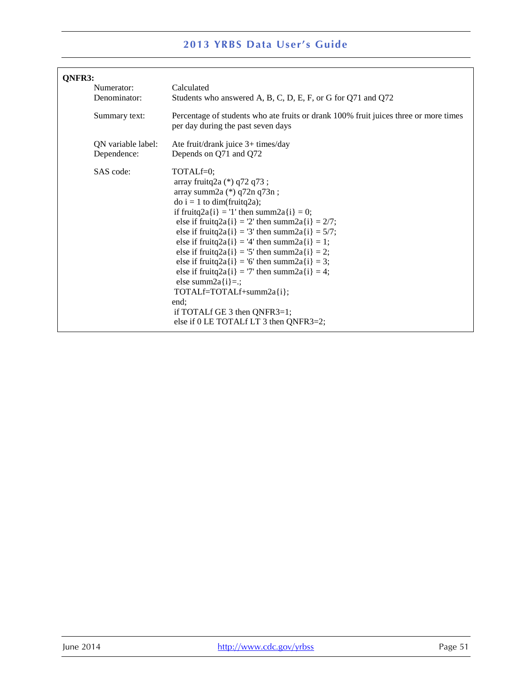| QNFR3: |                                   |                                                                                                                                                                                                                                                                                                                                                                                                                                                                                                                                                                                                              |
|--------|-----------------------------------|--------------------------------------------------------------------------------------------------------------------------------------------------------------------------------------------------------------------------------------------------------------------------------------------------------------------------------------------------------------------------------------------------------------------------------------------------------------------------------------------------------------------------------------------------------------------------------------------------------------|
|        | Numerator:<br>Denominator:        | Calculated<br>Students who answered A, B, C, D, E, F, or G for Q71 and Q72                                                                                                                                                                                                                                                                                                                                                                                                                                                                                                                                   |
|        | Summary text:                     | Percentage of students who ate fruits or drank 100% fruit juices three or more times<br>per day during the past seven days                                                                                                                                                                                                                                                                                                                                                                                                                                                                                   |
|        | QN variable label:<br>Dependence: | Ate fruit/drank juice 3+ times/day<br>Depends on Q71 and Q72                                                                                                                                                                                                                                                                                                                                                                                                                                                                                                                                                 |
|        | SAS code:                         | TOTALf=0;<br>array fruitq2a (*) q72 q73;<br>array summ2a (*) q72n q73n;<br>$\phi$ i = 1 to dim(fruitq2a);<br>if fruitq2a{i} = '1' then summ2a{i} = 0;<br>else if fruitq2a{i} = '2' then summ2a{i} = $2/7$ ;<br>else if fruitq2a{i} = '3' then summ2a{i} = $5/7$ ;<br>else if fruitq2a{i} = '4' then summ2a{i} = 1;<br>else if fruitq2a{i} = '5' then summ2a{i} = 2;<br>else if fruitq2a{i} = '6' then summ2a{i} = 3;<br>else if fruitq2a{i} = '7' then summ2a{i} = 4;<br>else summ $2a[i]=$ .;<br>TOTALf=TOTALf+summ2a{i};<br>end:<br>if TOTALf GE 3 then QNFR3=1;<br>else if 0 LE TOTALf LT 3 then QNFR3=2; |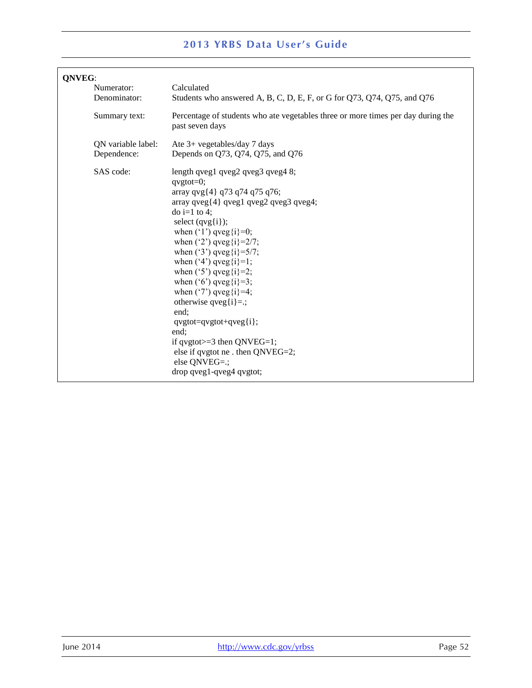| QNVEG:                            |                                                                                                                                                                                                                                                                                                                                                                                                                                                                                                                                                                                                                                                                                  |  |  |
|-----------------------------------|----------------------------------------------------------------------------------------------------------------------------------------------------------------------------------------------------------------------------------------------------------------------------------------------------------------------------------------------------------------------------------------------------------------------------------------------------------------------------------------------------------------------------------------------------------------------------------------------------------------------------------------------------------------------------------|--|--|
| Numerator:                        | Calculated                                                                                                                                                                                                                                                                                                                                                                                                                                                                                                                                                                                                                                                                       |  |  |
| Denominator:                      | Students who answered A, B, C, D, E, F, or G for Q73, Q74, Q75, and Q76                                                                                                                                                                                                                                                                                                                                                                                                                                                                                                                                                                                                          |  |  |
| Summary text:                     | Percentage of students who ate vegetables three or more times per day during the<br>past seven days                                                                                                                                                                                                                                                                                                                                                                                                                                                                                                                                                                              |  |  |
| QN variable label:<br>Dependence: | Ate 3+ vegetables/day 7 days<br>Depends on Q73, Q74, Q75, and Q76                                                                                                                                                                                                                                                                                                                                                                                                                                                                                                                                                                                                                |  |  |
| SAS code:                         | length qveg $1$ qveg $2$ qveg $3$ qveg $48$ ;<br>$q$ vgtot=0;<br>array qvg $\{4\}$ q73 q74 q75 q76;<br>$array$ qveg $\{4\}$ qveg $1$ qveg $2$ qveg $3$ qveg $4$ ;<br>$\frac{1}{2}$ to 4:<br>select $(qvg{i})$ ;<br>when $('1')$ qveg $(i)=0;$<br>when $('2')$ qveg $\{i\} = 2/7$ ;<br>when $('3')$ qveg $\{i\} = 5/7$ ;<br>when $('4')$ qveg $\{i\} = 1$ ;<br>when $('5')$ qveg $(i)=2;$<br>when $('6')$ qveg $(i)=3;$<br>when $('7')$ qveg $\{i\} = 4;$<br>otherwise $q \vee q[i]=$ .;<br>end:<br>$q\nu g\ntot = q\nu g\ntot + q\nu eg\ni ;$<br>end:<br>if qvgtot $>=$ 3 then QNVEG $=$ 1;<br>else if qvgtot ne . then $QNVEG=2$ ;<br>else QNVEG=.;<br>drop qveg1-qveg4 qvgtot; |  |  |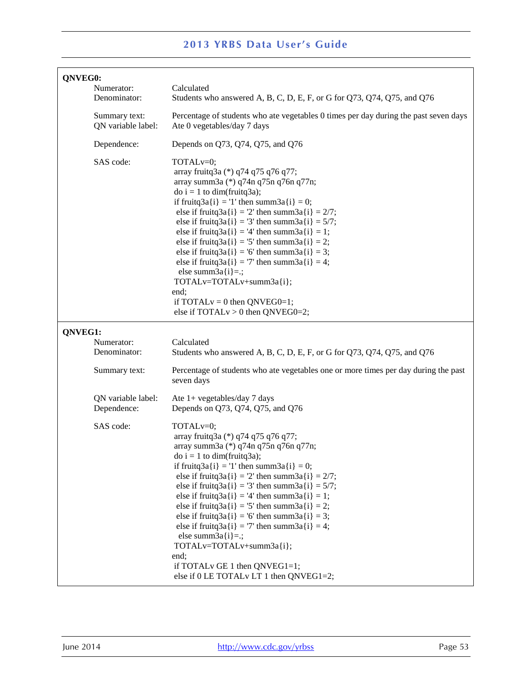| QNVEG0: | Numerator:<br>Denominator:          | Calculated<br>Students who answered A, B, C, D, E, F, or G for Q73, Q74, Q75, and Q76                                                                                                                                                                                                                                                                                                                                                                                                                                                                                                                                                                                                            |
|---------|-------------------------------------|--------------------------------------------------------------------------------------------------------------------------------------------------------------------------------------------------------------------------------------------------------------------------------------------------------------------------------------------------------------------------------------------------------------------------------------------------------------------------------------------------------------------------------------------------------------------------------------------------------------------------------------------------------------------------------------------------|
|         | Summary text:<br>QN variable label: | Percentage of students who ate vegetables 0 times per day during the past seven days<br>Ate 0 vegetables/day 7 days                                                                                                                                                                                                                                                                                                                                                                                                                                                                                                                                                                              |
|         | Dependence:                         | Depends on Q73, Q74, Q75, and Q76                                                                                                                                                                                                                                                                                                                                                                                                                                                                                                                                                                                                                                                                |
|         | SAS code:                           | TOTAL <sub>v=0</sub> ;<br>array fruitq3a (*) q74 q75 q76 q77;<br>array summ3a (*) q74n q75n q76n q77n;<br>$\phi$ i = 1 to dim(fruitq3a);<br>if fruitq3a{i} = '1' then summ3a{i} = 0;<br>else if fruitq3a{i} = '2' then summ3a{i} = $2/7$ ;<br>else if fruitq $3a[i] = 3'$ then summ $3a[i] = 5/7$ ;<br>else if fruitq3a{i} = '4' then summ3a{i} = 1;<br>else if fruitq $3a(i) = 5$ ' then summ $3a(i) = 2$ ;<br>else if fruitq $3a[i] = 6'$ then summ $3a[i] = 3$ ;<br>else if fruitq $3a[i] = 7$ ' then summ $3a[i] = 4$ ;<br>else summ $3a[i]=$ .;<br>TOTALv=TOTALv+summ3a{i};<br>end;<br>if TOTAL $v = 0$ then QNVEG0=1;<br>else if $TOTALv > 0$ then $QNVEG0=2$ ;                            |
| QNVEG1: |                                     |                                                                                                                                                                                                                                                                                                                                                                                                                                                                                                                                                                                                                                                                                                  |
|         | Numerator:<br>Denominator:          | Calculated<br>Students who answered A, B, C, D, E, F, or G for Q73, Q74, Q75, and Q76                                                                                                                                                                                                                                                                                                                                                                                                                                                                                                                                                                                                            |
|         | Summary text:                       | Percentage of students who ate vegetables one or more times per day during the past<br>seven days                                                                                                                                                                                                                                                                                                                                                                                                                                                                                                                                                                                                |
|         | QN variable label:<br>Dependence:   | Ate $1+$ vegetables/day 7 days<br>Depends on Q73, Q74, Q75, and Q76                                                                                                                                                                                                                                                                                                                                                                                                                                                                                                                                                                                                                              |
|         | SAS code:                           | TOTAL <sub>v=0</sub> ;<br>array fruitq3a (*) q74 q75 q76 q77;<br>array summ3a (*) q74n q75n q76n q77n;<br>$\text{do } i = 1 \text{ to } \text{dim}(\text{fruitq3a});$<br>if fruitq3a{i} = '1' then summ3a{i} = 0;<br>else if fruitq3a{i} = '2' then summ3a{i} = $2/7$ ;<br>else if fruitq3a{i} = '3' then summ3a{i} = $5/7$ ;<br>else if fruitq $3a[i] = 4'$ then summ $3a[i] = 1$ ;<br>else if fruitq $3a(i) = 5$ ' then summ $3a(i) = 2$ ;<br>else if fruitq3a{i} = '6' then summ3a{i} = 3;<br>else if fruitq $3a[i] = 7$ ' then summ $3a[i] = 4$ ;<br>else summ $3a[i]=$ .;<br>TOTALv=TOTALv+summ3a{i};<br>end;<br>if TOTAL v GE 1 then QNVEG1=1;<br>else if 0 LE TOTAL v LT 1 then QNVEG1=2; |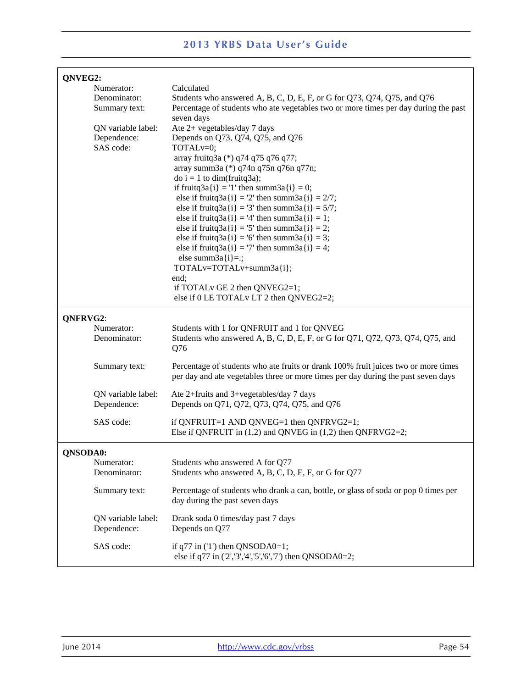| QNVEG2:         |                            |                                                                                     |  |
|-----------------|----------------------------|-------------------------------------------------------------------------------------|--|
|                 | Numerator:                 | Calculated                                                                          |  |
|                 | Denominator:               | Students who answered A, B, C, D, E, F, or G for Q73, Q74, Q75, and Q76             |  |
|                 | Summary text:              | Percentage of students who ate vegetables two or more times per day during the past |  |
|                 |                            | seven days                                                                          |  |
|                 | QN variable label:         | Ate 2+ vegetables/day 7 days                                                        |  |
|                 | Dependence:                | Depends on Q73, Q74, Q75, and Q76                                                   |  |
|                 | SAS code:                  | TOTAL <sub>v=0</sub> ;                                                              |  |
|                 |                            | array fruitq3a (*) q74 q75 q76 q77;                                                 |  |
|                 |                            | array summ3a (*) q74n q75n q76n q77n;                                               |  |
|                 |                            | $\phi$ i = 1 to dim(fruitq3a);                                                      |  |
|                 |                            | if fruitq3a{i} = '1' then summ3a{i} = 0;                                            |  |
|                 |                            | else if fruitq3a{i} = '2' then summ3a{i} = $2/7$ ;                                  |  |
|                 |                            | else if fruitq $3a[i] = 3'$ then summ $3a[i] = 5/7$ ;                               |  |
|                 |                            | else if fruitq $3a[i] = 4'$ then summ $3a[i] = 1$ ;                                 |  |
|                 |                            | else if fruitq $3a(i) = 5$ ' then summ $3a(i) = 2$ ;                                |  |
|                 |                            | else if fruitq $3a(i) = 6'$ then summ $3a(i) = 3$ ;                                 |  |
|                 |                            | else if fruitq $3a[i] = 7$ ' then summ $3a[i] = 4$ ;                                |  |
|                 |                            | else summ $3a[i]=$ .;                                                               |  |
|                 |                            | TOTALv=TOTALv+summ3a{i};                                                            |  |
|                 |                            | end;<br>if TOTALv GE 2 then QNVEG2=1;                                               |  |
|                 |                            | else if 0 LE TOTAL v LT 2 then QNVEG2=2;                                            |  |
|                 |                            |                                                                                     |  |
|                 | QNFRVG2:                   |                                                                                     |  |
|                 | Numerator:                 | Students with 1 for QNFRUIT and 1 for QNVEG                                         |  |
|                 | Denominator:               | Students who answered A, B, C, D, E, F, or G for Q71, Q72, Q73, Q74, Q75, and       |  |
|                 |                            | Q76                                                                                 |  |
|                 | Summary text:              | Percentage of students who ate fruits or drank 100% fruit juices two or more times  |  |
|                 |                            | per day and ate vegetables three or more times per day during the past seven days   |  |
|                 |                            |                                                                                     |  |
|                 | QN variable label:         | Ate 2+fruits and 3+vegetables/day 7 days                                            |  |
|                 | Dependence:                | Depends on Q71, Q72, Q73, Q74, Q75, and Q76                                         |  |
|                 | SAS code:                  | if QNFRUIT=1 AND QNVEG=1 then $QNFRVG2=1$ ;                                         |  |
|                 |                            | Else if QNFRUIT in $(1,2)$ and QNVEG in $(1,2)$ then QNFRVG2=2;                     |  |
|                 |                            |                                                                                     |  |
| <b>QNSODA0:</b> |                            |                                                                                     |  |
|                 | Numerator:<br>Denominator: | Students who answered A for Q77                                                     |  |
|                 |                            | Students who answered A, B, C, D, E, F, or G for Q77                                |  |
|                 | Summary text:              | Percentage of students who drank a can, bottle, or glass of soda or pop 0 times per |  |
|                 |                            | day during the past seven days                                                      |  |
|                 | QN variable label:         | Drank soda 0 times/day past 7 days                                                  |  |
|                 | Dependence:                | Depends on Q77                                                                      |  |
|                 |                            |                                                                                     |  |
|                 | SAS code:                  | if $q77$ in ('1') then QNSODA0=1;                                                   |  |
|                 |                            | else if q77 in ('2','3','4','5','6','7') then QNSODA0=2;                            |  |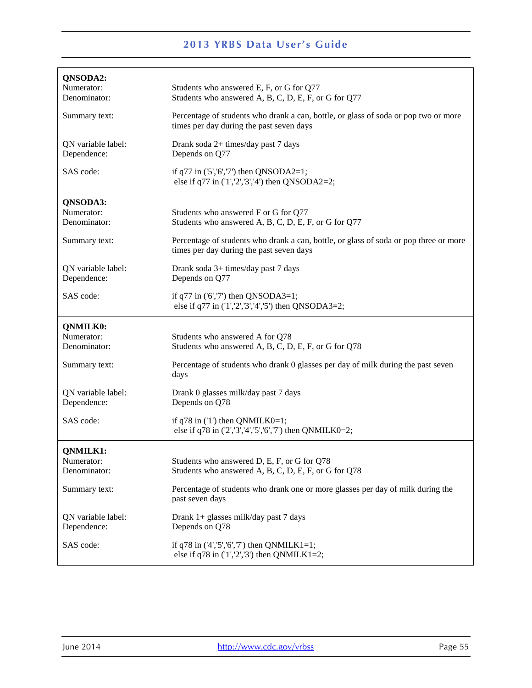| QNSODA2:<br>Numerator:<br>Denominator:        | Students who answered E, F, or G for Q77<br>Students who answered A, B, C, D, E, F, or G for Q77                                  |
|-----------------------------------------------|-----------------------------------------------------------------------------------------------------------------------------------|
| Summary text:                                 | Percentage of students who drank a can, bottle, or glass of soda or pop two or more<br>times per day during the past seven days   |
| QN variable label:<br>Dependence:             | Drank soda 2+ times/day past 7 days<br>Depends on Q77                                                                             |
| SAS code:                                     | if $q77$ in ('5', '6', '7') then QNSODA2=1;<br>else if q77 in $(1', 2', 3', 4')$ then QNSODA2=2;                                  |
| QNSODA3:<br>Numerator:<br>Denominator:        | Students who answered F or G for Q77<br>Students who answered A, B, C, D, E, F, or G for Q77                                      |
| Summary text:                                 | Percentage of students who drank a can, bottle, or glass of soda or pop three or more<br>times per day during the past seven days |
| QN variable label:<br>Dependence:             | Drank soda 3+ times/day past 7 days<br>Depends on Q77                                                                             |
| SAS code:                                     | if $q77$ in ('6','7') then QNSODA3=1;<br>else if q77 in $(1', 2', 3', 4', 5')$ then QNSODA3=2;                                    |
| <b>QNMILK0:</b><br>Numerator:<br>Denominator: | Students who answered A for Q78<br>Students who answered A, B, C, D, E, F, or G for Q78                                           |
| Summary text:                                 | Percentage of students who drank 0 glasses per day of milk during the past seven<br>days                                          |
| QN variable label:<br>Dependence:             | Drank 0 glasses milk/day past 7 days<br>Depends on Q78                                                                            |
|                                               |                                                                                                                                   |
| SAS code:                                     | if $q78$ in $(1')$ then QNMILK0=1;<br>else if q78 in ('2','3','4','5','6','7') then QNMILK0=2;                                    |
| <b>QNMILK1:</b><br>Numerator:<br>Denominator: | Students who answered D, E, F, or G for Q78<br>Students who answered A, B, C, D, E, F, or G for Q78                               |
| Summary text:                                 | Percentage of students who drank one or more glasses per day of milk during the<br>past seven days                                |
| QN variable label:<br>Dependence:             | Drank 1+ glasses milk/day past 7 days<br>Depends on Q78                                                                           |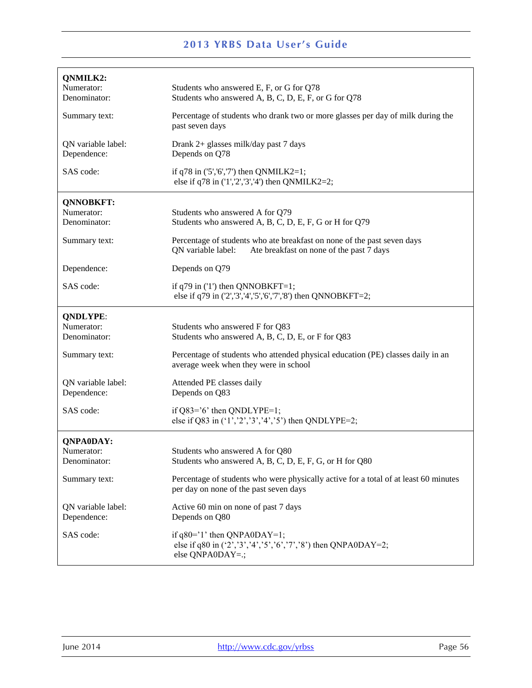| <b>2013 YRBS Data User's Guide</b>            |                                                                                                                                           |  |
|-----------------------------------------------|-------------------------------------------------------------------------------------------------------------------------------------------|--|
| QNMILK2:<br>Numerator:<br>Denominator:        | Students who answered E, F, or G for Q78<br>Students who answered A, B, C, D, E, F, or G for Q78                                          |  |
| Summary text:                                 | Percentage of students who drank two or more glasses per day of milk during the<br>past seven days                                        |  |
| QN variable label:<br>Dependence:             | Drank 2+ glasses milk/day past 7 days<br>Depends on Q78                                                                                   |  |
| SAS code:                                     | if q78 in $(5', 6', 7')$ then QNMILK2=1;<br>else if q78 in $(1', 2', 3', 4')$ then QNMILK2=2;                                             |  |
| <b>QNNOBKFT:</b>                              |                                                                                                                                           |  |
| Numerator:                                    | Students who answered A for Q79                                                                                                           |  |
| Denominator:                                  | Students who answered A, B, C, D, E, F, G or H for Q79                                                                                    |  |
| Summary text:                                 | Percentage of students who ate breakfast on none of the past seven days<br>QN variable label:<br>Ate breakfast on none of the past 7 days |  |
| Dependence:                                   | Depends on Q79                                                                                                                            |  |
| SAS code:                                     | if $q79$ in ('1') then QNNOBKFT=1;<br>else if q79 in ('2','3','4','5','6','7','8') then QNNOBKFT=2;                                       |  |
| <b>QNDLYPE:</b><br>Numerator:<br>Denominator: | Students who answered F for Q83<br>Students who answered A, B, C, D, E, or F for Q83                                                      |  |
| Summary text:                                 | Percentage of students who attended physical education (PE) classes daily in an<br>average week when they were in school                  |  |
| QN variable label:<br>Dependence:             | Attended PE classes daily<br>Depends on Q83                                                                                               |  |
| SAS code:                                     | if $Q83='6'$ then $QNDLYPE=1$ ;<br>else if Q83 in $(1', 2', 3', 4', 5')$ then QNDLYPE=2;                                                  |  |
| <b>QNPA0DAY:</b>                              |                                                                                                                                           |  |
| Numerator:<br>Denominator:                    | Students who answered A for Q80<br>Students who answered A, B, C, D, E, F, G, or H for Q80                                                |  |
| Summary text:                                 | Percentage of students who were physically active for a total of at least 60 minutes<br>per day on none of the past seven days            |  |
| QN variable label:<br>Dependence:             | Active 60 min on none of past 7 days<br>Depends on Q80                                                                                    |  |
| SAS code:                                     | if $q80='1'$ then QNPA0DAY=1;<br>else if q80 in $(2', 3', 4', 5', 6', 7', 8')$ then QNPA0DAY=2;<br>else QNPA0DAY=.;                       |  |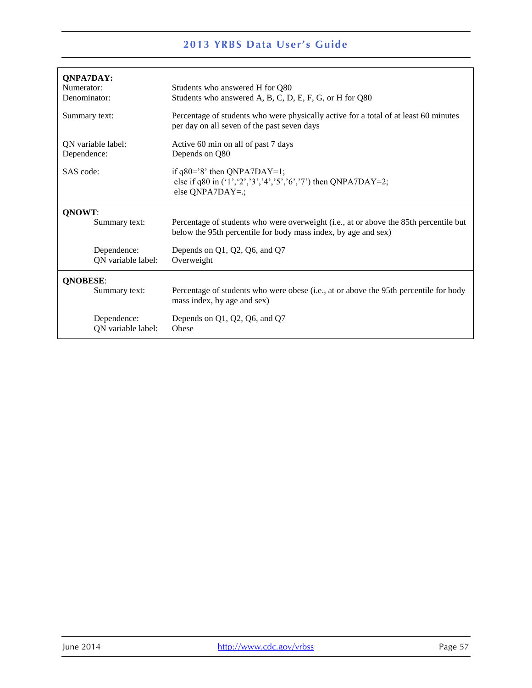|                    | <b>2013 YRBS Data User's Guide</b>                                                                                                                      |
|--------------------|---------------------------------------------------------------------------------------------------------------------------------------------------------|
|                    |                                                                                                                                                         |
| <b>ONPA7DAY:</b>   |                                                                                                                                                         |
| Numerator:         | Students who answered H for Q80                                                                                                                         |
| Denominator:       | Students who answered A, B, C, D, E, F, G, or H for Q80                                                                                                 |
| Summary text:      | Percentage of students who were physically active for a total of at least 60 minutes<br>per day on all seven of the past seven days                     |
| QN variable label: | Active 60 min on all of past 7 days                                                                                                                     |
| Dependence:        | Depends on Q80                                                                                                                                          |
| SAS code:          | if $q80=$ '8' then QNPA7DAY=1;<br>else if q80 in $(1', 2', 3', 4', 5', 6', 7)$ then QNPA7DAY=2;<br>else $QNPA7DAY=$ .;                                  |
| QNOWT:             |                                                                                                                                                         |
| Summary text:      | Percentage of students who were overweight (i.e., at or above the 85th percentile but<br>below the 95th percentile for body mass index, by age and sex) |
| Dependence:        | Depends on Q1, Q2, Q6, and Q7                                                                                                                           |
| QN variable label: | Overweight                                                                                                                                              |
| <b>QNOBESE:</b>    |                                                                                                                                                         |
| Summary text:      | Percentage of students who were obese (i.e., at or above the 95th percentile for body<br>mass index, by age and sex)                                    |
| Dependence:        | Depends on Q1, Q2, Q6, and Q7                                                                                                                           |
| QN variable label: | Obese                                                                                                                                                   |
|                    |                                                                                                                                                         |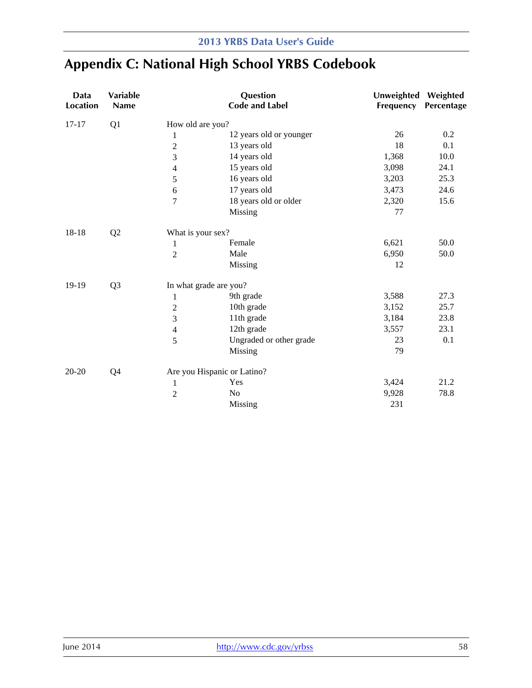# **Appendix C: National High School YRBS Codebook**

| Data<br><b>Location</b> | <b>Variable</b><br>Name |                        | Question<br><b>Code and Label</b> | Unweighted Weighted<br>Frequency | Percentage |
|-------------------------|-------------------------|------------------------|-----------------------------------|----------------------------------|------------|
| $17 - 17$               | Q1                      | How old are you?       |                                   |                                  |            |
|                         |                         | $\mathbf{1}$           | 12 years old or younger           | 26                               | 0.2        |
|                         |                         | $\overline{c}$         | 13 years old                      | 18                               | 0.1        |
|                         |                         | 3                      | 14 years old                      | 1,368                            | 10.0       |
|                         |                         | 4                      | 15 years old                      | 3,098                            | 24.1       |
|                         |                         | 5                      | 16 years old                      | 3,203                            | 25.3       |
|                         |                         | $\sqrt{6}$             | 17 years old                      | 3,473                            | 24.6       |
|                         |                         | $\tau$                 | 18 years old or older             | 2,320                            | 15.6       |
|                         |                         |                        | Missing                           | 77                               |            |
| 18-18                   | Q2                      | What is your sex?      |                                   |                                  |            |
|                         |                         | $\mathbf{1}$           | Female                            | 6,621                            | 50.0       |
|                         |                         | $\overline{2}$         | Male                              | 6,950                            | 50.0       |
|                         |                         |                        | Missing                           | 12                               |            |
| 19-19                   | Q <sub>3</sub>          | In what grade are you? |                                   |                                  |            |
|                         |                         | $\mathbf{1}$           | 9th grade                         | 3,588                            | 27.3       |
|                         |                         | $\overline{c}$         | 10th grade                        | 3,152                            | 25.7       |
|                         |                         | 3                      | 11th grade                        | 3,184                            | 23.8       |
|                         |                         | $\overline{4}$         | 12th grade                        | 3,557                            | 23.1       |
|                         |                         | 5                      | Ungraded or other grade           | 23                               | 0.1        |
|                         |                         |                        | Missing                           | 79                               |            |
| $20 - 20$               | Q <sub>4</sub>          |                        | Are you Hispanic or Latino?       |                                  |            |
|                         |                         | $\mathbf{1}$           | Yes                               | 3,424                            | 21.2       |
|                         |                         | $\overline{2}$         | No                                | 9,928                            | 78.8       |
|                         |                         |                        | Missing                           | 231                              |            |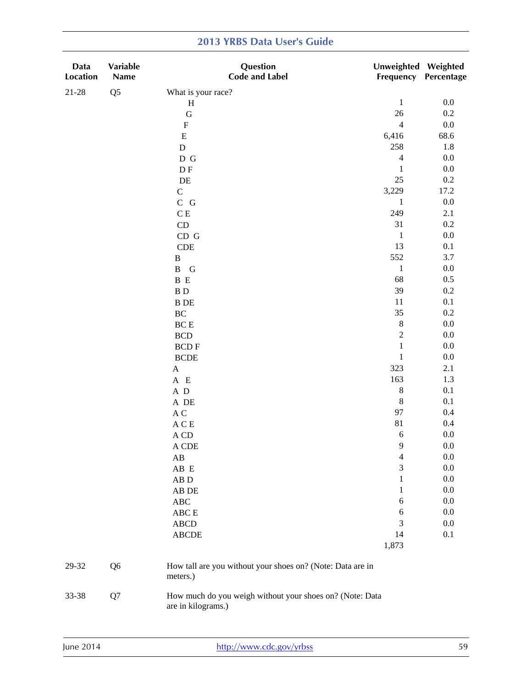| Data<br>Location | Variable<br>Name | Question<br><b>Code and Label</b>                                              | Unweighted Weighted | <b>Frequency Percentage</b> |
|------------------|------------------|--------------------------------------------------------------------------------|---------------------|-----------------------------|
| $21 - 28$        | Q <sub>5</sub>   | What is your race?                                                             |                     |                             |
|                  |                  | $\, {\rm H}$                                                                   | $\mathbf{1}$        | 0.0                         |
|                  |                  | ${\bf G}$                                                                      | 26                  | 0.2                         |
|                  |                  | ${\bf F}$                                                                      | $\overline{4}$      | 0.0                         |
|                  |                  | ${\bf E}$                                                                      | 6,416               | 68.6                        |
|                  |                  | $\mathbf D$                                                                    | 258                 | 1.8                         |
|                  |                  | $\mathbb D$ G                                                                  | $\overline{4}$      | $0.0\,$                     |
|                  |                  | D <sub>F</sub>                                                                 | $\mathbf{1}$        | $0.0\,$                     |
|                  |                  | $\rm DE$                                                                       | 25                  | 0.2                         |
|                  |                  | $\mathsf C$                                                                    | 3,229               | 17.2                        |
|                  |                  | $\bf C\,$ $\bf G$                                                              | $\mathbf{1}$        | $0.0\,$                     |
|                  |                  | $\mathbf C$ E                                                                  | 249                 | 2.1                         |
|                  |                  | $\mathop{\rm CD}$                                                              | 31                  | 0.2                         |
|                  |                  | CD G                                                                           | $\mathbf{1}$        | $0.0\,$                     |
|                  |                  | CDE                                                                            | 13                  | 0.1                         |
|                  |                  | $\, {\bf B}$                                                                   | 552                 | 3.7                         |
|                  |                  | $\mathbf{B}$<br>G                                                              | $\mathbf 1$         | $0.0\,$                     |
|                  |                  | B E                                                                            | 68                  | 0.5                         |
|                  |                  | $\, {\bf B} \,$ D                                                              | 39                  | 0.2                         |
|                  |                  | <b>B</b> DE                                                                    | 11                  | 0.1                         |
|                  |                  | $\rm BC$                                                                       | 35                  | 0.2                         |
|                  |                  | $BCE$                                                                          | $\,8\,$             | 0.0                         |
|                  |                  | BCD                                                                            | $\sqrt{2}$          | $0.0\,$                     |
|                  |                  | <b>BCDF</b>                                                                    | $\mathbf 1$         | $0.0\,$                     |
|                  |                  | <b>BCDE</b>                                                                    | $\mathbf 1$         | $0.0\,$                     |
|                  |                  | $\mathbf A$                                                                    | 323                 | 2.1                         |
|                  |                  | A E                                                                            | 163                 | 1.3                         |
|                  |                  | $\,$ A $\,$ D                                                                  | $\,8\,$             | 0.1                         |
|                  |                  | $\,$ A $\,$ DE $\,$                                                            | $\,8\,$             | 0.1                         |
|                  |                  | $\mathbf A$ C                                                                  | 97                  | 0.4                         |
|                  |                  | $\mathbf A \mathbf C \mathbf E$                                                | 81                  | 0.4                         |
|                  |                  | $\mathbf A$ CD                                                                 | 6                   | $0.0\,$                     |
|                  |                  | A CDE                                                                          | $\mathbf Q$         | $0.0\,$                     |
|                  |                  | AB                                                                             | $\overline{4}$      | 0.0                         |
|                  |                  | $\rm AB\ E$                                                                    | 3                   | 0.0                         |
|                  |                  | $AB$ $D$                                                                       | 1                   | 0.0                         |
|                  |                  | AB DE                                                                          | $\mathbf{1}$        | 0.0                         |
|                  |                  | $\rm ABC$                                                                      | $\boldsymbol{6}$    | $0.0\,$                     |
|                  |                  | ABC E                                                                          | 6                   | 0.0                         |
|                  |                  | <b>ABCD</b>                                                                    | 3                   | 0.0                         |
|                  |                  | <b>ABCDE</b>                                                                   | 14                  | 0.1                         |
|                  |                  |                                                                                | 1,873               |                             |
| 29-32            | Q <sub>6</sub>   | How tall are you without your shoes on? (Note: Data are in<br>meters.)         |                     |                             |
| 33-38            | Q7               | How much do you weigh without your shoes on? (Note: Data<br>are in kilograms.) |                     |                             |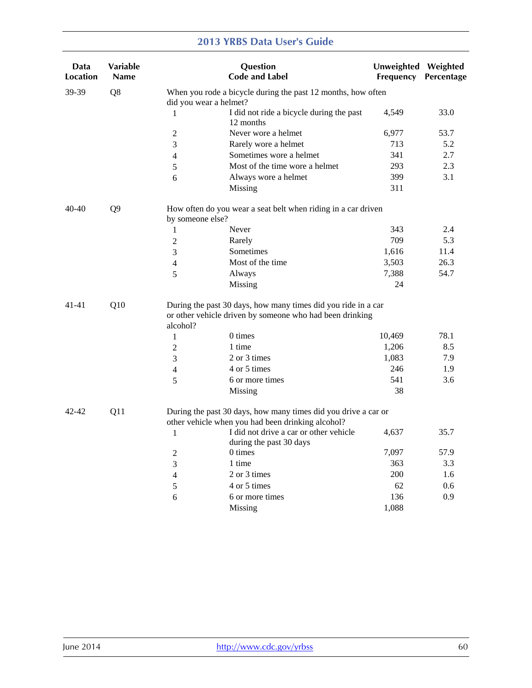| Data<br>Location | <b>Variable</b><br><b>Name</b> |                        | Question<br><b>Code and Label</b>                                                                                         | Unweighted Weighted<br>Frequency | <b>Percentage</b> |
|------------------|--------------------------------|------------------------|---------------------------------------------------------------------------------------------------------------------------|----------------------------------|-------------------|
| 39-39            | Q8                             | did you wear a helmet? | When you rode a bicycle during the past 12 months, how often                                                              |                                  |                   |
|                  |                                | 1                      | I did not ride a bicycle during the past<br>12 months                                                                     | 4,549                            | 33.0              |
|                  |                                | $\overline{2}$         | Never wore a helmet                                                                                                       | 6,977                            | 53.7              |
|                  |                                | 3                      | Rarely wore a helmet                                                                                                      | 713                              | 5.2               |
|                  |                                | $\overline{4}$         | Sometimes wore a helmet                                                                                                   | 341                              | 2.7               |
|                  |                                | $\sqrt{5}$             | Most of the time wore a helmet                                                                                            | 293                              | 2.3               |
|                  |                                | 6                      | Always wore a helmet                                                                                                      | 399                              | 3.1               |
|                  |                                |                        | Missing                                                                                                                   | 311                              |                   |
| $40 - 40$        | Q <sub>9</sub>                 | by someone else?       | How often do you wear a seat belt when riding in a car driven                                                             |                                  |                   |
|                  |                                | $\mathbf{1}$           | Never                                                                                                                     | 343                              | 2.4               |
|                  |                                | $\overline{2}$         | Rarely                                                                                                                    | 709                              | 5.3               |
|                  |                                | 3                      | Sometimes                                                                                                                 | 1,616                            | 11.4              |
|                  |                                | 4                      | Most of the time                                                                                                          | 3,503                            | 26.3              |
|                  |                                | 5                      | Always                                                                                                                    | 7,388                            | 54.7              |
|                  |                                |                        | Missing                                                                                                                   | 24                               |                   |
| 41-41            | Q10                            | alcohol?               | During the past 30 days, how many times did you ride in a car<br>or other vehicle driven by someone who had been drinking |                                  |                   |
|                  |                                | $\mathbf{1}$           | 0 times                                                                                                                   | 10,469                           | 78.1              |
|                  |                                | $\overline{2}$         | 1 time                                                                                                                    | 1,206                            | 8.5               |
|                  |                                | 3                      | 2 or 3 times                                                                                                              | 1,083                            | 7.9               |
|                  |                                | 4                      | 4 or 5 times                                                                                                              | 246                              | 1.9               |
|                  |                                | 5                      | 6 or more times                                                                                                           | 541                              | 3.6               |
|                  |                                |                        | Missing                                                                                                                   | 38                               |                   |
| 42-42            | Q11                            |                        | During the past 30 days, how many times did you drive a car or<br>other vehicle when you had been drinking alcohol?       |                                  |                   |
|                  |                                | 1                      | I did not drive a car or other vehicle<br>during the past 30 days                                                         | 4,637                            | 35.7              |
|                  |                                | $\overline{2}$         | 0 times                                                                                                                   | 7,097                            | 57.9              |
|                  |                                | 3                      | 1 time                                                                                                                    | 363                              | 3.3               |
|                  |                                | 4                      | 2 or 3 times                                                                                                              | 200                              | 1.6               |
|                  |                                | 5                      | 4 or 5 times                                                                                                              | 62                               | 0.6               |
|                  |                                | 6                      | 6 or more times                                                                                                           | 136                              | 0.9               |
|                  |                                |                        | Missing                                                                                                                   | 1,088                            |                   |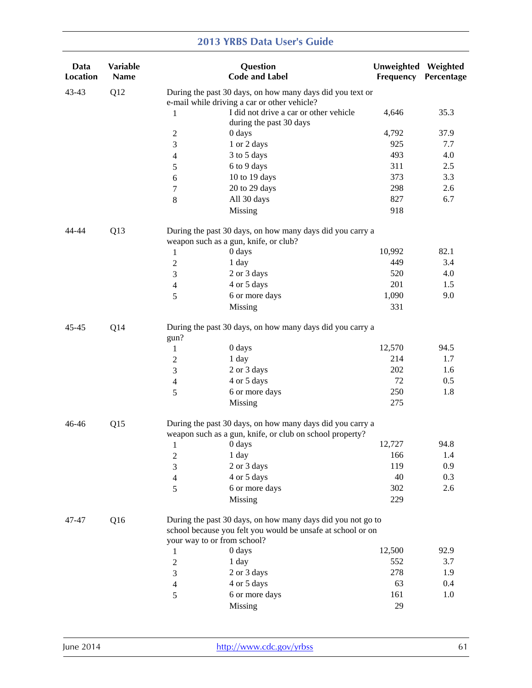| Data<br>Location | Variable<br><b>Name</b> |                                                                                                                       | Question<br><b>Code and Label</b>                                                                                          | <b>Unweighted</b><br>Frequency | Weighted<br>Percentage |  |  |
|------------------|-------------------------|-----------------------------------------------------------------------------------------------------------------------|----------------------------------------------------------------------------------------------------------------------------|--------------------------------|------------------------|--|--|
| 43-43            | Q12                     |                                                                                                                       | During the past 30 days, on how many days did you text or<br>e-mail while driving a car or other vehicle?                  |                                |                        |  |  |
|                  |                         | 1                                                                                                                     | I did not drive a car or other vehicle<br>during the past 30 days                                                          | 4,646                          | 35.3                   |  |  |
|                  |                         | 2                                                                                                                     | 0 days                                                                                                                     | 4,792                          | 37.9                   |  |  |
|                  |                         | 3                                                                                                                     | 1 or 2 days                                                                                                                | 925                            | 7.7                    |  |  |
|                  |                         | 4                                                                                                                     | 3 to 5 days                                                                                                                | 493                            | 4.0                    |  |  |
|                  |                         | 5                                                                                                                     | 6 to 9 days                                                                                                                | 311                            | 2.5                    |  |  |
|                  |                         | 6                                                                                                                     | 10 to 19 days                                                                                                              | 373                            | 3.3                    |  |  |
|                  |                         | 7                                                                                                                     | 20 to 29 days                                                                                                              | 298                            | 2.6                    |  |  |
|                  |                         | $\,8\,$                                                                                                               | All 30 days                                                                                                                | 827                            | 6.7                    |  |  |
|                  |                         |                                                                                                                       | Missing                                                                                                                    | 918                            |                        |  |  |
| 44-44            | Q <sub>13</sub>         |                                                                                                                       | During the past 30 days, on how many days did you carry a<br>weapon such as a gun, knife, or club?                         |                                |                        |  |  |
|                  |                         | 1                                                                                                                     | $0\;{\rm days}$                                                                                                            | 10,992                         | 82.1                   |  |  |
|                  |                         | 2                                                                                                                     | 1 day                                                                                                                      | 449                            | 3.4                    |  |  |
|                  |                         | 3                                                                                                                     | 2 or 3 days                                                                                                                | 520                            | 4.0                    |  |  |
|                  |                         | $\overline{4}$                                                                                                        | 4 or 5 days                                                                                                                | 201                            | 1.5                    |  |  |
|                  |                         | 5                                                                                                                     | 6 or more days                                                                                                             | 1,090                          | 9.0                    |  |  |
|                  |                         |                                                                                                                       | Missing                                                                                                                    | 331                            |                        |  |  |
| $45 - 45$        | Q14                     | During the past 30 days, on how many days did you carry a<br>gun?                                                     |                                                                                                                            |                                |                        |  |  |
|                  |                         | 1                                                                                                                     | 0 days                                                                                                                     | 12,570                         | 94.5                   |  |  |
|                  |                         | $\overline{c}$                                                                                                        | 1 day                                                                                                                      | 214                            | 1.7                    |  |  |
|                  |                         | 3                                                                                                                     | 2 or 3 days                                                                                                                | 202                            | 1.6                    |  |  |
|                  |                         | 4                                                                                                                     | 4 or 5 days                                                                                                                | 72                             | 0.5                    |  |  |
|                  |                         | 5                                                                                                                     | 6 or more days                                                                                                             | 250                            | 1.8                    |  |  |
|                  |                         |                                                                                                                       | Missing                                                                                                                    | 275                            |                        |  |  |
| $46 - 46$        | Q15                     | During the past 30 days, on how many days did you carry a<br>weapon such as a gun, knife, or club on school property? |                                                                                                                            |                                |                        |  |  |
|                  |                         | $\mathbf{1}$                                                                                                          | 0 days                                                                                                                     | 12,727                         | 94.8                   |  |  |
|                  |                         | $\overline{c}$                                                                                                        | 1 day                                                                                                                      | 166                            | 1.4                    |  |  |
|                  |                         | 3                                                                                                                     | 2 or 3 days                                                                                                                | 119                            | 0.9                    |  |  |
|                  |                         | 4                                                                                                                     | 4 or 5 days                                                                                                                | 40                             | 0.3                    |  |  |
|                  |                         | 5                                                                                                                     | 6 or more days                                                                                                             | 302                            | 2.6                    |  |  |
|                  |                         |                                                                                                                       | Missing                                                                                                                    | 229                            |                        |  |  |
| 47-47            | Q <sub>16</sub>         | your way to or from school?                                                                                           | During the past 30 days, on how many days did you not go to<br>school because you felt you would be unsafe at school or on |                                |                        |  |  |
|                  |                         | 1                                                                                                                     | 0 days                                                                                                                     | 12,500                         | 92.9                   |  |  |
|                  |                         | $\overline{c}$                                                                                                        | 1 day                                                                                                                      | 552                            | 3.7                    |  |  |
|                  |                         | 3                                                                                                                     | 2 or 3 days                                                                                                                | 278                            | 1.9                    |  |  |
|                  |                         | 4                                                                                                                     | 4 or 5 days                                                                                                                | 63                             | 0.4                    |  |  |
|                  |                         | 5                                                                                                                     | 6 or more days                                                                                                             | 161                            | 1.0                    |  |  |
|                  |                         |                                                                                                                       | Missing                                                                                                                    | 29                             |                        |  |  |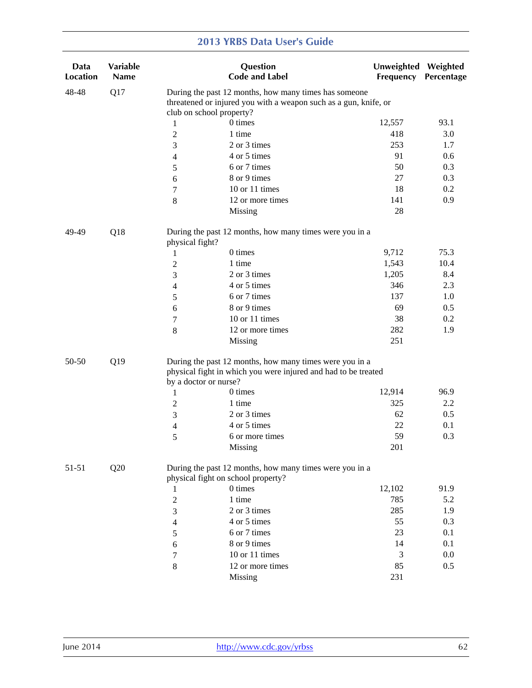| Data<br><b>Location</b> | Variable<br>Name |                 | Question<br><b>Code and Label</b>                                                                                                                  | Unweighted Weighted<br>Frequency | Percentage |
|-------------------------|------------------|-----------------|----------------------------------------------------------------------------------------------------------------------------------------------------|----------------------------------|------------|
| 48-48                   | Q17              |                 | During the past 12 months, how many times has someone<br>threatened or injured you with a weapon such as a gun, knife, or                          |                                  |            |
|                         |                  |                 | club on school property?                                                                                                                           |                                  |            |
|                         |                  | $\mathbf{1}$    | 0 times                                                                                                                                            | 12,557                           | 93.1       |
|                         |                  | $\overline{c}$  | 1 time                                                                                                                                             | 418                              | 3.0        |
|                         |                  | 3               | 2 or 3 times                                                                                                                                       | 253                              | 1.7        |
|                         |                  | 4               | 4 or 5 times                                                                                                                                       | 91                               | 0.6        |
|                         |                  | 5               | 6 or 7 times                                                                                                                                       | 50                               | 0.3        |
|                         |                  | 6               | 8 or 9 times                                                                                                                                       | 27                               | 0.3        |
|                         |                  | 7               | 10 or 11 times                                                                                                                                     | 18                               | 0.2        |
|                         |                  | $\,8\,$         | 12 or more times                                                                                                                                   | 141                              | 0.9        |
|                         |                  |                 | Missing                                                                                                                                            | 28                               |            |
| 49-49                   | Q18              | physical fight? | During the past 12 months, how many times were you in a                                                                                            |                                  |            |
|                         |                  | 1               | 0 times                                                                                                                                            | 9,712                            | 75.3       |
|                         |                  | $\overline{2}$  | 1 time                                                                                                                                             | 1,543                            | 10.4       |
|                         |                  | 3               | 2 or 3 times                                                                                                                                       | 1,205                            | 8.4        |
|                         |                  | 4               | 4 or 5 times                                                                                                                                       | 346                              | 2.3        |
|                         |                  | 5               | 6 or 7 times                                                                                                                                       | 137                              | 1.0        |
|                         |                  | 6               | 8 or 9 times                                                                                                                                       | 69                               | 0.5        |
|                         |                  | 7               | 10 or 11 times                                                                                                                                     | 38                               | 0.2        |
|                         |                  | $\,8\,$         | 12 or more times                                                                                                                                   | 282                              | 1.9        |
|                         |                  |                 | Missing                                                                                                                                            | 251                              |            |
| 50-50                   | Q19              |                 | During the past 12 months, how many times were you in a<br>physical fight in which you were injured and had to be treated<br>by a doctor or nurse? |                                  |            |
|                         |                  | 1               | 0 times                                                                                                                                            | 12,914                           | 96.9       |
|                         |                  | $\overline{c}$  | 1 time                                                                                                                                             | 325                              | 2.2        |
|                         |                  | 3               | 2 or 3 times                                                                                                                                       | 62                               | 0.5        |
|                         |                  | 4               | 4 or 5 times                                                                                                                                       | 22                               | 0.1        |
|                         |                  | 5               | 6 or more times                                                                                                                                    | 59                               | 0.3        |
|                         |                  |                 | Missing                                                                                                                                            | 201                              |            |
| 51-51                   | Q20              |                 | During the past 12 months, how many times were you in a<br>physical fight on school property?                                                      |                                  |            |
|                         |                  | 1               | 0 times                                                                                                                                            | 12,102                           | 91.9       |
|                         |                  | $\sqrt{2}$      | 1 time                                                                                                                                             | 785                              | 5.2        |
|                         |                  | 3               | 2 or 3 times                                                                                                                                       | 285                              | 1.9        |
|                         |                  | $\overline{4}$  | 4 or 5 times                                                                                                                                       | 55                               | 0.3        |
|                         |                  | 5               | 6 or 7 times                                                                                                                                       | 23                               | 0.1        |
|                         |                  | 6               | 8 or 9 times                                                                                                                                       | 14                               | 0.1        |
|                         |                  | 7               | 10 or 11 times                                                                                                                                     | 3                                | 0.0        |
|                         |                  | $\,8\,$         | 12 or more times                                                                                                                                   | 85                               | 0.5        |
|                         |                  |                 | Missing                                                                                                                                            | 231                              |            |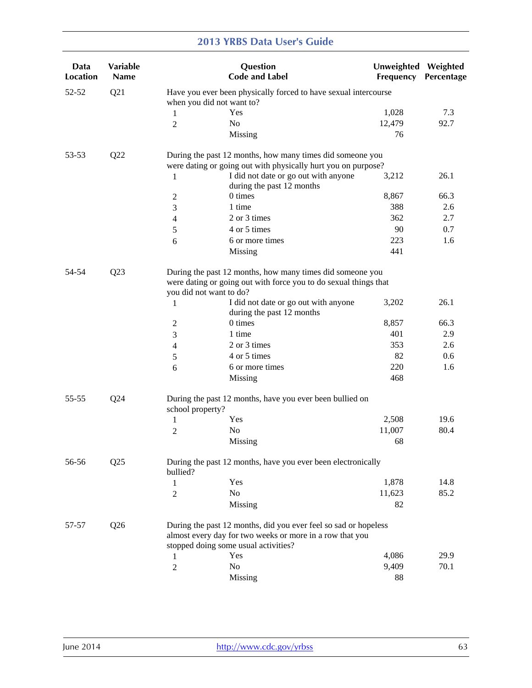| Data<br><b>Location</b> | Variable<br><b>Name</b> |                         | Question<br><b>Code and Label</b>                                                                                             | Unweighted Weighted<br>Frequency | Percentage |
|-------------------------|-------------------------|-------------------------|-------------------------------------------------------------------------------------------------------------------------------|----------------------------------|------------|
| 52-52                   | Q21                     |                         | Have you ever been physically forced to have sexual intercourse<br>when you did not want to?                                  |                                  |            |
|                         |                         | 1                       | Yes                                                                                                                           | 1,028                            | 7.3        |
|                         |                         | $\overline{2}$          | N <sub>0</sub>                                                                                                                | 12,479                           | 92.7       |
|                         |                         |                         | Missing                                                                                                                       | 76                               |            |
| 53-53                   | Q22                     |                         | During the past 12 months, how many times did someone you<br>were dating or going out with physically hurt you on purpose?    |                                  |            |
|                         |                         | 1                       | I did not date or go out with anyone<br>during the past 12 months                                                             | 3,212                            | 26.1       |
|                         |                         | 2                       | 0 times                                                                                                                       | 8,867                            | 66.3       |
|                         |                         | 3                       | 1 time                                                                                                                        | 388                              | 2.6        |
|                         |                         | $\overline{4}$          | 2 or 3 times                                                                                                                  | 362                              | 2.7        |
|                         |                         | 5                       | 4 or 5 times                                                                                                                  | 90                               | 0.7        |
|                         |                         | 6                       | 6 or more times                                                                                                               | 223                              | 1.6        |
|                         |                         |                         | Missing                                                                                                                       | 441                              |            |
| 54-54<br>Q23            |                         | you did not want to do? | During the past 12 months, how many times did someone you<br>were dating or going out with force you to do sexual things that |                                  |            |
|                         |                         | 1                       | I did not date or go out with anyone<br>during the past 12 months                                                             | 3,202                            | 26.1       |
|                         |                         | $\overline{2}$          | 0 times                                                                                                                       | 8,857                            | 66.3       |
|                         |                         | 3                       | 1 time                                                                                                                        | 401                              | 2.9        |
|                         |                         | $\overline{4}$          | 2 or 3 times                                                                                                                  | 353                              | 2.6        |
|                         |                         | 5                       | 4 or 5 times                                                                                                                  | 82                               | 0.6        |
|                         |                         | 6                       | 6 or more times                                                                                                               | 220                              | 1.6        |
|                         |                         |                         | Missing                                                                                                                       | 468                              |            |
| 55-55                   | Q24                     | school property?        | During the past 12 months, have you ever been bullied on                                                                      |                                  |            |
|                         |                         | 1                       | Yes                                                                                                                           | 2,508                            | 19.6       |
|                         |                         | 2                       | N <sub>0</sub>                                                                                                                | 11,007                           | 80.4       |
|                         |                         |                         | Missing                                                                                                                       | 68                               |            |
| 56-56                   | Q25                     | bullied?                | During the past 12 months, have you ever been electronically                                                                  |                                  |            |
|                         |                         | 1                       | Yes                                                                                                                           | 1,878                            | 14.8       |
|                         |                         | $\overline{2}$          | No                                                                                                                            | 11,623                           | 85.2       |
|                         |                         |                         | Missing                                                                                                                       | 82                               |            |
| 57-57                   | Q26                     |                         | During the past 12 months, did you ever feel so sad or hopeless<br>almost every day for two weeks or more in a row that you   |                                  |            |
|                         |                         |                         | stopped doing some usual activities?                                                                                          |                                  |            |
|                         |                         | 1                       | Yes                                                                                                                           | 4,086                            | 29.9       |
|                         |                         | 2                       | No                                                                                                                            | 9,409                            | 70.1       |
|                         |                         |                         | Missing                                                                                                                       | 88                               |            |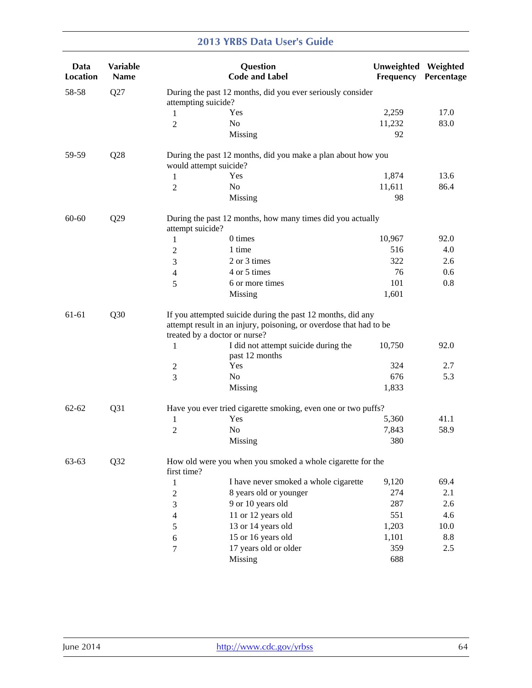| Data<br><b>Location</b> | <b>Variable</b><br><b>Name</b> |                        | Question<br><b>Code and Label</b>                                                                                                                                  | Unweighted Weighted<br>Frequency | Percentage |  |  |
|-------------------------|--------------------------------|------------------------|--------------------------------------------------------------------------------------------------------------------------------------------------------------------|----------------------------------|------------|--|--|
| 58-58                   | Q27                            | attempting suicide?    | During the past 12 months, did you ever seriously consider                                                                                                         |                                  |            |  |  |
|                         |                                | 1                      | Yes                                                                                                                                                                | 2,259                            | 17.0       |  |  |
|                         |                                | $\overline{2}$         | N <sub>o</sub>                                                                                                                                                     | 11,232                           | 83.0       |  |  |
|                         |                                |                        | Missing                                                                                                                                                            | 92                               |            |  |  |
| 59-59                   | Q28                            | would attempt suicide? | During the past 12 months, did you make a plan about how you                                                                                                       |                                  |            |  |  |
|                         |                                | 1                      | Yes                                                                                                                                                                | 1,874                            | 13.6       |  |  |
|                         |                                | 2                      | N <sub>o</sub>                                                                                                                                                     | 11,611                           | 86.4       |  |  |
|                         |                                |                        | Missing                                                                                                                                                            | 98                               |            |  |  |
| 60-60                   | Q29                            | attempt suicide?       | During the past 12 months, how many times did you actually                                                                                                         |                                  |            |  |  |
|                         |                                | 1                      | 0 times                                                                                                                                                            | 10,967                           | 92.0       |  |  |
|                         |                                | $\overline{c}$         | 1 time                                                                                                                                                             | 516                              | 4.0        |  |  |
|                         |                                | 3                      | 2 or 3 times                                                                                                                                                       | 322                              | 2.6        |  |  |
|                         |                                | 4                      | 4 or 5 times                                                                                                                                                       | 76                               | 0.6        |  |  |
|                         |                                | 5                      | 6 or more times                                                                                                                                                    | 101                              | 0.8        |  |  |
|                         |                                |                        | Missing                                                                                                                                                            | 1,601                            |            |  |  |
| 61-61                   | Q30                            |                        | If you attempted suicide during the past 12 months, did any<br>attempt result in an injury, poisoning, or overdose that had to be<br>treated by a doctor or nurse? |                                  |            |  |  |
|                         |                                | 1                      | I did not attempt suicide during the<br>past 12 months                                                                                                             | 10,750                           | 92.0       |  |  |
|                         |                                | 2                      | Yes                                                                                                                                                                | 324                              | 2.7        |  |  |
|                         |                                | 3                      | No                                                                                                                                                                 | 676                              | 5.3        |  |  |
|                         |                                |                        | Missing                                                                                                                                                            | 1,833                            |            |  |  |
| $62 - 62$               | Q31                            |                        | Have you ever tried cigarette smoking, even one or two puffs?                                                                                                      |                                  |            |  |  |
|                         |                                | 1                      | Yes                                                                                                                                                                | 5,360                            | 41.1       |  |  |
|                         |                                | $\overline{2}$         | N <sub>0</sub>                                                                                                                                                     | 7,843                            | 58.9       |  |  |
|                         |                                |                        | Missing                                                                                                                                                            | 380                              |            |  |  |
| 63-63                   | Q32                            | first time?            | How old were you when you smoked a whole cigarette for the                                                                                                         |                                  |            |  |  |
|                         |                                | 1                      | I have never smoked a whole cigarette                                                                                                                              | 9,120                            | 69.4       |  |  |
|                         |                                | $\overline{c}$         | 8 years old or younger                                                                                                                                             | 274                              | 2.1        |  |  |
|                         |                                | 3                      | 9 or 10 years old                                                                                                                                                  | 287                              | 2.6        |  |  |
|                         |                                | 4                      | 11 or 12 years old                                                                                                                                                 | 551                              | 4.6        |  |  |
|                         |                                | 5                      | 13 or 14 years old                                                                                                                                                 | 1,203                            | 10.0       |  |  |
|                         |                                | 6                      | 15 or 16 years old                                                                                                                                                 | 1,101                            | 8.8        |  |  |
|                         |                                | 7                      | 17 years old or older                                                                                                                                              | 359                              | 2.5        |  |  |
|                         |                                |                        | Missing                                                                                                                                                            | 688                              |            |  |  |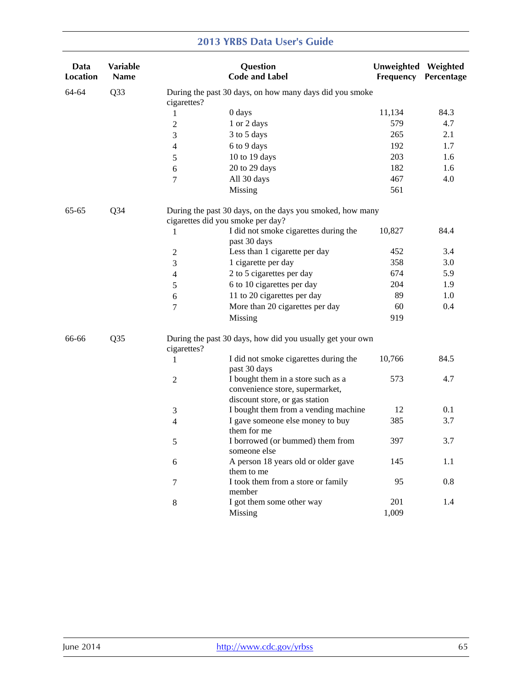| Data<br>Location | Variable<br><b>Name</b> |                | Question<br><b>Code and Label</b>                                                                       | Unweighted Weighted<br>Frequency | Percentage |
|------------------|-------------------------|----------------|---------------------------------------------------------------------------------------------------------|----------------------------------|------------|
| 64-64            | Q <sub>3</sub> 3        | cigarettes?    | During the past 30 days, on how many days did you smoke                                                 |                                  |            |
|                  |                         | 1              | 0 days                                                                                                  | 11,134                           | 84.3       |
|                  |                         | $\overline{c}$ | 1 or 2 days                                                                                             | 579                              | 4.7        |
|                  |                         | 3              | 3 to 5 days                                                                                             | 265                              | 2.1        |
|                  |                         | 4              | 6 to 9 days                                                                                             | 192                              | 1.7        |
|                  |                         | 5              | 10 to 19 days                                                                                           | 203                              | 1.6        |
|                  |                         | 6              | 20 to 29 days                                                                                           | 182                              | 1.6        |
|                  |                         | 7              | All 30 days                                                                                             | 467                              | 4.0        |
|                  |                         |                | Missing                                                                                                 | 561                              |            |
| 65-65            | $Q$ 34                  |                | During the past 30 days, on the days you smoked, how many<br>cigarettes did you smoke per day?          |                                  |            |
|                  |                         | 1              | I did not smoke cigarettes during the<br>past 30 days                                                   | 10,827                           | 84.4       |
|                  |                         | 2              | Less than 1 cigarette per day                                                                           | 452                              | 3.4        |
|                  |                         | 3              | 1 cigarette per day                                                                                     | 358                              | 3.0        |
|                  |                         | 4              | 2 to 5 cigarettes per day                                                                               | 674                              | 5.9        |
|                  |                         | 5              | 6 to 10 cigarettes per day                                                                              | 204                              | 1.9        |
|                  |                         | 6              | 11 to 20 cigarettes per day                                                                             | 89                               | 1.0        |
|                  |                         | 7              | More than 20 cigarettes per day                                                                         | 60                               | 0.4        |
|                  |                         |                | Missing                                                                                                 | 919                              |            |
| 66-66            | Q35                     | cigarettes?    | During the past 30 days, how did you usually get your own                                               |                                  |            |
|                  |                         | 1              | I did not smoke cigarettes during the<br>past 30 days                                                   | 10,766                           | 84.5       |
|                  |                         | $\mathbf{2}$   | I bought them in a store such as a<br>convenience store, supermarket,<br>discount store, or gas station | 573                              | 4.7        |
|                  |                         | 3              | I bought them from a vending machine                                                                    | 12                               | 0.1        |
|                  |                         | 4              | I gave someone else money to buy<br>them for me                                                         | 385                              | 3.7        |
|                  |                         | 5              | I borrowed (or bummed) them from<br>someone else                                                        | 397                              | 3.7        |
|                  |                         | 6              | A person 18 years old or older gave<br>them to me                                                       | 145                              | 1.1        |
|                  |                         | 7              | I took them from a store or family<br>member                                                            | 95                               | 0.8        |
|                  |                         | $\,8\,$        | I got them some other way                                                                               | 201                              | 1.4        |
|                  |                         |                | Missing                                                                                                 | 1,009                            |            |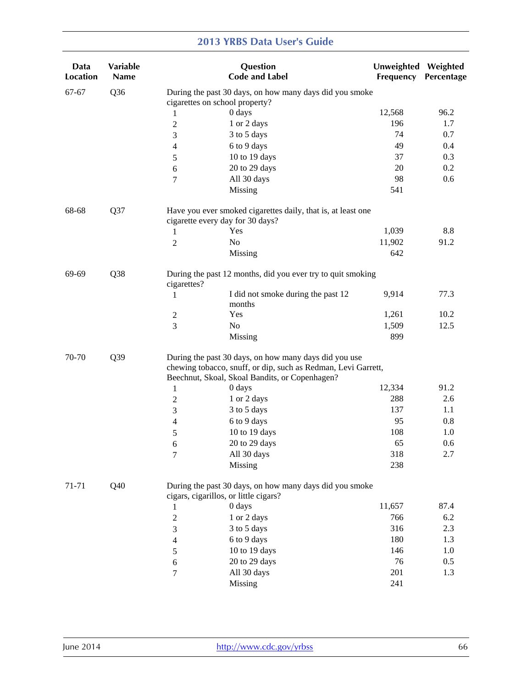| Data<br>Location | Variable<br><b>Name</b> |                                                                                                                        | Question<br><b>Code and Label</b>                                                                | <b>Unweighted</b><br>Frequency | Weighted<br>Percentage |  |  |
|------------------|-------------------------|------------------------------------------------------------------------------------------------------------------------|--------------------------------------------------------------------------------------------------|--------------------------------|------------------------|--|--|
| $67 - 67$        | Q <sub>36</sub>         |                                                                                                                        | During the past 30 days, on how many days did you smoke                                          |                                |                        |  |  |
|                  |                         |                                                                                                                        | cigarettes on school property?                                                                   |                                |                        |  |  |
|                  |                         | 1                                                                                                                      | 0 days                                                                                           | 12,568                         | 96.2                   |  |  |
|                  |                         | $\overline{c}$                                                                                                         | 1 or 2 days                                                                                      | 196                            | 1.7                    |  |  |
|                  |                         | 3                                                                                                                      | 3 to 5 days                                                                                      | 74                             | 0.7                    |  |  |
|                  |                         | 4                                                                                                                      | 6 to 9 days                                                                                      | 49                             | 0.4                    |  |  |
|                  |                         | 5                                                                                                                      | 10 to 19 days                                                                                    | 37                             | 0.3                    |  |  |
|                  |                         | 6                                                                                                                      | 20 to 29 days                                                                                    | 20                             | 0.2                    |  |  |
|                  |                         | 7                                                                                                                      | All 30 days                                                                                      | 98                             | 0.6                    |  |  |
|                  |                         |                                                                                                                        | Missing                                                                                          | 541                            |                        |  |  |
| 68-68            | Q37                     |                                                                                                                        | Have you ever smoked cigarettes daily, that is, at least one<br>cigarette every day for 30 days? |                                |                        |  |  |
|                  |                         | 1                                                                                                                      | Yes                                                                                              | 1,039                          | 8.8                    |  |  |
|                  |                         | $\overline{c}$                                                                                                         | N <sub>o</sub>                                                                                   | 11,902                         | 91.2                   |  |  |
|                  |                         |                                                                                                                        | Missing                                                                                          | 642                            |                        |  |  |
| 69-69            | Q38                     | cigarettes?                                                                                                            | During the past 12 months, did you ever try to quit smoking                                      |                                |                        |  |  |
|                  |                         | 1                                                                                                                      | I did not smoke during the past 12                                                               | 9,914                          | 77.3                   |  |  |
|                  |                         |                                                                                                                        | months                                                                                           |                                |                        |  |  |
|                  |                         | 2                                                                                                                      | Yes                                                                                              | 1,261                          | 10.2                   |  |  |
|                  |                         | 3                                                                                                                      | No                                                                                               | 1,509                          | 12.5                   |  |  |
|                  |                         |                                                                                                                        | Missing                                                                                          | 899                            |                        |  |  |
| 70-70            | Q39                     | During the past 30 days, on how many days did you use<br>chewing tobacco, snuff, or dip, such as Redman, Levi Garrett, |                                                                                                  |                                |                        |  |  |
|                  |                         |                                                                                                                        | Beechnut, Skoal, Skoal Bandits, or Copenhagen?                                                   |                                | 91.2                   |  |  |
|                  |                         | 1                                                                                                                      | 0 days                                                                                           | 12,334<br>288                  |                        |  |  |
|                  |                         | 2                                                                                                                      | 1 or 2 days                                                                                      | 137                            | 2.6<br>1.1             |  |  |
|                  |                         | 3                                                                                                                      | 3 to 5 days<br>6 to 9 days                                                                       | 95                             | 0.8                    |  |  |
|                  |                         | 4                                                                                                                      | 10 to 19 days                                                                                    | 108                            | 1.0                    |  |  |
|                  |                         | 5                                                                                                                      | 20 to 29 days                                                                                    | 65                             | 0.6                    |  |  |
|                  |                         | 6                                                                                                                      | All 30 days                                                                                      | 318                            | 2.7                    |  |  |
|                  |                         | 7                                                                                                                      | Missing                                                                                          | 238                            |                        |  |  |
| 71-71            | Q40                     |                                                                                                                        | During the past 30 days, on how many days did you smoke                                          |                                |                        |  |  |
|                  |                         |                                                                                                                        | cigars, cigarillos, or little cigars?                                                            |                                |                        |  |  |
|                  |                         | 1                                                                                                                      | 0 days                                                                                           | 11,657                         | 87.4                   |  |  |
|                  |                         | $\overline{c}$                                                                                                         | 1 or 2 days                                                                                      | 766                            | 6.2                    |  |  |
|                  |                         | 3                                                                                                                      | 3 to 5 days                                                                                      | 316                            | 2.3                    |  |  |
|                  |                         | 4                                                                                                                      | 6 to 9 days                                                                                      | 180                            | 1.3                    |  |  |
|                  |                         | 5                                                                                                                      | 10 to 19 days                                                                                    | 146                            | 1.0                    |  |  |
|                  |                         | 6                                                                                                                      | 20 to 29 days                                                                                    | 76                             | 0.5                    |  |  |
|                  |                         | 7                                                                                                                      | All 30 days                                                                                      | 201                            | 1.3                    |  |  |
|                  |                         |                                                                                                                        | Missing                                                                                          | 241                            |                        |  |  |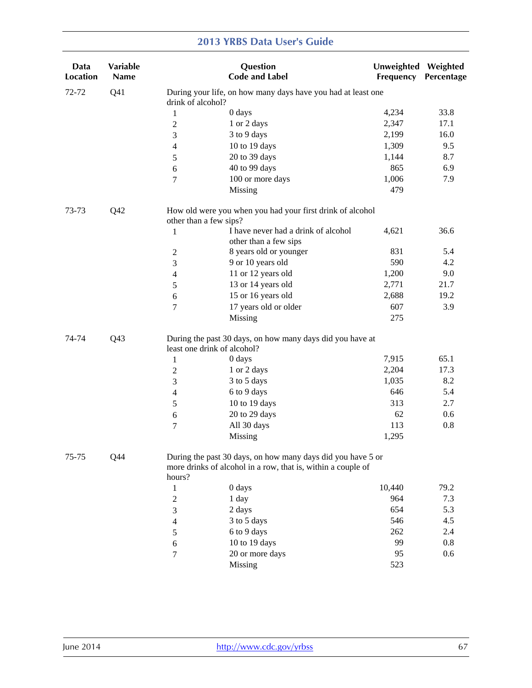| Data<br>Location | Variable<br>Name |                             | Question<br><b>Code and Label</b>                                                                                           | Unweighted Weighted<br>Frequency | Percentage |
|------------------|------------------|-----------------------------|-----------------------------------------------------------------------------------------------------------------------------|----------------------------------|------------|
| 72-72            | Q <sub>41</sub>  | drink of alcohol?           | During your life, on how many days have you had at least one                                                                |                                  |            |
|                  |                  | $\mathbf{1}$                | 0 days                                                                                                                      | 4,234                            | 33.8       |
|                  |                  | $\sqrt{2}$                  | 1 or 2 days                                                                                                                 | 2,347                            | 17.1       |
|                  |                  | 3                           | 3 to 9 days                                                                                                                 | 2,199                            | 16.0       |
|                  |                  | $\overline{4}$              | 10 to 19 days                                                                                                               | 1,309                            | 9.5        |
|                  |                  | 5                           | 20 to 39 days                                                                                                               | 1,144                            | 8.7        |
|                  |                  | 6                           | 40 to 99 days                                                                                                               | 865                              | 6.9        |
|                  |                  | $\overline{7}$              | 100 or more days                                                                                                            | 1,006                            | 7.9        |
|                  |                  |                             | Missing                                                                                                                     | 479                              |            |
| 73-73            | Q42              | other than a few sips?      | How old were you when you had your first drink of alcohol                                                                   |                                  |            |
|                  |                  | $\mathbf{1}$                | I have never had a drink of alcohol<br>other than a few sips                                                                | 4,621                            | 36.6       |
|                  |                  | $\overline{2}$              | 8 years old or younger                                                                                                      | 831                              | 5.4        |
|                  |                  | 3                           | 9 or 10 years old                                                                                                           | 590                              | 4.2        |
|                  |                  | $\overline{4}$              | 11 or 12 years old                                                                                                          | 1,200                            | 9.0        |
|                  |                  | 5                           | 13 or 14 years old                                                                                                          | 2,771                            | 21.7       |
|                  |                  | 6                           | 15 or 16 years old                                                                                                          | 2,688                            | 19.2       |
|                  |                  | $\boldsymbol{7}$            | 17 years old or older                                                                                                       | 607                              | 3.9        |
|                  |                  |                             | Missing                                                                                                                     | 275                              |            |
| 74-74            | Q <sub>43</sub>  | least one drink of alcohol? | During the past 30 days, on how many days did you have at                                                                   |                                  |            |
|                  |                  | $\mathbf{1}$                | 0 days                                                                                                                      | 7,915                            | 65.1       |
|                  |                  | $\mathfrak{2}$              | 1 or 2 days                                                                                                                 | 2,204                            | 17.3       |
|                  |                  | 3                           | 3 to 5 days                                                                                                                 | 1,035                            | 8.2        |
|                  |                  | 4                           | 6 to 9 days                                                                                                                 | 646                              | 5.4        |
|                  |                  | 5                           | 10 to 19 days                                                                                                               | 313                              | 2.7        |
|                  |                  | 6                           | 20 to 29 days                                                                                                               | 62                               | 0.6        |
|                  |                  | $\overline{7}$              | All 30 days                                                                                                                 | 113                              | 0.8        |
|                  |                  |                             | <b>Missing</b>                                                                                                              | 1,295                            |            |
| $75 - 75$        | Q44              | hours?                      | During the past 30 days, on how many days did you have 5 or<br>more drinks of alcohol in a row, that is, within a couple of |                                  |            |
|                  |                  | $\mathbf{1}$                | 0 days                                                                                                                      | 10,440                           | 79.2       |
|                  |                  | $\overline{2}$              | 1 day                                                                                                                       | 964                              | 7.3        |
|                  |                  | 3                           | 2 days                                                                                                                      | 654                              | 5.3        |
|                  |                  | $\overline{\mathcal{L}}$    | 3 to 5 days                                                                                                                 | 546                              | 4.5        |
|                  |                  | 5                           | 6 to 9 days                                                                                                                 | 262                              | 2.4        |
|                  |                  | 6                           | 10 to 19 days                                                                                                               | 99                               | 0.8        |
|                  |                  | 7                           | 20 or more days                                                                                                             | 95                               | 0.6        |
|                  |                  |                             | Missing                                                                                                                     | 523                              |            |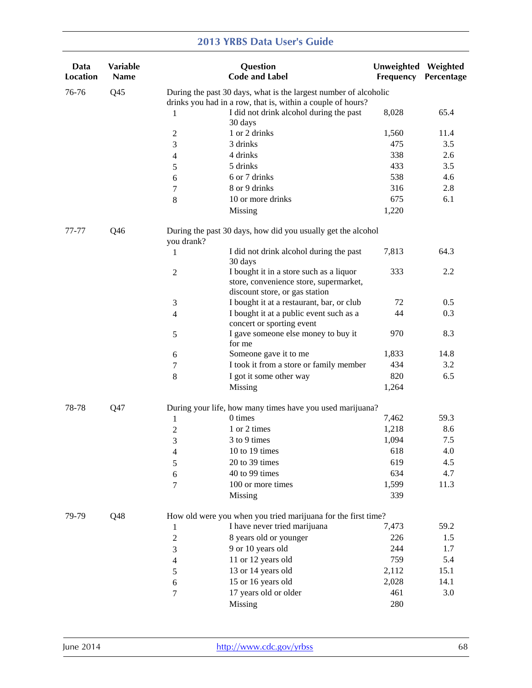| Data<br><b>Location</b> | <b>Variable</b><br><b>Name</b> |                | Question<br><b>Code and Label</b>                                                                                               | Unweighted Weighted<br>Frequency | Percentage |
|-------------------------|--------------------------------|----------------|---------------------------------------------------------------------------------------------------------------------------------|----------------------------------|------------|
| 76-76                   | Q <sub>45</sub>                |                | During the past 30 days, what is the largest number of alcoholic<br>drinks you had in a row, that is, within a couple of hours? |                                  |            |
|                         |                                | 1              | I did not drink alcohol during the past<br>30 days                                                                              | 8,028                            | 65.4       |
|                         |                                | 2              | 1 or 2 drinks                                                                                                                   | 1,560                            | 11.4       |
|                         |                                | 3              | 3 drinks                                                                                                                        | 475                              | 3.5        |
|                         |                                | 4              | 4 drinks                                                                                                                        | 338                              | 2.6        |
|                         |                                | 5              | 5 drinks                                                                                                                        | 433                              | 3.5        |
|                         |                                | 6              | 6 or 7 drinks                                                                                                                   | 538                              | 4.6        |
|                         |                                | 7              | 8 or 9 drinks                                                                                                                   | 316                              | 2.8        |
|                         |                                | $\,8\,$        | 10 or more drinks                                                                                                               | 675                              | 6.1        |
|                         |                                |                | Missing                                                                                                                         | 1,220                            |            |
| 77-77                   | Q46                            | you drank?     | During the past 30 days, how did you usually get the alcohol                                                                    |                                  |            |
|                         |                                | 1              | I did not drink alcohol during the past<br>30 days                                                                              | 7,813                            | 64.3       |
|                         |                                | $\mathbf{2}$   | I bought it in a store such as a liquor<br>store, convenience store, supermarket,<br>discount store, or gas station             | 333                              | 2.2        |
|                         |                                | 3              | I bought it at a restaurant, bar, or club                                                                                       | 72                               | 0.5        |
|                         |                                | $\overline{4}$ | I bought it at a public event such as a<br>concert or sporting event                                                            | 44                               | 0.3        |
|                         |                                | 5              | I gave someone else money to buy it<br>for me                                                                                   | 970                              | 8.3        |
|                         |                                | 6              | Someone gave it to me                                                                                                           | 1,833                            | 14.8       |
|                         |                                | 7              | I took it from a store or family member                                                                                         | 434                              | 3.2        |
|                         |                                | 8              | I got it some other way                                                                                                         | 820                              | 6.5        |
|                         |                                |                | Missing                                                                                                                         | 1,264                            |            |
| 78-78                   | Q47                            |                | During your life, how many times have you used marijuana?                                                                       |                                  |            |
|                         |                                | 1              | 0 times                                                                                                                         | 7,462                            | 59.3       |
|                         |                                | $\overline{c}$ | 1 or 2 times                                                                                                                    | 1,218                            | 8.6        |
|                         |                                | 3              | 3 to 9 times                                                                                                                    | 1,094                            | 7.5        |
|                         |                                | 4              | 10 to 19 times                                                                                                                  | 618                              | 4.0        |
|                         |                                | 5              | 20 to 39 times                                                                                                                  | 619                              | 4.5        |
|                         |                                | 6              | 40 to 99 times                                                                                                                  | 634                              | 4.7        |
|                         |                                | 7              | 100 or more times                                                                                                               | 1,599                            | 11.3       |
|                         |                                |                | Missing                                                                                                                         | 339                              |            |
| 79-79                   | Q48                            |                | How old were you when you tried marijuana for the first time?                                                                   |                                  |            |
|                         |                                | 1              | I have never tried marijuana                                                                                                    | 7,473                            | 59.2       |
|                         |                                | $\overline{c}$ | 8 years old or younger                                                                                                          | 226                              | 1.5        |
|                         |                                | 3              | 9 or 10 years old                                                                                                               | 244                              | 1.7        |
|                         |                                | 4              | 11 or 12 years old                                                                                                              | 759                              | 5.4        |
|                         |                                | 5              | 13 or 14 years old                                                                                                              | 2,112                            | 15.1       |
|                         |                                | 6              | 15 or 16 years old                                                                                                              | 2,028                            | 14.1       |
|                         |                                | 7              | 17 years old or older                                                                                                           | 461                              | 3.0        |
|                         |                                |                | <b>Missing</b>                                                                                                                  | 280                              |            |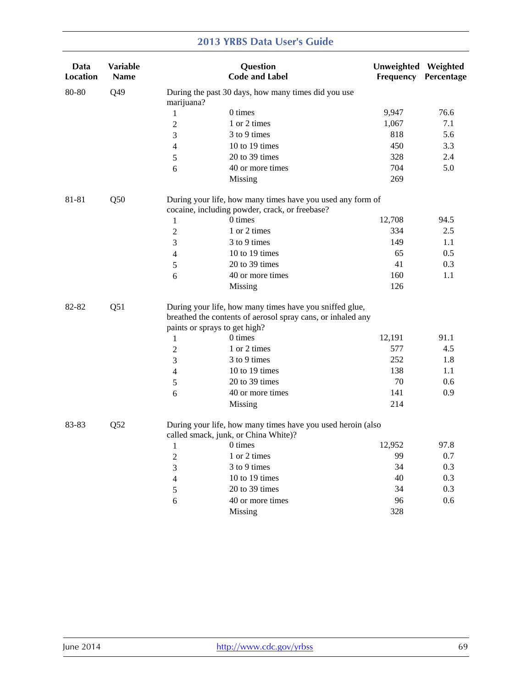| Data<br><b>Location</b> | Variable<br>Name |                     | Question<br><b>Code and Label</b>                                                                                                                       | Unweighted Weighted<br><b>Frequency</b> | Percentage |
|-------------------------|------------------|---------------------|---------------------------------------------------------------------------------------------------------------------------------------------------------|-----------------------------------------|------------|
| 80-80                   | Q49              | marijuana?          | During the past 30 days, how many times did you use                                                                                                     |                                         |            |
|                         |                  | $\mathbf{1}$        | 0 times                                                                                                                                                 | 9,947                                   | 76.6       |
|                         |                  | $\boldsymbol{2}$    | 1 or 2 times                                                                                                                                            | 1,067                                   | 7.1        |
|                         |                  | 3                   | 3 to 9 times                                                                                                                                            | 818                                     | 5.6        |
|                         |                  | $\overline{4}$      | 10 to 19 times                                                                                                                                          | 450                                     | 3.3        |
|                         |                  | 5                   | 20 to 39 times                                                                                                                                          | 328                                     | 2.4        |
|                         |                  | 6                   | 40 or more times                                                                                                                                        | 704                                     | 5.0        |
|                         |                  |                     | Missing                                                                                                                                                 | 269                                     |            |
| 81-81                   | Q50              |                     | During your life, how many times have you used any form of                                                                                              |                                         |            |
|                         |                  |                     | cocaine, including powder, crack, or freebase?                                                                                                          |                                         |            |
|                         |                  | 1                   | 0 times                                                                                                                                                 | 12,708                                  | 94.5       |
|                         |                  | $\sqrt{2}$          | 1 or 2 times                                                                                                                                            | 334                                     | 2.5        |
|                         |                  | 3                   | 3 to 9 times                                                                                                                                            | 149                                     | 1.1        |
|                         |                  | 4                   | 10 to 19 times                                                                                                                                          | 65                                      | 0.5        |
|                         |                  | $\sqrt{5}$          | 20 to 39 times                                                                                                                                          | 41                                      | 0.3        |
|                         |                  | 6                   | 40 or more times                                                                                                                                        | 160                                     | 1.1        |
|                         |                  |                     | Missing                                                                                                                                                 | 126                                     |            |
| Q51<br>82-82            |                  |                     | During your life, how many times have you sniffed glue,<br>breathed the contents of aerosol spray cans, or inhaled any<br>paints or sprays to get high? |                                         |            |
|                         |                  | $\mathbf{1}$        | 0 times                                                                                                                                                 | 12,191                                  | 91.1       |
|                         |                  | $\overline{2}$      | 1 or 2 times                                                                                                                                            | 577                                     | 4.5        |
|                         |                  | 3                   | 3 to 9 times                                                                                                                                            | 252                                     | 1.8        |
|                         |                  |                     | 10 to 19 times                                                                                                                                          | 138                                     | 1.1        |
|                         |                  | 4                   | 20 to 39 times                                                                                                                                          | 70                                      | 0.6        |
|                         |                  | 5                   | 40 or more times                                                                                                                                        | 141                                     | 0.9        |
|                         |                  | 6                   | Missing                                                                                                                                                 | 214                                     |            |
| 83-83                   | Q52              |                     | During your life, how many times have you used heroin (also<br>called smack, junk, or China White)?                                                     |                                         |            |
|                         |                  | $1$ and $1$ and $1$ | 0 times                                                                                                                                                 | 12,952                                  | 97.8       |
|                         |                  | $\overline{c}$      | 1 or 2 times                                                                                                                                            | 99                                      | 0.7        |
|                         |                  | 3                   | 3 to 9 times                                                                                                                                            | 34                                      | 0.3        |
|                         |                  | 4                   | 10 to 19 times                                                                                                                                          | 40                                      | 0.3        |
|                         |                  | $\sqrt{5}$          | 20 to 39 times                                                                                                                                          | 34                                      | 0.3        |
|                         |                  | 6                   | 40 or more times                                                                                                                                        | 96                                      | 0.6        |
|                         |                  |                     | Missing                                                                                                                                                 | 328                                     |            |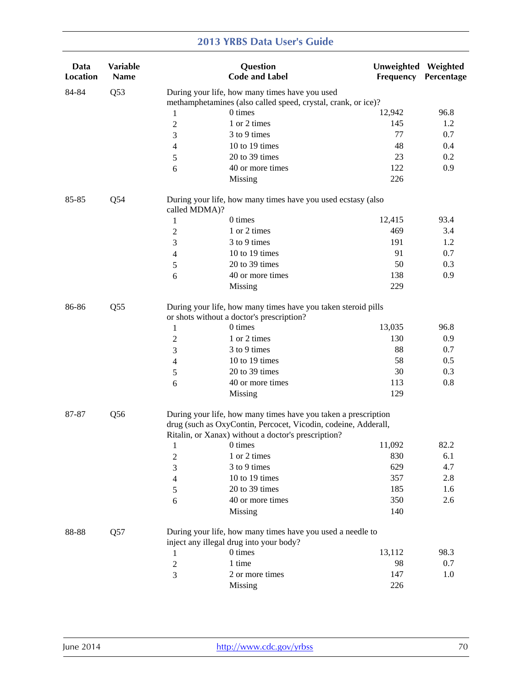| Data<br><b>Location</b> | Variable<br><b>Name</b> |                | Question<br><b>Code and Label</b>                                                                                                                                                       | Unweighted Weighted<br>Frequency | Percentage |
|-------------------------|-------------------------|----------------|-----------------------------------------------------------------------------------------------------------------------------------------------------------------------------------------|----------------------------------|------------|
| 84-84                   | Q53                     |                | During your life, how many times have you used                                                                                                                                          |                                  |            |
|                         |                         |                | methamphetamines (also called speed, crystal, crank, or ice)?                                                                                                                           |                                  |            |
|                         |                         | 1              | 0 times                                                                                                                                                                                 | 12,942                           | 96.8       |
|                         |                         | 2              | 1 or 2 times                                                                                                                                                                            | 145                              | 1.2        |
|                         |                         | 3              | 3 to 9 times                                                                                                                                                                            | 77                               | 0.7        |
|                         |                         | 4              | 10 to 19 times                                                                                                                                                                          | 48                               | 0.4        |
|                         |                         | 5              | 20 to 39 times                                                                                                                                                                          | 23                               | 0.2        |
|                         |                         | 6              | 40 or more times                                                                                                                                                                        | 122                              | 0.9        |
|                         |                         |                | Missing                                                                                                                                                                                 | 226                              |            |
| 85-85                   | Q54                     | called MDMA)?  | During your life, how many times have you used ecstasy (also                                                                                                                            |                                  |            |
|                         |                         | 1              | 0 times                                                                                                                                                                                 | 12,415                           | 93.4       |
|                         |                         | 2              | 1 or 2 times                                                                                                                                                                            | 469                              | 3.4        |
|                         |                         | 3              | 3 to 9 times                                                                                                                                                                            | 191                              | 1.2        |
|                         |                         | 4              | 10 to 19 times                                                                                                                                                                          | 91                               | 0.7        |
|                         |                         | 5              | 20 to 39 times                                                                                                                                                                          | 50                               | 0.3        |
|                         |                         | 6              | 40 or more times                                                                                                                                                                        | 138                              | 0.9        |
|                         |                         |                | Missing                                                                                                                                                                                 | 229                              |            |
| Q55<br>86-86            |                         |                | During your life, how many times have you taken steroid pills<br>or shots without a doctor's prescription?                                                                              |                                  |            |
|                         |                         | 1              | 0 times                                                                                                                                                                                 | 13,035                           | 96.8       |
|                         |                         | $\overline{c}$ | 1 or 2 times                                                                                                                                                                            | 130                              | 0.9        |
|                         |                         | 3              | 3 to 9 times                                                                                                                                                                            | 88                               | 0.7        |
|                         |                         | 4              | 10 to 19 times                                                                                                                                                                          | 58                               | 0.5        |
|                         |                         | 5              | 20 to 39 times                                                                                                                                                                          | 30                               | 0.3        |
|                         |                         | 6              | 40 or more times                                                                                                                                                                        | 113                              | 0.8        |
|                         |                         |                | Missing                                                                                                                                                                                 | 129                              |            |
| 87-87                   | Q <sub>56</sub>         |                | During your life, how many times have you taken a prescription<br>drug (such as OxyContin, Percocet, Vicodin, codeine, Adderall,<br>Ritalin, or Xanax) without a doctor's prescription? |                                  |            |
|                         |                         | 1              | 0 times                                                                                                                                                                                 | 11,092                           | 82.2       |
|                         |                         | 2              | 1 or 2 times                                                                                                                                                                            | 830                              | 6.1        |
|                         |                         | 3              | 3 to 9 times                                                                                                                                                                            | 629                              | 4.7        |
|                         |                         | 4              | 10 to 19 times                                                                                                                                                                          | 357                              | 2.8        |
|                         |                         | 5              | 20 to 39 times                                                                                                                                                                          | 185                              | 1.6        |
|                         |                         | 6              | 40 or more times                                                                                                                                                                        | 350                              | 2.6        |
|                         |                         |                | Missing                                                                                                                                                                                 | 140                              |            |
| 88-88                   | Q57                     |                | During your life, how many times have you used a needle to<br>inject any illegal drug into your body?                                                                                   |                                  |            |
|                         |                         | 1              | 0 times                                                                                                                                                                                 | 13,112                           | 98.3       |
|                         |                         | $\overline{2}$ | 1 time                                                                                                                                                                                  | 98                               | 0.7        |
|                         |                         | 3              | 2 or more times                                                                                                                                                                         | 147                              | 1.0        |
|                         |                         |                | Missing                                                                                                                                                                                 | 226                              |            |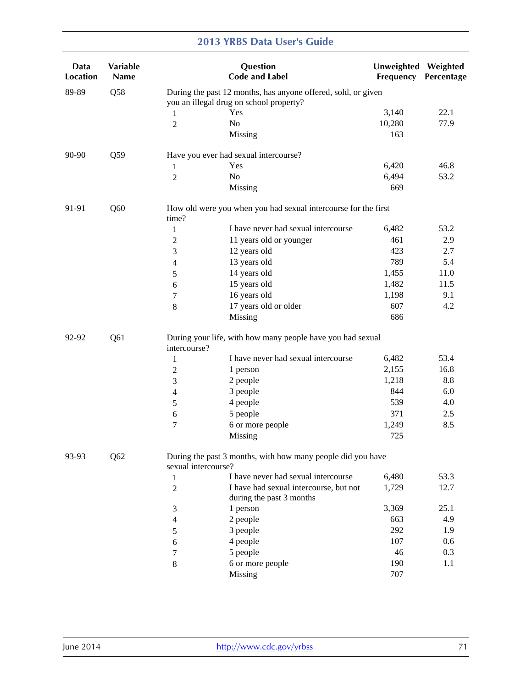| Data<br>Location | <b>Variable</b><br>Name |                                                                                                          | Question<br><b>Code and Label</b>                              | Unweighted Weighted<br>Frequency | Percentage |  |  |
|------------------|-------------------------|----------------------------------------------------------------------------------------------------------|----------------------------------------------------------------|----------------------------------|------------|--|--|
| 89-89            | Q58                     | During the past 12 months, has anyone offered, sold, or given<br>you an illegal drug on school property? |                                                                |                                  |            |  |  |
|                  |                         | 1                                                                                                        | Yes                                                            | 3,140                            | 22.1       |  |  |
|                  |                         | $\overline{c}$                                                                                           | No                                                             | 10,280                           | 77.9       |  |  |
|                  |                         |                                                                                                          | Missing                                                        | 163                              |            |  |  |
| 90-90            | Q59                     |                                                                                                          | Have you ever had sexual intercourse?                          |                                  |            |  |  |
|                  |                         | 1                                                                                                        | Yes                                                            | 6,420                            | 46.8       |  |  |
|                  |                         | $\overline{2}$                                                                                           | N <sub>o</sub>                                                 | 6,494                            | 53.2       |  |  |
|                  |                         |                                                                                                          | Missing                                                        | 669                              |            |  |  |
| 91-91            | Q60                     | time?                                                                                                    | How old were you when you had sexual intercourse for the first |                                  |            |  |  |
|                  |                         | $\mathbf{1}$                                                                                             | I have never had sexual intercourse                            | 6,482                            | 53.2       |  |  |
|                  |                         | $\mathbf{2}$                                                                                             | 11 years old or younger                                        | 461                              | 2.9        |  |  |
|                  |                         | 3                                                                                                        | 12 years old                                                   | 423                              | 2.7        |  |  |
|                  |                         | 4                                                                                                        | 13 years old                                                   | 789                              | 5.4        |  |  |
|                  |                         | 5                                                                                                        | 14 years old                                                   | 1,455                            | 11.0       |  |  |
|                  |                         | 6                                                                                                        | 15 years old                                                   | 1,482                            | 11.5       |  |  |
|                  |                         | 7                                                                                                        | 16 years old                                                   | 1,198                            | 9.1        |  |  |
|                  |                         | $\,$ 8 $\,$                                                                                              | 17 years old or older                                          | 607                              | 4.2        |  |  |
|                  |                         |                                                                                                          | Missing                                                        | 686                              |            |  |  |
| 92-92            | Q61                     | intercourse?                                                                                             | During your life, with how many people have you had sexual     |                                  |            |  |  |
|                  |                         | $\mathbf{1}$                                                                                             | I have never had sexual intercourse                            | 6,482                            | 53.4       |  |  |
|                  |                         | $\overline{2}$                                                                                           | 1 person                                                       | 2,155                            | 16.8       |  |  |
|                  |                         | 3                                                                                                        | 2 people                                                       | 1,218                            | 8.8        |  |  |
|                  |                         | 4                                                                                                        | 3 people                                                       | 844                              | 6.0        |  |  |
|                  |                         | 5                                                                                                        | 4 people                                                       | 539                              | 4.0        |  |  |
|                  |                         | 6                                                                                                        | 5 people                                                       | 371                              | 2.5        |  |  |
|                  |                         | 7                                                                                                        | 6 or more people                                               | 1,249                            | 8.5        |  |  |
|                  |                         |                                                                                                          | Missing                                                        | 725                              |            |  |  |
| 93-93            | Q62                     | sexual intercourse?                                                                                      | During the past 3 months, with how many people did you have    |                                  |            |  |  |
|                  |                         | 1                                                                                                        | I have never had sexual intercourse                            | 6,480                            | 53.3       |  |  |
|                  |                         | 2                                                                                                        | I have had sexual intercourse, but not                         | 1,729                            | 12.7       |  |  |
|                  |                         |                                                                                                          | during the past 3 months                                       |                                  |            |  |  |
|                  |                         | 3                                                                                                        | 1 person                                                       | 3,369                            | 25.1       |  |  |
|                  |                         | 4                                                                                                        | 2 people                                                       | 663                              | 4.9        |  |  |
|                  |                         | 5                                                                                                        | 3 people                                                       | 292                              | 1.9        |  |  |
|                  |                         | 6                                                                                                        | 4 people                                                       | 107                              | 0.6        |  |  |
|                  |                         | 7                                                                                                        | 5 people                                                       | 46                               | 0.3        |  |  |
|                  |                         | $\,8\,$                                                                                                  | 6 or more people                                               | 190                              | 1.1        |  |  |
|                  |                         |                                                                                                          | Missing                                                        | 707                              |            |  |  |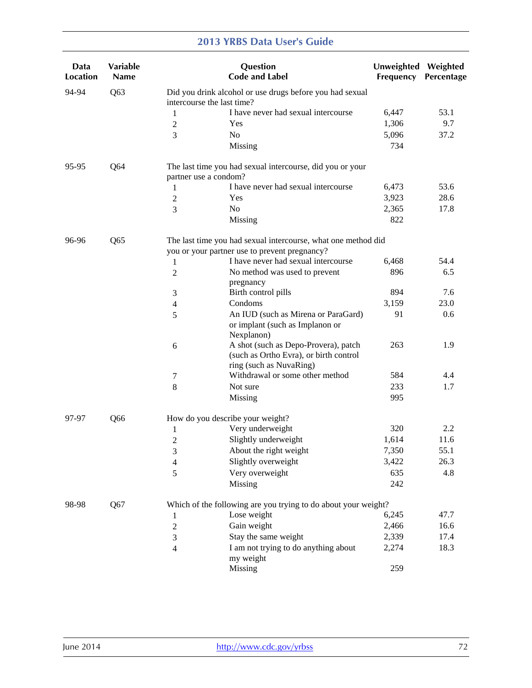| Data<br><b>Location</b> | Variable<br><b>Name</b> |                            | Question<br><b>Code and Label</b>                                                                         | Unweighted<br>Frequency | Weighted<br>Percentage |
|-------------------------|-------------------------|----------------------------|-----------------------------------------------------------------------------------------------------------|-------------------------|------------------------|
| 94-94                   | Q63                     | intercourse the last time? | Did you drink alcohol or use drugs before you had sexual                                                  |                         |                        |
|                         |                         | 1                          | I have never had sexual intercourse                                                                       | 6,447                   | 53.1                   |
|                         |                         | $\mathbf{2}$               | Yes                                                                                                       | 1,306                   | 9.7                    |
|                         |                         | 3                          | N <sub>o</sub>                                                                                            | 5,096                   | 37.2                   |
|                         |                         |                            | Missing                                                                                                   | 734                     |                        |
| 95-95                   | Q <sub>64</sub>         | partner use a condom?      | The last time you had sexual intercourse, did you or your                                                 |                         |                        |
|                         |                         | 1                          | I have never had sexual intercourse                                                                       | 6,473                   | 53.6                   |
|                         |                         | $\mathbf{2}$               | Yes                                                                                                       | 3,923                   | 28.6                   |
|                         |                         | 3                          | No                                                                                                        | 2,365                   | 17.8                   |
|                         |                         |                            | Missing                                                                                                   | 822                     |                        |
| 96-96                   | Q <sub>65</sub>         |                            | The last time you had sexual intercourse, what one method did                                             |                         |                        |
|                         |                         |                            | you or your partner use to prevent pregnancy?                                                             |                         |                        |
|                         |                         | 1                          | I have never had sexual intercourse                                                                       | 6,468                   | 54.4                   |
|                         |                         | $\overline{c}$             | No method was used to prevent<br>pregnancy                                                                | 896                     | 6.5                    |
|                         |                         | 3                          | Birth control pills                                                                                       | 894                     | 7.6                    |
|                         |                         | $\overline{4}$             | Condoms                                                                                                   | 3,159                   | 23.0                   |
|                         |                         | 5                          | An IUD (such as Mirena or ParaGard)<br>or implant (such as Implanon or<br>Nexplanon)                      | 91                      | 0.6                    |
|                         |                         | 6                          | A shot (such as Depo-Provera), patch<br>(such as Ortho Evra), or birth control<br>ring (such as NuvaRing) | 263                     | 1.9                    |
|                         |                         | 7                          | Withdrawal or some other method                                                                           | 584                     | 4.4                    |
|                         |                         | $\,8\,$                    | Not sure                                                                                                  | 233                     | 1.7                    |
|                         |                         |                            | Missing                                                                                                   | 995                     |                        |
| 97-97                   | Q66                     |                            | How do you describe your weight?                                                                          |                         |                        |
|                         |                         | 1                          | Very underweight                                                                                          | 320                     | 2.2                    |
|                         |                         | $\sqrt{2}$                 | Slightly underweight                                                                                      | 1,614                   | 11.6                   |
|                         |                         | 3                          | About the right weight                                                                                    | 7,350                   | 55.1                   |
|                         |                         | 4                          | Slightly overweight                                                                                       | 3,422                   | 26.3                   |
|                         |                         | 5                          | Very overweight                                                                                           | 635                     | 4.8                    |
|                         |                         |                            | Missing                                                                                                   | 242                     |                        |
| 98-98                   | Q67                     |                            | Which of the following are you trying to do about your weight?                                            |                         |                        |
|                         |                         | $\mathbf{1}$               | Lose weight                                                                                               | 6,245                   | 47.7                   |
|                         |                         | $\boldsymbol{2}$           | Gain weight                                                                                               | 2,466                   | 16.6                   |
|                         |                         | 3                          | Stay the same weight                                                                                      | 2,339                   | 17.4                   |
|                         |                         | $\overline{4}$             | I am not trying to do anything about<br>my weight                                                         | 2,274                   | 18.3                   |
|                         |                         |                            | Missing                                                                                                   | 259                     |                        |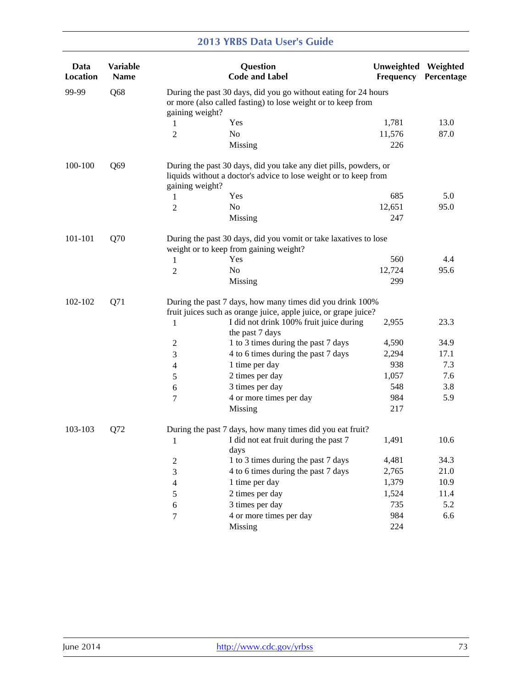| Data<br><b>Location</b> | <b>Variable</b><br><b>Name</b> |                                                                                                                                                    | Question<br><b>Code and Label</b>                                                                                                     | Unweighted<br>Frequency | Weighted<br>Percentage |  |  |
|-------------------------|--------------------------------|----------------------------------------------------------------------------------------------------------------------------------------------------|---------------------------------------------------------------------------------------------------------------------------------------|-------------------------|------------------------|--|--|
| 99-99                   | Q68                            | During the past 30 days, did you go without eating for 24 hours<br>or more (also called fasting) to lose weight or to keep from<br>gaining weight? |                                                                                                                                       |                         |                        |  |  |
|                         |                                | 1                                                                                                                                                  | Yes                                                                                                                                   | 1,781                   | 13.0                   |  |  |
|                         |                                | 2                                                                                                                                                  | No                                                                                                                                    | 11,576                  | 87.0                   |  |  |
|                         |                                |                                                                                                                                                    | Missing                                                                                                                               | 226                     |                        |  |  |
| 100-100                 | Q69                            | gaining weight?                                                                                                                                    | During the past 30 days, did you take any diet pills, powders, or<br>liquids without a doctor's advice to lose weight or to keep from |                         |                        |  |  |
|                         |                                | 1                                                                                                                                                  | Yes                                                                                                                                   | 685                     | 5.0                    |  |  |
|                         |                                | 2                                                                                                                                                  | N <sub>o</sub>                                                                                                                        | 12,651                  | 95.0                   |  |  |
|                         |                                |                                                                                                                                                    | Missing                                                                                                                               | 247                     |                        |  |  |
| 101-101                 | Q70                            |                                                                                                                                                    | During the past 30 days, did you vomit or take laxatives to lose<br>weight or to keep from gaining weight?                            |                         |                        |  |  |
|                         |                                | 1                                                                                                                                                  | Yes                                                                                                                                   | 560                     | 4.4                    |  |  |
|                         |                                | 2                                                                                                                                                  | No                                                                                                                                    | 12,724                  | 95.6                   |  |  |
|                         |                                |                                                                                                                                                    | Missing                                                                                                                               | 299                     |                        |  |  |
| 102-102                 | Q71                            |                                                                                                                                                    | During the past 7 days, how many times did you drink 100%<br>fruit juices such as orange juice, apple juice, or grape juice?          |                         |                        |  |  |
|                         |                                | 1                                                                                                                                                  | I did not drink 100% fruit juice during<br>the past 7 days                                                                            | 2,955                   | 23.3                   |  |  |
|                         |                                | 2                                                                                                                                                  | 1 to 3 times during the past 7 days                                                                                                   | 4,590                   | 34.9                   |  |  |
|                         |                                | 3                                                                                                                                                  | 4 to 6 times during the past 7 days                                                                                                   | 2,294                   | 17.1                   |  |  |
|                         |                                | 4                                                                                                                                                  | 1 time per day                                                                                                                        | 938                     | 7.3                    |  |  |
|                         |                                | 5                                                                                                                                                  | 2 times per day                                                                                                                       | 1,057                   | 7.6                    |  |  |
|                         |                                | 6                                                                                                                                                  | 3 times per day                                                                                                                       | 548                     | 3.8                    |  |  |
|                         |                                | 7                                                                                                                                                  | 4 or more times per day                                                                                                               | 984                     | 5.9                    |  |  |
|                         |                                |                                                                                                                                                    | Missing                                                                                                                               | 217                     |                        |  |  |
| 103-103                 | Q72                            |                                                                                                                                                    | During the past 7 days, how many times did you eat fruit?                                                                             |                         |                        |  |  |
|                         |                                | $\mathbf{1}$                                                                                                                                       | I did not eat fruit during the past 7<br>days                                                                                         | 1,491                   | 10.6                   |  |  |
|                         |                                | 2                                                                                                                                                  | 1 to 3 times during the past 7 days                                                                                                   | 4,481                   | 34.3                   |  |  |
|                         |                                | 3                                                                                                                                                  | 4 to 6 times during the past 7 days                                                                                                   | 2,765                   | 21.0                   |  |  |
|                         |                                | 4                                                                                                                                                  | 1 time per day                                                                                                                        | 1,379                   | 10.9                   |  |  |
|                         |                                | 5                                                                                                                                                  | 2 times per day                                                                                                                       | 1,524                   | 11.4                   |  |  |
|                         |                                | 6                                                                                                                                                  | 3 times per day                                                                                                                       | 735                     | 5.2                    |  |  |
|                         |                                | $\tau$                                                                                                                                             | 4 or more times per day                                                                                                               | 984                     | 6.6                    |  |  |
|                         |                                |                                                                                                                                                    | <b>Missing</b>                                                                                                                        | 224                     |                        |  |  |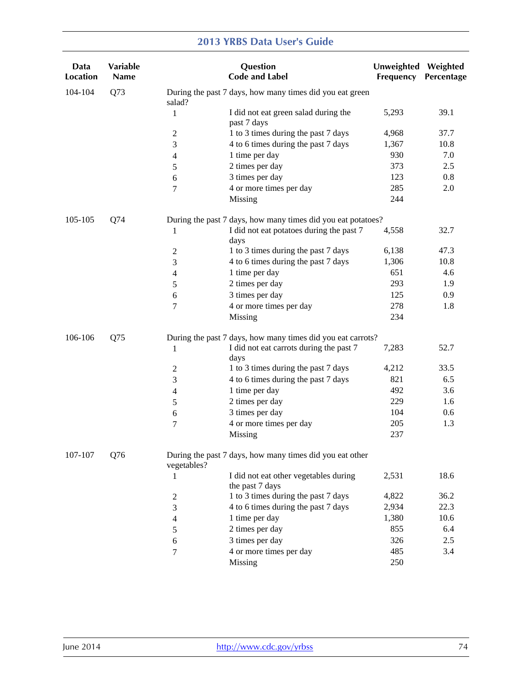| Data<br><b>Location</b> | <b>Variable</b><br>Name |              | Question<br><b>Code and Label</b>                            | Unweighted Weighted<br>Frequency | Percentage |
|-------------------------|-------------------------|--------------|--------------------------------------------------------------|----------------------------------|------------|
| 104-104                 | Q73                     | salad?       | During the past 7 days, how many times did you eat green     |                                  |            |
|                         |                         | $\mathbf{1}$ | I did not eat green salad during the<br>past 7 days          | 5,293                            | 39.1       |
|                         |                         | 2            | 1 to 3 times during the past 7 days                          | 4,968                            | 37.7       |
|                         |                         | 3            | 4 to 6 times during the past 7 days                          | 1,367                            | 10.8       |
|                         |                         | 4            | 1 time per day                                               | 930                              | 7.0        |
|                         |                         | 5            | 2 times per day                                              | 373                              | 2.5        |
|                         |                         | 6            | 3 times per day                                              | 123                              | 0.8        |
|                         |                         | 7            | 4 or more times per day                                      | 285                              | 2.0        |
|                         |                         |              | Missing                                                      | 244                              |            |
| 105-105                 | Q74                     |              | During the past 7 days, how many times did you eat potatoes? |                                  |            |
|                         |                         | 1            | I did not eat potatoes during the past 7<br>days             | 4,558                            | 32.7       |
|                         |                         | 2            | 1 to 3 times during the past 7 days                          | 6,138                            | 47.3       |
|                         |                         | 3            | 4 to 6 times during the past 7 days                          | 1,306                            | 10.8       |
|                         |                         | 4            | 1 time per day                                               | 651                              | 4.6        |
|                         |                         | 5            | 2 times per day                                              | 293                              | 1.9        |
|                         |                         | 6            | 3 times per day                                              | 125                              | 0.9        |
|                         |                         | 7            | 4 or more times per day                                      | 278                              | 1.8        |
|                         |                         |              | Missing                                                      | 234                              |            |
| 106-106                 | Q75                     |              | During the past 7 days, how many times did you eat carrots?  |                                  |            |
|                         |                         | $\mathbf{1}$ | I did not eat carrots during the past 7<br>days              | 7,283                            | 52.7       |
|                         |                         | 2            | 1 to 3 times during the past 7 days                          | 4,212                            | 33.5       |
|                         |                         | 3            | 4 to 6 times during the past 7 days                          | 821                              | 6.5        |
|                         |                         | 4            | 1 time per day                                               | 492                              | 3.6        |
|                         |                         | 5            | 2 times per day                                              | 229                              | 1.6        |
|                         |                         | 6            | 3 times per day                                              | 104                              | 0.6        |
|                         |                         | 7            | 4 or more times per day                                      | 205                              | 1.3        |
|                         |                         |              | Missing                                                      | 237                              |            |
| 107-107                 | Q76                     | vegetables?  | During the past 7 days, how many times did you eat other     |                                  |            |
|                         |                         | 1            | I did not eat other vegetables during<br>the past 7 days     | 2,531                            | 18.6       |
|                         |                         | 2            | 1 to 3 times during the past 7 days                          | 4,822                            | 36.2       |
|                         |                         | 3            | 4 to 6 times during the past 7 days                          | 2,934                            | 22.3       |
|                         |                         | 4            | 1 time per day                                               | 1,380                            | 10.6       |
|                         |                         | 5            | 2 times per day                                              | 855                              | 6.4        |
|                         |                         | 6            | 3 times per day                                              | 326                              | 2.5        |
|                         |                         | 7            | 4 or more times per day                                      | 485                              | 3.4        |
|                         |                         |              | <b>Missing</b>                                               | 250                              |            |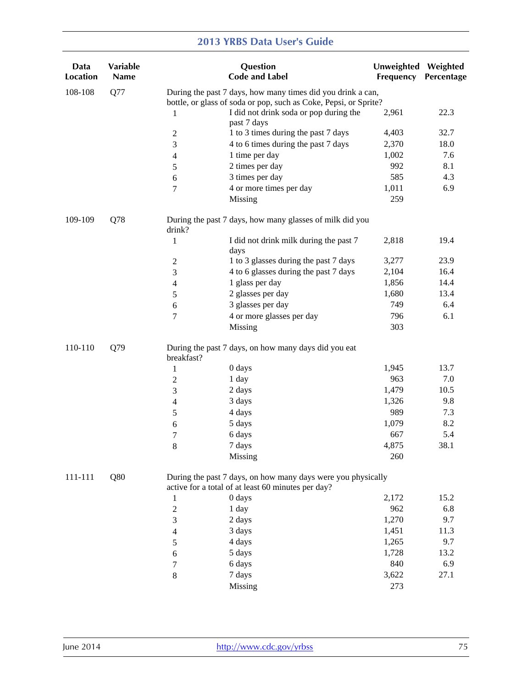| Data<br>Location | Variable<br>Name |                                                             | Question<br><b>Code and Label</b>                                                                                  | Unweighted Weighted<br>Frequency | Percentage |  |  |
|------------------|------------------|-------------------------------------------------------------|--------------------------------------------------------------------------------------------------------------------|----------------------------------|------------|--|--|
| 108-108          | Q77              | During the past 7 days, how many times did you drink a can, |                                                                                                                    |                                  |            |  |  |
|                  |                  |                                                             | bottle, or glass of soda or pop, such as Coke, Pepsi, or Sprite?                                                   |                                  |            |  |  |
|                  |                  | 1                                                           | I did not drink soda or pop during the                                                                             | 2,961                            | 22.3       |  |  |
|                  |                  | $\mathbf{2}$                                                | past 7 days<br>1 to 3 times during the past 7 days                                                                 | 4,403                            | 32.7       |  |  |
|                  |                  | 3                                                           | 4 to 6 times during the past 7 days                                                                                | 2,370                            | 18.0       |  |  |
|                  |                  | $\overline{\mathcal{L}}$                                    | 1 time per day                                                                                                     | 1,002                            | 7.6        |  |  |
|                  |                  | 5                                                           | 2 times per day                                                                                                    | 992                              | 8.1        |  |  |
|                  |                  | $\sqrt{6}$                                                  | 3 times per day                                                                                                    | 585                              | 4.3        |  |  |
|                  |                  | 7                                                           | 4 or more times per day                                                                                            | 1,011                            | 6.9        |  |  |
|                  |                  |                                                             | Missing                                                                                                            | 259                              |            |  |  |
| 109-109          | Q78              | drink?                                                      | During the past 7 days, how many glasses of milk did you                                                           |                                  |            |  |  |
|                  |                  | $\mathbf{1}$                                                | I did not drink milk during the past 7<br>days                                                                     | 2,818                            | 19.4       |  |  |
|                  |                  | $\mathbf{2}$                                                | 1 to 3 glasses during the past 7 days                                                                              | 3,277                            | 23.9       |  |  |
|                  |                  | 3                                                           | 4 to 6 glasses during the past 7 days                                                                              | 2,104                            | 16.4       |  |  |
|                  |                  | $\overline{\mathcal{L}}$                                    | 1 glass per day                                                                                                    | 1,856                            | 14.4       |  |  |
|                  |                  | 5                                                           | 2 glasses per day                                                                                                  | 1,680                            | 13.4       |  |  |
|                  |                  | 6                                                           | 3 glasses per day                                                                                                  | 749                              | 6.4        |  |  |
|                  |                  | 7                                                           | 4 or more glasses per day                                                                                          | 796                              | 6.1        |  |  |
|                  |                  |                                                             | Missing                                                                                                            | 303                              |            |  |  |
| 110-110          | Q79              | breakfast?                                                  | During the past 7 days, on how many days did you eat                                                               |                                  |            |  |  |
|                  |                  | 1                                                           | 0 days                                                                                                             | 1,945                            | 13.7       |  |  |
|                  |                  | $\boldsymbol{2}$                                            | 1 day                                                                                                              | 963                              | 7.0        |  |  |
|                  |                  | 3                                                           | 2 days                                                                                                             | 1,479                            | 10.5       |  |  |
|                  |                  | $\overline{\mathbf{4}}$                                     | 3 days                                                                                                             | 1,326                            | 9.8        |  |  |
|                  |                  | 5                                                           | 4 days                                                                                                             | 989                              | 7.3        |  |  |
|                  |                  | 6                                                           | 5 days                                                                                                             | 1,079                            | 8.2        |  |  |
|                  |                  | 7                                                           | 6 days                                                                                                             | 667                              | 5.4        |  |  |
|                  |                  | 8                                                           | 7 days                                                                                                             | 4,875                            | 38.1       |  |  |
|                  |                  |                                                             | Missing                                                                                                            | 260                              |            |  |  |
| 111-111          | Q80              |                                                             | During the past 7 days, on how many days were you physically<br>active for a total of at least 60 minutes per day? |                                  |            |  |  |
|                  |                  | 1                                                           | $0$ days                                                                                                           | 2,172                            | 15.2       |  |  |
|                  |                  | $\boldsymbol{2}$                                            | 1 day                                                                                                              | 962                              | 6.8        |  |  |
|                  |                  | 3                                                           | 2 days                                                                                                             | 1,270                            | 9.7        |  |  |
|                  |                  | 4                                                           | 3 days                                                                                                             | 1,451                            | 11.3       |  |  |
|                  |                  | 5                                                           | 4 days                                                                                                             | 1,265                            | 9.7        |  |  |
|                  |                  | 6                                                           | 5 days                                                                                                             | 1,728                            | 13.2       |  |  |
|                  |                  | 7                                                           | 6 days                                                                                                             | 840                              | 6.9        |  |  |
|                  |                  | $8\,$                                                       | 7 days                                                                                                             | 3,622                            | 27.1       |  |  |
|                  |                  |                                                             | <b>Missing</b>                                                                                                     | 273                              |            |  |  |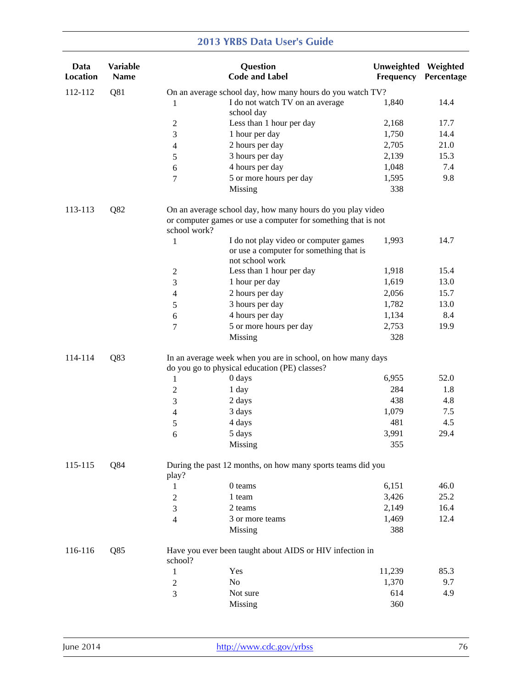| Data<br><b>Location</b> | Variable<br><b>Name</b> |                | Question<br><b>Code and Label</b>                                                                            | Unweighted Weighted<br>Frequency | Percentage |
|-------------------------|-------------------------|----------------|--------------------------------------------------------------------------------------------------------------|----------------------------------|------------|
| 112-112                 | Q81                     |                | On an average school day, how many hours do you watch TV?                                                    |                                  |            |
|                         |                         | 1              | I do not watch TV on an average<br>school day                                                                | 1,840                            | 14.4       |
|                         |                         | 2              | Less than 1 hour per day                                                                                     | 2,168                            | 17.7       |
|                         |                         | 3              | 1 hour per day                                                                                               | 1,750                            | 14.4       |
|                         |                         | 4              | 2 hours per day                                                                                              | 2,705                            | 21.0       |
|                         |                         | 5              | 3 hours per day                                                                                              | 2,139                            | 15.3       |
|                         |                         | 6              | 4 hours per day                                                                                              | 1,048                            | 7.4        |
|                         |                         | 7              | 5 or more hours per day                                                                                      | 1,595                            | 9.8        |
|                         |                         |                | Missing                                                                                                      | 338                              |            |
| 113-113                 | Q82                     |                | On an average school day, how many hours do you play video                                                   |                                  |            |
|                         |                         | school work?   | or computer games or use a computer for something that is not                                                |                                  |            |
|                         |                         | 1              | I do not play video or computer games<br>or use a computer for something that is<br>not school work          | 1,993                            | 14.7       |
|                         |                         | $\mathbf{2}$   | Less than 1 hour per day                                                                                     | 1,918                            | 15.4       |
|                         |                         | 3              | 1 hour per day                                                                                               | 1,619                            | 13.0       |
|                         |                         | $\overline{4}$ | 2 hours per day                                                                                              | 2,056                            | 15.7       |
|                         |                         | 5              | 3 hours per day                                                                                              | 1,782                            | 13.0       |
|                         |                         | 6              | 4 hours per day                                                                                              | 1,134                            | 8.4        |
|                         |                         | 7              | 5 or more hours per day                                                                                      | 2,753                            | 19.9       |
|                         |                         |                | Missing                                                                                                      | 328                              |            |
| Q83<br>114-114          |                         |                | In an average week when you are in school, on how many days<br>do you go to physical education (PE) classes? |                                  |            |
|                         |                         | 1              | 0 days                                                                                                       | 6,955                            | 52.0       |
|                         |                         | $\overline{c}$ | 1 day                                                                                                        | 284                              | 1.8        |
|                         |                         | 3              | 2 days                                                                                                       | 438                              | 4.8        |
|                         |                         | 4              | 3 days                                                                                                       | 1,079                            | 7.5        |
|                         |                         | 5              | 4 days                                                                                                       | 481                              | 4.5        |
|                         |                         | 6              | 5 days                                                                                                       | 3,991                            | 29.4       |
|                         |                         |                | Missing                                                                                                      | 355                              |            |
| 115-115                 | Q84                     | play?          | During the past 12 months, on how many sports teams did you                                                  |                                  |            |
|                         |                         | 1              | 0 teams                                                                                                      | 6,151                            | 46.0       |
|                         |                         | 2              | 1 team                                                                                                       | 3,426                            | 25.2       |
|                         |                         | 3              | 2 teams                                                                                                      | 2,149                            | 16.4       |
|                         |                         | 4              | 3 or more teams                                                                                              | 1,469                            | 12.4       |
|                         |                         |                | Missing                                                                                                      | 388                              |            |
| 116-116                 | Q85                     | school?        | Have you ever been taught about AIDS or HIV infection in                                                     |                                  |            |
|                         |                         | 1              | Yes                                                                                                          | 11,239                           | 85.3       |
|                         |                         | $\overline{c}$ | N <sub>o</sub>                                                                                               | 1,370                            | 9.7        |
|                         |                         | 3              | Not sure                                                                                                     | 614                              | 4.9        |
|                         |                         |                | Missing                                                                                                      | 360                              |            |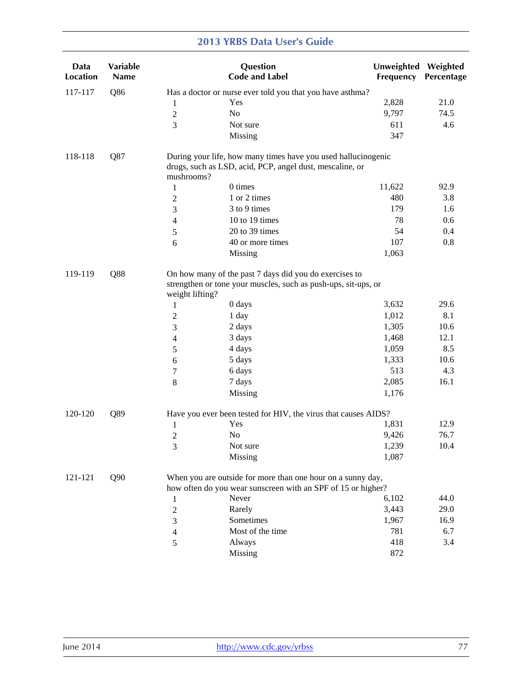| Data<br><b>Location</b> | <b>Variable</b><br><b>Name</b> |                 | Question<br><b>Code and Label</b>                                                                                           | Unweighted Weighted<br>Frequency | Percentage  |
|-------------------------|--------------------------------|-----------------|-----------------------------------------------------------------------------------------------------------------------------|----------------------------------|-------------|
| 117-117                 | Q86                            |                 | Has a doctor or nurse ever told you that you have asthma?                                                                   |                                  |             |
|                         |                                | 1               | Yes                                                                                                                         | 2,828                            | 21.0        |
|                         |                                | $\mathbf{2}$    | No                                                                                                                          | 9,797                            | 74.5        |
|                         |                                | 3               | Not sure                                                                                                                    | 611                              | 4.6         |
|                         |                                |                 | Missing                                                                                                                     | 347                              |             |
| 118-118                 | Q87                            | mushrooms?      | During your life, how many times have you used hallucinogenic<br>drugs, such as LSD, acid, PCP, angel dust, mescaline, or   |                                  |             |
|                         |                                | $\mathbf{1}$    | 0 times                                                                                                                     | 11,622                           | 92.9        |
|                         |                                | $\overline{c}$  | 1 or 2 times                                                                                                                | 480                              | 3.8         |
|                         |                                | 3               | 3 to 9 times                                                                                                                | 179                              | 1.6         |
|                         |                                | 4               | 10 to 19 times                                                                                                              | 78                               | 0.6         |
|                         |                                | 5               | 20 to 39 times                                                                                                              | 54                               | 0.4         |
|                         |                                | 6               | 40 or more times                                                                                                            | 107                              | 0.8         |
|                         |                                |                 | Missing                                                                                                                     | 1,063                            |             |
| Q88<br>119-119          |                                | weight lifting? | On how many of the past 7 days did you do exercises to<br>strengthen or tone your muscles, such as push-ups, sit-ups, or    |                                  |             |
|                         |                                | 1               | 0 days                                                                                                                      | 3,632<br>1,012                   | 29.6<br>8.1 |
|                         |                                | $\overline{c}$  | 1 day                                                                                                                       | 1,305                            | 10.6        |
|                         |                                | 3               | 2 days                                                                                                                      | 1,468                            | 12.1        |
|                         |                                | 4               | 3 days<br>4 days                                                                                                            | 1,059                            | 8.5         |
|                         |                                | 5               |                                                                                                                             | 1,333                            | 10.6        |
|                         |                                | 6               | 5 days<br>6 days                                                                                                            | 513                              | 4.3         |
|                         |                                | 7               |                                                                                                                             | 2,085                            | 16.1        |
|                         |                                | 8               | 7 days<br>Missing                                                                                                           | 1,176                            |             |
|                         |                                |                 |                                                                                                                             |                                  |             |
| 120-120                 | Q89                            |                 | Have you ever been tested for HIV, the virus that causes AIDS?                                                              |                                  |             |
|                         |                                | $\mathbf{1}$    | Yes                                                                                                                         | 1,831                            | 12.9        |
|                         |                                | $\overline{c}$  | No                                                                                                                          | 9,426                            | 76.7        |
|                         |                                | 3               | Not sure                                                                                                                    | 1,239                            | 10.4        |
|                         |                                |                 | Missing                                                                                                                     | 1,087                            |             |
| 121-121                 | Q90                            |                 | When you are outside for more than one hour on a sunny day,<br>how often do you wear sunscreen with an SPF of 15 or higher? |                                  |             |
|                         |                                | 1               | Never                                                                                                                       | 6,102                            | 44.0        |
|                         |                                | $\overline{c}$  | Rarely                                                                                                                      | 3,443                            | 29.0        |
|                         |                                | 3               | Sometimes                                                                                                                   | 1,967                            | 16.9        |
|                         |                                | 4               | Most of the time                                                                                                            | 781                              | 6.7         |
|                         |                                | 5               | Always                                                                                                                      | 418                              | 3.4         |
|                         |                                |                 | Missing                                                                                                                     | 872                              |             |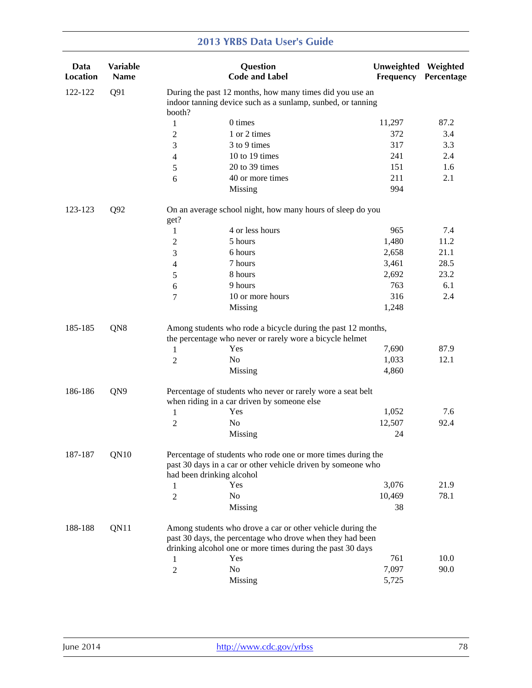| Data<br><b>Location</b> | Variable<br><b>Name</b> |                                                                                                                         | Question<br><b>Code and Label</b>                                                                                                                         | Unweighted Weighted<br>Frequency | Percentage |  |  |
|-------------------------|-------------------------|-------------------------------------------------------------------------------------------------------------------------|-----------------------------------------------------------------------------------------------------------------------------------------------------------|----------------------------------|------------|--|--|
| 122-122                 | Q91                     | During the past 12 months, how many times did you use an<br>indoor tanning device such as a sunlamp, sunbed, or tanning |                                                                                                                                                           |                                  |            |  |  |
|                         |                         | booth?                                                                                                                  | 0 times                                                                                                                                                   | 11,297                           | 87.2       |  |  |
|                         |                         | $\mathbf{1}$                                                                                                            | 1 or 2 times                                                                                                                                              | 372                              | 3.4        |  |  |
|                         |                         | $\overline{c}$                                                                                                          | 3 to 9 times                                                                                                                                              | 317                              | 3.3        |  |  |
|                         |                         | 3                                                                                                                       | 10 to 19 times                                                                                                                                            | 241                              | 2.4        |  |  |
|                         |                         | 4                                                                                                                       | 20 to 39 times                                                                                                                                            | 151                              | 1.6        |  |  |
|                         |                         | 5                                                                                                                       | 40 or more times                                                                                                                                          | 211                              | 2.1        |  |  |
|                         |                         | 6                                                                                                                       | Missing                                                                                                                                                   | 994                              |            |  |  |
| 123-123                 | Q92                     | get?                                                                                                                    | On an average school night, how many hours of sleep do you                                                                                                |                                  |            |  |  |
|                         |                         | 1                                                                                                                       | 4 or less hours                                                                                                                                           | 965                              | 7.4        |  |  |
|                         |                         | 2                                                                                                                       | 5 hours                                                                                                                                                   | 1,480                            | 11.2       |  |  |
|                         |                         | 3                                                                                                                       | 6 hours                                                                                                                                                   | 2,658                            | 21.1       |  |  |
|                         |                         | 4                                                                                                                       | 7 hours                                                                                                                                                   | 3,461                            | 28.5       |  |  |
|                         |                         | 5                                                                                                                       | 8 hours                                                                                                                                                   | 2,692                            | 23.2       |  |  |
|                         |                         | 6                                                                                                                       | 9 hours                                                                                                                                                   | 763                              | 6.1        |  |  |
|                         |                         | 7                                                                                                                       | 10 or more hours                                                                                                                                          | 316                              | 2.4        |  |  |
|                         |                         |                                                                                                                         | Missing                                                                                                                                                   | 1,248                            |            |  |  |
| QN8<br>185-185          |                         |                                                                                                                         | Among students who rode a bicycle during the past 12 months,<br>the percentage who never or rarely wore a bicycle helmet                                  |                                  |            |  |  |
|                         |                         | 1                                                                                                                       | Yes                                                                                                                                                       | 7,690                            | 87.9       |  |  |
|                         |                         | $\overline{2}$                                                                                                          | No                                                                                                                                                        | 1,033                            | 12.1       |  |  |
|                         |                         |                                                                                                                         | Missing                                                                                                                                                   | 4,860                            |            |  |  |
| 186-186                 | QN9                     |                                                                                                                         | Percentage of students who never or rarely wore a seat belt<br>when riding in a car driven by someone else                                                |                                  |            |  |  |
|                         |                         | 1                                                                                                                       | Yes                                                                                                                                                       | 1,052                            | 7.6        |  |  |
|                         |                         | 2                                                                                                                       | No                                                                                                                                                        | 12,507                           | 92.4       |  |  |
|                         |                         |                                                                                                                         | Missing                                                                                                                                                   | 24                               |            |  |  |
| 187-187                 | QN10                    |                                                                                                                         | Percentage of students who rode one or more times during the<br>past 30 days in a car or other vehicle driven by someone who<br>had been drinking alcohol |                                  |            |  |  |
|                         |                         | 1                                                                                                                       | Yes                                                                                                                                                       | 3,076                            | 21.9       |  |  |
|                         |                         | 2                                                                                                                       | No                                                                                                                                                        | 10,469                           | 78.1       |  |  |
|                         |                         |                                                                                                                         | Missing                                                                                                                                                   | 38                               |            |  |  |
| 188-188                 | QN11                    |                                                                                                                         | Among students who drove a car or other vehicle during the<br>past 30 days, the percentage who drove when they had been                                   |                                  |            |  |  |
|                         |                         |                                                                                                                         | drinking alcohol one or more times during the past 30 days                                                                                                |                                  |            |  |  |
|                         |                         | 1                                                                                                                       | Yes                                                                                                                                                       | 761                              | 10.0       |  |  |
|                         |                         | 2                                                                                                                       | N <sub>0</sub>                                                                                                                                            | 7,097                            | 90.0       |  |  |
|                         |                         |                                                                                                                         | Missing                                                                                                                                                   | 5,725                            |            |  |  |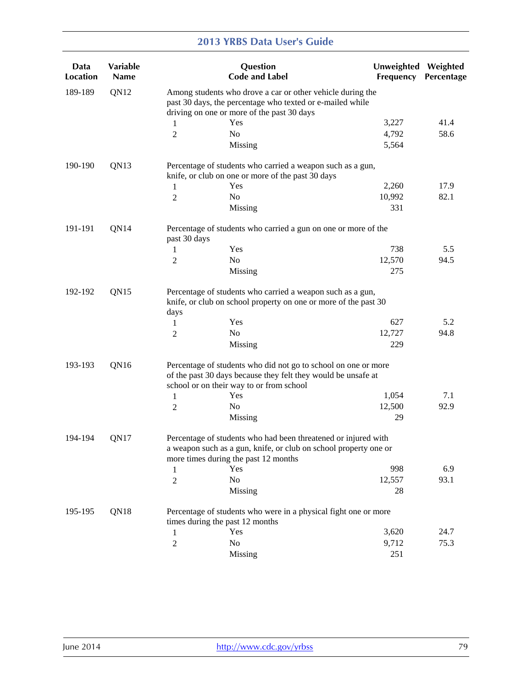| Data<br><b>Location</b> | Variable<br><b>Name</b> |                | Question<br><b>Code and Label</b>                                                                                                                                           | Unweighted Weighted<br>Frequency | Percentage |
|-------------------------|-------------------------|----------------|-----------------------------------------------------------------------------------------------------------------------------------------------------------------------------|----------------------------------|------------|
| 189-189                 | QN12                    |                | Among students who drove a car or other vehicle during the<br>past 30 days, the percentage who texted or e-mailed while<br>driving on one or more of the past 30 days       |                                  |            |
|                         |                         | 1              | Yes                                                                                                                                                                         | 3,227                            | 41.4       |
|                         |                         | 2              | No                                                                                                                                                                          | 4,792                            | 58.6       |
|                         |                         |                | Missing                                                                                                                                                                     | 5,564                            |            |
| 190-190                 | QN13                    |                | Percentage of students who carried a weapon such as a gun,<br>knife, or club on one or more of the past 30 days                                                             |                                  |            |
|                         |                         | 1              | Yes                                                                                                                                                                         | 2,260                            | 17.9       |
|                         |                         | 2              | N <sub>o</sub>                                                                                                                                                              | 10,992                           | 82.1       |
|                         |                         |                | Missing                                                                                                                                                                     | 331                              |            |
| 191-191                 | QN14                    | past 30 days   | Percentage of students who carried a gun on one or more of the                                                                                                              |                                  |            |
|                         |                         | 1              | Yes                                                                                                                                                                         | 738                              | 5.5        |
|                         |                         | 2              | No                                                                                                                                                                          | 12,570                           | 94.5       |
|                         |                         |                | Missing                                                                                                                                                                     | 275                              |            |
| 192-192                 | QN15                    | days           | Percentage of students who carried a weapon such as a gun,<br>knife, or club on school property on one or more of the past 30                                               |                                  |            |
|                         |                         | 1              | Yes                                                                                                                                                                         | 627                              | 5.2        |
|                         |                         | 2              | No                                                                                                                                                                          | 12,727                           | 94.8       |
|                         |                         |                | Missing                                                                                                                                                                     | 229                              |            |
| 193-193                 | QN16                    |                | Percentage of students who did not go to school on one or more<br>of the past 30 days because they felt they would be unsafe at<br>school or on their way to or from school |                                  |            |
|                         |                         | 1              | Yes                                                                                                                                                                         | 1,054                            | 7.1        |
|                         |                         | 2              | No                                                                                                                                                                          | 12,500                           | 92.9       |
|                         |                         |                | Missing                                                                                                                                                                     | 29                               |            |
| 194-194                 | QN17                    |                | Percentage of students who had been threatened or injured with<br>a weapon such as a gun, knife, or club on school property one or<br>more times during the past 12 months  |                                  |            |
|                         |                         | 1              | Yes                                                                                                                                                                         | 998                              | 6.9        |
|                         |                         | $\overline{c}$ | No                                                                                                                                                                          | 12,557                           | 93.1       |
|                         |                         |                | Missing                                                                                                                                                                     | 28                               |            |
| 195-195                 | QN18                    |                | Percentage of students who were in a physical fight one or more<br>times during the past 12 months                                                                          |                                  |            |
|                         |                         | $\mathbf{1}$   | Yes                                                                                                                                                                         | 3,620                            | 24.7       |
|                         |                         | $\overline{c}$ | N <sub>o</sub>                                                                                                                                                              | 9,712                            | 75.3       |
|                         |                         |                | Missing                                                                                                                                                                     | 251                              |            |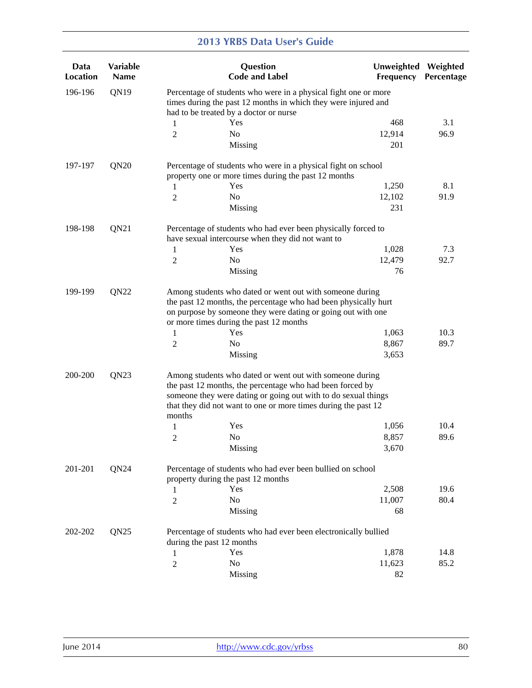| Data<br>Location            | Variable<br><b>Name</b> |                | Question<br><b>Code and Label</b>                                                                                                                                                                                                                         | Unweighted<br>Frequency | Weighted<br>Percentage |
|-----------------------------|-------------------------|----------------|-----------------------------------------------------------------------------------------------------------------------------------------------------------------------------------------------------------------------------------------------------------|-------------------------|------------------------|
| 196-196                     | QN19                    |                | Percentage of students who were in a physical fight one or more<br>times during the past 12 months in which they were injured and<br>had to be treated by a doctor or nurse                                                                               |                         |                        |
|                             |                         | 1              | Yes                                                                                                                                                                                                                                                       | 468                     | 3.1                    |
|                             |                         | $\overline{2}$ | No                                                                                                                                                                                                                                                        | 12,914                  | 96.9                   |
|                             |                         |                |                                                                                                                                                                                                                                                           | 201                     |                        |
|                             |                         |                | Missing                                                                                                                                                                                                                                                   |                         |                        |
| 197-197                     | QN20                    |                | Percentage of students who were in a physical fight on school<br>property one or more times during the past 12 months                                                                                                                                     |                         |                        |
|                             |                         | 1              | Yes                                                                                                                                                                                                                                                       | 1,250                   | 8.1                    |
|                             |                         | 2              | No                                                                                                                                                                                                                                                        | 12,102                  | 91.9                   |
|                             |                         |                | Missing                                                                                                                                                                                                                                                   | 231                     |                        |
| 198-198                     | QN21                    |                | Percentage of students who had ever been physically forced to<br>have sexual intercourse when they did not want to                                                                                                                                        |                         |                        |
|                             |                         | 1              | Yes                                                                                                                                                                                                                                                       | 1,028                   | 7.3                    |
|                             |                         | 2              | No                                                                                                                                                                                                                                                        | 12,479                  | 92.7                   |
|                             |                         |                | Missing                                                                                                                                                                                                                                                   | 76                      |                        |
|                             |                         |                |                                                                                                                                                                                                                                                           |                         |                        |
| 199-199                     | QN22                    |                | Among students who dated or went out with someone during<br>the past 12 months, the percentage who had been physically hurt<br>on purpose by someone they were dating or going out with one<br>or more times during the past 12 months                    |                         |                        |
|                             |                         | 1              | Yes                                                                                                                                                                                                                                                       | 1,063                   | 10.3                   |
|                             |                         | 2              | N <sub>o</sub>                                                                                                                                                                                                                                            | 8,867                   | 89.7                   |
|                             |                         |                | Missing                                                                                                                                                                                                                                                   | 3,653                   |                        |
| QN <sub>23</sub><br>200-200 |                         | months         | Among students who dated or went out with someone during<br>the past 12 months, the percentage who had been forced by<br>someone they were dating or going out with to do sexual things<br>that they did not want to one or more times during the past 12 |                         |                        |
|                             |                         | 1              | Yes                                                                                                                                                                                                                                                       | 1,056                   | 10.4                   |
|                             |                         | 2              | N <sub>0</sub>                                                                                                                                                                                                                                            | 8,857                   | 89.6                   |
|                             |                         |                | Missing                                                                                                                                                                                                                                                   | 3,670                   |                        |
| 201-201                     | QN24                    |                | Percentage of students who had ever been bullied on school<br>property during the past 12 months                                                                                                                                                          |                         |                        |
|                             |                         | 1              | Yes                                                                                                                                                                                                                                                       | 2,508                   | 19.6                   |
|                             |                         | $\overline{c}$ | No                                                                                                                                                                                                                                                        | 11,007                  | 80.4                   |
|                             |                         |                | Missing                                                                                                                                                                                                                                                   | 68                      |                        |
| 202-202                     | QN25                    |                | Percentage of students who had ever been electronically bullied<br>during the past 12 months                                                                                                                                                              |                         |                        |
|                             |                         | 1              | Yes                                                                                                                                                                                                                                                       | 1,878                   | 14.8                   |
|                             |                         | $\overline{c}$ | No                                                                                                                                                                                                                                                        | 11,623                  | 85.2                   |
|                             |                         |                | Missing                                                                                                                                                                                                                                                   | 82                      |                        |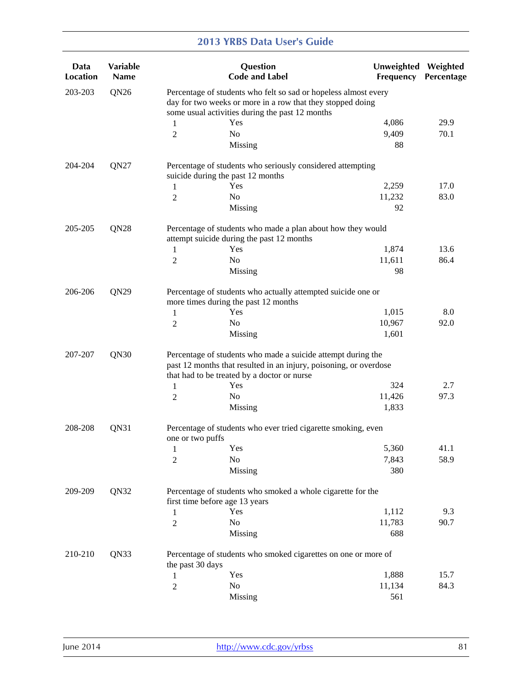| Data<br>Location            | Variable<br><b>Name</b> |                                                                                                                                                                                  | Question<br><b>Code and Label</b>                                                                                                                                                | Unweighted Weighted<br>Frequency | Percentage |  |  |  |
|-----------------------------|-------------------------|----------------------------------------------------------------------------------------------------------------------------------------------------------------------------------|----------------------------------------------------------------------------------------------------------------------------------------------------------------------------------|----------------------------------|------------|--|--|--|
| 203-203                     | QN <sub>26</sub>        | Percentage of students who felt so sad or hopeless almost every<br>day for two weeks or more in a row that they stopped doing<br>some usual activities during the past 12 months |                                                                                                                                                                                  |                                  |            |  |  |  |
|                             |                         | 1                                                                                                                                                                                | Yes                                                                                                                                                                              | 4,086                            | 29.9       |  |  |  |
|                             |                         | 2                                                                                                                                                                                | N <sub>0</sub>                                                                                                                                                                   | 9,409                            | 70.1       |  |  |  |
|                             |                         |                                                                                                                                                                                  | Missing                                                                                                                                                                          | 88                               |            |  |  |  |
| 204-204                     | QN27                    |                                                                                                                                                                                  | Percentage of students who seriously considered attempting<br>suicide during the past 12 months                                                                                  |                                  |            |  |  |  |
|                             |                         | $\mathbf{1}$                                                                                                                                                                     | Yes                                                                                                                                                                              | 2,259                            | 17.0       |  |  |  |
|                             |                         | $\overline{c}$                                                                                                                                                                   | No                                                                                                                                                                               | 11,232                           | 83.0       |  |  |  |
|                             |                         |                                                                                                                                                                                  | Missing                                                                                                                                                                          | 92                               |            |  |  |  |
| 205-205                     | QN <sub>28</sub>        |                                                                                                                                                                                  | Percentage of students who made a plan about how they would<br>attempt suicide during the past 12 months                                                                         |                                  |            |  |  |  |
|                             |                         | 1                                                                                                                                                                                | Yes                                                                                                                                                                              | 1,874                            | 13.6       |  |  |  |
|                             |                         | 2                                                                                                                                                                                | N <sub>o</sub>                                                                                                                                                                   | 11,611                           | 86.4       |  |  |  |
|                             |                         |                                                                                                                                                                                  | Missing                                                                                                                                                                          | 98                               |            |  |  |  |
| 206-206<br>QN <sub>29</sub> |                         |                                                                                                                                                                                  | Percentage of students who actually attempted suicide one or<br>more times during the past 12 months                                                                             |                                  |            |  |  |  |
|                             |                         | 1                                                                                                                                                                                | Yes                                                                                                                                                                              | 1,015                            | 8.0        |  |  |  |
|                             |                         | 2                                                                                                                                                                                | No                                                                                                                                                                               | 10,967                           | 92.0       |  |  |  |
|                             |                         |                                                                                                                                                                                  | Missing                                                                                                                                                                          | 1,601                            |            |  |  |  |
| 207-207                     | QN30                    |                                                                                                                                                                                  | Percentage of students who made a suicide attempt during the<br>past 12 months that resulted in an injury, poisoning, or overdose<br>that had to be treated by a doctor or nurse |                                  |            |  |  |  |
|                             |                         | 1                                                                                                                                                                                | Yes                                                                                                                                                                              | 324                              | 2.7        |  |  |  |
|                             |                         | 2                                                                                                                                                                                | No                                                                                                                                                                               | 11,426                           | 97.3       |  |  |  |
|                             |                         |                                                                                                                                                                                  | Missing                                                                                                                                                                          | 1,833                            |            |  |  |  |
| 208-208                     | QN31                    | one or two puffs                                                                                                                                                                 | Percentage of students who ever tried cigarette smoking, even                                                                                                                    |                                  |            |  |  |  |
|                             |                         | $\mathbf{1}$                                                                                                                                                                     | Yes                                                                                                                                                                              | 5,360                            | 41.1       |  |  |  |
|                             |                         | 2                                                                                                                                                                                | No                                                                                                                                                                               | 7,843                            | 58.9       |  |  |  |
|                             |                         |                                                                                                                                                                                  | Missing                                                                                                                                                                          | 380                              |            |  |  |  |
| 209-209                     | QN32                    |                                                                                                                                                                                  | Percentage of students who smoked a whole cigarette for the<br>first time before age 13 years                                                                                    |                                  |            |  |  |  |
|                             |                         | $\mathbf{1}$                                                                                                                                                                     | Yes                                                                                                                                                                              | 1,112                            | 9.3        |  |  |  |
|                             |                         | $\overline{2}$                                                                                                                                                                   | No                                                                                                                                                                               | 11,783                           | 90.7       |  |  |  |
|                             |                         |                                                                                                                                                                                  | Missing                                                                                                                                                                          | 688                              |            |  |  |  |
| 210-210                     | QN33                    | the past 30 days                                                                                                                                                                 | Percentage of students who smoked cigarettes on one or more of                                                                                                                   |                                  |            |  |  |  |
|                             |                         | 1                                                                                                                                                                                | Yes                                                                                                                                                                              | 1,888                            | 15.7       |  |  |  |
|                             |                         | 2                                                                                                                                                                                | No                                                                                                                                                                               | 11,134                           | 84.3       |  |  |  |
|                             |                         |                                                                                                                                                                                  | Missing                                                                                                                                                                          | 561                              |            |  |  |  |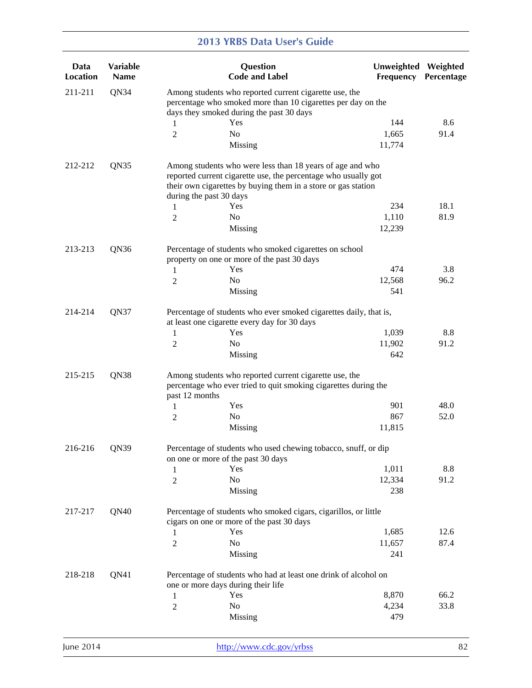| Data<br><b>Location</b> | Variable<br><b>Name</b> |                         | Question<br><b>Code and Label</b>                                                                                                                                                            | Unweighted Weighted<br>Frequency | Percentage |
|-------------------------|-------------------------|-------------------------|----------------------------------------------------------------------------------------------------------------------------------------------------------------------------------------------|----------------------------------|------------|
| 211-211                 | QN34                    |                         | Among students who reported current cigarette use, the<br>percentage who smoked more than 10 cigarettes per day on the<br>days they smoked during the past 30 days                           |                                  |            |
|                         |                         | 1                       | Yes                                                                                                                                                                                          | 144                              | 8.6        |
|                         |                         | 2                       | N <sub>o</sub>                                                                                                                                                                               | 1,665                            | 91.4       |
|                         |                         |                         | Missing                                                                                                                                                                                      | 11,774                           |            |
| 212-212                 | QN35                    | during the past 30 days | Among students who were less than 18 years of age and who<br>reported current cigarette use, the percentage who usually got<br>their own cigarettes by buying them in a store or gas station |                                  |            |
|                         |                         | 1                       | Yes                                                                                                                                                                                          | 234                              | 18.1       |
|                         |                         | 2                       | N <sub>o</sub>                                                                                                                                                                               | 1,110                            | 81.9       |
|                         |                         |                         | Missing                                                                                                                                                                                      | 12,239                           |            |
| 213-213                 | QN36                    |                         | Percentage of students who smoked cigarettes on school<br>property on one or more of the past 30 days                                                                                        |                                  |            |
|                         |                         | 1                       | Yes                                                                                                                                                                                          | 474                              | 3.8        |
|                         |                         | 2                       | No                                                                                                                                                                                           | 12,568                           | 96.2       |
|                         |                         |                         | Missing                                                                                                                                                                                      | 541                              |            |
| 214-214                 | QN37                    |                         | Percentage of students who ever smoked cigarettes daily, that is,<br>at least one cigarette every day for 30 days                                                                            |                                  |            |
|                         |                         | 1                       | Yes                                                                                                                                                                                          | 1,039                            | 8.8        |
|                         |                         | 2                       | No                                                                                                                                                                                           | 11,902                           | 91.2       |
|                         |                         |                         | Missing                                                                                                                                                                                      | 642                              |            |
| 215-215                 | QN38                    |                         | Among students who reported current cigarette use, the<br>percentage who ever tried to quit smoking cigarettes during the                                                                    |                                  |            |
|                         |                         | past 12 months          | Yes                                                                                                                                                                                          | 901                              | 48.0       |
|                         |                         | 1                       | No                                                                                                                                                                                           | 867                              | 52.0       |
|                         |                         | 2                       | Missing                                                                                                                                                                                      | 11,815                           |            |
| 216-216                 | QN39                    |                         | Percentage of students who used chewing tobacco, snuff, or dip<br>on one or more of the past 30 days                                                                                         |                                  |            |
|                         |                         | 1                       | Yes                                                                                                                                                                                          | 1,011                            | 8.8        |
|                         |                         | $\overline{2}$          | No                                                                                                                                                                                           | 12,334                           | 91.2       |
|                         |                         |                         | Missing                                                                                                                                                                                      | 238                              |            |
| 217-217                 | QN40                    |                         | Percentage of students who smoked cigars, cigarillos, or little<br>cigars on one or more of the past 30 days                                                                                 |                                  |            |
|                         |                         | 1                       | Yes                                                                                                                                                                                          | 1,685                            | 12.6       |
|                         |                         | $\overline{c}$          | No                                                                                                                                                                                           | 11,657                           | 87.4       |
|                         |                         |                         | Missing                                                                                                                                                                                      | 241                              |            |
| 218-218                 | QN41                    |                         | Percentage of students who had at least one drink of alcohol on<br>one or more days during their life                                                                                        |                                  |            |
|                         |                         | 1                       | Yes                                                                                                                                                                                          | 8,870                            | 66.2       |
|                         |                         | $\mathfrak{2}$          | No                                                                                                                                                                                           | 4,234                            | 33.8       |
|                         |                         |                         | Missing                                                                                                                                                                                      | 479                              |            |
|                         |                         |                         |                                                                                                                                                                                              |                                  |            |

June 2014 **http://www.cdc.gov/yrbss** 82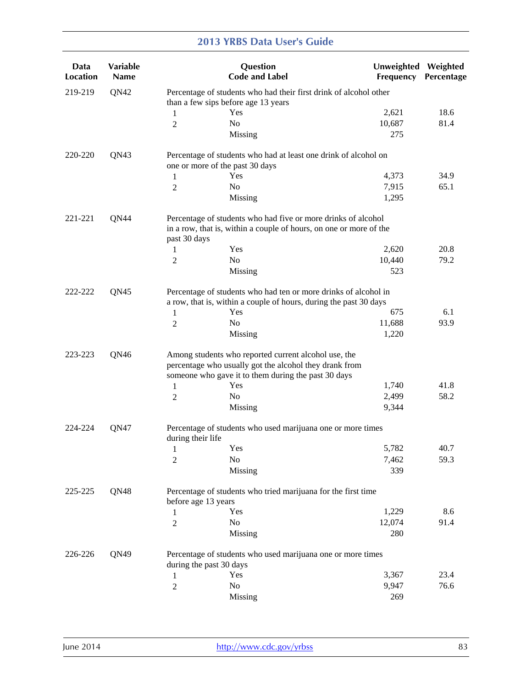| Data<br><b>Location</b> | Variable<br><b>Name</b> |                         | Question<br><b>Code and Label</b>                                                                                                                                     | Unweighted Weighted<br>Frequency | Percentage |
|-------------------------|-------------------------|-------------------------|-----------------------------------------------------------------------------------------------------------------------------------------------------------------------|----------------------------------|------------|
| 219-219                 | QN42                    |                         | Percentage of students who had their first drink of alcohol other<br>than a few sips before age 13 years                                                              |                                  |            |
|                         |                         | 1                       | Yes                                                                                                                                                                   | 2,621                            | 18.6       |
|                         |                         | 2                       | N <sub>o</sub>                                                                                                                                                        | 10,687                           | 81.4       |
|                         |                         |                         | Missing                                                                                                                                                               | 275                              |            |
| 220-220                 | QN43                    |                         | Percentage of students who had at least one drink of alcohol on<br>one or more of the past 30 days                                                                    |                                  |            |
|                         |                         | 1                       | Yes                                                                                                                                                                   | 4,373                            | 34.9       |
|                         |                         | 2                       | No                                                                                                                                                                    | 7,915                            | 65.1       |
|                         |                         |                         | Missing                                                                                                                                                               | 1,295                            |            |
| 221-221                 | QN44                    | past 30 days            | Percentage of students who had five or more drinks of alcohol<br>in a row, that is, within a couple of hours, on one or more of the                                   |                                  |            |
|                         |                         | 1                       | Yes                                                                                                                                                                   | 2,620                            | 20.8       |
|                         |                         | 2                       | N <sub>o</sub>                                                                                                                                                        | 10,440                           | 79.2       |
|                         |                         |                         | Missing                                                                                                                                                               | 523                              |            |
| 222-222                 | QN45                    |                         | Percentage of students who had ten or more drinks of alcohol in<br>a row, that is, within a couple of hours, during the past 30 days                                  |                                  |            |
|                         |                         | 1                       | Yes                                                                                                                                                                   | 675                              | 6.1        |
|                         |                         | 2                       | No                                                                                                                                                                    | 11,688                           | 93.9       |
|                         |                         |                         | Missing                                                                                                                                                               | 1,220                            |            |
| 223-223                 | QN46                    |                         | Among students who reported current alcohol use, the<br>percentage who usually got the alcohol they drank from<br>someone who gave it to them during the past 30 days |                                  |            |
|                         |                         | 1                       | Yes                                                                                                                                                                   | 1,740                            | 41.8       |
|                         |                         | 2                       | No                                                                                                                                                                    | 2,499                            | 58.2       |
|                         |                         |                         | Missing                                                                                                                                                               | 9,344                            |            |
| 224-224                 | QN47                    | during their life       | Percentage of students who used marijuana one or more times                                                                                                           |                                  |            |
|                         |                         | 1                       | Yes                                                                                                                                                                   | 5,782                            | 40.7       |
|                         |                         | 2                       | No                                                                                                                                                                    | 7,462                            | 59.3       |
|                         |                         |                         | Missing                                                                                                                                                               | 339                              |            |
| 225-225                 | QN48                    | before age 13 years     | Percentage of students who tried marijuana for the first time                                                                                                         |                                  |            |
|                         |                         | 1                       | Yes                                                                                                                                                                   | 1,229                            | 8.6        |
|                         |                         | $\overline{2}$          | No                                                                                                                                                                    | 12,074                           | 91.4       |
|                         |                         |                         | Missing                                                                                                                                                               | 280                              |            |
| 226-226                 | QN49                    | during the past 30 days | Percentage of students who used marijuana one or more times                                                                                                           |                                  |            |
|                         |                         | 1                       | Yes                                                                                                                                                                   | 3,367                            | 23.4       |
|                         |                         | 2                       | N <sub>o</sub>                                                                                                                                                        | 9,947                            | 76.6       |
|                         |                         |                         | Missing                                                                                                                                                               | 269                              |            |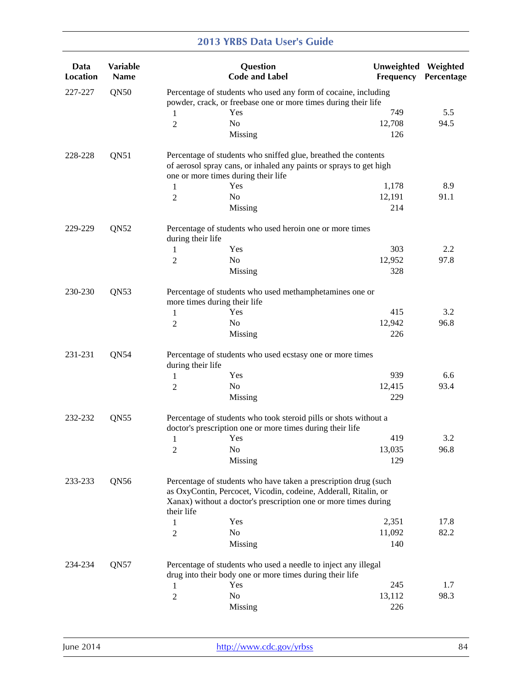| Data<br><b>Location</b> | Variable<br>Name |                              | Question<br><b>Code and Label</b>                                                                                                                                                                     | Unweighted Weighted<br>Frequency | Percentage |
|-------------------------|------------------|------------------------------|-------------------------------------------------------------------------------------------------------------------------------------------------------------------------------------------------------|----------------------------------|------------|
| 227-227                 | <b>QN50</b>      |                              | Percentage of students who used any form of cocaine, including<br>powder, crack, or freebase one or more times during their life                                                                      |                                  |            |
|                         |                  | 1                            | Yes                                                                                                                                                                                                   | 749                              | 5.5        |
|                         |                  | $\overline{c}$               | N <sub>o</sub>                                                                                                                                                                                        | 12,708                           | 94.5       |
|                         |                  |                              | Missing                                                                                                                                                                                               | 126                              |            |
| 228-228                 | QN51             |                              | Percentage of students who sniffed glue, breathed the contents<br>of aerosol spray cans, or inhaled any paints or sprays to get high<br>one or more times during their life                           |                                  |            |
|                         |                  | 1                            | Yes                                                                                                                                                                                                   | 1,178                            | 8.9        |
|                         |                  | 2                            | N <sub>o</sub>                                                                                                                                                                                        | 12,191                           | 91.1       |
|                         |                  |                              | Missing                                                                                                                                                                                               | 214                              |            |
| 229-229                 | QN52             | during their life            | Percentage of students who used heroin one or more times                                                                                                                                              |                                  |            |
|                         |                  | 1                            | Yes                                                                                                                                                                                                   | 303                              | 2.2        |
|                         |                  | $\overline{c}$               | N <sub>o</sub>                                                                                                                                                                                        | 12,952                           | 97.8       |
|                         |                  |                              | Missing                                                                                                                                                                                               | 328                              |            |
| 230-230                 | QN53             | more times during their life | Percentage of students who used methamphetamines one or                                                                                                                                               |                                  |            |
|                         |                  | 1                            | Yes                                                                                                                                                                                                   | 415                              | 3.2        |
|                         |                  | 2                            | N <sub>0</sub>                                                                                                                                                                                        | 12,942                           | 96.8       |
|                         |                  |                              | Missing                                                                                                                                                                                               | 226                              |            |
| 231-231                 | QN54             | during their life            | Percentage of students who used ecstasy one or more times                                                                                                                                             |                                  |            |
|                         |                  | 1                            | Yes                                                                                                                                                                                                   | 939                              | 6.6        |
|                         |                  | 2                            | No                                                                                                                                                                                                    | 12,415                           | 93.4       |
|                         |                  |                              | Missing                                                                                                                                                                                               | 229                              |            |
| 232-232                 | QN55             |                              | Percentage of students who took steroid pills or shots without a<br>doctor's prescription one or more times during their life                                                                         |                                  |            |
|                         |                  | 1                            | Yes                                                                                                                                                                                                   | 419                              | 3.2        |
|                         |                  | $\sqrt{2}$                   | N <sub>o</sub>                                                                                                                                                                                        | 13,035                           | 96.8       |
|                         |                  |                              | Missing                                                                                                                                                                                               | 129                              |            |
| 233-233                 | QN56             |                              | Percentage of students who have taken a prescription drug (such<br>as OxyContin, Percocet, Vicodin, codeine, Adderall, Ritalin, or<br>Xanax) without a doctor's prescription one or more times during |                                  |            |
|                         |                  | their life                   |                                                                                                                                                                                                       |                                  |            |
|                         |                  | 1                            | Yes                                                                                                                                                                                                   | 2,351                            | 17.8       |
|                         |                  | 2                            | No                                                                                                                                                                                                    | 11,092                           | 82.2       |
|                         |                  |                              | Missing                                                                                                                                                                                               | 140                              |            |
| 234-234                 | QN57             |                              | Percentage of students who used a needle to inject any illegal<br>drug into their body one or more times during their life                                                                            |                                  |            |
|                         |                  | 1                            | Yes                                                                                                                                                                                                   | 245                              | 1.7        |
|                         |                  | 2                            | N <sub>0</sub>                                                                                                                                                                                        | 13,112                           | 98.3       |
|                         |                  |                              | Missing                                                                                                                                                                                               | 226                              |            |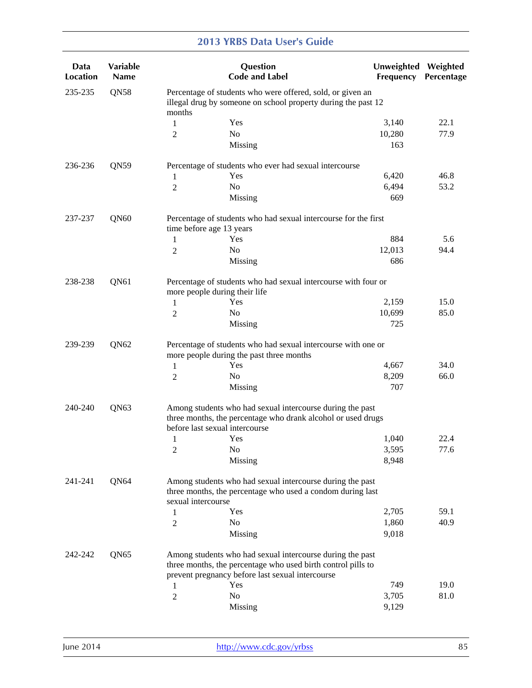| Data<br><b>Location</b> | Variable<br><b>Name</b> |                    | Question<br><b>Code and Label</b>                                                                                                                                             | Unweighted Weighted<br>Frequency | Percentage |
|-------------------------|-------------------------|--------------------|-------------------------------------------------------------------------------------------------------------------------------------------------------------------------------|----------------------------------|------------|
| 235-235                 | QN58                    | months             | Percentage of students who were offered, sold, or given an<br>illegal drug by someone on school property during the past 12                                                   |                                  |            |
|                         |                         | 1                  | Yes                                                                                                                                                                           | 3,140                            | 22.1       |
|                         |                         | $\overline{c}$     | N <sub>o</sub>                                                                                                                                                                | 10,280                           | 77.9       |
|                         |                         |                    | Missing                                                                                                                                                                       | 163                              |            |
| 236-236                 | QN59                    |                    | Percentage of students who ever had sexual intercourse                                                                                                                        |                                  |            |
|                         |                         | 1                  | Yes                                                                                                                                                                           | 6,420                            | 46.8       |
|                         |                         | $\overline{2}$     | N <sub>o</sub>                                                                                                                                                                | 6,494                            | 53.2       |
|                         |                         |                    | Missing                                                                                                                                                                       | 669                              |            |
| 237-237                 | QN60                    |                    | Percentage of students who had sexual intercourse for the first                                                                                                               |                                  |            |
|                         |                         | 1                  | time before age 13 years<br>Yes                                                                                                                                               | 884                              | 5.6        |
|                         |                         | $\overline{2}$     | N <sub>0</sub>                                                                                                                                                                | 12,013                           | 94.4       |
|                         |                         |                    | Missing                                                                                                                                                                       | 686                              |            |
|                         |                         |                    |                                                                                                                                                                               |                                  |            |
| 238-238                 | QN61                    |                    | Percentage of students who had sexual intercourse with four or<br>more people during their life                                                                               |                                  |            |
|                         |                         | 1                  | Yes                                                                                                                                                                           | 2,159                            | 15.0       |
|                         |                         | $\overline{2}$     | No                                                                                                                                                                            | 10,699                           | 85.0       |
|                         |                         |                    | Missing                                                                                                                                                                       | 725                              |            |
| 239-239                 | QN62                    |                    | Percentage of students who had sexual intercourse with one or<br>more people during the past three months                                                                     |                                  |            |
|                         |                         | 1                  | Yes                                                                                                                                                                           | 4,667                            | 34.0       |
|                         |                         | $\overline{c}$     | No                                                                                                                                                                            | 8,209                            | 66.0       |
|                         |                         |                    | Missing                                                                                                                                                                       | 707                              |            |
| 240-240                 | QN63                    |                    | Among students who had sexual intercourse during the past<br>three months, the percentage who drank alcohol or used drugs<br>before last sexual intercourse                   |                                  |            |
|                         |                         | 1                  | Yes                                                                                                                                                                           | 1,040                            | 22.4       |
|                         |                         | $\boldsymbol{2}$   | N <sub>o</sub>                                                                                                                                                                | 3,595                            | 77.6       |
|                         |                         |                    | Missing                                                                                                                                                                       | 8,948                            |            |
| 241-241                 | QN64                    | sexual intercourse | Among students who had sexual intercourse during the past<br>three months, the percentage who used a condom during last                                                       |                                  |            |
|                         |                         | 1                  | Yes                                                                                                                                                                           | 2,705                            | 59.1       |
|                         |                         | $\overline{2}$     | No                                                                                                                                                                            | 1,860                            | 40.9       |
|                         |                         |                    | Missing                                                                                                                                                                       | 9,018                            |            |
| 242-242                 | QN65                    |                    | Among students who had sexual intercourse during the past<br>three months, the percentage who used birth control pills to<br>prevent pregnancy before last sexual intercourse |                                  |            |
|                         |                         | 1                  | Yes                                                                                                                                                                           | 749                              | 19.0       |
|                         |                         | $\overline{c}$     | No                                                                                                                                                                            | 3,705                            | 81.0       |
|                         |                         |                    | Missing                                                                                                                                                                       | 9,129                            |            |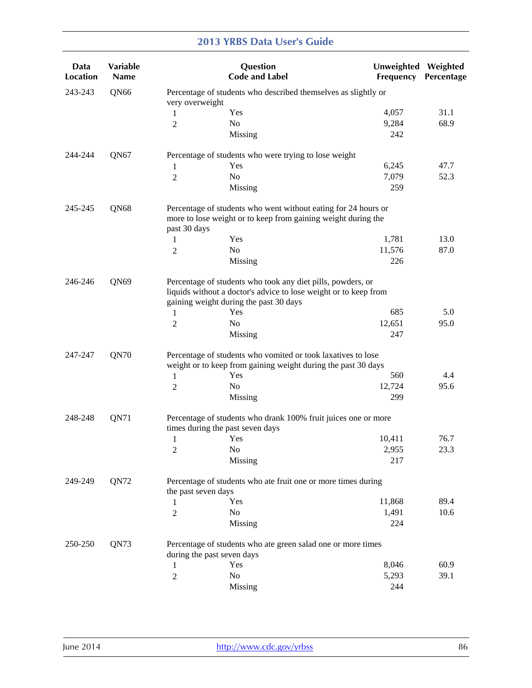| Data<br><b>Location</b> | Variable<br><b>Name</b> |                     | Question<br><b>Code and Label</b>                                                                                                                                         | <b>Unweighted</b><br>Frequency | Weighted<br>Percentage |
|-------------------------|-------------------------|---------------------|---------------------------------------------------------------------------------------------------------------------------------------------------------------------------|--------------------------------|------------------------|
| 243-243                 | QN66                    | very overweight     | Percentage of students who described themselves as slightly or                                                                                                            |                                |                        |
|                         |                         | 1                   | Yes                                                                                                                                                                       | 4,057                          | 31.1                   |
|                         |                         | 2                   | N <sub>0</sub>                                                                                                                                                            | 9,284                          | 68.9                   |
|                         |                         |                     | Missing                                                                                                                                                                   | 242                            |                        |
| 244-244                 | QN67                    |                     | Percentage of students who were trying to lose weight                                                                                                                     |                                |                        |
|                         |                         | 1                   | Yes                                                                                                                                                                       | 6,245                          | 47.7                   |
|                         |                         | $\overline{c}$      | No                                                                                                                                                                        | 7,079                          | 52.3                   |
|                         |                         |                     | Missing                                                                                                                                                                   | 259                            |                        |
| 245-245                 | QN68                    | past 30 days        | Percentage of students who went without eating for 24 hours or<br>more to lose weight or to keep from gaining weight during the                                           |                                |                        |
|                         |                         | 1                   | Yes                                                                                                                                                                       | 1,781                          | 13.0                   |
|                         |                         | 2                   | N <sub>0</sub>                                                                                                                                                            | 11,576                         | 87.0                   |
|                         |                         |                     | Missing                                                                                                                                                                   | 226                            |                        |
| 246-246                 | QN69                    |                     | Percentage of students who took any diet pills, powders, or<br>liquids without a doctor's advice to lose weight or to keep from<br>gaining weight during the past 30 days |                                |                        |
|                         |                         | 1                   | Yes                                                                                                                                                                       | 685                            | 5.0                    |
|                         |                         | 2                   | N <sub>0</sub>                                                                                                                                                            | 12,651                         | 95.0                   |
|                         |                         |                     | Missing                                                                                                                                                                   | 247                            |                        |
| 247-247                 | QN70                    |                     | Percentage of students who vomited or took laxatives to lose<br>weight or to keep from gaining weight during the past 30 days                                             |                                |                        |
|                         |                         | 1                   | Yes                                                                                                                                                                       | 560                            | 4.4                    |
|                         |                         | 2                   | No                                                                                                                                                                        | 12,724                         | 95.6                   |
|                         |                         |                     | Missing                                                                                                                                                                   | 299                            |                        |
| 248-248                 | QN71                    |                     | Percentage of students who drank 100% fruit juices one or more<br>times during the past seven days                                                                        |                                |                        |
|                         |                         | $\mathbf{1}$        | Yes                                                                                                                                                                       | 10,411                         | 76.7                   |
|                         |                         | $\boldsymbol{2}$    | N <sub>o</sub>                                                                                                                                                            | 2,955                          | 23.3                   |
|                         |                         |                     | Missing                                                                                                                                                                   | 217                            |                        |
| 249-249                 | QN72                    | the past seven days | Percentage of students who ate fruit one or more times during                                                                                                             |                                |                        |
|                         |                         | 1                   | Yes                                                                                                                                                                       | 11,868                         | 89.4                   |
|                         |                         | $\overline{2}$      | No                                                                                                                                                                        | 1,491                          | 10.6                   |
|                         |                         |                     | Missing                                                                                                                                                                   | 224                            |                        |
| 250-250                 | QN73                    |                     | Percentage of students who ate green salad one or more times<br>during the past seven days                                                                                |                                |                        |
|                         |                         | 1                   | Yes                                                                                                                                                                       | 8,046                          | 60.9                   |
|                         |                         | 2                   | No                                                                                                                                                                        | 5,293                          | 39.1                   |
|                         |                         |                     | <b>Missing</b>                                                                                                                                                            | 244                            |                        |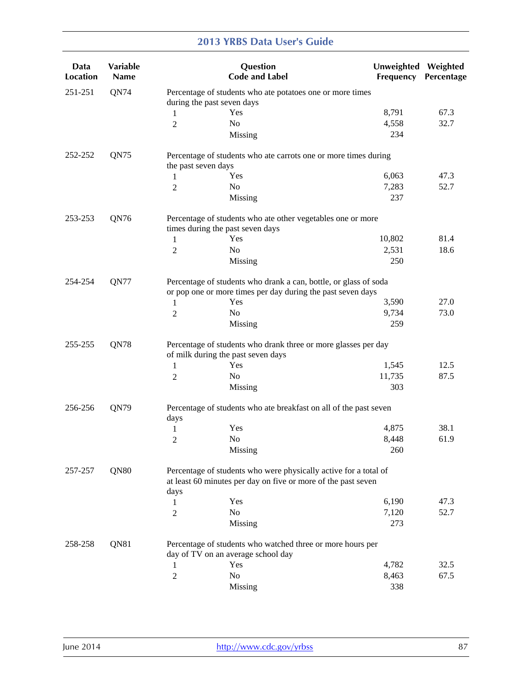| Data<br><b>Location</b> | Variable<br><b>Name</b> |                                                                                                                                           | Question<br><b>Code and Label</b>                                                                                               | Unweighted Weighted<br>Frequency | Percentage |  |
|-------------------------|-------------------------|-------------------------------------------------------------------------------------------------------------------------------------------|---------------------------------------------------------------------------------------------------------------------------------|----------------------------------|------------|--|
| 251-251                 | QN74                    |                                                                                                                                           | Percentage of students who ate potatoes one or more times<br>during the past seven days                                         |                                  |            |  |
|                         |                         | 1                                                                                                                                         | Yes                                                                                                                             | 8,791                            | 67.3       |  |
|                         |                         | $\overline{c}$                                                                                                                            | N <sub>o</sub>                                                                                                                  | 4,558                            | 32.7       |  |
|                         |                         |                                                                                                                                           | Missing                                                                                                                         | 234                              |            |  |
| 252-252                 | QN75                    | the past seven days                                                                                                                       | Percentage of students who ate carrots one or more times during                                                                 |                                  |            |  |
|                         |                         | 1                                                                                                                                         | Yes                                                                                                                             | 6,063                            | 47.3       |  |
|                         |                         | $\mathbf{2}$                                                                                                                              | No                                                                                                                              | 7,283                            | 52.7       |  |
|                         |                         |                                                                                                                                           | Missing                                                                                                                         | 237                              |            |  |
| 253-253                 | QN76                    |                                                                                                                                           | Percentage of students who ate other vegetables one or more<br>times during the past seven days                                 |                                  |            |  |
|                         |                         | 1                                                                                                                                         | Yes                                                                                                                             | 10,802                           | 81.4       |  |
|                         |                         | 2                                                                                                                                         | No                                                                                                                              | 2,531                            | 18.6       |  |
|                         |                         |                                                                                                                                           | Missing                                                                                                                         | 250                              |            |  |
| 254-254                 | QN77                    |                                                                                                                                           | Percentage of students who drank a can, bottle, or glass of soda<br>or pop one or more times per day during the past seven days |                                  |            |  |
|                         |                         | $\mathbf{1}$                                                                                                                              | Yes                                                                                                                             | 3,590                            | 27.0       |  |
|                         |                         | 2                                                                                                                                         | No                                                                                                                              | 9,734                            | 73.0       |  |
|                         |                         |                                                                                                                                           | Missing                                                                                                                         | 259                              |            |  |
| 255-255                 | QN78                    |                                                                                                                                           | Percentage of students who drank three or more glasses per day<br>of milk during the past seven days                            |                                  |            |  |
|                         |                         | 1                                                                                                                                         | Yes                                                                                                                             | 1,545                            | 12.5       |  |
|                         |                         | 2                                                                                                                                         | No                                                                                                                              | 11,735                           | 87.5       |  |
|                         |                         |                                                                                                                                           | Missing                                                                                                                         | 303                              |            |  |
| 256-256                 | QN79                    | days                                                                                                                                      | Percentage of students who ate breakfast on all of the past seven                                                               |                                  |            |  |
|                         |                         | 1                                                                                                                                         | Yes                                                                                                                             | 4,875                            | 38.1       |  |
|                         |                         | $\overline{2}$                                                                                                                            | No                                                                                                                              | 8,448                            | 61.9       |  |
|                         |                         |                                                                                                                                           | Missing                                                                                                                         | 260                              |            |  |
| 257-257                 | QN80                    | Percentage of students who were physically active for a total of<br>at least 60 minutes per day on five or more of the past seven<br>days |                                                                                                                                 |                                  |            |  |
|                         |                         | 1                                                                                                                                         | Yes                                                                                                                             | 6,190                            | 47.3       |  |
|                         |                         | 2                                                                                                                                         | No                                                                                                                              | 7,120                            | 52.7       |  |
|                         |                         |                                                                                                                                           | Missing                                                                                                                         | 273                              |            |  |
| 258-258                 | QN81                    |                                                                                                                                           | Percentage of students who watched three or more hours per                                                                      |                                  |            |  |
|                         |                         |                                                                                                                                           | day of TV on an average school day                                                                                              |                                  |            |  |
|                         |                         | 1                                                                                                                                         | Yes                                                                                                                             | 4,782                            | 32.5       |  |
|                         |                         | 2                                                                                                                                         | N <sub>0</sub>                                                                                                                  | 8,463                            | 67.5       |  |
|                         |                         |                                                                                                                                           | <b>Missing</b>                                                                                                                  | 338                              |            |  |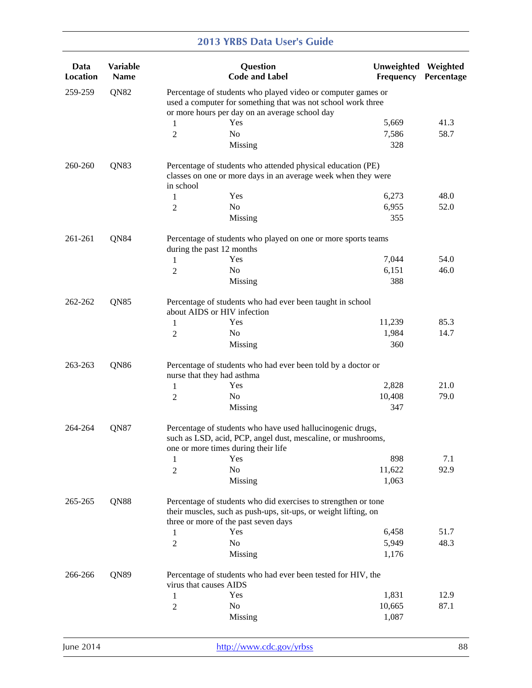| Data<br><b>Location</b> | Variable<br><b>Name</b> |                        | Question<br><b>Code and Label</b>                                                                                                                                              | Unweighted Weighted<br>Frequency | Percentage |
|-------------------------|-------------------------|------------------------|--------------------------------------------------------------------------------------------------------------------------------------------------------------------------------|----------------------------------|------------|
| 259-259                 | QN82                    |                        | Percentage of students who played video or computer games or<br>used a computer for something that was not school work three<br>or more hours per day on an average school day |                                  |            |
|                         |                         | 1                      | Yes                                                                                                                                                                            | 5,669                            | 41.3       |
|                         |                         | $\overline{c}$         | N <sub>o</sub>                                                                                                                                                                 | 7,586                            | 58.7       |
|                         |                         |                        | Missing                                                                                                                                                                        | 328                              |            |
| 260-260                 | QN83                    | in school              | Percentage of students who attended physical education (PE)<br>classes on one or more days in an average week when they were                                                   |                                  |            |
|                         |                         | 1                      | Yes                                                                                                                                                                            | 6,273                            | 48.0       |
|                         |                         | 2                      | N <sub>o</sub>                                                                                                                                                                 | 6,955                            | 52.0       |
|                         |                         |                        | Missing                                                                                                                                                                        | 355                              |            |
| 261-261                 | QN84                    |                        | Percentage of students who played on one or more sports teams<br>during the past 12 months                                                                                     |                                  |            |
|                         |                         | 1                      | Yes                                                                                                                                                                            | 7,044                            | 54.0       |
|                         |                         | 2                      | No                                                                                                                                                                             | 6,151                            | 46.0       |
|                         |                         |                        | Missing                                                                                                                                                                        | 388                              |            |
| 262-262                 | QN85                    |                        | Percentage of students who had ever been taught in school<br>about AIDS or HIV infection                                                                                       |                                  |            |
|                         |                         | 1                      | Yes                                                                                                                                                                            | 11,239                           | 85.3       |
|                         |                         | 2                      | No                                                                                                                                                                             | 1,984                            | 14.7       |
|                         |                         |                        | Missing                                                                                                                                                                        | 360                              |            |
| 263-263                 | QN86                    |                        | Percentage of students who had ever been told by a doctor or<br>nurse that they had asthma                                                                                     |                                  |            |
|                         |                         | 1                      | Yes                                                                                                                                                                            | 2,828                            | 21.0       |
|                         |                         | 2                      | No                                                                                                                                                                             | 10,408                           | 79.0       |
|                         |                         |                        | Missing                                                                                                                                                                        | 347                              |            |
| 264-264                 | QN87                    |                        | Percentage of students who have used hallucinogenic drugs,<br>such as LSD, acid, PCP, angel dust, mescaline, or mushrooms,<br>one or more times during their life              |                                  |            |
|                         |                         | 1                      | Yes                                                                                                                                                                            | 898                              | 7.1        |
|                         |                         | $\overline{2}$         | No                                                                                                                                                                             | 11,622                           | 92.9       |
|                         |                         |                        | Missing                                                                                                                                                                        | 1,063                            |            |
| 265-265                 | QN88                    |                        | Percentage of students who did exercises to strengthen or tone<br>their muscles, such as push-ups, sit-ups, or weight lifting, on<br>three or more of the past seven days      |                                  |            |
|                         |                         | 1                      | Yes                                                                                                                                                                            | 6,458                            | 51.7       |
|                         |                         | $\overline{2}$         | N <sub>o</sub>                                                                                                                                                                 | 5,949                            | 48.3       |
|                         |                         |                        | Missing                                                                                                                                                                        | 1,176                            |            |
| 266-266                 | QN89                    | virus that causes AIDS | Percentage of students who had ever been tested for HIV, the                                                                                                                   |                                  |            |
|                         |                         | 1                      | Yes                                                                                                                                                                            | 1,831                            | 12.9       |
|                         |                         | $\overline{2}$         | No                                                                                                                                                                             | 10,665                           | 87.1       |
|                         |                         |                        | Missing                                                                                                                                                                        | 1,087                            |            |
|                         |                         |                        |                                                                                                                                                                                |                                  |            |

|  | June 2014 |  |
|--|-----------|--|
|  |           |  |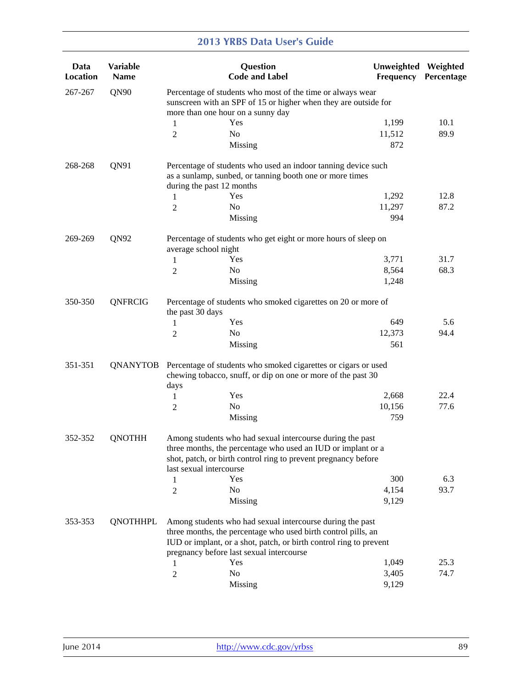| Data<br><b>Location</b> | Variable<br>Name |                           | Question<br><b>Code and Label</b>                                                                                                                                                                                                            | Unweighted Weighted<br>Frequency | Percentage |
|-------------------------|------------------|---------------------------|----------------------------------------------------------------------------------------------------------------------------------------------------------------------------------------------------------------------------------------------|----------------------------------|------------|
| 267-267                 | QN90             |                           | Percentage of students who most of the time or always wear<br>sunscreen with an SPF of 15 or higher when they are outside for                                                                                                                |                                  |            |
|                         |                  |                           | more than one hour on a sunny day                                                                                                                                                                                                            |                                  |            |
|                         |                  | 1                         | Yes                                                                                                                                                                                                                                          | 1,199                            | 10.1       |
|                         |                  | 2                         | N <sub>o</sub>                                                                                                                                                                                                                               | 11,512                           | 89.9       |
|                         |                  |                           | Missing                                                                                                                                                                                                                                      | 872                              |            |
| 268-268                 | QN91             | during the past 12 months | Percentage of students who used an indoor tanning device such<br>as a sunlamp, sunbed, or tanning booth one or more times                                                                                                                    |                                  |            |
|                         |                  | 1                         | Yes                                                                                                                                                                                                                                          | 1,292                            | 12.8       |
|                         |                  | 2                         | N <sub>o</sub>                                                                                                                                                                                                                               | 11,297                           | 87.2       |
|                         |                  |                           | Missing                                                                                                                                                                                                                                      | 994                              |            |
| 269-269                 | QN92             | average school night      | Percentage of students who get eight or more hours of sleep on                                                                                                                                                                               |                                  |            |
|                         |                  | 1                         | Yes                                                                                                                                                                                                                                          | 3,771                            | 31.7       |
|                         |                  | 2                         | N <sub>o</sub>                                                                                                                                                                                                                               | 8,564                            | 68.3       |
|                         |                  |                           | Missing                                                                                                                                                                                                                                      | 1,248                            |            |
| 350-350                 | QNFRCIG          |                           | Percentage of students who smoked cigarettes on 20 or more of                                                                                                                                                                                |                                  |            |
|                         |                  | the past 30 days          |                                                                                                                                                                                                                                              |                                  |            |
|                         |                  | 1                         | Yes                                                                                                                                                                                                                                          | 649                              | 5.6        |
|                         |                  | 2                         | No                                                                                                                                                                                                                                           | 12,373                           | 94.4       |
|                         |                  |                           | Missing                                                                                                                                                                                                                                      | 561                              |            |
| 351-351                 | QNANYTOB         | days                      | Percentage of students who smoked cigarettes or cigars or used<br>chewing tobacco, snuff, or dip on one or more of the past 30                                                                                                               |                                  |            |
|                         |                  | 1                         | Yes                                                                                                                                                                                                                                          | 2,668                            | 22.4       |
|                         |                  | 2                         | No                                                                                                                                                                                                                                           | 10,156                           | 77.6       |
|                         |                  |                           | Missing                                                                                                                                                                                                                                      | 759                              |            |
| 352-352                 | <b>QNOTHH</b>    | last sexual intercourse   | Among students who had sexual intercourse during the past<br>three months, the percentage who used an IUD or implant or a<br>shot, patch, or birth control ring to prevent pregnancy before                                                  |                                  |            |
|                         |                  | 1                         | Yes                                                                                                                                                                                                                                          | 300                              | 6.3        |
|                         |                  | 2                         | No                                                                                                                                                                                                                                           | 4,154                            | 93.7       |
|                         |                  |                           | Missing                                                                                                                                                                                                                                      | 9,129                            |            |
| 353-353                 | <b>QNOTHHPL</b>  |                           | Among students who had sexual intercourse during the past<br>three months, the percentage who used birth control pills, an<br>IUD or implant, or a shot, patch, or birth control ring to prevent<br>pregnancy before last sexual intercourse |                                  |            |
|                         |                  | 1                         | Yes                                                                                                                                                                                                                                          | 1,049                            | 25.3       |
|                         |                  | 2                         | No                                                                                                                                                                                                                                           | 3,405                            | 74.7       |
|                         |                  |                           | Missing                                                                                                                                                                                                                                      | 9,129                            |            |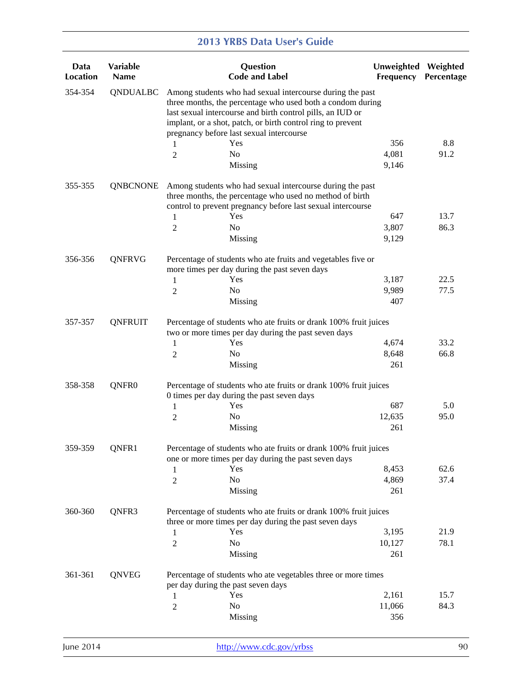|                         |                                |                | <b>2013 YRBS Data User's Guide</b>                                                                                                                                                                                                                                                               |                                  |            |
|-------------------------|--------------------------------|----------------|--------------------------------------------------------------------------------------------------------------------------------------------------------------------------------------------------------------------------------------------------------------------------------------------------|----------------------------------|------------|
| Data<br><b>Location</b> | <b>Variable</b><br><b>Name</b> |                | Question<br><b>Code and Label</b>                                                                                                                                                                                                                                                                | Unweighted Weighted<br>Frequency | Percentage |
| 354-354                 | QNDUALBC                       |                | Among students who had sexual intercourse during the past<br>three months, the percentage who used both a condom during<br>last sexual intercourse and birth control pills, an IUD or<br>implant, or a shot, patch, or birth control ring to prevent<br>pregnancy before last sexual intercourse |                                  |            |
|                         |                                | 1              | Yes                                                                                                                                                                                                                                                                                              | 356                              | 8.8        |
|                         |                                | 2              | No<br>Missing                                                                                                                                                                                                                                                                                    | 4,081<br>9,146                   | 91.2       |
| 355-355                 | <b>QNBCNONE</b>                |                | Among students who had sexual intercourse during the past<br>three months, the percentage who used no method of birth<br>control to prevent pregnancy before last sexual intercourse                                                                                                             |                                  |            |
|                         |                                | 1              | Yes                                                                                                                                                                                                                                                                                              | 647                              | 13.7       |
|                         |                                | 2              | N <sub>0</sub>                                                                                                                                                                                                                                                                                   | 3,807                            | 86.3       |
|                         |                                |                | Missing                                                                                                                                                                                                                                                                                          | 9,129                            |            |
| 356-356                 | QNFRVG                         |                | Percentage of students who ate fruits and vegetables five or<br>more times per day during the past seven days                                                                                                                                                                                    |                                  |            |
|                         |                                | 1              | Yes                                                                                                                                                                                                                                                                                              | 3,187                            | 22.5       |
|                         |                                | 2              | No                                                                                                                                                                                                                                                                                               | 9,989                            | 77.5       |
|                         |                                |                | Missing                                                                                                                                                                                                                                                                                          | 407                              |            |
| 357-357                 | <b>QNFRUIT</b>                 |                | Percentage of students who ate fruits or drank 100% fruit juices<br>two or more times per day during the past seven days                                                                                                                                                                         |                                  |            |
|                         |                                | 1              | Yes                                                                                                                                                                                                                                                                                              | 4,674                            | 33.2       |
|                         |                                | 2              | No                                                                                                                                                                                                                                                                                               | 8,648                            | 66.8       |
|                         |                                |                | Missing                                                                                                                                                                                                                                                                                          | 261                              |            |
| 358-358                 | QNFR0                          |                | Percentage of students who ate fruits or drank 100% fruit juices<br>0 times per day during the past seven days                                                                                                                                                                                   |                                  |            |
|                         |                                | 1              | Yes                                                                                                                                                                                                                                                                                              | 687                              | 5.0        |
|                         |                                | 2              | N <sub>0</sub>                                                                                                                                                                                                                                                                                   | 12,635                           | 95.0       |
|                         |                                |                | Missing                                                                                                                                                                                                                                                                                          | 261                              |            |
| 359-359                 | QNFR1                          |                | Percentage of students who ate fruits or drank 100% fruit juices<br>one or more times per day during the past seven days                                                                                                                                                                         |                                  |            |
|                         |                                | 1              | Yes                                                                                                                                                                                                                                                                                              | 8,453                            | 62.6       |
|                         |                                | 2              | No                                                                                                                                                                                                                                                                                               | 4,869                            | 37.4       |
|                         |                                |                | Missing                                                                                                                                                                                                                                                                                          | 261                              |            |
| 360-360                 | QNFR3                          |                | Percentage of students who ate fruits or drank 100% fruit juices<br>three or more times per day during the past seven days                                                                                                                                                                       |                                  |            |
|                         |                                | 1              | Yes                                                                                                                                                                                                                                                                                              | 3,195                            | 21.9       |
|                         |                                | $\overline{2}$ | No                                                                                                                                                                                                                                                                                               | 10,127                           | 78.1       |
|                         |                                |                | Missing                                                                                                                                                                                                                                                                                          | 261                              |            |
| 361-361                 | QNVEG                          |                | Percentage of students who ate vegetables three or more times<br>per day during the past seven days                                                                                                                                                                                              |                                  |            |
|                         |                                | 1              | Yes                                                                                                                                                                                                                                                                                              | 2,161                            | 15.7       |
|                         |                                | 2              | No                                                                                                                                                                                                                                                                                               | 11,066                           | 84.3       |
|                         |                                |                | Missing                                                                                                                                                                                                                                                                                          | 356                              |            |
|                         |                                |                |                                                                                                                                                                                                                                                                                                  |                                  |            |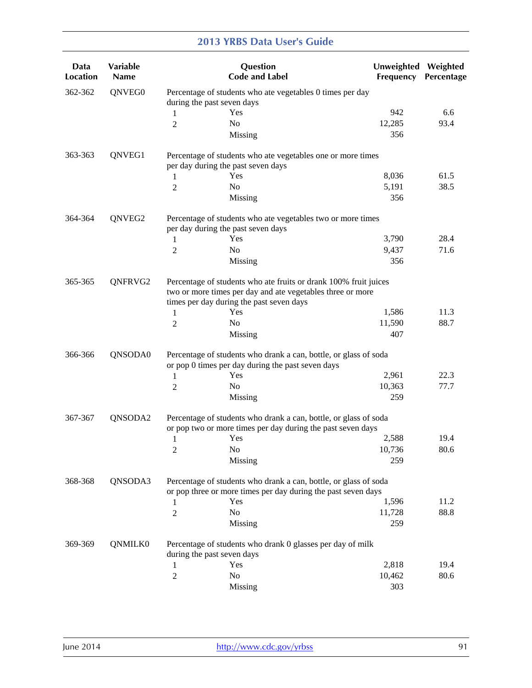| Data<br><b>Location</b> | Variable<br><b>Name</b> |                            | Question<br><b>Code and Label</b>                                                                                                                                          | Unweighted Weighted<br>Frequency | Percentage |
|-------------------------|-------------------------|----------------------------|----------------------------------------------------------------------------------------------------------------------------------------------------------------------------|----------------------------------|------------|
| 362-362                 | QNVEG0                  | during the past seven days | Percentage of students who ate vegetables 0 times per day                                                                                                                  |                                  |            |
|                         |                         | 1                          | Yes                                                                                                                                                                        | 942                              | 6.6        |
|                         |                         | 2                          | N <sub>0</sub>                                                                                                                                                             | 12,285                           | 93.4       |
|                         |                         |                            | Missing                                                                                                                                                                    | 356                              |            |
| 363-363                 | QNVEG1                  |                            | Percentage of students who ate vegetables one or more times<br>per day during the past seven days                                                                          |                                  |            |
|                         |                         | 1                          | Yes                                                                                                                                                                        | 8,036                            | 61.5       |
|                         |                         | 2                          | N <sub>o</sub>                                                                                                                                                             | 5,191                            | 38.5       |
|                         |                         |                            | Missing                                                                                                                                                                    | 356                              |            |
| 364-364                 | QNVEG2                  |                            | Percentage of students who ate vegetables two or more times<br>per day during the past seven days                                                                          |                                  |            |
|                         |                         | 1                          | Yes                                                                                                                                                                        | 3,790                            | 28.4       |
|                         |                         | 2                          | No                                                                                                                                                                         | 9,437                            | 71.6       |
|                         |                         |                            | Missing                                                                                                                                                                    | 356                              |            |
| 365-365                 | QNFRVG2                 |                            | Percentage of students who ate fruits or drank 100% fruit juices<br>two or more times per day and ate vegetables three or more<br>times per day during the past seven days |                                  |            |
|                         |                         | 1                          | Yes                                                                                                                                                                        | 1,586                            | 11.3       |
|                         |                         | 2                          | No                                                                                                                                                                         | 11,590                           | 88.7       |
|                         |                         |                            | Missing                                                                                                                                                                    | 407                              |            |
| 366-366                 | QNSODA0                 |                            | Percentage of students who drank a can, bottle, or glass of soda<br>or pop 0 times per day during the past seven days                                                      |                                  |            |
|                         |                         | 1                          | Yes                                                                                                                                                                        | 2,961                            | 22.3       |
|                         |                         | 2                          | No                                                                                                                                                                         | 10,363                           | 77.7       |
|                         |                         |                            | Missing                                                                                                                                                                    | 259                              |            |
| 367-367                 | QNSODA2                 |                            | Percentage of students who drank a can, bottle, or glass of soda<br>or pop two or more times per day during the past seven days                                            |                                  |            |
|                         |                         | 1                          | Yes                                                                                                                                                                        | 2,588                            | 19.4       |
|                         |                         | $\overline{c}$             | No                                                                                                                                                                         | 10,736                           | 80.6       |
|                         |                         |                            | Missing                                                                                                                                                                    | 259                              |            |
| 368-368                 | QNSODA3                 |                            | Percentage of students who drank a can, bottle, or glass of soda<br>or pop three or more times per day during the past seven days                                          |                                  |            |
|                         |                         | 1                          | Yes                                                                                                                                                                        | 1,596                            | 11.2       |
|                         |                         | 2                          | No                                                                                                                                                                         | 11,728                           | 88.8       |
|                         |                         |                            | Missing                                                                                                                                                                    | 259                              |            |
| 369-369                 | QNMILK0                 |                            | Percentage of students who drank 0 glasses per day of milk                                                                                                                 |                                  |            |
|                         |                         | during the past seven days |                                                                                                                                                                            |                                  |            |
|                         |                         | 1                          | Yes                                                                                                                                                                        | 2,818                            | 19.4       |
|                         |                         | 2                          | No                                                                                                                                                                         | 10,462                           | 80.6       |
|                         |                         |                            | Missing                                                                                                                                                                    | 303                              |            |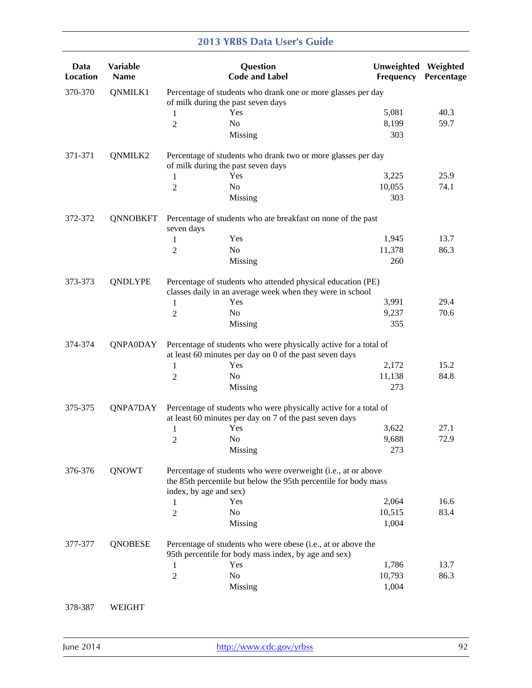| Data<br><b>Location</b> | Variable<br><b>Name</b> |                        | Question<br><b>Code and Label</b>                                                                                                | <b>Unweighted</b><br>Frequency | Weighted<br>Percentage |
|-------------------------|-------------------------|------------------------|----------------------------------------------------------------------------------------------------------------------------------|--------------------------------|------------------------|
| 370-370                 | QNMILK1                 |                        | Percentage of students who drank one or more glasses per day<br>of milk during the past seven days                               |                                |                        |
|                         |                         | 1                      | Yes                                                                                                                              | 5,081                          | 40.3                   |
|                         |                         | $\overline{2}$         | No                                                                                                                               | 8,199                          | 59.7                   |
|                         |                         |                        | Missing                                                                                                                          | 303                            |                        |
| 371-371                 | QNMILK2                 |                        | Percentage of students who drank two or more glasses per day                                                                     |                                |                        |
|                         |                         |                        | of milk during the past seven days                                                                                               |                                |                        |
|                         |                         | 1                      | Yes                                                                                                                              | 3,225                          | 25.9                   |
|                         |                         | 2                      | N <sub>o</sub>                                                                                                                   | 10,055                         | 74.1                   |
|                         |                         |                        | Missing                                                                                                                          | 303                            |                        |
| 372-372                 | <b>QNNOBKFT</b>         | seven days             | Percentage of students who ate breakfast on none of the past                                                                     |                                |                        |
|                         |                         | 1                      | Yes                                                                                                                              | 1,945                          | 13.7                   |
|                         |                         | 2                      | N <sub>o</sub>                                                                                                                   | 11,378                         | 86.3                   |
|                         |                         |                        | Missing                                                                                                                          | 260                            |                        |
| 373-373                 | <b>QNDLYPE</b>          |                        | Percentage of students who attended physical education (PE)<br>classes daily in an average week when they were in school         |                                |                        |
|                         |                         | 1                      | Yes                                                                                                                              | 3,991                          | 29.4                   |
|                         |                         | 2                      | No                                                                                                                               | 9,237                          | 70.6                   |
|                         |                         |                        | Missing                                                                                                                          | 355                            |                        |
| 374-374                 | <b>QNPA0DAY</b>         |                        | Percentage of students who were physically active for a total of<br>at least 60 minutes per day on 0 of the past seven days      |                                |                        |
|                         |                         | 1                      | Yes                                                                                                                              | 2,172                          | 15.2                   |
|                         |                         | 2                      | No                                                                                                                               | 11,138                         | 84.8                   |
|                         |                         |                        | Missing                                                                                                                          | 273                            |                        |
| 375-375                 | QNPA7DAY                |                        | Percentage of students who were physically active for a total of<br>at least 60 minutes per day on 7 of the past seven days      |                                |                        |
|                         |                         | 1                      | Yes                                                                                                                              | 3,622                          | 27.1                   |
|                         |                         | 2                      | No                                                                                                                               | 9,688                          | 72.9                   |
|                         |                         |                        | Missing                                                                                                                          | 273                            |                        |
| 376-376                 | <b>QNOWT</b>            |                        | Percentage of students who were overweight (i.e., at or above<br>the 85th percentile but below the 95th percentile for body mass |                                |                        |
|                         |                         | index, by age and sex) |                                                                                                                                  |                                |                        |
|                         |                         | 1                      | Yes                                                                                                                              | 2,064                          | 16.6                   |
|                         |                         | 2                      | No                                                                                                                               | 10,515                         | 83.4                   |
|                         |                         |                        | Missing                                                                                                                          | 1,004                          |                        |
| 377-377                 | <b>QNOBESE</b>          |                        | Percentage of students who were obese (i.e., at or above the<br>95th percentile for body mass index, by age and sex)             |                                |                        |
|                         |                         | 1                      | Yes                                                                                                                              | 1,786                          | 13.7                   |
|                         |                         | $\overline{2}$         | No                                                                                                                               | 10,793                         | 86.3                   |
|                         |                         |                        | Missing                                                                                                                          | 1,004                          |                        |
| 378-387                 | WEIGHT                  |                        |                                                                                                                                  |                                |                        |